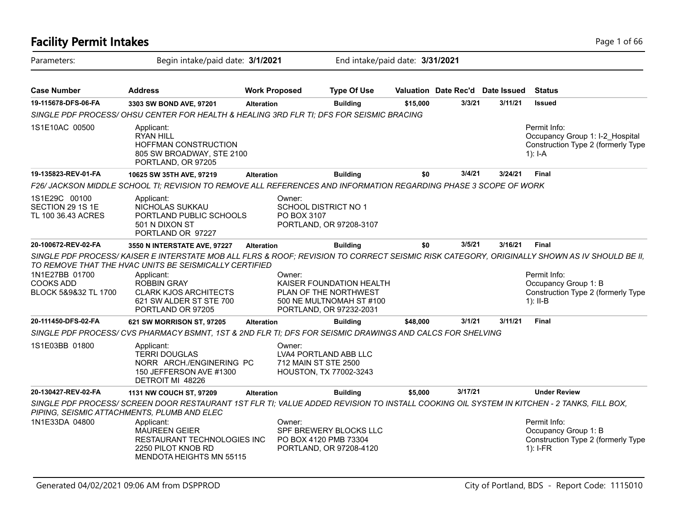| <b>Facility Permit Intakes</b>                             |                                                                                                                                                                                                       |                       |                                                                                                          |          |                                  |         | Page 1 of 66                                                                                       |
|------------------------------------------------------------|-------------------------------------------------------------------------------------------------------------------------------------------------------------------------------------------------------|-----------------------|----------------------------------------------------------------------------------------------------------|----------|----------------------------------|---------|----------------------------------------------------------------------------------------------------|
| Parameters:                                                | Begin intake/paid date: 3/1/2021                                                                                                                                                                      |                       | End intake/paid date: 3/31/2021                                                                          |          |                                  |         |                                                                                                    |
| <b>Case Number</b>                                         | <b>Address</b>                                                                                                                                                                                        | <b>Work Proposed</b>  | <b>Type Of Use</b>                                                                                       |          | Valuation Date Rec'd Date Issued |         | <b>Status</b>                                                                                      |
| 19-115678-DFS-06-FA                                        | 3303 SW BOND AVE, 97201                                                                                                                                                                               | <b>Alteration</b>     | <b>Building</b>                                                                                          | \$15,000 | 3/3/21                           | 3/11/21 | <b>Issued</b>                                                                                      |
|                                                            | SINGLE PDF PROCESS/OHSU CENTER FOR HEALTH & HEALING 3RD FLR TI; DFS FOR SEISMIC BRACING                                                                                                               |                       |                                                                                                          |          |                                  |         |                                                                                                    |
| 1S1E10AC 00500                                             | Applicant:<br><b>RYAN HILL</b><br><b>HOFFMAN CONSTRUCTION</b><br>805 SW BROADWAY, STE 2100<br>PORTLAND, OR 97205                                                                                      |                       |                                                                                                          |          |                                  |         | Permit Info:<br>Occupancy Group 1: I-2 Hospital<br>Construction Type 2 (formerly Type<br>$1$ : I-A |
| 19-135823-REV-01-FA                                        | 10625 SW 35TH AVE, 97219                                                                                                                                                                              | <b>Alteration</b>     | <b>Building</b>                                                                                          | \$0      | 3/4/21                           | 3/24/21 | Final                                                                                              |
|                                                            | F26/ JACKSON MIDDLE SCHOOL TI; REVISION TO REMOVE ALL REFERENCES AND INFORMATION REGARDING PHASE 3 SCOPE OF WORK                                                                                      |                       |                                                                                                          |          |                                  |         |                                                                                                    |
| 1S1E29C 00100<br>SECTION 29 1S 1E<br>TL 100 36.43 ACRES    | Applicant:<br>NICHOLAS SUKKAU<br>PORTLAND PUBLIC SCHOOLS<br>501 N DIXON ST<br>PORTLAND OR 97227                                                                                                       | Owner:<br>PO BOX 3107 | SCHOOL DISTRICT NO 1<br>PORTLAND, OR 97208-3107                                                          |          |                                  |         |                                                                                                    |
| 20-100672-REV-02-FA                                        | 3550 N INTERSTATE AVE, 97227                                                                                                                                                                          | <b>Alteration</b>     | <b>Building</b>                                                                                          | \$0      | 3/5/21                           | 3/16/21 | <b>Final</b>                                                                                       |
|                                                            | SINGLE PDF PROCESS/KAISER E INTERSTATE MOB ALL FLRS & ROOF; REVISION TO CORRECT SEISMIC RISK CATEGORY, ORIGINALLY SHOWN AS IV SHOULD BE II,<br>TO REMOVE THAT THE HVAC UNITS BE SEISMICALLY CERTIFIED |                       |                                                                                                          |          |                                  |         |                                                                                                    |
| 1N1E27BB 01700<br><b>COOKS ADD</b><br>BLOCK 5&9&32 TL 1700 | Applicant:<br><b>ROBBIN GRAY</b><br><b>CLARK KJOS ARCHITECTS</b><br>621 SW ALDER ST STE 700<br>PORTLAND OR 97205                                                                                      | Owner:                | KAISER FOUNDATION HEALTH<br>PLAN OF THE NORTHWEST<br>500 NE MULTNOMAH ST #100<br>PORTLAND, OR 97232-2031 |          |                                  |         | Permit Info:<br>Occupancy Group 1: B<br>Construction Type 2 (formerly Type<br>$1$ : II-B           |
| 20-111450-DFS-02-FA                                        | 621 SW MORRISON ST, 97205                                                                                                                                                                             | <b>Alteration</b>     | <b>Building</b>                                                                                          | \$48,000 | 3/1/21                           | 3/11/21 | <b>Final</b>                                                                                       |
|                                                            | SINGLE PDF PROCESS/ CVS PHARMACY BSMNT, 1ST & 2ND FLR TI; DFS FOR SEISMIC DRAWINGS AND CALCS FOR SHELVING                                                                                             |                       |                                                                                                          |          |                                  |         |                                                                                                    |
| 1S1E03BB 01800                                             | Applicant:<br><b>TERRI DOUGLAS</b><br>NORR ARCH./ENGINERING PC<br>150 JEFFERSON AVE #1300<br>DETROIT MI 48226                                                                                         | Owner:                | LVA4 PORTLAND ABB LLC<br>712 MAIN ST STE 2500<br>HOUSTON, TX 77002-3243                                  |          |                                  |         |                                                                                                    |
| 20-130427-REV-02-FA                                        | 1131 NW COUCH ST, 97209                                                                                                                                                                               | <b>Alteration</b>     | <b>Building</b>                                                                                          | \$5,000  | 3/17/21                          |         | <b>Under Review</b>                                                                                |
|                                                            | SINGLE PDF PROCESS/ SCREEN DOOR RESTAURANT 1ST FLR TI; VALUE ADDED REVISION TO INSTALL COOKING OIL SYSTEM IN KITCHEN - 2 TANKS, FILL BOX,<br>PIPING, SEISMIC ATTACHMENTS, PLUMB AND ELEC              |                       |                                                                                                          |          |                                  |         |                                                                                                    |
| 1N1E33DA 04800                                             | Applicant:<br><b>MAUREEN GEIER</b><br>RESTAURANT TECHNOLOGIES INC<br>2250 PILOT KNOB RD<br><b>MENDOTA HEIGHTS MN 55115</b>                                                                            | Owner:                | SPF BREWERY BLOCKS LLC<br>PO BOX 4120 PMB 73304<br>PORTLAND, OR 97208-4120                               |          |                                  |         | Permit Info:<br>Occupancy Group 1: B<br>Construction Type 2 (formerly Type<br>1): I-FR             |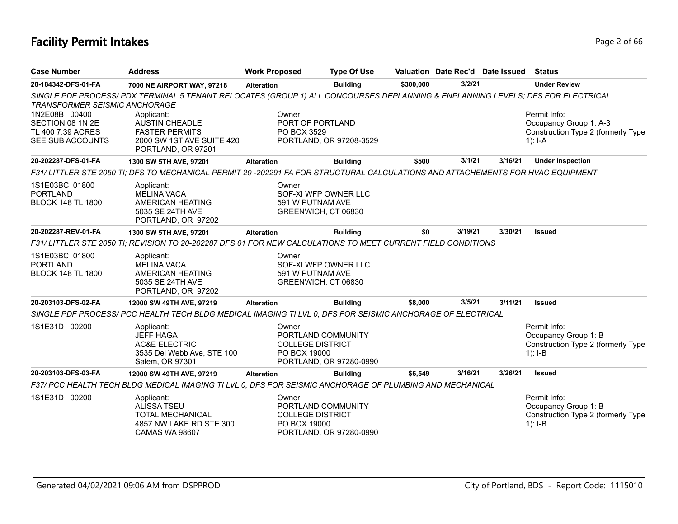# **Facility Permit Intakes** Page 2 of 66

| <b>Case Number</b>                    | <b>Address</b>                                                                                                                       | <b>Work Proposed</b>                    | <b>Type Of Use</b>                         |           |         | Valuation Date Rec'd Date Issued | <b>Status</b>                                     |
|---------------------------------------|--------------------------------------------------------------------------------------------------------------------------------------|-----------------------------------------|--------------------------------------------|-----------|---------|----------------------------------|---------------------------------------------------|
| 20-184342-DFS-01-FA                   | 7000 NE AIRPORT WAY, 97218                                                                                                           | <b>Alteration</b>                       | <b>Building</b>                            | \$300,000 | 3/2/21  |                                  | <b>Under Review</b>                               |
| <b>TRANSFORMER SEISMIC ANCHORAGE</b>  | SINGLE PDF PROCESS/PDX TERMINAL 5 TENANT RELOCATES (GROUP 1) ALL CONCOURSES DEPLANNING & ENPLANNING LEVELS; DFS FOR ELECTRICAL       |                                         |                                            |           |         |                                  |                                                   |
| 1N2E08B 00400<br>SECTION 08 1N 2E     | Applicant:<br>AUSTIN CHEADLE                                                                                                         | Owner:<br>PORT OF PORTLAND              |                                            |           |         |                                  | Permit Info:<br>Occupancy Group 1: A-3            |
| TL 400 7.39 ACRES<br>SEE SUB ACCOUNTS | <b>FASTER PERMITS</b><br>2000 SW 1ST AVE SUITE 420<br>PORTLAND, OR 97201                                                             | PO BOX 3529                             | PORTLAND, OR 97208-3529                    |           |         |                                  | Construction Type 2 (formerly Type<br>1): $I - A$ |
| 20-202287-DFS-01-FA                   | 1300 SW 5TH AVE, 97201                                                                                                               | <b>Alteration</b>                       | <b>Building</b>                            | \$500     | 3/1/21  | 3/16/21                          | <b>Under Inspection</b>                           |
|                                       | F31/LITTLER STE 2050 TI; DFS TO MECHANICAL PERMIT 20-202291 FA FOR STRUCTURAL CALCULATIONS AND ATTACHEMENTS FOR HVAC EQUIPMENT       |                                         |                                            |           |         |                                  |                                                   |
| 1S1E03BC 01800                        | Applicant:                                                                                                                           | Owner:                                  |                                            |           |         |                                  |                                                   |
| <b>PORTLAND</b>                       | <b>MELINA VACA</b>                                                                                                                   |                                         | SOF-XI WFP OWNER LLC                       |           |         |                                  |                                                   |
| <b>BLOCK 148 TL 1800</b>              | <b>AMERICAN HEATING</b><br>5035 SE 24TH AVE                                                                                          | 591 W PUTNAM AVE<br>GREENWICH, CT 06830 |                                            |           |         |                                  |                                                   |
|                                       | PORTLAND, OR 97202                                                                                                                   |                                         |                                            |           |         |                                  |                                                   |
| 20-202287-REV-01-FA                   | 1300 SW 5TH AVE, 97201                                                                                                               | <b>Alteration</b>                       | <b>Building</b>                            | \$0       | 3/19/21 | 3/30/21                          | <b>Issued</b>                                     |
|                                       | F31/ LITTLER STE 2050 TI; REVISION TO 20-202287 DFS 01 FOR NEW CALCULATIONS TO MEET CURRENT FIELD CONDITIONS                         |                                         |                                            |           |         |                                  |                                                   |
| 1S1E03BC 01800                        | Applicant:                                                                                                                           | Owner:                                  |                                            |           |         |                                  |                                                   |
| <b>PORTLAND</b>                       | <b>MELINA VACA</b>                                                                                                                   |                                         | SOF-XI WFP OWNER LLC                       |           |         |                                  |                                                   |
| <b>BLOCK 148 TL 1800</b>              | AMERICAN HEATING                                                                                                                     | 591 W PUTNAM AVE                        |                                            |           |         |                                  |                                                   |
|                                       | 5035 SE 24TH AVE<br>PORTLAND, OR 97202                                                                                               | GREENWICH, CT 06830                     |                                            |           |         |                                  |                                                   |
| 20-203103-DFS-02-FA                   | 12000 SW 49TH AVE, 97219                                                                                                             | <b>Alteration</b>                       | <b>Building</b>                            | \$8,000   | 3/5/21  | 3/11/21                          | <b>Issued</b>                                     |
|                                       | SINGLE PDF PROCESS/ PCC HEALTH TECH BLDG MEDICAL IMAGING TI LVL 0; DFS FOR SEISMIC ANCHORAGE OF ELECTRICAL                           |                                         |                                            |           |         |                                  |                                                   |
| 1S1E31D 00200                         | Applicant:                                                                                                                           | Owner:                                  |                                            |           |         |                                  | Permit Info:                                      |
|                                       | <b>JEFF HAGA</b>                                                                                                                     |                                         | PORTLAND COMMUNITY                         |           |         |                                  | Occupancy Group 1: B                              |
|                                       | <b>AC&amp;E ELECTRIC</b>                                                                                                             | <b>COLLEGE DISTRICT</b>                 |                                            |           |         |                                  | Construction Type 2 (formerly Type                |
|                                       | 3535 Del Webb Ave, STE 100                                                                                                           | PO BOX 19000                            |                                            |           |         |                                  | $1$ : I-B                                         |
| 20-203103-DFS-03-FA                   | Salem, OR 97301                                                                                                                      |                                         | PORTLAND, OR 97280-0990<br><b>Building</b> | \$6.549   | 3/16/21 | 3/26/21                          | <b>Issued</b>                                     |
|                                       | 12000 SW 49TH AVE, 97219<br>F37/ PCC HEALTH TECH BLDG MEDICAL IMAGING TI LVL 0; DFS FOR SEISMIC ANCHORAGE OF PLUMBING AND MECHANICAL | <b>Alteration</b>                       |                                            |           |         |                                  |                                                   |
|                                       |                                                                                                                                      |                                         |                                            |           |         |                                  |                                                   |
| 1S1E31D 00200                         | Applicant:<br><b>ALISSA TSEU</b>                                                                                                     | Owner:                                  | PORTLAND COMMUNITY                         |           |         |                                  | Permit Info:<br>Occupancy Group 1: B              |
|                                       | TOTAL MECHANICAL                                                                                                                     | <b>COLLEGE DISTRICT</b>                 |                                            |           |         |                                  | Construction Type 2 (formerly Type                |
|                                       | 4857 NW LAKE RD STE 300                                                                                                              | PO BOX 19000                            |                                            |           |         |                                  | $1$ : I-B                                         |
|                                       | <b>CAMAS WA 98607</b>                                                                                                                |                                         | PORTLAND, OR 97280-0990                    |           |         |                                  |                                                   |
|                                       |                                                                                                                                      |                                         |                                            |           |         |                                  |                                                   |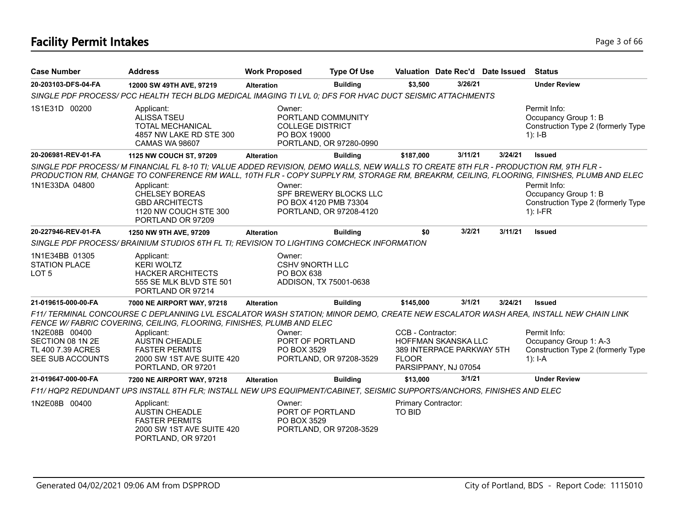# **Facility Permit Intakes** Page 3 of 66

| <b>Case Number</b>                                                         | <b>Address</b>                                                                                                                                                                                                                                                                  | <b>Work Proposed</b>   | <b>Type Of Use</b>                                                         |                                      | Valuation Date Rec'd Date Issued                                         |         |            | <b>Status</b>                                                                |
|----------------------------------------------------------------------------|---------------------------------------------------------------------------------------------------------------------------------------------------------------------------------------------------------------------------------------------------------------------------------|------------------------|----------------------------------------------------------------------------|--------------------------------------|--------------------------------------------------------------------------|---------|------------|------------------------------------------------------------------------------|
| 20-203103-DFS-04-FA                                                        | 12000 SW 49TH AVE, 97219                                                                                                                                                                                                                                                        | <b>Alteration</b>      | <b>Building</b>                                                            | \$3,500                              | 3/26/21                                                                  |         |            | <b>Under Review</b>                                                          |
|                                                                            | SINGLE PDF PROCESS/ PCC HEALTH TECH BLDG MEDICAL IMAGING TI LVL 0; DFS FOR HVAC DUCT SEISMIC ATTACHMENTS                                                                                                                                                                        |                        |                                                                            |                                      |                                                                          |         |            |                                                                              |
| 1S1E31D 00200                                                              | Applicant:<br><b>ALISSA TSEU</b><br>TOTAL MECHANICAL<br>4857 NW LAKE RD STE 300<br><b>CAMAS WA 98607</b>                                                                                                                                                                        | Owner:<br>PO BOX 19000 | PORTLAND COMMUNITY<br><b>COLLEGE DISTRICT</b><br>PORTLAND, OR 97280-0990   |                                      |                                                                          |         | $1$ : I-B  | Permit Info:<br>Occupancy Group 1: B<br>Construction Type 2 (formerly Type   |
| 20-206981-REV-01-FA                                                        | 1125 NW COUCH ST, 97209                                                                                                                                                                                                                                                         | <b>Alteration</b>      | <b>Building</b>                                                            | \$187,000                            | 3/11/21                                                                  | 3/24/21 |            | <b>Issued</b>                                                                |
|                                                                            | SINGLE PDF PROCESS/M FINANCIAL FL 8-10 TI; VALUE ADDED REVISION, DEMO WALLS, NEW WALLS TO CREATE 8TH FLR - PRODUCTION RM, 9TH FLR -<br>PRODUCTION RM, CHANGE TO CONFERENCE RM WALL, 10TH FLR - COPY SUPPLY RM, STORAGE RM, BREAKRM, CEILING, FLOORING, FINISHES, PLUMB AND ELEC |                        |                                                                            |                                      |                                                                          |         |            |                                                                              |
| 1N1E33DA 04800                                                             | Applicant:<br><b>CHELSEY BOREAS</b><br><b>GBD ARCHITECTS</b><br>1120 NW COUCH STE 300<br>PORTLAND OR 97209                                                                                                                                                                      | Owner:                 | SPF BREWERY BLOCKS LLC<br>PO BOX 4120 PMB 73304<br>PORTLAND, OR 97208-4120 |                                      |                                                                          |         | $1$ : I-FR | Permit Info:<br>Occupancy Group 1: B<br>Construction Type 2 (formerly Type   |
| 20-227946-REV-01-FA                                                        | 1250 NW 9TH AVE, 97209                                                                                                                                                                                                                                                          | <b>Alteration</b>      | <b>Building</b>                                                            | \$0                                  | 3/2/21                                                                   | 3/11/21 |            | <b>Issued</b>                                                                |
|                                                                            | SINGLE PDF PROCESS/ BRAINIUM STUDIOS 6TH FL TI; REVISION TO LIGHTING COMCHECK INFORMATION                                                                                                                                                                                       |                        |                                                                            |                                      |                                                                          |         |            |                                                                              |
| 1N1E34BB 01305<br><b>STATION PLACE</b><br>LOT <sub>5</sub>                 | Applicant:<br><b>KERI WOLTZ</b><br><b>HACKER ARCHITECTS</b><br>555 SE MLK BLVD STE 501<br>PORTLAND OR 97214                                                                                                                                                                     | Owner:<br>PO BOX 638   | <b>CSHV 9NORTH LLC</b><br>ADDISON, TX 75001-0638                           |                                      |                                                                          |         |            |                                                                              |
| 21-019615-000-00-FA                                                        | 7000 NE AIRPORT WAY, 97218                                                                                                                                                                                                                                                      | <b>Alteration</b>      | <b>Building</b>                                                            | \$145,000                            | 3/1/21                                                                   | 3/24/21 |            | <b>Issued</b>                                                                |
|                                                                            | F11/ TERMINAL CONCOURSE C DEPLANNING LVL ESCALATOR WASH STATION; MINOR DEMO, CREATE NEW ESCALATOR WASH AREA, INSTALL NEW CHAIN LINK<br>FENCE W/ FABRIC COVERING, CEILING, FLOORING, FINISHES, PLUMB AND ELEC                                                                    |                        |                                                                            |                                      |                                                                          |         |            |                                                                              |
| 1N2E08B 00400<br>SECTION 08 1N 2E<br>TL 400 7.39 ACRES<br>SEE SUB ACCOUNTS | Applicant:<br><b>AUSTIN CHEADLE</b><br><b>FASTER PERMITS</b><br>2000 SW 1ST AVE SUITE 420<br>PORTLAND, OR 97201                                                                                                                                                                 | Owner:<br>PO BOX 3529  | PORT OF PORTLAND<br>PORTLAND, OR 97208-3529                                | CCB - Contractor:<br><b>FLOOR</b>    | HOFFMAN SKANSKA LLC<br>389 INTERPACE PARKWAY 5TH<br>PARSIPPANY, NJ 07054 |         | $1$ : I-A  | Permit Info:<br>Occupancy Group 1: A-3<br>Construction Type 2 (formerly Type |
| 21-019647-000-00-FA                                                        | 7200 NE AIRPORT WAY, 97218                                                                                                                                                                                                                                                      | <b>Alteration</b>      | <b>Building</b>                                                            | \$13,000                             | 3/1/21                                                                   |         |            | <b>Under Review</b>                                                          |
|                                                                            | F11/HQP2 REDUNDANT UPS INSTALL 8TH FLR; INSTALL NEW UPS EQUIPMENT/CABINET, SEISMIC SUPPORTS/ANCHORS, FINISHES AND ELEC                                                                                                                                                          |                        |                                                                            |                                      |                                                                          |         |            |                                                                              |
| 1N2E08B 00400                                                              | Applicant:<br><b>AUSTIN CHEADLE</b><br><b>FASTER PERMITS</b><br>2000 SW 1ST AVE SUITE 420<br>PORTLAND, OR 97201                                                                                                                                                                 | Owner:<br>PO BOX 3529  | PORT OF PORTLAND<br>PORTLAND, OR 97208-3529                                | Primary Contractor:<br><b>TO BID</b> |                                                                          |         |            |                                                                              |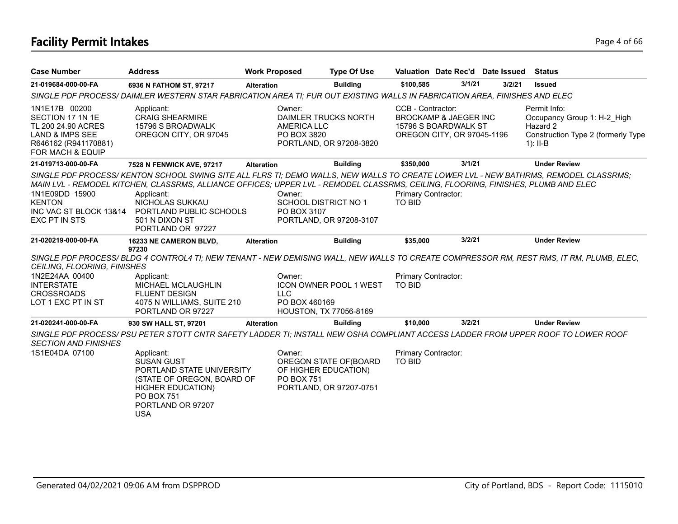# **Facility Permit Intakes** Page 4 of 66

| <b>Case Number</b>                                                                                                                | <b>Address</b>                                                                                                                                                                                                                                                                                            | <b>Work Proposed</b> |                                                                                                          | <b>Type Of Use</b> | Valuation Date Rec'd Date Issued                                                                 |        |        | <b>Status</b>                                                                                               |
|-----------------------------------------------------------------------------------------------------------------------------------|-----------------------------------------------------------------------------------------------------------------------------------------------------------------------------------------------------------------------------------------------------------------------------------------------------------|----------------------|----------------------------------------------------------------------------------------------------------|--------------------|--------------------------------------------------------------------------------------------------|--------|--------|-------------------------------------------------------------------------------------------------------------|
| 21-019684-000-00-FA                                                                                                               | 6936 N FATHOM ST, 97217                                                                                                                                                                                                                                                                                   | <b>Alteration</b>    |                                                                                                          | <b>Building</b>    | \$100,585                                                                                        | 3/1/21 | 3/2/21 | <b>Issued</b>                                                                                               |
|                                                                                                                                   | SINGLE PDF PROCESS/DAIMLER WESTERN STAR FABRICATION AREA TI; FUR OUT EXISTING WALLS IN FABRICATION AREA, FINISHES AND ELEC                                                                                                                                                                                |                      |                                                                                                          |                    |                                                                                                  |        |        |                                                                                                             |
| 1N1E17B 00200<br>SECTION 17 1N 1E<br>TL 200 24.90 ACRES<br><b>LAND &amp; IMPS SEE</b><br>R646162 (R941170881)<br>FOR MACH & EQUIP | Applicant:<br><b>CRAIG SHEARMIRE</b><br>15796 S BROADWALK<br>OREGON CITY, OR 97045                                                                                                                                                                                                                        |                      | Owner:<br>DAIMLER TRUCKS NORTH<br><b>AMERICA LLC</b><br>PO BOX 3820<br>PORTLAND, OR 97208-3820           |                    | CCB - Contractor:<br>BROCKAMP & JAEGER INC<br>15796 S BOARDWALK ST<br>OREGON CITY, OR 97045-1196 |        |        | Permit Info:<br>Occupancy Group 1: H-2 High<br>Hazard 2<br>Construction Type 2 (formerly Type<br>$1$ : II-B |
| 21-019713-000-00-FA                                                                                                               | 7528 N FENWICK AVE, 97217                                                                                                                                                                                                                                                                                 | <b>Alteration</b>    |                                                                                                          | <b>Building</b>    | \$350,000                                                                                        | 3/1/21 |        | <b>Under Review</b>                                                                                         |
| 1N1E09DD 15900<br><b>KENTON</b>                                                                                                   | SINGLE PDF PROCESS/KENTON SCHOOL SWING SITE ALL FLRS TI; DEMO WALLS, NEW WALLS TO CREATE LOWER LVL - NEW BATHRMS, REMODEL CLASSRMS;<br>MAIN LVL - REMODEL KITCHEN, CLASSRMS, ALLIANCE OFFICES; UPPER LVL - REMODEL CLASSRMS, CEILING, FLOORING, FINISHES, PLUMB AND ELEC<br>Applicant:<br>NICHOLAS SUKKAU |                      | Owner:<br><b>SCHOOL DISTRICT NO 1</b>                                                                    |                    | Primary Contractor:<br><b>TO BID</b>                                                             |        |        |                                                                                                             |
| INC VAC ST BLOCK 13&14<br>EXC PT IN STS                                                                                           | PORTLAND PUBLIC SCHOOLS<br>501 N DIXON ST<br>PORTLAND OR 97227                                                                                                                                                                                                                                            |                      | PO BOX 3107<br>PORTLAND, OR 97208-3107                                                                   |                    |                                                                                                  |        |        |                                                                                                             |
| 21-020219-000-00-FA                                                                                                               | 16233 NE CAMERON BLVD,                                                                                                                                                                                                                                                                                    | <b>Alteration</b>    |                                                                                                          | <b>Building</b>    | \$35,000                                                                                         | 3/2/21 |        | <b>Under Review</b>                                                                                         |
| <b>CEILING, FLOORING, FINISHES</b>                                                                                                | 97230<br>SINGLE PDF PROCESS/BLDG 4 CONTROL4 TI; NEW TENANT - NEW DEMISING WALL, NEW WALLS TO CREATE COMPRESSOR RM, REST RMS, IT RM, PLUMB, ELEC,                                                                                                                                                          |                      |                                                                                                          |                    |                                                                                                  |        |        |                                                                                                             |
| 1N2E24AA 00400<br><b>INTERSTATE</b><br><b>CROSSROADS</b><br>LOT 1 EXC PT IN ST                                                    | Applicant:<br><b>MICHAEL MCLAUGHLIN</b><br><b>FLUENT DESIGN</b><br>4075 N WILLIAMS, SUITE 210<br>PORTLAND OR 97227                                                                                                                                                                                        |                      | Owner:<br><b>ICON OWNER POOL 1 WEST</b><br><b>LLC</b><br>PO BOX 460169<br>HOUSTON, TX 77056-8169         |                    | Primary Contractor:<br><b>TO BID</b>                                                             |        |        |                                                                                                             |
| 21-020241-000-00-FA                                                                                                               | 930 SW HALL ST, 97201                                                                                                                                                                                                                                                                                     | <b>Alteration</b>    |                                                                                                          | <b>Building</b>    | \$10,000                                                                                         | 3/2/21 |        | <b>Under Review</b>                                                                                         |
| <b>SECTION AND FINISHES</b>                                                                                                       | SINGLE PDF PROCESS/ PSU PETER STOTT CNTR SAFETY LADDER TI: INSTALL NEW OSHA COMPLIANT ACCESS LADDER FROM UPPER ROOF TO LOWER ROOF                                                                                                                                                                         |                      |                                                                                                          |                    |                                                                                                  |        |        |                                                                                                             |
| 1S1E04DA 07100                                                                                                                    | Applicant:<br><b>SUSAN GUST</b><br>PORTLAND STATE UNIVERSITY<br>(STATE OF OREGON, BOARD OF<br><b>HIGHER EDUCATION)</b><br><b>PO BOX 751</b><br>PORTLAND OR 97207<br><b>USA</b>                                                                                                                            |                      | Owner:<br>OREGON STATE OF (BOARD<br>OF HIGHER EDUCATION)<br><b>PO BOX 751</b><br>PORTLAND, OR 97207-0751 |                    | Primary Contractor:<br><b>TO BID</b>                                                             |        |        |                                                                                                             |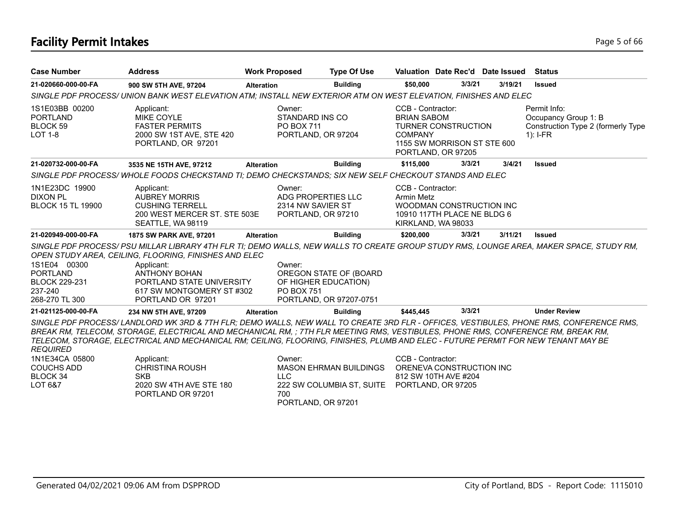# **Facility Permit Intakes** Page 5 of 66

| <b>Case Number</b>                                                                   | <b>Address</b>                                                                                                                                                                                                                                                                                                                                                                                                                                                                                                        | <b>Work Proposed</b> |                                                                         | <b>Type Of Use</b>                                         | Valuation Date Rec'd Date Issued                                                                                 |                                                   |         | <b>Status</b>                                                                            |
|--------------------------------------------------------------------------------------|-----------------------------------------------------------------------------------------------------------------------------------------------------------------------------------------------------------------------------------------------------------------------------------------------------------------------------------------------------------------------------------------------------------------------------------------------------------------------------------------------------------------------|----------------------|-------------------------------------------------------------------------|------------------------------------------------------------|------------------------------------------------------------------------------------------------------------------|---------------------------------------------------|---------|------------------------------------------------------------------------------------------|
| 21-020660-000-00-FA                                                                  | 900 SW 5TH AVE, 97204                                                                                                                                                                                                                                                                                                                                                                                                                                                                                                 | <b>Alteration</b>    |                                                                         | <b>Building</b>                                            | \$50,000                                                                                                         | 3/3/21                                            | 3/19/21 | <b>Issued</b>                                                                            |
|                                                                                      | SINGLE PDF PROCESS/ UNION BANK WEST ELEVATION ATM; INSTALL NEW EXTERIOR ATM ON WEST ELEVATION, FINISHES AND ELEC                                                                                                                                                                                                                                                                                                                                                                                                      |                      |                                                                         |                                                            |                                                                                                                  |                                                   |         |                                                                                          |
| 1S1E03BB 00200<br><b>PORTLAND</b><br>BLOCK 59<br><b>LOT 1-8</b>                      | Applicant:<br><b>MIKE COYLE</b><br><b>FASTER PERMITS</b><br>2000 SW 1ST AVE, STE 420<br>PORTLAND, OR 97201                                                                                                                                                                                                                                                                                                                                                                                                            |                      | Owner:<br>STANDARD INS CO<br><b>PO BOX 711</b><br>PORTLAND, OR 97204    |                                                            | CCB - Contractor:<br><b>BRIAN SABOM</b><br><b>TURNER CONSTRUCTION</b><br><b>COMPANY</b>                          | 1155 SW MORRISON ST STE 600<br>PORTLAND, OR 97205 |         | Permit Info:<br>Occupancy Group 1: B<br>Construction Type 2 (formerly Type<br>$1$ : I-FR |
| 21-020732-000-00-FA                                                                  | 3535 NE 15TH AVE, 97212                                                                                                                                                                                                                                                                                                                                                                                                                                                                                               | <b>Alteration</b>    |                                                                         | <b>Building</b>                                            | \$115,000                                                                                                        | 3/3/21                                            | 3/4/21  | <b>Issued</b>                                                                            |
|                                                                                      | SINGLE PDF PROCESS/WHOLE FOODS CHECKSTAND TI; DEMO CHECKSTANDS; SIX NEW SELF CHECKOUT STANDS AND ELEC                                                                                                                                                                                                                                                                                                                                                                                                                 |                      |                                                                         |                                                            |                                                                                                                  |                                                   |         |                                                                                          |
| 1N1E23DC 19900<br><b>DIXON PL</b><br><b>BLOCK 15 TL 19900</b>                        | Applicant:<br><b>AUBREY MORRIS</b><br><b>CUSHING TERRELL</b><br>200 WEST MERCER ST. STE 503E<br>SEATTLE, WA 98119                                                                                                                                                                                                                                                                                                                                                                                                     |                      | Owner:<br>ADG PROPERTIES LLC<br>2314 NW SAVIER ST<br>PORTLAND, OR 97210 |                                                            | CCB - Contractor:<br>Armin Metz<br>WOODMAN CONSTRUCTION INC<br>10910 117TH PLACE NE BLDG 6<br>KIRKLAND, WA 98033 |                                                   |         |                                                                                          |
| 21-020949-000-00-FA                                                                  | 1875 SW PARK AVE, 97201                                                                                                                                                                                                                                                                                                                                                                                                                                                                                               | <b>Alteration</b>    |                                                                         | <b>Building</b>                                            | \$200.000                                                                                                        | 3/3/21                                            | 3/11/21 | <b>Issued</b>                                                                            |
|                                                                                      | SINGLE PDF PROCESS/ PSU MILLAR LIBRARY 4TH FLR TI; DEMO WALLS, NEW WALLS TO CREATE GROUP STUDY RMS, LOUNGE AREA, MAKER SPACE, STUDY RM,<br>OPEN STUDY AREA, CEILING, FLOORING, FINISHES AND ELEC                                                                                                                                                                                                                                                                                                                      |                      |                                                                         |                                                            |                                                                                                                  |                                                   |         |                                                                                          |
| 1S1E04 00300<br><b>PORTLAND</b><br><b>BLOCK 229-231</b><br>237-240<br>268-270 TL 300 | Applicant:<br><b>ANTHONY BOHAN</b><br>PORTLAND STATE UNIVERSITY<br>617 SW MONTGOMERY ST #302<br>PORTLAND OR 97201                                                                                                                                                                                                                                                                                                                                                                                                     |                      | Owner:<br>OF HIGHER EDUCATION)<br><b>PO BOX 751</b>                     | OREGON STATE OF (BOARD<br>PORTLAND, OR 97207-0751          |                                                                                                                  |                                                   |         |                                                                                          |
| 21-021125-000-00-FA                                                                  | 234 NW 5TH AVE, 97209                                                                                                                                                                                                                                                                                                                                                                                                                                                                                                 | <b>Alteration</b>    |                                                                         | <b>Building</b>                                            | \$445.445                                                                                                        | 3/3/21                                            |         | <b>Under Review</b>                                                                      |
| <b>REQUIRED</b><br>1N1E34CA 05800<br><b>COUCHS ADD</b><br><b>BLOCK 34</b><br>LOT 6&7 | SINGLE PDF PROCESS/LANDLORD WK 3RD & 7TH FLR; DEMO WALLS, NEW WALL TO CREATE 3RD FLR - OFFICES, VESTIBULES, PHONE RMS, CONFERENCE RMS,<br>BREAK RM, TELECOM, STORAGE, ELECTRICAL AND MECHANICAL RM, ; 7TH FLR MEETING RMS, VESTIBULES, PHONE RMS, CONFERENCE RM, BREAK RM,<br>TELECOM, STORAGE, ELECTRICAL AND MECHANICAL RM; CEILING, FLOORING, FINISHES, PLUMB AND ELEC - FUTURE PERMIT FOR NEW TENANT MAY BE<br>Applicant:<br><b>CHRISTINA ROUSH</b><br><b>SKB</b><br>2020 SW 4TH AVE STE 180<br>PORTLAND OR 97201 |                      | Owner:<br><b>LLC</b><br>700<br>PORTLAND, OR 97201                       | <b>MASON EHRMAN BUILDINGS</b><br>222 SW COLUMBIA ST, SUITE | CCB - Contractor:<br>ORENEVA CONSTRUCTION INC<br>812 SW 10TH AVE #204<br>PORTLAND, OR 97205                      |                                                   |         |                                                                                          |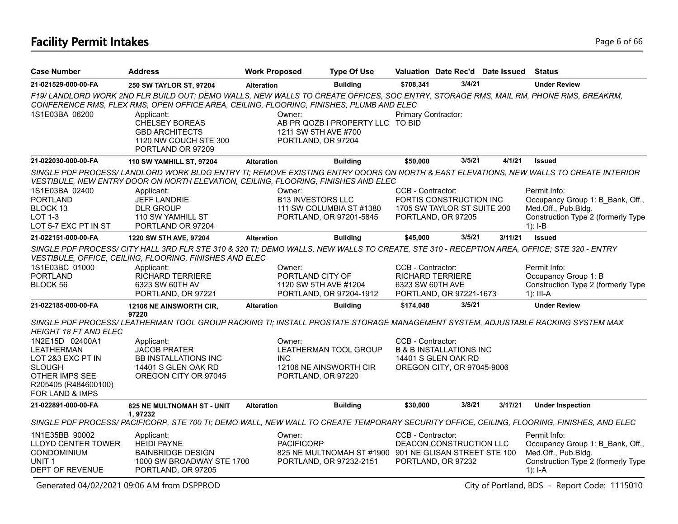## **Facility Permit Intakes** Page 6 of 66

| <b>Case Number</b>                                                                                                                      | <b>Address</b>                                                                                                                                                                                                                                                                   | <b>Work Proposed</b>               | <b>Type Of Use</b>                                                                |                                       | Valuation Date Rec'd Date Issued                                                        |         | Status                                                                                                                                |
|-----------------------------------------------------------------------------------------------------------------------------------------|----------------------------------------------------------------------------------------------------------------------------------------------------------------------------------------------------------------------------------------------------------------------------------|------------------------------------|-----------------------------------------------------------------------------------|---------------------------------------|-----------------------------------------------------------------------------------------|---------|---------------------------------------------------------------------------------------------------------------------------------------|
| 21-021529-000-00-FA                                                                                                                     | 250 SW TAYLOR ST, 97204                                                                                                                                                                                                                                                          | <b>Alteration</b>                  | <b>Building</b>                                                                   | \$708.341                             | 3/4/21                                                                                  |         | <b>Under Review</b>                                                                                                                   |
|                                                                                                                                         | F19/LANDLORD WORK 2ND FLR BUILD OUT; DEMO WALLS, NEW WALLS TO CREATE OFFICES, SOC ENTRY, STORAGE RMS, MAIL RM, PHONE RMS, BREAKRM,<br>CONFERENCE RMS, FLEX RMS, OPEN OFFICE AREA, CEILING, FLOORING, FINISHES, PLUMB AND ELEC                                                    |                                    |                                                                                   |                                       |                                                                                         |         |                                                                                                                                       |
| 1S1E03BA 06200                                                                                                                          | Applicant:<br><b>CHELSEY BOREAS</b><br><b>GBD ARCHITECTS</b><br>1120 NW COUCH STE 300<br>PORTLAND OR 97209                                                                                                                                                                       | Owner:                             | AB PR QOZB I PROPERTY LLC TO BID<br>1211 SW 5TH AVE #700<br>PORTLAND, OR 97204    | Primary Contractor:                   |                                                                                         |         |                                                                                                                                       |
| 21-022030-000-00-FA                                                                                                                     | 110 SW YAMHILL ST, 97204                                                                                                                                                                                                                                                         | <b>Alteration</b>                  | <b>Building</b>                                                                   | \$50,000                              | 3/5/21                                                                                  | 4/1/21  | <b>Issued</b>                                                                                                                         |
|                                                                                                                                         | VESTIBULE, NEW ENTRY DOOR ON NORTH ELEVATION, CEILING, FLOORING, FINISHES AND ELEC                                                                                                                                                                                               |                                    |                                                                                   |                                       |                                                                                         |         | SINGLE PDF PROCESS/ LANDLORD WORK BLDG ENTRY TI; REMOVE EXISTING ENTRY DOORS ON NORTH & EAST ELEVATIONS, NEW WALLS TO CREATE INTERIOR |
| 1S1E03BA 02400<br><b>PORTLAND</b><br>BLOCK 13<br>LOT 1-3<br>LOT 5-7 EXC PT IN ST                                                        | Applicant:<br><b>JEFF LANDRIE</b><br><b>DLR GROUP</b><br>110 SW YAMHILL ST<br>PORTLAND OR 97204                                                                                                                                                                                  | Owner:<br><b>B13 INVESTORS LLC</b> | 111 SW COLUMBIA ST #1380<br>PORTLAND, OR 97201-5845                               | CCB - Contractor:                     | FORTIS CONSTRUCTION INC<br>1705 SW TAYLOR ST SUITE 200<br>PORTLAND, OR 97205            |         | Permit Info:<br>Occupancy Group 1: B_Bank, Off.,<br>Med.Off., Pub.Bldg.<br>Construction Type 2 (formerly Type<br>$1$ : I-B            |
| 21-022151-000-00-FA                                                                                                                     | 1220 SW 5TH AVE, 97204                                                                                                                                                                                                                                                           | <b>Alteration</b>                  | <b>Building</b>                                                                   | \$45,000                              | 3/5/21                                                                                  | 3/11/21 | <b>Issued</b>                                                                                                                         |
| 1S1E03BC 01000<br><b>PORTLAND</b><br>BLOCK 56                                                                                           | SINGLE PDF PROCESS/ CITY HALL 3RD FLR STE 310 & 320 TI; DEMO WALLS, NEW WALLS TO CREATE, STE 310 - RECEPTION AREA, OFFICE; STE 320 - ENTRY<br>VESTIBULE, OFFICE, CEILING, FLOORING, FINISHES AND ELEC<br>Applicant:<br>RICHARD TERRIERE<br>6323 SW 60TH AV<br>PORTLAND, OR 97221 | Owner:<br>PORTLAND CITY OF         | 1120 SW 5TH AVE #1204<br>PORTLAND, OR 97204-1912                                  | CCB - Contractor:<br>6323 SW 60TH AVE | <b>RICHARD TERRIERE</b><br>PORTLAND, OR 97221-1673                                      |         | Permit Info:<br>Occupancy Group 1: B<br>Construction Type 2 (formerly Type<br>$1$ : III-A                                             |
| 21-022185-000-00-FA                                                                                                                     | 12106 NE AINSWORTH CIR,<br>97220                                                                                                                                                                                                                                                 | <b>Alteration</b>                  | <b>Building</b>                                                                   | \$174,048                             | 3/5/21                                                                                  |         | <b>Under Review</b>                                                                                                                   |
| HEIGHT 18 FT AND ELEC                                                                                                                   | SINGLE PDF PROCESS/ LEATHERMAN TOOL GROUP RACKING TI; INSTALL PROSTATE STORAGE MANAGEMENT SYSTEM, ADJUSTABLE RACKING SYSTEM MAX                                                                                                                                                  |                                    |                                                                                   |                                       |                                                                                         |         |                                                                                                                                       |
| 1N2E15D 02400A1<br><b>LEATHERMAN</b><br>LOT 2&3 EXC PT IN<br><b>SLOUGH</b><br>OTHER IMPS SEE<br>R205405 (R484600100)<br>FOR LAND & IMPS | Applicant:<br><b>JACOB PRATER</b><br><b>BB INSTALLATIONS INC</b><br>14401 S GLEN OAK RD<br>OREGON CITY OR 97045                                                                                                                                                                  | Owner:<br>INC.                     | LEATHERMAN TOOL GROUP<br>12106 NE AINSWORTH CIR<br>PORTLAND, OR 97220             | CCB - Contractor:                     | <b>B &amp; B INSTALLATIONS INC</b><br>14401 S GLEN OAK RD<br>OREGON CITY, OR 97045-9006 |         |                                                                                                                                       |
| 21-022891-000-00-FA                                                                                                                     | <b>825 NE MULTNOMAH ST - UNIT</b><br>1.97232                                                                                                                                                                                                                                     | <b>Alteration</b>                  | <b>Building</b>                                                                   | \$30,000                              | 3/8/21                                                                                  | 3/17/21 | <b>Under Inspection</b>                                                                                                               |
|                                                                                                                                         | SINGLE PDF PROCESS/PACIFICORP, STE 700 TI; DEMO WALL, NEW WALL TO CREATE TEMPORARY SECURITY OFFICE, CEILING, FLOORING, FINISHES, AND ELEC                                                                                                                                        |                                    |                                                                                   |                                       |                                                                                         |         |                                                                                                                                       |
| 1N1E35BB 90002<br><b>LLOYD CENTER TOWER</b><br>CONDOMINIUM<br>UNIT <sub>1</sub><br>DEPT OF REVENUE                                      | Applicant:<br><b>HEIDI PAYNE</b><br><b>BAINBRIDGE DESIGN</b><br>1000 SW BROADWAY STE 1700<br>PORTLAND, OR 97205                                                                                                                                                                  | Owner:<br><b>PACIFICORP</b>        | 825 NE MULTNOMAH ST #1900 901 NE GLISAN STREET STE 100<br>PORTLAND, OR 97232-2151 | CCB - Contractor:                     | DEACON CONSTRUCTION LLC<br>PORTLAND, OR 97232                                           |         | Permit Info:<br>Occupancy Group 1: B Bank, Off.,<br>Med.Off., Pub.Bldg.<br>Construction Type 2 (formerly Type<br>1): $I-A$            |

Generated 04/02/2021 09:06 AM from DSPPROD City of Portland, BDS - Report Code: 1115010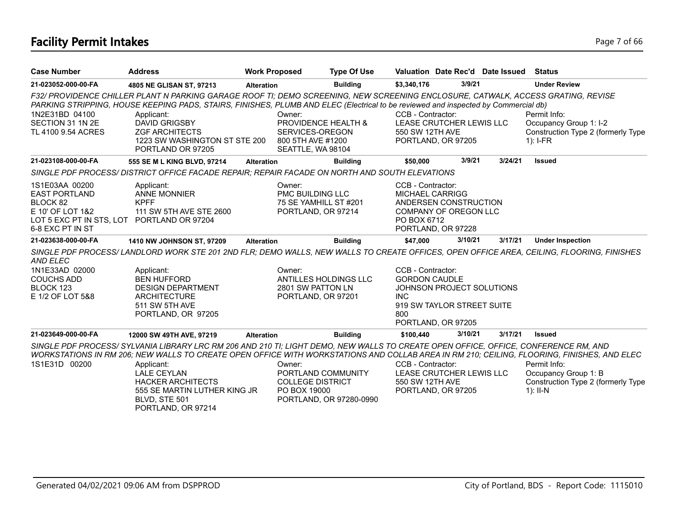# **Facility Permit Intakes** Page 7 of 66

| <b>Case Number</b>                                                                                                                       | <b>Address</b>                                                                                                                                                                                                                                                                                                                                                                              | <b>Work Proposed</b> | <b>Type Of Use</b>                                                                       |                                                                |                                                                               | Valuation Date Rec'd Date Issued | <b>Status</b>                                                                                                                              |
|------------------------------------------------------------------------------------------------------------------------------------------|---------------------------------------------------------------------------------------------------------------------------------------------------------------------------------------------------------------------------------------------------------------------------------------------------------------------------------------------------------------------------------------------|----------------------|------------------------------------------------------------------------------------------|----------------------------------------------------------------|-------------------------------------------------------------------------------|----------------------------------|--------------------------------------------------------------------------------------------------------------------------------------------|
| 21-023052-000-00-FA                                                                                                                      | 4805 NE GLISAN ST, 97213                                                                                                                                                                                                                                                                                                                                                                    | <b>Alteration</b>    | <b>Building</b>                                                                          | \$3,340,176                                                    | 3/9/21                                                                        |                                  | <b>Under Review</b>                                                                                                                        |
| 1N2E31BD 04100<br>SECTION 31 1N 2E<br>TL 4100 9.54 ACRES                                                                                 | F32/ PROVIDENCE CHILLER PLANT N PARKING GARAGE ROOF TI; DEMO SCREENING, NEW SCREENING ENCLOSURE, CATWALK, ACCESS GRATING, REVISE<br>PARKING STRIPPING, HOUSE KEEPING PADS, STAIRS, FINISHES, PLUMB AND ELEC (Electrical to be reviewed and inspected by Commercial db)<br>Applicant:<br><b>DAVID GRIGSBY</b><br><b>ZGF ARCHITECTS</b><br>1223 SW WASHINGTON ST STE 200<br>PORTLAND OR 97205 | Owner:               | PROVIDENCE HEALTH &<br>SERVICES-OREGON<br>800 5TH AVE #1200<br>SEATTLE, WA 98104         | CCB - Contractor:<br>550 SW 12TH AVE                           | LEASE CRUTCHER LEWIS LLC<br>PORTLAND, OR 97205                                |                                  | Permit Info:<br>Occupancy Group 1: I-2<br>Construction Type 2 (formerly Type<br>$1$ : I-FR                                                 |
| 21-023108-000-00-FA                                                                                                                      | 555 SE M L KING BLVD, 97214                                                                                                                                                                                                                                                                                                                                                                 | <b>Alteration</b>    | <b>Building</b>                                                                          | \$50,000                                                       | 3/9/21                                                                        | 3/24/21                          | <b>Issued</b>                                                                                                                              |
|                                                                                                                                          | SINGLE PDF PROCESS/DISTRICT OFFICE FACADE REPAIR; REPAIR FACADE ON NORTH AND SOUTH ELEVATIONS                                                                                                                                                                                                                                                                                               |                      |                                                                                          |                                                                |                                                                               |                                  |                                                                                                                                            |
| 1S1E03AA 00200<br><b>EAST PORTLAND</b><br>BLOCK 82<br>E 10' OF LOT 1&2<br>LOT 5 EXC PT IN STS, LOT PORTLAND OR 97204<br>6-8 EXC PT IN ST | Applicant:<br><b>ANNE MONNIER</b><br><b>KPFF</b><br>111 SW 5TH AVE STE 2600                                                                                                                                                                                                                                                                                                                 | Owner:               | <b>PMC BUILDING LLC</b><br>75 SE YAMHILL ST #201<br>PORTLAND, OR 97214                   | CCB - Contractor:<br><b>MICHAEL CARRIGG</b><br>PO BOX 6712     | ANDERSEN CONSTRUCTION<br>COMPANY OF OREGON LLC<br>PORTLAND, OR 97228          |                                  |                                                                                                                                            |
| 21-023638-000-00-FA                                                                                                                      | 1410 NW JOHNSON ST, 97209                                                                                                                                                                                                                                                                                                                                                                   | <b>Alteration</b>    | <b>Building</b>                                                                          | \$47,000                                                       | 3/10/21                                                                       | 3/17/21                          | <b>Under Inspection</b>                                                                                                                    |
| <b>AND ELEC</b>                                                                                                                          |                                                                                                                                                                                                                                                                                                                                                                                             |                      |                                                                                          |                                                                |                                                                               |                                  | SINGLE PDF PROCESS/ LANDLORD WORK STE 201 2ND FLR; DEMO WALLS, NEW WALLS TO CREATE OFFICES, OPEN OFFICE AREA, CEILING, FLOORING, FINISHES  |
| 1N1E33AD 02000<br><b>COUCHS ADD</b><br>BLOCK 123<br>E 1/2 OF LOT 5&8                                                                     | Applicant:<br><b>BEN HUFFORD</b><br><b>DESIGN DEPARTMENT</b><br><b>ARCHITECTURE</b><br>511 SW 5TH AVE<br>PORTLAND, OR 97205                                                                                                                                                                                                                                                                 | Owner:               | ANTILLES HOLDINGS LLC<br>2801 SW PATTON LN<br>PORTLAND, OR 97201                         | CCB - Contractor:<br><b>GORDON CAUDLE</b><br><b>INC</b><br>800 | JOHNSON PROJECT SOLUTIONS<br>919 SW TAYLOR STREET SUITE<br>PORTLAND, OR 97205 |                                  |                                                                                                                                            |
| 21-023649-000-00-FA                                                                                                                      | 12000 SW 49TH AVE, 97219                                                                                                                                                                                                                                                                                                                                                                    | <b>Alteration</b>    | <b>Building</b>                                                                          | \$100,440                                                      | 3/10/21                                                                       | 3/17/21                          | Issued                                                                                                                                     |
|                                                                                                                                          | SINGLE PDF PROCESS/ SYLVANIA LIBRARY LRC RM 206 AND 210 TI; LIGHT DEMO, NEW WALLS TO CREATE OPEN OFFICE, OFFICE, CONFERENCE RM, AND                                                                                                                                                                                                                                                         |                      |                                                                                          |                                                                |                                                                               |                                  | WORKSTATIONS IN RM 206; NEW WALLS TO CREATE OPEN OFFICE WITH WORKSTATIONS AND COLLAB AREA IN RM 210; CEILING, FLOORING, FINISHES, AND ELEC |
| 1S1E31D 00200                                                                                                                            | Applicant:<br><b>LALE CEYLAN</b><br><b>HACKER ARCHITECTS</b><br>555 SE MARTIN LUTHER KING JR<br>BLVD, STE 501<br>PORTLAND, OR 97214                                                                                                                                                                                                                                                         | Owner:               | PORTLAND COMMUNITY<br><b>COLLEGE DISTRICT</b><br>PO BOX 19000<br>PORTLAND, OR 97280-0990 | CCB - Contractor:<br>550 SW 12TH AVE                           | LEASE CRUTCHER LEWIS LLC<br>PORTLAND, OR 97205                                |                                  | Permit Info:<br>Occupancy Group 1: B<br>Construction Type 2 (formerly Type<br>$1$ : II-N                                                   |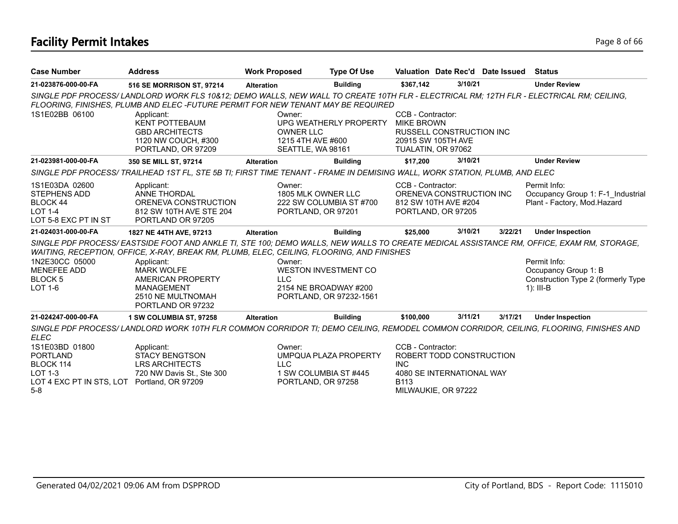# **Facility Permit Intakes** Page 8 of 66

| <b>Case Number</b>                                                                                                   | <b>Address</b>                                                                                                                                                                                                             | <b>Work Proposed</b>                                                 | <b>Type Of Use</b>                                                              |                                                                                    | Valuation Date Rec'd Date Issued                                             |         | Status                                                                                                                                                                                                                                |
|----------------------------------------------------------------------------------------------------------------------|----------------------------------------------------------------------------------------------------------------------------------------------------------------------------------------------------------------------------|----------------------------------------------------------------------|---------------------------------------------------------------------------------|------------------------------------------------------------------------------------|------------------------------------------------------------------------------|---------|---------------------------------------------------------------------------------------------------------------------------------------------------------------------------------------------------------------------------------------|
| 21-023876-000-00-FA                                                                                                  | 516 SE MORRISON ST, 97214                                                                                                                                                                                                  | <b>Alteration</b>                                                    | <b>Building</b>                                                                 | \$367,142                                                                          | 3/10/21                                                                      |         | <b>Under Review</b>                                                                                                                                                                                                                   |
|                                                                                                                      | SINGLE PDF PROCESS/LANDLORD WORK FLS 10&12; DEMO WALLS, NEW WALL TO CREATE 10TH FLR - ELECTRICAL RM; 12TH FLR - ELECTRICAL RM; CEILING,<br>FLOORING, FINISHES, PLUMB AND ELEC-FUTURE PERMIT FOR NEW TENANT MAY BE REQUIRED |                                                                      |                                                                                 |                                                                                    |                                                                              |         |                                                                                                                                                                                                                                       |
| 1S1E02BB 06100                                                                                                       | Applicant:<br><b>KENT POTTEBAUM</b><br><b>GBD ARCHITECTS</b><br>1120 NW COUCH, #300<br>PORTLAND, OR 97209                                                                                                                  | Owner:<br><b>OWNER LLC</b><br>1215 4TH AVE #600<br>SEATTLE, WA 98161 | UPG WEATHERLY PROPERTY                                                          | CCB - Contractor:<br><b>MIKE BROWN</b><br>20915 SW 105TH AVE<br>TUALATIN, OR 97062 | RUSSELL CONSTRUCTION INC                                                     |         |                                                                                                                                                                                                                                       |
| 21-023981-000-00-FA                                                                                                  | 350 SE MILL ST, 97214                                                                                                                                                                                                      | <b>Alteration</b>                                                    | <b>Building</b>                                                                 | \$17.200                                                                           | 3/10/21                                                                      |         | <b>Under Review</b>                                                                                                                                                                                                                   |
|                                                                                                                      | SINGLE PDF PROCESS/TRAILHEAD 1ST FL, STE 5B TI; FIRST TIME TENANT - FRAME IN DEMISING WALL, WORK STATION, PLUMB, AND ELEC                                                                                                  |                                                                      |                                                                                 |                                                                                    |                                                                              |         |                                                                                                                                                                                                                                       |
| 1S1E03DA 02600<br><b>STEPHENS ADD</b><br>BLOCK 44<br><b>LOT 1-4</b><br>LOT 5-8 EXC PT IN ST                          | Applicant:<br><b>ANNE THORDAL</b><br>ORENEVA CONSTRUCTION<br>812 SW 10TH AVE STE 204<br>PORTLAND OR 97205                                                                                                                  | Owner:<br>1805 MLK OWNER LLC<br>PORTLAND, OR 97201                   | 222 SW COLUMBIA ST #700                                                         | CCB - Contractor:                                                                  | ORENEVA CONSTRUCTION INC<br>812 SW 10TH AVE #204<br>PORTLAND, OR 97205       |         | Permit Info:<br>Occupancy Group 1: F-1 Industrial<br>Plant - Factory, Mod.Hazard                                                                                                                                                      |
| 21-024031-000-00-FA                                                                                                  | 1827 NE 44TH AVE, 97213                                                                                                                                                                                                    | <b>Alteration</b>                                                    | <b>Building</b>                                                                 | \$25,000                                                                           | 3/10/21                                                                      | 3/22/21 | <b>Under Inspection</b>                                                                                                                                                                                                               |
| 1N2E30CC 05000<br><b>MENEFEE ADD</b><br><b>BLOCK 5</b><br>LOT 1-6                                                    | WAITING, RECEPTION, OFFICE, X-RAY, BREAK RM, PLUMB, ELEC, CEILING, FLOORING, AND FINISHES<br>Applicant:<br><b>MARK WOLFE</b><br>AMERICAN PROPERTY<br><b>MANAGEMENT</b><br>2510 NE MULTNOMAH<br>PORTLAND OR 97232           | Owner:<br><b>LLC</b>                                                 | <b>WESTON INVESTMENT CO</b><br>2154 NE BROADWAY #200<br>PORTLAND, OR 97232-1561 |                                                                                    |                                                                              |         | SINGLE PDF PROCESS/EASTSIDE FOOT AND ANKLE TI, STE 100; DEMO WALLS, NEW WALLS TO CREATE MEDICAL ASSISTANCE RM, OFFICE, EXAM RM, STORAGE,<br>Permit Info:<br>Occupancy Group 1: B<br>Construction Type 2 (formerly Type<br>$1$ : III-B |
| 21-024247-000-00-FA                                                                                                  | 1 SW COLUMBIA ST, 97258                                                                                                                                                                                                    | <b>Alteration</b>                                                    | <b>Building</b>                                                                 | \$100,000                                                                          | 3/11/21                                                                      | 3/17/21 | <b>Under Inspection</b>                                                                                                                                                                                                               |
| <b>ELEC</b><br>1S1E03BD 01800<br><b>PORTLAND</b><br>BLOCK 114<br><b>LOT 1-3</b><br>LOT 4 EXC PT IN STS, LOT<br>$5-8$ | Applicant:<br><b>STACY BENGTSON</b><br><b>LRS ARCHITECTS</b><br>720 NW Davis St., Ste 300<br>Portland, OR 97209                                                                                                            | Owner:<br><b>LLC</b><br>1 SW COLUMBIA ST #445<br>PORTLAND, OR 97258  | UMPQUA PLAZA PROPERTY                                                           | CCB - Contractor:<br><b>INC</b><br>B113                                            | ROBERT TODD CONSTRUCTION<br>4080 SE INTERNATIONAL WAY<br>MILWAUKIE, OR 97222 |         | SINGLE PDF PROCESS/LANDLORD WORK 10TH FLR COMMON CORRIDOR TI; DEMO CEILING, REMODEL COMMON CORRIDOR, CEILING, FLOORING, FINISHES AND                                                                                                  |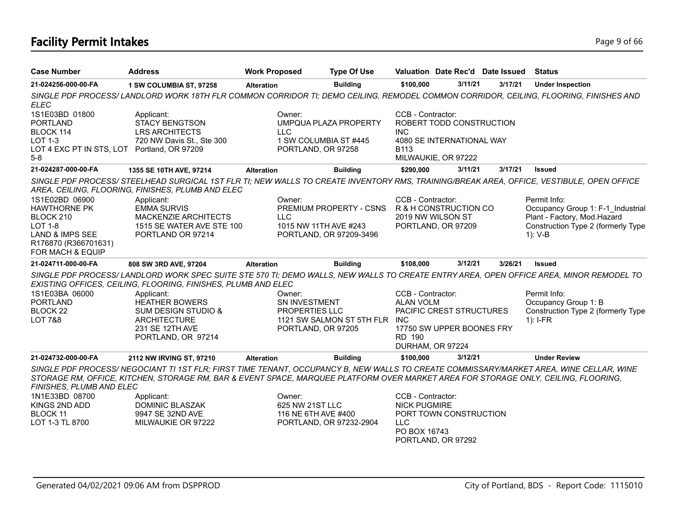# **Facility Permit Intakes** Page 9 of 66

| <b>Case Number</b>                                                                                                         | <b>Address</b>                                                                                                                                                                                                                                                               | <b>Work Proposed</b>                 | <b>Type Of Use</b>                               | Valuation Date Rec'd Date Issued                                                                                         |         |         | <b>Status</b>                                                    |
|----------------------------------------------------------------------------------------------------------------------------|------------------------------------------------------------------------------------------------------------------------------------------------------------------------------------------------------------------------------------------------------------------------------|--------------------------------------|--------------------------------------------------|--------------------------------------------------------------------------------------------------------------------------|---------|---------|------------------------------------------------------------------|
| 21-024256-000-00-FA                                                                                                        | 1 SW COLUMBIA ST, 97258                                                                                                                                                                                                                                                      | <b>Alteration</b>                    | <b>Building</b>                                  | \$100,000                                                                                                                | 3/11/21 | 3/17/21 | <b>Under Inspection</b>                                          |
| <b>ELEC</b>                                                                                                                | SINGLE PDF PROCESS/ LANDLORD WORK 18TH FLR COMMON CORRIDOR TI; DEMO CEILING, REMODEL COMMON CORRIDOR, CEILING, FLOORING, FINISHES AND                                                                                                                                        |                                      |                                                  |                                                                                                                          |         |         |                                                                  |
| 1S1E03BD 01800<br><b>PORTLAND</b><br>BLOCK 114<br><b>LOT 1-3</b><br>LOT 4 EXC PT IN STS, LOT Portland, OR 97209<br>$5 - 8$ | Applicant:<br>STACY BENGTSON<br><b>LRS ARCHITECTS</b><br>720 NW Davis St., Ste 300                                                                                                                                                                                           | Owner:<br>LL C<br>PORTLAND, OR 97258 | UMPQUA PLAZA PROPERTY<br>1 SW COLUMBIA ST #445   | CCB - Contractor:<br>ROBERT TODD CONSTRUCTION<br>INC.<br>4080 SE INTERNATIONAL WAY<br><b>B113</b><br>MILWAUKIE, OR 97222 |         |         |                                                                  |
| 21-024287-000-00-FA                                                                                                        | 1355 SE 10TH AVE, 97214                                                                                                                                                                                                                                                      | <b>Alteration</b>                    | <b>Building</b>                                  | \$290.000                                                                                                                | 3/11/21 | 3/17/21 | <b>Issued</b>                                                    |
| 1S1E02BD 06900                                                                                                             | SINGLE PDF PROCESS/STEELHEAD SURGICAL 1ST FLR TI; NEW WALLS TO CREATE INVENTORY RMS, TRAINING/BREAK AREA, OFFICE, VESTIBULE, OPEN OFFICE<br>AREA, CEILING, FLOORING, FINISHES, PLUMB AND ELEC<br>Applicant:                                                                  | Owner:                               |                                                  | CCB - Contractor:                                                                                                        |         |         | Permit Info:                                                     |
| <b>HAWTHORNE PK</b><br>BLOCK 210                                                                                           | <b>EMMA SURVIS</b><br>MACKENZIE ARCHITECTS                                                                                                                                                                                                                                   | <b>LLC</b>                           | PREMIUM PROPERTY - CSNS                          | R & H CONSTRUCTION CO<br>2019 NW WILSON ST                                                                               |         |         | Occupancy Group 1: F-1 Industrial<br>Plant - Factory, Mod.Hazard |
| <b>LOT 1-8</b><br><b>LAND &amp; IMPS SEE</b><br>R176870 (R366701631)<br>FOR MACH & EQUIP                                   | 1515 SE WATER AVE STE 100<br>PORTLAND OR 97214                                                                                                                                                                                                                               |                                      | 1015 NW 11TH AVE #243<br>PORTLAND, OR 97209-3496 | PORTLAND, OR 97209                                                                                                       |         |         | Construction Type 2 (formerly Type<br>$1): V-B$                  |
| 21-024711-000-00-FA                                                                                                        | 808 SW 3RD AVE, 97204                                                                                                                                                                                                                                                        | <b>Alteration</b>                    | <b>Building</b>                                  | \$108,000                                                                                                                | 3/12/21 | 3/26/21 | <b>Issued</b>                                                    |
|                                                                                                                            | SINGLE PDF PROCESS/LANDLORD WORK SPEC SUITE STE 570 TI; DEMO WALLS, NEW WALLS TO CREATE ENTRY AREA, OPEN OFFICE AREA, MINOR REMODEL TO<br>EXISTING OFFICES, CEILING, FLOORING, FINISHES, PLUMB AND ELEC                                                                      |                                      |                                                  |                                                                                                                          |         |         |                                                                  |
| 1S1E03BA 06000                                                                                                             | Applicant:                                                                                                                                                                                                                                                                   | Owner:                               |                                                  | CCB - Contractor:                                                                                                        |         |         | Permit Info:                                                     |
| <b>PORTLAND</b><br><b>BLOCK 22</b>                                                                                         | <b>HEATHER BOWERS</b><br><b>SUM DESIGN STUDIO &amp;</b>                                                                                                                                                                                                                      | SN INVESTMENT<br>PROPERTIES LLC      |                                                  | <b>ALAN VOLM</b><br>PACIFIC CREST STRUCTURES                                                                             |         |         | Occupancy Group 1: B<br>Construction Type 2 (formerly Type       |
| <b>LOT 7&amp;8</b>                                                                                                         | <b>ARCHITECTURE</b>                                                                                                                                                                                                                                                          |                                      | 1121 SW SALMON ST 5TH FLR INC                    |                                                                                                                          |         |         | $1$ : I-FR                                                       |
|                                                                                                                            | 231 SE 12TH AVE<br>PORTLAND, OR 97214                                                                                                                                                                                                                                        | PORTLAND, OR 97205                   |                                                  | 17750 SW UPPER BOONES FRY<br><b>RD 190</b><br>DURHAM, OR 97224                                                           |         |         |                                                                  |
| 21-024732-000-00-FA                                                                                                        | 2112 NW IRVING ST, 97210                                                                                                                                                                                                                                                     | <b>Alteration</b>                    | <b>Building</b>                                  | \$100,000                                                                                                                | 3/12/21 |         | <b>Under Review</b>                                              |
| FINISHES, PLUMB AND ELEC                                                                                                   | SINGLE PDF PROCESS/NEGOCIANT TI 1ST FLR; FIRST TIME TENANT, OCCUPANCY B, NEW WALLS TO CREATE COMMISSARY/MARKET AREA, WINE CELLAR, WINE<br>STORAGE RM, OFFICE, KITCHEN, STORAGE RM, BAR & EVENT SPACE, MARQUEE PLATFORM OVER MARKET AREA FOR STORAGE ONLY, CEILING, FLOORING, |                                      |                                                  |                                                                                                                          |         |         |                                                                  |
| 1N1E33BD 08700                                                                                                             | Applicant:                                                                                                                                                                                                                                                                   | Owner:                               |                                                  | CCB - Contractor:                                                                                                        |         |         |                                                                  |
| KINGS 2ND ADD                                                                                                              | DOMINIC BLASZAK                                                                                                                                                                                                                                                              | 625 NW 21ST LLC                      |                                                  | <b>NICK PUGMIRE</b>                                                                                                      |         |         |                                                                  |
| <b>BLOCK 11</b><br>LOT 1-3 TL 8700                                                                                         | 9947 SE 32ND AVE<br>MILWAUKIE OR 97222                                                                                                                                                                                                                                       | 116 NE 6TH AVE #400                  | PORTLAND, OR 97232-2904                          | PORT TOWN CONSTRUCTION<br><b>LLC</b><br>PO BOX 16743<br>PORTLAND, OR 97292                                               |         |         |                                                                  |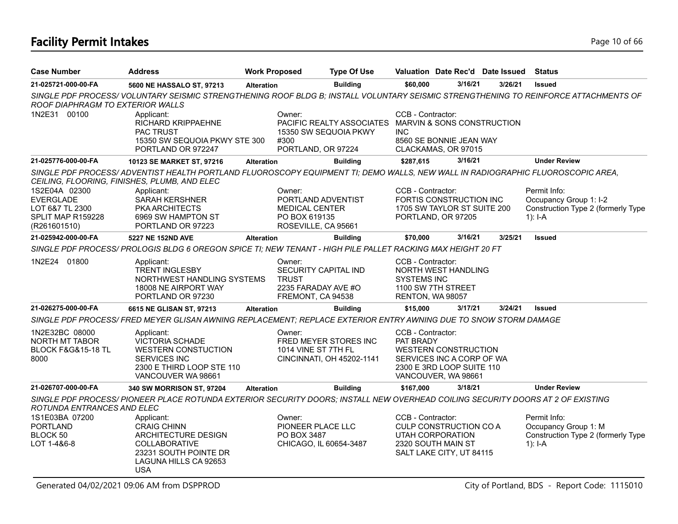# **Facility Permit Intakes** Page 10 of 66

| <b>Case Number</b>                                                                        | <b>Address</b>                                                                                                                                                                  |                   | <b>Work Proposed</b>                                                                          | <b>Type Of Use</b>                                                            | Valuation Date Rec'd Date Issued                                                                                                               |         |         | Status                                                                                  |
|-------------------------------------------------------------------------------------------|---------------------------------------------------------------------------------------------------------------------------------------------------------------------------------|-------------------|-----------------------------------------------------------------------------------------------|-------------------------------------------------------------------------------|------------------------------------------------------------------------------------------------------------------------------------------------|---------|---------|-----------------------------------------------------------------------------------------|
| 21-025721-000-00-FA                                                                       | 5600 NE HASSALO ST, 97213                                                                                                                                                       | <b>Alteration</b> |                                                                                               | <b>Building</b>                                                               | \$60,000                                                                                                                                       | 3/16/21 | 3/26/21 | <b>Issued</b>                                                                           |
| ROOF DIAPHRAGM TO EXTERIOR WALLS                                                          | SINGLE PDF PROCESS/VOLUNTARY SEISMIC STRENGTHENING ROOF BLDG B; INSTALL VOLUNTARY SEISMIC STRENGTHENING TO REINFORCE ATTACHMENTS OF                                             |                   |                                                                                               |                                                                               |                                                                                                                                                |         |         |                                                                                         |
| 1N2E31 00100                                                                              | Applicant:<br>RICHARD KRIPPAEHNE<br><b>PAC TRUST</b><br>15350 SW SEQUOIA PKWY STE 300<br>PORTLAND OR 972247                                                                     |                   | Owner:<br>#300<br>PORTLAND, OR 97224                                                          | PACIFIC REALTY ASSOCIATES MARVIN & SONS CONSTRUCTION<br>15350 SW SEQUOIA PKWY | CCB - Contractor:<br><b>INC</b><br>8560 SE BONNIE JEAN WAY<br>CLACKAMAS, OR 97015                                                              |         |         |                                                                                         |
| 21-025776-000-00-FA                                                                       | 10123 SE MARKET ST, 97216                                                                                                                                                       | <b>Alteration</b> |                                                                                               | <b>Building</b>                                                               | \$287,615                                                                                                                                      | 3/16/21 |         | <b>Under Review</b>                                                                     |
|                                                                                           | SINGLE PDF PROCESS/ ADVENTIST HEALTH PORTLAND FLUOROSCOPY EQUIPMENT TI; DEMO WALLS, NEW WALL IN RADIOGRAPHIC FLUOROSCOPIC AREA,<br>CEILING, FLOORING, FINISHES, PLUMB, AND ELEC |                   |                                                                                               |                                                                               |                                                                                                                                                |         |         |                                                                                         |
| 1S2E04A 02300<br><b>EVERGLADE</b><br>LOT 6&7 TL 2300<br>SPLIT MAP R159228<br>(R261601510) | Applicant:<br><b>SARAH KERSHNER</b><br><b>PKA ARCHITECTS</b><br>6969 SW HAMPTON ST<br>PORTLAND OR 97223                                                                         |                   | Owner:<br>PORTLAND ADVENTIST<br><b>MEDICAL CENTER</b><br>PO BOX 619135<br>ROSEVILLE, CA 95661 |                                                                               | CCB - Contractor:<br>FORTIS CONSTRUCTION INC<br>1705 SW TAYLOR ST SUITE 200<br>PORTLAND, OR 97205                                              |         |         | Permit Info:<br>Occupancy Group 1: I-2<br>Construction Type 2 (formerly Type<br>1): I-A |
| 21-025942-000-00-FA                                                                       | 5227 NE 152ND AVE                                                                                                                                                               | <b>Alteration</b> |                                                                                               | <b>Building</b>                                                               | \$70,000                                                                                                                                       | 3/16/21 | 3/25/21 | <b>Issued</b>                                                                           |
|                                                                                           | SINGLE PDF PROCESS/ PROLOGIS BLDG 6 OREGON SPICE TI; NEW TENANT - HIGH PILE PALLET RACKING MAX HEIGHT 20 FT                                                                     |                   |                                                                                               |                                                                               |                                                                                                                                                |         |         |                                                                                         |
| 1N2E24 01800                                                                              | Applicant:<br><b>TRENT INGLESBY</b><br>NORTHWEST HANDLING SYSTEMS<br>18008 NE AIRPORT WAY<br>PORTLAND OR 97230                                                                  |                   | Owner:<br>SECURITY CAPITAL IND<br><b>TRUST</b><br>2235 FARADAY AVE #O<br>FREMONT, CA 94538    |                                                                               | CCB - Contractor:<br>NORTH WEST HANDLING<br><b>SYSTEMS INC</b><br>1100 SW 7TH STREET<br>RENTON, WA 98057                                       |         |         |                                                                                         |
| 21-026275-000-00-FA                                                                       | 6615 NE GLISAN ST, 97213                                                                                                                                                        | <b>Alteration</b> |                                                                                               | <b>Building</b>                                                               | \$15,000                                                                                                                                       | 3/17/21 | 3/24/21 | <b>Issued</b>                                                                           |
|                                                                                           | SINGLE PDF PROCESS/ FRED MEYER GLISAN AWNING REPLACEMENT; REPLACE EXTERIOR ENTRY AWNING DUE TO SNOW STORM DAMAGE                                                                |                   |                                                                                               |                                                                               |                                                                                                                                                |         |         |                                                                                         |
| 1N2E32BC 08000<br>NORTH MT TABOR<br><b>BLOCK F&amp;G&amp;15-18 TL</b><br>8000             | Applicant:<br>VICTORIA SCHADE<br><b>WESTERN CONSTUCTION</b><br>SERVICES INC<br>2300 E THIRD LOOP STE 110<br>VANCOUVER WA 98661                                                  |                   | Owner:<br>1014 VINE ST 7TH FL                                                                 | FRED MEYER STORES INC<br>CINCINNATI, OH 45202-1141                            | CCB - Contractor:<br>PAT BRADY<br><b>WESTERN CONSTRUCTION</b><br>SERVICES INC A CORP OF WA<br>2300 E 3RD LOOP SUITE 110<br>VANCOUVER, WA 98661 |         |         |                                                                                         |
| 21-026707-000-00-FA                                                                       | 340 SW MORRISON ST, 97204                                                                                                                                                       | <b>Alteration</b> |                                                                                               | <b>Building</b>                                                               | \$167,000                                                                                                                                      | 3/18/21 |         | <b>Under Review</b>                                                                     |
| ROTUNDA ENTRANCES AND ELEC                                                                | SINGLE PDF PROCESS/ PIONEER PLACE ROTUNDA EXTERIOR SECURITY DOORS; INSTALL NEW OVERHEAD COILING SECURITY DOORS AT 2 OF EXISTING                                                 |                   |                                                                                               |                                                                               |                                                                                                                                                |         |         |                                                                                         |
| 1S1E03BA 07200<br>PORTLAND<br>BLOCK 50<br>LOT 1-4&6-8                                     | Applicant:<br><b>CRAIG CHINN</b><br>ARCHITECTURE DESIGN<br>COLLABORATIVE<br>23231 SOUTH POINTE DR<br>LAGUNA HILLS CA 92653<br><b>USA</b>                                        |                   | Owner:<br>PIONEER PLACE LLC<br>PO BOX 3487<br>CHICAGO, IL 60654-3487                          |                                                                               | CCB - Contractor:<br>CULP CONSTRUCTION CO A<br>UTAH CORPORATION<br>2320 SOUTH MAIN ST<br>SALT LAKE CITY, UT 84115                              |         |         | Permit Info:<br>Occupancy Group 1: M<br>Construction Type 2 (formerly Type<br>$1$ : I-A |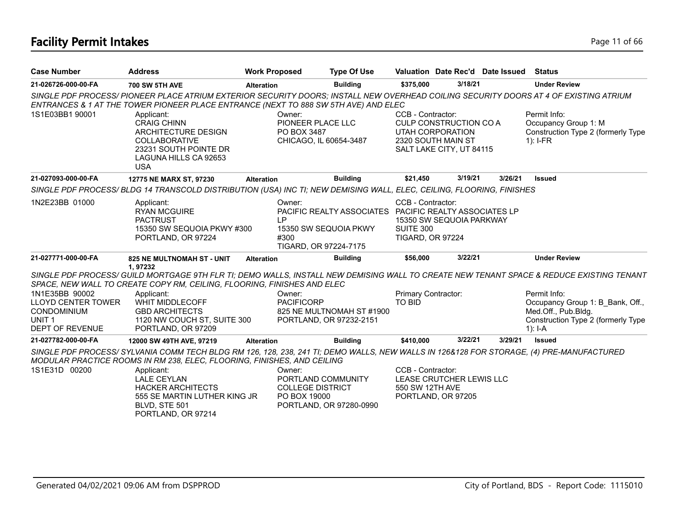# **Facility Permit Intakes** Page 11 of 66

| <b>Case Number</b>                                                                                        | <b>Address</b>                                                                                                                                                                                                               | <b>Work Proposed</b> | <b>Type Of Use</b>                                                                                                 |                                                           |                                                                                                            | Valuation Date Rec'd Date Issued | <b>Status</b>                                                                                                                            |
|-----------------------------------------------------------------------------------------------------------|------------------------------------------------------------------------------------------------------------------------------------------------------------------------------------------------------------------------------|----------------------|--------------------------------------------------------------------------------------------------------------------|-----------------------------------------------------------|------------------------------------------------------------------------------------------------------------|----------------------------------|------------------------------------------------------------------------------------------------------------------------------------------|
| 21-026726-000-00-FA                                                                                       | <b>700 SW 5TH AVE</b>                                                                                                                                                                                                        | <b>Alteration</b>    | <b>Building</b>                                                                                                    | \$375,000                                                 | 3/18/21                                                                                                    |                                  | <b>Under Review</b>                                                                                                                      |
|                                                                                                           | SINGLE PDF PROCESS/ PIONEER PLACE ATRIUM EXTERIOR SECURITY DOORS; INSTALL NEW OVERHEAD COILING SECURITY DOORS AT 4 OF EXISTING ATRIUM<br>ENTRANCES & 1 AT THE TOWER PIONEER PLACE ENTRANCE (NEXT TO 888 SW 5TH AVE) AND ELEC |                      |                                                                                                                    |                                                           |                                                                                                            |                                  |                                                                                                                                          |
| 1S1E03BB1 90001                                                                                           | Applicant:<br><b>CRAIG CHINN</b><br>ARCHITECTURE DESIGN<br><b>COLLABORATIVE</b><br>23231 SOUTH POINTE DR<br>LAGUNA HILLS CA 92653<br><b>USA</b>                                                                              |                      | Owner:<br>PIONEER PLACE LLC<br>PO BOX 3487<br>CHICAGO, IL 60654-3487                                               | CCB - Contractor:                                         | <b>CULP CONSTRUCTION CO A</b><br><b>UTAH CORPORATION</b><br>2320 SOUTH MAIN ST<br>SALT LAKE CITY, UT 84115 |                                  | Permit Info:<br>Occupancy Group 1: M<br>Construction Type 2 (formerly Type<br>$1$ : I-FR                                                 |
| 21-027093-000-00-FA                                                                                       | 12775 NE MARX ST, 97230                                                                                                                                                                                                      | <b>Alteration</b>    | <b>Building</b>                                                                                                    | \$21,450                                                  | 3/19/21                                                                                                    | 3/26/21                          | <b>Issued</b>                                                                                                                            |
|                                                                                                           | SINGLE PDF PROCESS/BLDG 14 TRANSCOLD DISTRIBUTION (USA) INC TI; NEW DEMISING WALL, ELEC, CEILING, FLOORING, FINISHES                                                                                                         |                      |                                                                                                                    |                                                           |                                                                                                            |                                  |                                                                                                                                          |
| 1N2E23BB 01000                                                                                            | Applicant:<br><b>RYAN MCGUIRE</b><br><b>PACTRUST</b><br>15350 SW SEQUOIA PKWY #300<br>PORTLAND, OR 97224                                                                                                                     | IP<br>#300           | Owner:<br>PACIFIC REALTY ASSOCIATES PACIFIC REALTY ASSOCIATES LP<br>15350 SW SEQUOIA PKWY<br>TIGARD, OR 97224-7175 | CCB - Contractor:<br>SUITE 300<br><b>TIGARD, OR 97224</b> | 15350 SW SEQUOIA PARKWAY                                                                                   |                                  |                                                                                                                                          |
| 21-027771-000-00-FA                                                                                       | 825 NE MULTNOMAH ST - UNIT                                                                                                                                                                                                   | <b>Alteration</b>    | <b>Building</b>                                                                                                    | \$56,000                                                  | 3/22/21                                                                                                    |                                  | <b>Under Review</b>                                                                                                                      |
|                                                                                                           | 1.97232<br>SPACE, NEW WALL TO CREATE COPY RM, CEILING, FLOORING, FINISHES AND ELEC                                                                                                                                           |                      |                                                                                                                    |                                                           |                                                                                                            |                                  | SINGLE PDF PROCESS/ GUILD MORTGAGE 9TH FLR TI; DEMO WALLS, INSTALL NEW DEMISING WALL TO CREATE NEW TENANT SPACE & REDUCE EXISTING TENANT |
| 1N1E35BB 90002<br><b>LLOYD CENTER TOWER</b><br>CONDOMINIUM<br>UNIT <sub>1</sub><br><b>DEPT OF REVENUE</b> | Applicant:<br><b>WHIT MIDDLECOFF</b><br><b>GBD ARCHITECTS</b><br>1120 NW COUCH ST, SUITE 300<br>PORTLAND, OR 97209                                                                                                           |                      | Owner:<br><b>PACIFICORP</b><br>825 NE MULTNOMAH ST #1900<br>PORTLAND, OR 97232-2151                                | Primary Contractor:<br>TO BID                             |                                                                                                            |                                  | Permit Info:<br>Occupancy Group 1: B_Bank, Off.,<br>Med.Off., Pub.Bldg.<br>Construction Type 2 (formerly Type<br>$1$ : I-A               |
| 21-027782-000-00-FA                                                                                       | 12000 SW 49TH AVE, 97219                                                                                                                                                                                                     | <b>Alteration</b>    | <b>Building</b>                                                                                                    | \$410.000                                                 | 3/22/21                                                                                                    | 3/29/21                          | <b>Issued</b>                                                                                                                            |
|                                                                                                           | SINGLE PDF PROCESS/SYLVANIA COMM TECH BLDG RM 126, 128, 238, 241 TI; DEMO WALLS, NEW WALLS IN 126&128 FOR STORAGE, (4) PRE-MANUFACTURED<br>MODULAR PRACTICE ROOMS IN RM 238, ELEC, FLOORING, FINISHES, AND CEILING           |                      |                                                                                                                    |                                                           |                                                                                                            |                                  |                                                                                                                                          |
| 1S1E31D 00200                                                                                             | Applicant:<br><b>LALE CEYLAN</b><br><b>HACKER ARCHITECTS</b><br>555 SE MARTIN LUTHER KING JR<br>BLVD, STE 501<br>PORTLAND, OR 97214                                                                                          |                      | Owner:<br>PORTLAND COMMUNITY<br><b>COLLEGE DISTRICT</b><br>PO BOX 19000<br>PORTLAND, OR 97280-0990                 | CCB - Contractor:<br>550 SW 12TH AVE                      | LEASE CRUTCHER LEWIS LLC<br>PORTLAND, OR 97205                                                             |                                  |                                                                                                                                          |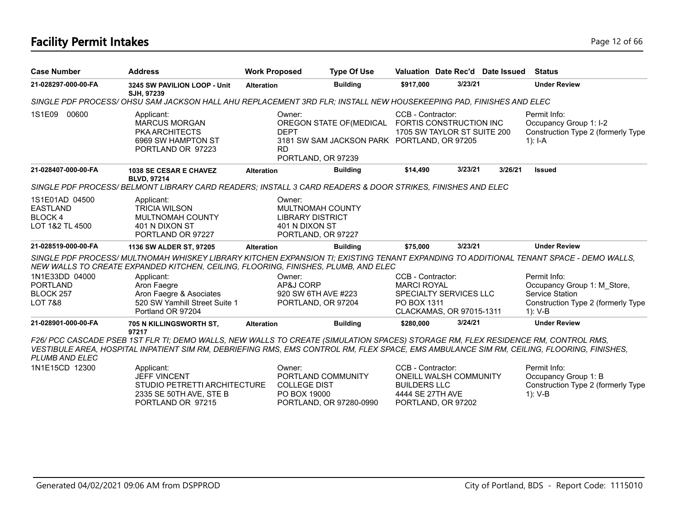# **Facility Permit Intakes** Page 12 of 66

| <b>Case Number</b>                                                    | <b>Address</b>                                                                                                                                                                                                                                                                 | <b>Work Proposed</b>                          | <b>Type Of Use</b>                                                                                                    | Valuation Date Rec'd Date Issued                                                                                    |         |         | Status                                                                                                             |
|-----------------------------------------------------------------------|--------------------------------------------------------------------------------------------------------------------------------------------------------------------------------------------------------------------------------------------------------------------------------|-----------------------------------------------|-----------------------------------------------------------------------------------------------------------------------|---------------------------------------------------------------------------------------------------------------------|---------|---------|--------------------------------------------------------------------------------------------------------------------|
| 21-028297-000-00-FA                                                   | 3245 SW PAVILION LOOP - Unit<br>SJH, 97239                                                                                                                                                                                                                                     | <b>Alteration</b>                             | <b>Building</b>                                                                                                       | \$917,000                                                                                                           | 3/23/21 |         | <b>Under Review</b>                                                                                                |
|                                                                       | SINGLE PDF PROCESS/OHSU SAM JACKSON HALL AHU REPLACEMENT 3RD FLR; INSTALL NEW HOUSEKEEPING PAD, FINISHES AND ELEC                                                                                                                                                              |                                               |                                                                                                                       |                                                                                                                     |         |         |                                                                                                                    |
| 1S1E09<br>00600                                                       | Applicant:<br><b>MARCUS MORGAN</b><br><b>PKA ARCHITECTS</b><br>6969 SW HAMPTON ST<br>PORTLAND OR 97223                                                                                                                                                                         | Owner:<br><b>DEPT</b><br><b>RD</b>            | OREGON STATE OF (MEDICAL FORTIS CONSTRUCTION INC<br>3181 SW SAM JACKSON PARK PORTLAND, OR 97205<br>PORTLAND, OR 97239 | CCB - Contractor:<br>1705 SW TAYLOR ST SUITE 200                                                                    |         |         | Permit Info:<br>Occupancy Group 1: I-2<br>Construction Type 2 (formerly Type<br>1): $I - A$                        |
| 21-028407-000-00-FA                                                   | <b>1038 SE CESAR E CHAVEZ</b>                                                                                                                                                                                                                                                  | <b>Alteration</b>                             | <b>Building</b>                                                                                                       | \$14,490                                                                                                            | 3/23/21 | 3/26/21 | <b>Issued</b>                                                                                                      |
|                                                                       | <b>BLVD, 97214</b><br>SINGLE PDF PROCESS/ BELMONT LIBRARY CARD READERS; INSTALL 3 CARD READERS & DOOR STRIKES, FINISHES AND ELEC                                                                                                                                               |                                               |                                                                                                                       |                                                                                                                     |         |         |                                                                                                                    |
| 1S1E01AD 04500<br><b>EASTLAND</b><br><b>BLOCK4</b><br>LOT 1&2 TL 4500 | Applicant:<br><b>TRICIA WILSON</b><br><b>MULTNOMAH COUNTY</b><br>401 N DIXON ST<br>PORTLAND OR 97227                                                                                                                                                                           | Owner:<br>401 N DIXON ST                      | MULTNOMAH COUNTY<br><b>LIBRARY DISTRICT</b><br>PORTLAND, OR 97227                                                     |                                                                                                                     |         |         |                                                                                                                    |
| 21-028519-000-00-FA                                                   | 1136 SW ALDER ST, 97205                                                                                                                                                                                                                                                        | <b>Alteration</b>                             | <b>Building</b>                                                                                                       | \$75,000                                                                                                            | 3/23/21 |         | <b>Under Review</b>                                                                                                |
|                                                                       | SINGLE PDF PROCESS/ MULTNOMAH WHISKEY LIBRARY KITCHEN EXPANSION TI; EXISTING TENANT EXPANDING TO ADDITIONAL TENANT SPACE - DEMO WALLS,<br>NEW WALLS TO CREATE EXPANDED KITCHEN, CEILING, FLOORING, FINISHES, PLUMB, AND ELEC                                                   |                                               |                                                                                                                       |                                                                                                                     |         |         |                                                                                                                    |
| 1N1E33DD 04000<br><b>PORTLAND</b><br>BLOCK 257<br>LOT 7&8             | Applicant:<br>Aron Faegre<br>Aron Faegre & Asociates<br>520 SW Yamhill Street Suite 1<br>Portland OR 97204                                                                                                                                                                     | Owner:<br>AP&J CORP                           | 920 SW 6TH AVE #223<br>PORTLAND, OR 97204                                                                             | CCB - Contractor:<br><b>MARCI ROYAL</b><br><b>SPECIALTY SERVICES LLC</b><br>PO BOX 1311<br>CLACKAMAS, OR 97015-1311 |         |         | Permit Info:<br>Occupancy Group 1: M Store,<br>Service Station<br>Construction Type 2 (formerly Type<br>$1)$ : V-B |
| 21-028901-000-00-FA                                                   | 705 N KILLINGSWORTH ST,<br>97217                                                                                                                                                                                                                                               | <b>Alteration</b>                             | <b>Building</b>                                                                                                       | \$280,000                                                                                                           | 3/24/21 |         | <b>Under Review</b>                                                                                                |
| PLUMB AND ELEC                                                        | F26/ PCC CASCADE PSEB 1ST FLR TI; DEMO WALLS, NEW WALLS TO CREATE (SIMULATION SPACES) STORAGE RM, FLEX RESIDENCE RM, CONTROL RMS,<br>VESTIBULE AREA, HOSPITAL INPATIENT SIM RM, DEBRIEFING RMS, EMS CONTROL RM, FLEX SPACE, EMS AMBULANCE SIM RM, CEILING, FLOORING, FINISHES, |                                               |                                                                                                                       |                                                                                                                     |         |         |                                                                                                                    |
| 1N1E15CD 12300                                                        | Applicant:<br><b>JEFF VINCENT</b><br>STUDIO PETRETTI ARCHITECTURE<br>2335 SE 50TH AVE, STE B<br>PORTLAND OR 97215                                                                                                                                                              | Owner:<br><b>COLLEGE DIST</b><br>PO BOX 19000 | PORTLAND COMMUNITY<br>PORTLAND, OR 97280-0990                                                                         | CCB - Contractor:<br><b>ONEILL WALSH COMMUNITY</b><br><b>BUILDERS LLC</b><br>4444 SE 27TH AVE<br>PORTLAND, OR 97202 |         |         | Permit Info:<br>Occupancy Group 1: B<br>Construction Type 2 (formerly Type<br>$1): V-B$                            |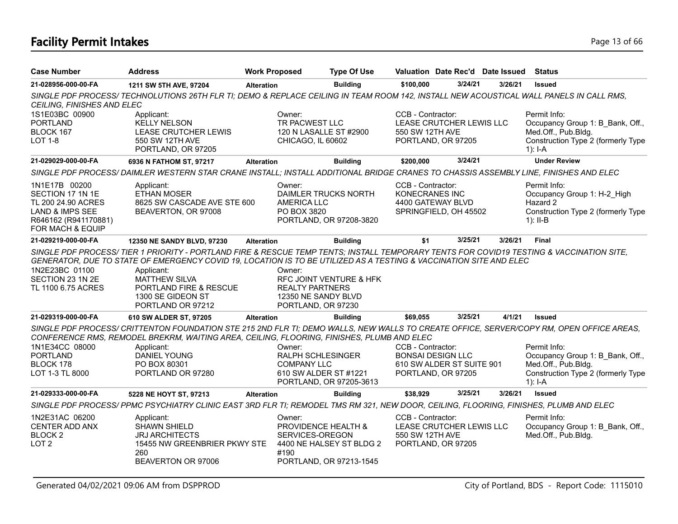# **Facility Permit Intakes** Page 13 of 66

| <b>Case Number</b>                                                                                                     | <b>Address</b>                                                                                                                                                                                                                                                                                                                                                           | <b>Work Proposed</b> |                                                                               | <b>Type Of Use</b>                                  | Valuation Date Rec'd Date Issued Status                                                |         |         |                                                                                                                                                          |
|------------------------------------------------------------------------------------------------------------------------|--------------------------------------------------------------------------------------------------------------------------------------------------------------------------------------------------------------------------------------------------------------------------------------------------------------------------------------------------------------------------|----------------------|-------------------------------------------------------------------------------|-----------------------------------------------------|----------------------------------------------------------------------------------------|---------|---------|----------------------------------------------------------------------------------------------------------------------------------------------------------|
| 21-028956-000-00-FA                                                                                                    | 1211 SW 5TH AVE, 97204                                                                                                                                                                                                                                                                                                                                                   | <b>Alteration</b>    |                                                                               | <b>Building</b>                                     | \$100,000                                                                              | 3/24/21 | 3/26/21 | <b>Issued</b>                                                                                                                                            |
| CEILING, FINISHES AND ELEC                                                                                             | SINGLE PDF PROCESS/TECHNOLUTIONS 26TH FLR TI; DEMO & REPLACE CEILING IN TEAM ROOM 142, INSTALL NEW ACOUSTICAL WALL PANELS IN CALL RMS,                                                                                                                                                                                                                                   |                      |                                                                               |                                                     |                                                                                        |         |         |                                                                                                                                                          |
| 1S1E03BC 00900<br><b>PORTLAND</b><br>BLOCK 167<br><b>LOT 1-8</b>                                                       | Applicant:<br><b>KELLY NELSON</b><br>LEASE CRUTCHER LEWIS<br>550 SW 12TH AVE<br>PORTLAND, OR 97205                                                                                                                                                                                                                                                                       |                      | Owner:<br>TR PACWEST LLC<br>120 N LASALLE ST #2900<br>CHICAGO, IL 60602       |                                                     | CCB - Contractor:<br>LEASE CRUTCHER LEWIS LLC<br>550 SW 12TH AVE<br>PORTLAND, OR 97205 |         |         | Permit Info:<br>Occupancy Group 1: B Bank, Off.,<br>Med.Off., Pub.Bldg.<br>Construction Type 2 (formerly Type<br>$1$ : I-A                               |
| 21-029029-000-00-FA                                                                                                    | 6936 N FATHOM ST, 97217                                                                                                                                                                                                                                                                                                                                                  | <b>Alteration</b>    |                                                                               | <b>Building</b>                                     | \$200,000                                                                              | 3/24/21 |         | <b>Under Review</b>                                                                                                                                      |
|                                                                                                                        | SINGLE PDF PROCESS/DAIMLER WESTERN STAR CRANE INSTALL; INSTALL ADDITIONAL BRIDGE CRANES TO CHASSIS ASSEMBLY LINE, FINISHES AND ELEC                                                                                                                                                                                                                                      |                      |                                                                               |                                                     |                                                                                        |         |         |                                                                                                                                                          |
| 1N1E17B 00200<br>SECTION 17 1N 1E<br>TL 200 24.90 ACRES<br>LAND & IMPS SEE<br>R646162 (R941170881)<br>FOR MACH & EQUIP | Applicant:<br><b>ETHAN MOSER</b><br>8625 SW CASCADE AVE STE 600<br>BEAVERTON, OR 97008                                                                                                                                                                                                                                                                                   |                      | Owner:<br><b>AMERICA LLC</b><br>PO BOX 3820                                   | DAIMLER TRUCKS NORTH<br>PORTLAND, OR 97208-3820     | CCB - Contractor:<br>KONECRANES INC<br>4400 GATEWAY BLVD<br>SPRINGFIELD, OH 45502      |         |         | Permit Info:<br>Occupancy Group 1: H-2 High<br>Hazard 2<br>Construction Type 2 (formerly Type<br>$1$ : II-B                                              |
| 21-029219-000-00-FA                                                                                                    | 12350 NE SANDY BLVD, 97230                                                                                                                                                                                                                                                                                                                                               | <b>Alteration</b>    |                                                                               | <b>Building</b>                                     | \$1                                                                                    | 3/25/21 | 3/26/21 | <b>Final</b>                                                                                                                                             |
| 1N2E23BC 01100<br>SECTION 23 1N 2E<br>TL 1100 6.75 ACRES                                                               | SINGLE PDF PROCESS/ TIER 1 PRIORITY - PORTLAND FIRE & RESCUE TEMP TENTS; INSTALL TEMPORARY TENTS FOR COVID19 TESTING & VACCINATION SITE,<br>GENERATOR, DUE TO STATE OF EMERGENCY COVID 19, LOCATION IS TO BE UTILIZED AS A TESTING & VACCINATION SITE AND ELEC<br>Applicant:<br><b>MATTHEW SILVA</b><br>PORTLAND FIRE & RESCUE<br>1300 SE GIDEON ST<br>PORTLAND OR 97212 |                      | Owner:<br><b>REALTY PARTNERS</b><br>12350 NE SANDY BLVD<br>PORTLAND, OR 97230 | RFC JOINT VENTURE & HFK                             |                                                                                        |         |         |                                                                                                                                                          |
| 21-029319-000-00-FA                                                                                                    | 610 SW ALDER ST, 97205                                                                                                                                                                                                                                                                                                                                                   | <b>Alteration</b>    |                                                                               | <b>Building</b>                                     | \$69,055                                                                               | 3/25/21 | 4/1/21  | <b>Issued</b>                                                                                                                                            |
| 1N1E34CC 08000                                                                                                         | CONFERENCE RMS, REMODEL BREKRM, WAITING AREA, CEILING, FLOORING, FINISHES, PLUMB AND ELEC<br>Applicant:                                                                                                                                                                                                                                                                  |                      | Owner:                                                                        |                                                     | CCB - Contractor:                                                                      |         |         | SINGLE PDF PROCESS/ CRITTENTON FOUNDATION STE 215 2ND FLR TI; DEMO WALLS, NEW WALLS TO CREATE OFFICE, SERVER/COPY RM, OPEN OFFICE AREAS,<br>Permit Info: |
| <b>PORTLAND</b><br>BLOCK 178<br>LOT 1-3 TL 8000                                                                        | <b>DANIEL YOUNG</b><br>PO BOX 80301<br>PORTLAND OR 97280                                                                                                                                                                                                                                                                                                                 |                      | <b>RALPH SCHLESINGER</b><br><b>COMPANY LLC</b><br>610 SW ALDER ST #1221       | PORTLAND, OR 97205-3613                             | <b>BONSAI DESIGN LLC</b><br>610 SW ALDER ST SUITE 901<br>PORTLAND, OR 97205            |         |         | Occupancy Group 1: B Bank, Off.,<br>Med.Off., Pub.Bldg.<br>Construction Type 2 (formerly Type<br>$1$ : I-A                                               |
| 21-029333-000-00-FA                                                                                                    | 5228 NE HOYT ST, 97213                                                                                                                                                                                                                                                                                                                                                   | <b>Alteration</b>    |                                                                               | <b>Building</b>                                     | \$38,929                                                                               | 3/25/21 | 3/26/21 | <b>Issued</b>                                                                                                                                            |
|                                                                                                                        | SINGLE PDF PROCESS/ PPMC PSYCHIATRY CLINIC EAST 3RD FLR TI; REMODEL TMS RM 321, NEW DOOR, CEILING, FLOORING, FINISHES, PLUMB AND ELEC                                                                                                                                                                                                                                    |                      |                                                                               |                                                     |                                                                                        |         |         |                                                                                                                                                          |
| 1N2E31AC 06200<br>CENTER ADD ANX<br>BLOCK <sub>2</sub><br>LOT <sub>2</sub>                                             | Applicant:<br><b>SHAWN SHIELD</b><br><b>JRJ ARCHITECTS</b><br>15455 NW GREENBRIER PKWY STE<br>260<br>BEAVERTON OR 97006                                                                                                                                                                                                                                                  |                      | Owner:<br>PROVIDENCE HEALTH &<br>SERVICES-OREGON<br>#190                      | 4400 NE HALSEY ST BLDG 2<br>PORTLAND, OR 97213-1545 | CCB - Contractor:<br>LEASE CRUTCHER LEWIS LLC<br>550 SW 12TH AVE<br>PORTLAND, OR 97205 |         |         | Permit Info:<br>Occupancy Group 1: B Bank, Off.,<br>Med.Off., Pub.Bldg.                                                                                  |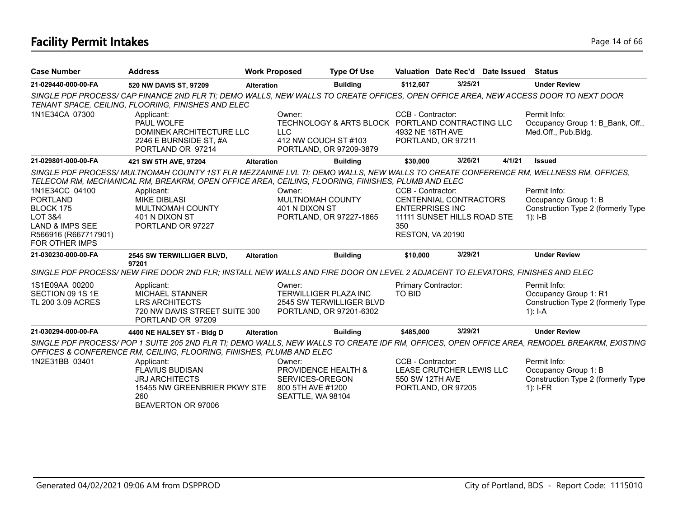# **Facility Permit Intakes** Page 14 of 66

| <b>Case Number</b>                     | <b>Address</b>                                                                                                                                                                                                                          | <b>Work Proposed</b> |                                              | <b>Type Of Use</b>                                                          |                                       |                               | Valuation Date Rec'd Date Issued | <b>Status</b>                                                                                                                               |
|----------------------------------------|-----------------------------------------------------------------------------------------------------------------------------------------------------------------------------------------------------------------------------------------|----------------------|----------------------------------------------|-----------------------------------------------------------------------------|---------------------------------------|-------------------------------|----------------------------------|---------------------------------------------------------------------------------------------------------------------------------------------|
| 21-029440-000-00-FA                    | 520 NW DAVIS ST, 97209                                                                                                                                                                                                                  | <b>Alteration</b>    |                                              | <b>Building</b>                                                             | \$112,607                             | 3/25/21                       |                                  | <b>Under Review</b>                                                                                                                         |
|                                        | SINGLE PDF PROCESS/ CAP FINANCE 2ND FLR TI; DEMO WALLS, NEW WALLS TO CREATE OFFICES, OPEN OFFICE AREA, NEW ACCESS DOOR TO NEXT DOOR<br>TENANT SPACE, CEILING, FLOORING, FINISHES AND ELEC                                               |                      |                                              |                                                                             |                                       |                               |                                  |                                                                                                                                             |
| 1N1E34CA 07300                         | Applicant:<br>PAUL WOLFE<br>DOMINEK ARCHITECTURE LLC<br>2246 E BURNSIDE ST, #A<br>PORTLAND OR 97214                                                                                                                                     |                      | Owner:<br><b>LLC</b><br>412 NW COUCH ST #103 | TECHNOLOGY & ARTS BLOCK PORTLAND CONTRACTING LLC<br>PORTLAND, OR 97209-3879 | CCB - Contractor:<br>4932 NE 18TH AVE | PORTLAND, OR 97211            |                                  | Permit Info:<br>Occupancy Group 1: B Bank, Off.,<br>Med.Off., Pub.Bldg.                                                                     |
| 21-029801-000-00-FA                    | 421 SW 5TH AVE, 97204                                                                                                                                                                                                                   | <b>Alteration</b>    |                                              | <b>Building</b>                                                             | \$30,000                              | 3/26/21                       | 4/1/21                           | <b>Issued</b>                                                                                                                               |
|                                        | SINGLE PDF PROCESS/MULTNOMAH COUNTY 1ST FLR MEZZANINE LVL TI; DEMO WALLS, NEW WALLS TO CREATE CONFERENCE RM, WELLNESS RM, OFFICES,<br>TELECOM RM, MECHANICAL RM, BREAKRM, OPEN OFFICE AREA, CEILING, FLOORING, FINISHES, PLUMB AND ELEC |                      |                                              |                                                                             |                                       |                               |                                  |                                                                                                                                             |
| 1N1E34CC 04100                         | Applicant:                                                                                                                                                                                                                              |                      | Owner:                                       |                                                                             | CCB - Contractor:                     |                               |                                  | Permit Info:                                                                                                                                |
| <b>PORTLAND</b>                        | <b>MIKE DIBLASI</b>                                                                                                                                                                                                                     |                      | MULTNOMAH COUNTY                             |                                                                             |                                       | <b>CENTENNIAL CONTRACTORS</b> |                                  | Occupancy Group 1: B                                                                                                                        |
| BLOCK 175                              | <b>MULTNOMAH COUNTY</b>                                                                                                                                                                                                                 |                      | 401 N DIXON ST                               |                                                                             | <b>ENTERPRISES INC</b>                |                               |                                  | Construction Type 2 (formerly Type                                                                                                          |
| <b>LOT 3&amp;4</b>                     | 401 N DIXON ST                                                                                                                                                                                                                          |                      |                                              | PORTLAND, OR 97227-1865                                                     |                                       | 11111 SUNSET HILLS ROAD STE   |                                  | $1$ : I-B                                                                                                                                   |
| <b>LAND &amp; IMPS SEE</b>             | PORTLAND OR 97227                                                                                                                                                                                                                       |                      |                                              |                                                                             | 350                                   |                               |                                  |                                                                                                                                             |
| R566916 (R667717901)<br>FOR OTHER IMPS |                                                                                                                                                                                                                                         |                      |                                              |                                                                             | RESTON, VA 20190                      |                               |                                  |                                                                                                                                             |
| 21-030230-000-00-FA                    | 2545 SW TERWILLIGER BLVD,<br>97201                                                                                                                                                                                                      | <b>Alteration</b>    |                                              | <b>Building</b>                                                             | \$10,000                              | 3/29/21                       |                                  | <b>Under Review</b>                                                                                                                         |
|                                        | SINGLE PDF PROCESS/NEW FIRE DOOR 2ND FLR; INSTALL NEW WALLS AND FIRE DOOR ON LEVEL 2 ADJACENT TO ELEVATORS, FINISHES AND ELEC                                                                                                           |                      |                                              |                                                                             |                                       |                               |                                  |                                                                                                                                             |
| 1S1E09AA 00200                         | Applicant:                                                                                                                                                                                                                              |                      | Owner:                                       |                                                                             | Primary Contractor:                   |                               |                                  | Permit Info:                                                                                                                                |
| SECTION 09 1S 1E                       | <b>MICHAEL STANNER</b>                                                                                                                                                                                                                  |                      | <b>TERWILLIGER PLAZA INC</b>                 |                                                                             | <b>TO BID</b>                         |                               |                                  | Occupancy Group 1: R1                                                                                                                       |
| TL 200 3.09 ACRES                      | <b>LRS ARCHITECTS</b>                                                                                                                                                                                                                   |                      |                                              | 2545 SW TERWILLIGER BLVD                                                    |                                       |                               |                                  | Construction Type 2 (formerly Type                                                                                                          |
|                                        | 720 NW DAVIS STREET SUITE 300<br>PORTLAND OR 97209                                                                                                                                                                                      |                      |                                              | PORTLAND, OR 97201-6302                                                     |                                       |                               |                                  | $1$ : I-A                                                                                                                                   |
| 21-030294-000-00-FA                    | 4400 NE HALSEY ST - Bldg D                                                                                                                                                                                                              | <b>Alteration</b>    |                                              | <b>Building</b>                                                             | \$485,000                             | 3/29/21                       |                                  | <b>Under Review</b>                                                                                                                         |
|                                        | OFFICES & CONFERENCE RM, CEILING, FLOORING, FINISHES, PLUMB AND ELEC                                                                                                                                                                    |                      |                                              |                                                                             |                                       |                               |                                  | SINGLE PDF PROCESS/POP 1 SUITE 205 2ND FLR TI; DEMO WALLS, NEW WALLS TO CREATE IDF RM, OFFICES, OPEN OFFICE AREA, REMODEL BREAKRM, EXISTING |
| 1N2E31BB 03401                         | Applicant:                                                                                                                                                                                                                              |                      | Owner:                                       |                                                                             | CCB - Contractor:                     |                               |                                  | Permit Info:                                                                                                                                |
|                                        | <b>FLAVIUS BUDISAN</b>                                                                                                                                                                                                                  |                      | PROVIDENCE HEALTH &                          |                                                                             |                                       | LEASE CRUTCHER LEWIS LLC      |                                  | Occupancy Group 1: B                                                                                                                        |
|                                        | <b>JRJ ARCHITECTS</b>                                                                                                                                                                                                                   |                      | SERVICES-OREGON                              |                                                                             | 550 SW 12TH AVE                       |                               |                                  | Construction Type 2 (formerly Type                                                                                                          |
|                                        | 15455 NW GREENBRIER PKWY STE                                                                                                                                                                                                            |                      | 800 5TH AVE #1200                            |                                                                             |                                       | PORTLAND, OR 97205            |                                  | $1$ : I-FR                                                                                                                                  |
|                                        | 260                                                                                                                                                                                                                                     |                      | SEATTLE, WA 98104                            |                                                                             |                                       |                               |                                  |                                                                                                                                             |
|                                        | BEAVERTON OR 97006                                                                                                                                                                                                                      |                      |                                              |                                                                             |                                       |                               |                                  |                                                                                                                                             |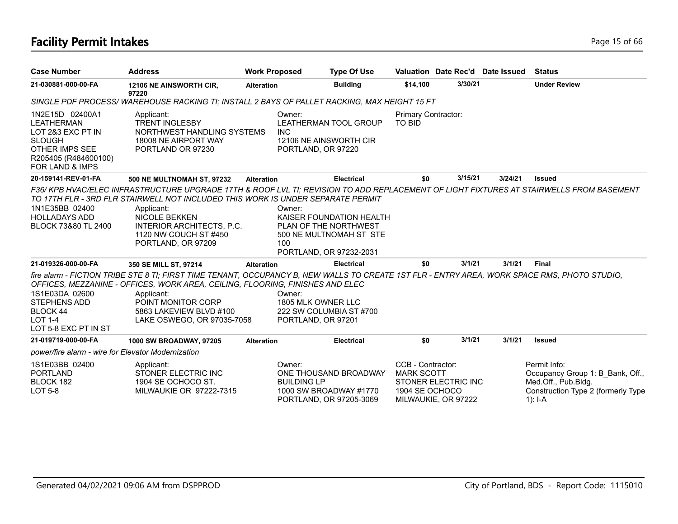# **Facility Permit Intakes** Page 15 of 66

| <b>Case Number</b>                                                                                                                                        | <b>Address</b>                                                                                                                                                                                                                                                                                                             | <b>Work Proposed</b> |                                                    | <b>Type Of Use</b>                                                                                      |                                                          |                                            | Valuation Date Rec'd Date Issued | <b>Status</b>                                                                                                                          |
|-----------------------------------------------------------------------------------------------------------------------------------------------------------|----------------------------------------------------------------------------------------------------------------------------------------------------------------------------------------------------------------------------------------------------------------------------------------------------------------------------|----------------------|----------------------------------------------------|---------------------------------------------------------------------------------------------------------|----------------------------------------------------------|--------------------------------------------|----------------------------------|----------------------------------------------------------------------------------------------------------------------------------------|
| 21-030881-000-00-FA                                                                                                                                       | 12106 NE AINSWORTH CIR,<br>97220                                                                                                                                                                                                                                                                                           | <b>Alteration</b>    |                                                    | <b>Building</b>                                                                                         | \$14,100                                                 | 3/30/21                                    |                                  | <b>Under Review</b>                                                                                                                    |
|                                                                                                                                                           | SINGLE PDF PROCESS/WAREHOUSE RACKING TI; INSTALL 2 BAYS OF PALLET RACKING, MAX HEIGHT 15 FT                                                                                                                                                                                                                                |                      |                                                    |                                                                                                         |                                                          |                                            |                                  |                                                                                                                                        |
| 1N2E15D 02400A1<br><b>LEATHERMAN</b><br>LOT 2&3 EXC PT IN<br><b>SLOUGH</b><br><b>OTHER IMPS SEE</b><br>R205405 (R484600100)<br><b>FOR LAND &amp; IMPS</b> | Applicant:<br><b>TRENT INGLESBY</b><br>NORTHWEST HANDLING SYSTEMS<br>18008 NE AIRPORT WAY<br>PORTLAND OR 97230                                                                                                                                                                                                             |                      | Owner:<br><b>INC</b><br>PORTLAND, OR 97220         | LEATHERMAN TOOL GROUP<br>12106 NE AINSWORTH CIR                                                         | Primary Contractor:<br>TO BID                            |                                            |                                  |                                                                                                                                        |
| 20-159141-REV-01-FA                                                                                                                                       | <b>500 NE MULTNOMAH ST, 97232</b>                                                                                                                                                                                                                                                                                          | <b>Alteration</b>    |                                                    | <b>Electrical</b>                                                                                       | \$0                                                      | 3/15/21                                    | 3/24/21                          | <b>Issued</b>                                                                                                                          |
| 1N1E35BB 02400<br><b>HOLLADAYS ADD</b><br>BLOCK 73&80 TL 2400                                                                                             | TO 17TH FLR - 3RD FLR STAIRWELL NOT INCLUDED THIS WORK IS UNDER SEPARATE PERMIT<br>Applicant:<br><b>NICOLE BEKKEN</b><br>INTERIOR ARCHITECTS, P.C.<br>1120 NW COUCH ST #450<br>PORTLAND, OR 97209                                                                                                                          |                      | Owner:<br>100                                      | KAISER FOUNDATION HEALTH<br>PLAN OF THE NORTHWEST<br>500 NE MULTNOMAH ST STE<br>PORTLAND, OR 97232-2031 |                                                          |                                            |                                  | F36/KPB HVAC/ELEC INFRASTRUCTURE UPGRADE 17TH & ROOF LVL TI; REVISION TO ADD REPLACEMENT OF LIGHT FIXTURES AT STAIRWELLS FROM BASEMENT |
| 21-019326-000-00-FA                                                                                                                                       | 350 SE MILL ST, 97214                                                                                                                                                                                                                                                                                                      | <b>Alteration</b>    |                                                    | <b>Electrical</b>                                                                                       | \$0                                                      | 3/1/21                                     | 3/1/21                           | <b>Final</b>                                                                                                                           |
| 1S1E03DA 02600<br><b>STEPHENS ADD</b><br>BLOCK 44<br><b>LOT 1-4</b><br>LOT 5-8 EXC PT IN ST                                                               | fire alarm - FICTION TRIBE STE 8 TI; FIRST TIME TENANT, OCCUPANCY B, NEW WALLS TO CREATE 1ST FLR - ENTRY AREA, WORK SPACE RMS, PHOTO STUDIO,<br>OFFICES, MEZZANINE - OFFICES, WORK AREA, CEILING, FLOORING, FINISHES AND ELEC<br>Applicant:<br>POINT MONITOR CORP<br>5863 LAKEVIEW BLVD #100<br>LAKE OSWEGO, OR 97035-7058 |                      | Owner:<br>1805 MLK OWNER LLC<br>PORTLAND, OR 97201 | 222 SW COLUMBIA ST #700                                                                                 |                                                          |                                            |                                  |                                                                                                                                        |
| 21-019719-000-00-FA                                                                                                                                       | <b>1000 SW BROADWAY, 97205</b>                                                                                                                                                                                                                                                                                             | <b>Alteration</b>    |                                                    | <b>Electrical</b>                                                                                       | \$0                                                      | 3/1/21                                     | 3/1/21                           | <b>Issued</b>                                                                                                                          |
| power/fire alarm - wire for Elevator Modernization                                                                                                        |                                                                                                                                                                                                                                                                                                                            |                      |                                                    |                                                                                                         |                                                          |                                            |                                  |                                                                                                                                        |
| 1S1E03BB 02400<br><b>PORTLAND</b><br>BLOCK 182<br><b>LOT 5-8</b>                                                                                          | Applicant:<br>STONER ELECTRIC INC<br>1904 SE OCHOCO ST.<br>MILWAUKIE OR 97222-7315                                                                                                                                                                                                                                         |                      | Owner:<br><b>BUILDING LP</b>                       | ONE THOUSAND BROADWAY<br>1000 SW BROADWAY #1770<br>PORTLAND, OR 97205-3069                              | CCB - Contractor:<br><b>MARK SCOTT</b><br>1904 SE OCHOCO | STONER ELECTRIC INC<br>MILWAUKIE, OR 97222 |                                  | Permit Info:<br>Occupancy Group 1: B_Bank, Off.,<br>Med.Off., Pub.Bldg.<br>Construction Type 2 (formerly Type<br>1): $I - A$           |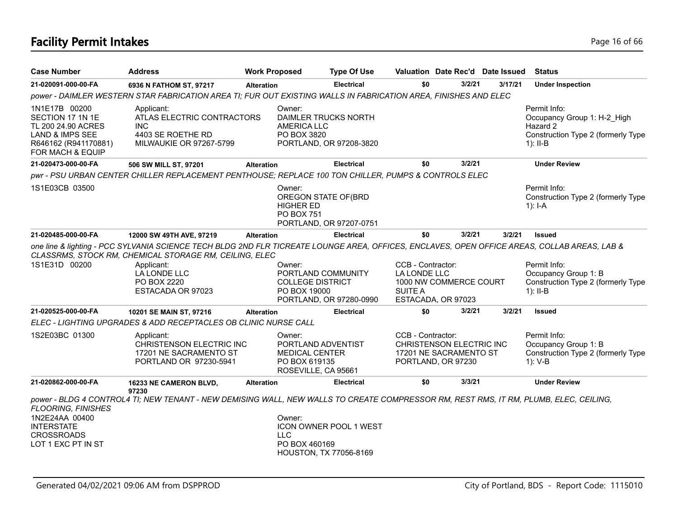# **Facility Permit Intakes** Page 16 of 66

| <b>Case Number</b>                                                                                                                | <b>Address</b>                                                                                                                                                                                                                                                           | <b>Work Proposed</b> |                                                                                               | <b>Type Of Use</b>            | Valuation Date Rec'd Date Issued                                                                    |        |         | <b>Status</b>                                                                                               |
|-----------------------------------------------------------------------------------------------------------------------------------|--------------------------------------------------------------------------------------------------------------------------------------------------------------------------------------------------------------------------------------------------------------------------|----------------------|-----------------------------------------------------------------------------------------------|-------------------------------|-----------------------------------------------------------------------------------------------------|--------|---------|-------------------------------------------------------------------------------------------------------------|
| 21-020091-000-00-FA                                                                                                               | 6936 N FATHOM ST, 97217                                                                                                                                                                                                                                                  | <b>Alteration</b>    |                                                                                               | <b>Electrical</b>             | \$0                                                                                                 | 3/2/21 | 3/17/21 | <b>Under Inspection</b>                                                                                     |
|                                                                                                                                   | power - DAIMLER WESTERN STAR FABRICATION AREA TI; FUR OUT EXISTING WALLS IN FABRICATION AREA, FINISHES AND ELEC                                                                                                                                                          |                      |                                                                                               |                               |                                                                                                     |        |         |                                                                                                             |
| 1N1E17B 00200<br>SECTION 17 1N 1E<br>TL 200 24.90 ACRES<br><b>LAND &amp; IMPS SEE</b><br>R646162 (R941170881)<br>FOR MACH & EQUIP | Applicant:<br>ATLAS ELECTRIC CONTRACTORS<br><b>INC</b><br>4403 SE ROETHE RD<br><b>MILWAUKIE OR 97267-5799</b>                                                                                                                                                            |                      | Owner:<br>DAIMLER TRUCKS NORTH<br><b>AMERICA LLC</b><br>PO BOX 3820                           | PORTLAND, OR 97208-3820       |                                                                                                     |        |         | Permit Info:<br>Occupancy Group 1: H-2 High<br>Hazard 2<br>Construction Type 2 (formerly Type<br>$1$ : II-B |
| 21-020473-000-00-FA                                                                                                               | 506 SW MILL ST, 97201                                                                                                                                                                                                                                                    | <b>Alteration</b>    |                                                                                               | <b>Electrical</b>             | \$0                                                                                                 | 3/2/21 |         | <b>Under Review</b>                                                                                         |
|                                                                                                                                   | pwr - PSU URBAN CENTER CHILLER REPLACEMENT PENTHOUSE; REPLACE 100 TON CHILLER, PUMPS & CONTROLS ELEC                                                                                                                                                                     |                      |                                                                                               |                               |                                                                                                     |        |         |                                                                                                             |
| 1S1E03CB 03500                                                                                                                    |                                                                                                                                                                                                                                                                          |                      | Owner:<br>OREGON STATE OF(BRD<br><b>HIGHER ED</b><br>PO BOX 751                               | PORTLAND, OR 97207-0751       |                                                                                                     |        |         | Permit Info:<br>Construction Type 2 (formerly Type<br>1): $I-A$                                             |
| 21-020485-000-00-FA                                                                                                               | 12000 SW 49TH AVE, 97219                                                                                                                                                                                                                                                 | <b>Alteration</b>    |                                                                                               | <b>Electrical</b>             | \$0                                                                                                 | 3/2/21 | 3/2/21  | <b>Issued</b>                                                                                               |
| 1S1E31D 00200                                                                                                                     | one line & lighting - PCC SYLVANIA SCIENCE TECH BLDG 2ND FLR TICREATE LOUNGE AREA, OFFICES, ENCLAVES, OPEN OFFICE AREAS, COLLAB AREAS, LAB &<br>CLASSRMS, STOCK RM, CHEMICAL STORAGE RM, CEILING, ELEC<br>Applicant:<br>LA LONDE LLC<br>PO BOX 2220<br>ESTACADA OR 97023 |                      | Owner:<br>PORTLAND COMMUNITY<br><b>COLLEGE DISTRICT</b><br>PO BOX 19000                       | PORTLAND, OR 97280-0990       | CCB - Contractor:<br>LA LONDE LLC<br>1000 NW COMMERCE COURT<br><b>SUITE A</b><br>ESTACADA, OR 97023 |        |         | Permit Info:<br>Occupancy Group 1: B<br>Construction Type 2 (formerly Type<br>$1$ : II-B                    |
| 21-020525-000-00-FA                                                                                                               | 10201 SE MAIN ST, 97216                                                                                                                                                                                                                                                  | <b>Alteration</b>    |                                                                                               | <b>Electrical</b>             | \$0                                                                                                 | 3/2/21 | 3/2/21  | <b>Issued</b>                                                                                               |
|                                                                                                                                   | ELEC - LIGHTING UPGRADES & ADD RECEPTACLES OB CLINIC NURSE CALL                                                                                                                                                                                                          |                      |                                                                                               |                               |                                                                                                     |        |         |                                                                                                             |
| 1S2E03BC 01300                                                                                                                    | Applicant:<br>CHRISTENSON ELECTRIC INC<br>17201 NE SACRAMENTO ST<br>PORTLAND OR 97230-5941                                                                                                                                                                               |                      | Owner:<br>PORTLAND ADVENTIST<br><b>MEDICAL CENTER</b><br>PO BOX 619135<br>ROSEVILLE, CA 95661 |                               | CCB - Contractor:<br>CHRISTENSON ELECTRIC INC<br>17201 NE SACRAMENTO ST<br>PORTLAND, OR 97230       |        |         | Permit Info:<br>Occupancy Group 1: B<br>Construction Type 2 (formerly Type<br>$1): V-B$                     |
| 21-020862-000-00-FA                                                                                                               | 16233 NE CAMERON BLVD,<br>97230                                                                                                                                                                                                                                          | <b>Alteration</b>    |                                                                                               | <b>Electrical</b>             | \$0                                                                                                 | 3/3/21 |         | <b>Under Review</b>                                                                                         |
| <b>FLOORING, FINISHES</b><br>1N2E24AA 00400<br><b>INTERSTATE</b><br><b>CROSSROADS</b><br>LOT 1 EXC PT IN ST                       | power - BLDG 4 CONTROL4 TI; NEW TENANT - NEW DEMISING WALL, NEW WALLS TO CREATE COMPRESSOR RM, REST RMS, IT RM, PLUMB, ELEC, CEILING,                                                                                                                                    |                      | Owner:<br><b>LLC</b><br>PO BOX 460169<br><b>HOUSTON, TX 77056-8169</b>                        | <b>ICON OWNER POOL 1 WEST</b> |                                                                                                     |        |         |                                                                                                             |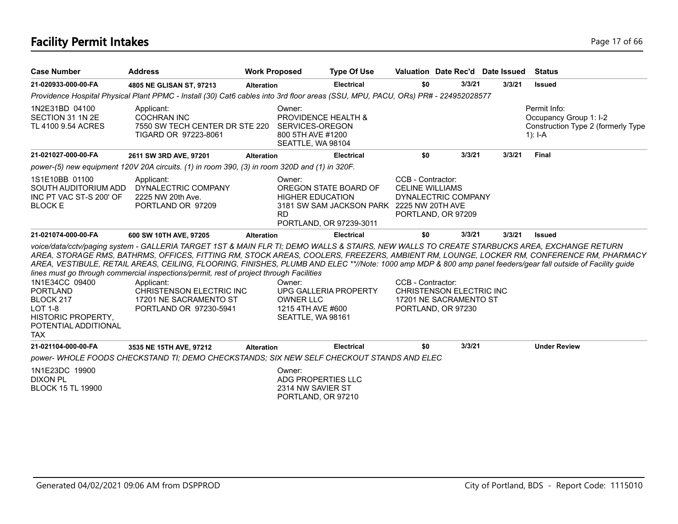# **Facility Permit Intakes** Page 17 of 66

| <b>Case Number</b>                                                                                                           | <b>Address</b>                                                                                                                                                                                                                                                                                                                                                                                                                                                                                        | <b>Work Proposed</b> |                                                                                            | <b>Type Of Use</b>                                                                            | Valuation Date Rec'd Date Issued                                                              |        |        | <b>Status</b>                                                                                                                           |
|------------------------------------------------------------------------------------------------------------------------------|-------------------------------------------------------------------------------------------------------------------------------------------------------------------------------------------------------------------------------------------------------------------------------------------------------------------------------------------------------------------------------------------------------------------------------------------------------------------------------------------------------|----------------------|--------------------------------------------------------------------------------------------|-----------------------------------------------------------------------------------------------|-----------------------------------------------------------------------------------------------|--------|--------|-----------------------------------------------------------------------------------------------------------------------------------------|
| 21-020933-000-00-FA                                                                                                          | 4805 NE GLISAN ST, 97213                                                                                                                                                                                                                                                                                                                                                                                                                                                                              | <b>Alteration</b>    |                                                                                            | <b>Electrical</b>                                                                             | \$0                                                                                           | 3/3/21 | 3/3/21 | <b>Issued</b>                                                                                                                           |
|                                                                                                                              | Providence Hospital Physical Plant PPMC - Install (30) Cat6 cables into 3rd floor areas (SSU, MPU, PACU, ORs) PR# - 224952028577                                                                                                                                                                                                                                                                                                                                                                      |                      |                                                                                            |                                                                                               |                                                                                               |        |        |                                                                                                                                         |
| 1N2E31BD 04100<br>SECTION 31 1N 2E<br>TL 4100 9.54 ACRES                                                                     | Applicant:<br><b>COCHRAN INC</b><br>7550 SW TECH CENTER DR STE 220<br>TIGARD OR 97223-8061                                                                                                                                                                                                                                                                                                                                                                                                            |                      | Owner:<br>PROVIDENCE HEALTH &<br>SERVICES-OREGON<br>800 5TH AVE #1200<br>SEATTLE, WA 98104 |                                                                                               |                                                                                               |        |        | Permit Info:<br>Occupancy Group 1: I-2<br>Construction Type 2 (formerly Type<br>1): $I-A$                                               |
| 21-021027-000-00-FA                                                                                                          | 2611 SW 3RD AVE, 97201                                                                                                                                                                                                                                                                                                                                                                                                                                                                                | <b>Alteration</b>    |                                                                                            | <b>Electrical</b>                                                                             | \$0                                                                                           | 3/3/21 | 3/3/21 | <b>Final</b>                                                                                                                            |
|                                                                                                                              | power-(5) new equipment 120V 20A circuits. (1) in room 390, (3) in room 320D and (1) in 320F.                                                                                                                                                                                                                                                                                                                                                                                                         |                      |                                                                                            |                                                                                               |                                                                                               |        |        |                                                                                                                                         |
| 1S1E10BB 01100<br>SOUTH AUDITORIUM ADD<br>INC PT VAC ST-S 200' OF<br><b>BLOCK E</b>                                          | Applicant:<br>DYNALECTRIC COMPANY<br>2225 NW 20th Ave.<br>PORTLAND OR 97209                                                                                                                                                                                                                                                                                                                                                                                                                           |                      | Owner:<br><b>HIGHER EDUCATION</b><br><b>RD</b>                                             | OREGON STATE BOARD OF<br>3181 SW SAM JACKSON PARK 2225 NW 20TH AVE<br>PORTLAND, OR 97239-3011 | CCB - Contractor:<br><b>CELINE WILLIAMS</b><br>DYNALECTRIC COMPANY<br>PORTLAND, OR 97209      |        |        |                                                                                                                                         |
| 21-021074-000-00-FA                                                                                                          | 600 SW 10TH AVE, 97205                                                                                                                                                                                                                                                                                                                                                                                                                                                                                | <b>Alteration</b>    |                                                                                            | <b>Electrical</b>                                                                             | \$0                                                                                           | 3/3/21 | 3/3/21 | <b>Issued</b>                                                                                                                           |
| 1N1E34CC 09400<br><b>PORTLAND</b><br>BLOCK 217<br><b>LOT 1-8</b><br>HISTORIC PROPERTY,<br>POTENTIAL ADDITIONAL<br><b>TAX</b> | voice/data/cctv/paging system - GALLERIA TARGET 1ST & MAIN FLR TI; DEMO WALLS & STAIRS, NEW WALLS TO CREATE STARBUCKS AREA, EXCHANGE RETURN<br>AREA, VESTIBULE, RETAIL AREAS, CEILING, FLOORING, FINISHES, PLUMB AND ELEC **//Note: 1000 amp MDP & 800 amp panel feeders/gear fall outside of Facility guide<br>lines must go through commercial inspections/permit, rest of project through Facilities<br>Applicant:<br>CHRISTENSON ELECTRIC INC<br>17201 NE SACRAMENTO ST<br>PORTLAND OR 97230-5941 |                      | Owner:<br><b>OWNER LLC</b><br>1215 4TH AVE #600<br>SEATTLE, WA 98161                       | UPG GALLERIA PROPERTY                                                                         | CCB - Contractor:<br>CHRISTENSON ELECTRIC INC<br>17201 NE SACRAMENTO ST<br>PORTLAND, OR 97230 |        |        | AREA, STORAGE RMS, BATHRMS, OFFICES, FITTING RM, STOCK AREAS, COOLERS, FREEZERS, AMBIENT RM, LOUNGE, LOCKER RM, CONFERENCE RM, PHARMACY |
| 21-021104-000-00-FA                                                                                                          | 3535 NE 15TH AVE, 97212                                                                                                                                                                                                                                                                                                                                                                                                                                                                               | <b>Alteration</b>    |                                                                                            | <b>Electrical</b>                                                                             | \$0                                                                                           | 3/3/21 |        | <b>Under Review</b>                                                                                                                     |
|                                                                                                                              | power-WHOLE FOODS CHECKSTAND TI; DEMO CHECKSTANDS; SIX NEW SELF CHECKOUT STANDS AND ELEC                                                                                                                                                                                                                                                                                                                                                                                                              |                      |                                                                                            |                                                                                               |                                                                                               |        |        |                                                                                                                                         |
| 1N1E23DC 19900<br><b>DIXON PL</b><br><b>BLOCK 15 TL 19900</b>                                                                |                                                                                                                                                                                                                                                                                                                                                                                                                                                                                                       |                      | Owner:<br>ADG PROPERTIES LLC<br>2314 NW SAVIER ST<br>PORTLAND, OR 97210                    |                                                                                               |                                                                                               |        |        |                                                                                                                                         |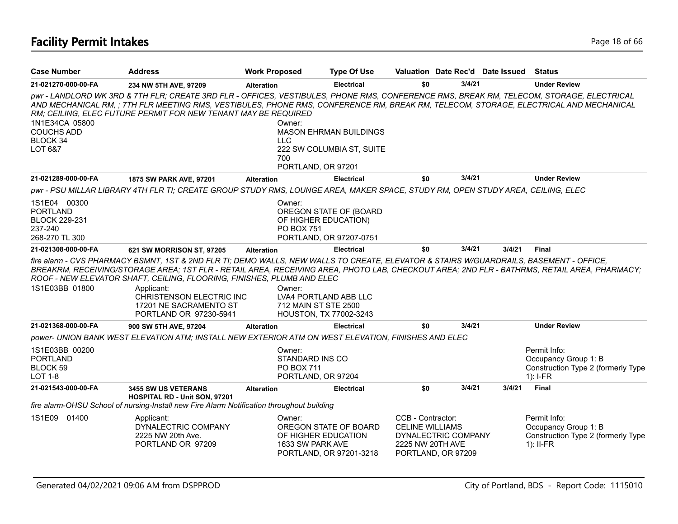| <b>Case Number</b>                                                                   | <b>Address</b>                                                                                                                                                                                                                                                                                                                                      | <b>Work Proposed</b>                                                 | <b>Type Of Use</b>                                                        |                                                                                        |                    | Valuation Date Rec'd Date Issued | Status                                                                                                                                      |
|--------------------------------------------------------------------------------------|-----------------------------------------------------------------------------------------------------------------------------------------------------------------------------------------------------------------------------------------------------------------------------------------------------------------------------------------------------|----------------------------------------------------------------------|---------------------------------------------------------------------------|----------------------------------------------------------------------------------------|--------------------|----------------------------------|---------------------------------------------------------------------------------------------------------------------------------------------|
| 21-021270-000-00-FA                                                                  | 234 NW 5TH AVE, 97209                                                                                                                                                                                                                                                                                                                               | <b>Alteration</b>                                                    | <b>Electrical</b>                                                         | \$0                                                                                    | 3/4/21             |                                  | <b>Under Review</b>                                                                                                                         |
| 1N1E34CA 05800<br><b>COUCHS ADD</b><br>BLOCK 34<br>LOT 6&7                           | pwr - LANDLORD WK 3RD & 7TH FLR; CREATE 3RD FLR - OFFICES, VESTIBULES, PHONE RMS, CONFERENCE RMS, BREAK RM, TELECOM, STORAGE, ELECTRICAL<br>AND MECHANICAL RM, ; 7TH FLR MEETING RMS, VESTIBULES, PHONE RMS, CONFERENCE RM, BREAK RM, TELECOM, STORAGE, ELECTRICAL AND MECHANICAL<br>RM: CEILING, ELEC FUTURE PERMIT FOR NEW TENANT MAY BE REQUIRED | Owner:<br><b>LLC</b><br>700<br>PORTLAND, OR 97201                    | <b>MASON EHRMAN BUILDINGS</b><br>222 SW COLUMBIA ST, SUITE                |                                                                                        |                    |                                  |                                                                                                                                             |
| 21-021289-000-00-FA                                                                  | 1875 SW PARK AVE, 97201                                                                                                                                                                                                                                                                                                                             | <b>Alteration</b>                                                    | <b>Electrical</b>                                                         | \$0                                                                                    | 3/4/21             |                                  | <b>Under Review</b>                                                                                                                         |
|                                                                                      | pwr - PSU MILLAR LIBRARY 4TH FLR TI; CREATE GROUP STUDY RMS, LOUNGE AREA, MAKER SPACE, STUDY RM, OPEN STUDY AREA, CEILING, ELEC                                                                                                                                                                                                                     |                                                                      |                                                                           |                                                                                        |                    |                                  |                                                                                                                                             |
| 1S1E04 00300<br><b>PORTLAND</b><br><b>BLOCK 229-231</b><br>237-240<br>268-270 TL 300 |                                                                                                                                                                                                                                                                                                                                                     | Owner:<br><b>PO BOX 751</b>                                          | OREGON STATE OF (BOARD<br>OF HIGHER EDUCATION)<br>PORTLAND, OR 97207-0751 |                                                                                        |                    |                                  |                                                                                                                                             |
| 21-021308-000-00-FA                                                                  | 621 SW MORRISON ST, 97205                                                                                                                                                                                                                                                                                                                           | <b>Alteration</b>                                                    | <b>Electrical</b>                                                         | \$0                                                                                    | 3/4/21             | 3/4/21                           | <b>Final</b>                                                                                                                                |
| 1S1E03BB 01800                                                                       | fire alarm - CVS PHARMACY BSMNT, 1ST & 2ND FLR TI; DEMO WALLS, NEW WALLS TO CREATE, ELEVATOR & STAIRS W/GUARDRAILS, BASEMENT - OFFICE,<br>ROOF - NEW ELEVATOR SHAFT, CEILING, FLOORING, FINISHES, PLUMB AND ELEC<br>Applicant:<br>CHRISTENSON ELECTRIC INC<br>17201 NE SACRAMENTO ST<br>PORTLAND OR 97230-5941                                      | Owner:<br>712 MAIN ST STE 2500                                       | LVA4 PORTLAND ABB LLC<br>HOUSTON, TX 77002-3243                           |                                                                                        |                    |                                  | BREAKRM, RECEIVING/STORAGE AREA; 1ST FLR - RETAIL AREA, RECEIVING AREA, PHOTO LAB, CHECKOUT AREA; 2ND FLR - BATHRMS, RETAIL AREA, PHARMACY; |
| 21-021368-000-00-FA                                                                  | 900 SW 5TH AVE, 97204                                                                                                                                                                                                                                                                                                                               | <b>Alteration</b>                                                    | <b>Electrical</b>                                                         | \$0                                                                                    | 3/4/21             |                                  | <b>Under Review</b>                                                                                                                         |
|                                                                                      | power- UNION BANK WEST ELEVATION ATM; INSTALL NEW EXTERIOR ATM ON WEST ELEVATION, FINISHES AND ELEC                                                                                                                                                                                                                                                 |                                                                      |                                                                           |                                                                                        |                    |                                  |                                                                                                                                             |
| 1S1E03BB 00200<br><b>PORTLAND</b><br>BLOCK 59<br>LOT 1-8                             |                                                                                                                                                                                                                                                                                                                                                     | Owner:<br>STANDARD INS CO<br><b>PO BOX 711</b><br>PORTLAND, OR 97204 |                                                                           |                                                                                        |                    |                                  | Permit Info:<br>Occupancy Group 1: B<br>Construction Type 2 (formerly Type<br>$1$ : I-FR                                                    |
| 21-021543-000-00-FA                                                                  | <b>3455 SW US VETERANS</b><br>HOSPITAL RD - Unit SON, 97201                                                                                                                                                                                                                                                                                         | <b>Alteration</b>                                                    | <b>Electrical</b>                                                         | \$0                                                                                    | 3/4/21             | 3/4/21                           | <b>Final</b>                                                                                                                                |
|                                                                                      | fire alarm-OHSU School of nursing-Install new Fire Alarm Notification throughout building                                                                                                                                                                                                                                                           |                                                                      |                                                                           |                                                                                        |                    |                                  |                                                                                                                                             |
| 1S1E09 01400                                                                         | Applicant:<br>DYNALECTRIC COMPANY<br>2225 NW 20th Ave.<br>PORTLAND OR 97209                                                                                                                                                                                                                                                                         | Owner:<br>OF HIGHER EDUCATION<br>1633 SW PARK AVE                    | OREGON STATE OF BOARD<br>PORTLAND, OR 97201-3218                          | CCB - Contractor:<br><b>CELINE WILLIAMS</b><br>DYNALECTRIC COMPANY<br>2225 NW 20TH AVE | PORTLAND, OR 97209 |                                  | Permit Info:<br>Occupancy Group 1: B<br>Construction Type 2 (formerly Type<br>$1$ : II-FR                                                   |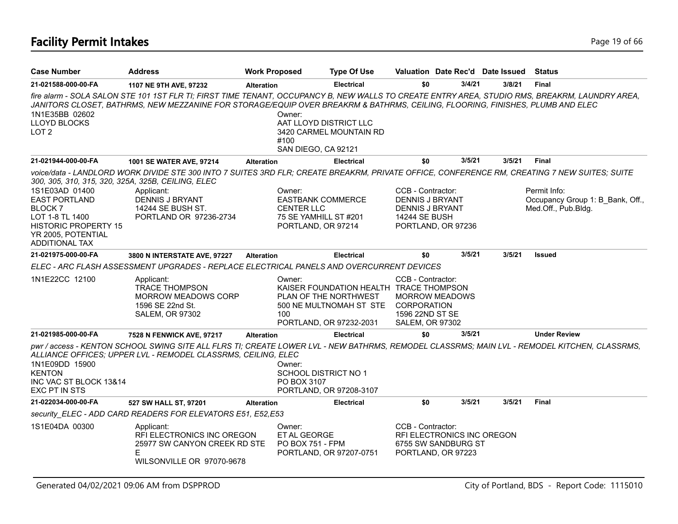# **Facility Permit Intakes** Page 19 of 66

| <b>Case Number</b>                                                                                                                                       | <b>Address</b>                                                                                                                                                                                                                                                                  | <b>Work Proposed</b> |                                                                                                        | <b>Type Of Use</b>                                                                                                     | Valuation Date Rec'd Date Issued                                                                              |        |        | <b>Status</b>                                                           |
|----------------------------------------------------------------------------------------------------------------------------------------------------------|---------------------------------------------------------------------------------------------------------------------------------------------------------------------------------------------------------------------------------------------------------------------------------|----------------------|--------------------------------------------------------------------------------------------------------|------------------------------------------------------------------------------------------------------------------------|---------------------------------------------------------------------------------------------------------------|--------|--------|-------------------------------------------------------------------------|
| 21-021588-000-00-FA                                                                                                                                      | 1107 NE 9TH AVE, 97232                                                                                                                                                                                                                                                          | <b>Alteration</b>    |                                                                                                        | <b>Electrical</b>                                                                                                      | \$0                                                                                                           | 3/4/21 | 3/8/21 | Final                                                                   |
|                                                                                                                                                          | fire alarm - SOLA SALON STE 101 1ST FLR TI; FIRST TIME TENANT, OCCUPANCY B, NEW WALLS TO CREATE ENTRY AREA, STUDIO RMS, BREAKRM, LAUNDRY AREA,<br>JANITORS CLOSET, BATHRMS, NEW MEZZANINE FOR STORAGE/EQUIP OVER BREAKRM & BATHRMS, CEILING, FLOORING, FINISHES, PLUMB AND ELEC |                      |                                                                                                        |                                                                                                                        |                                                                                                               |        |        |                                                                         |
| 1N1E35BB 02602<br>LLOYD BLOCKS<br>LOT <sub>2</sub>                                                                                                       |                                                                                                                                                                                                                                                                                 |                      | Owner:<br>AAT LLOYD DISTRICT LLC<br>#100<br>SAN DIEGO, CA 92121                                        | 3420 CARMEL MOUNTAIN RD                                                                                                |                                                                                                               |        |        |                                                                         |
| 21-021944-000-00-FA                                                                                                                                      | 1001 SE WATER AVE, 97214                                                                                                                                                                                                                                                        | <b>Alteration</b>    |                                                                                                        | <b>Electrical</b>                                                                                                      | \$0                                                                                                           | 3/5/21 | 3/5/21 | <b>Final</b>                                                            |
| 300, 305, 310, 315, 320, 325A, 325B, CEILING, ELEC                                                                                                       | voice/data - LANDLORD WORK DIVIDE STE 300 INTO 7 SUITES 3RD FLR; CREATE BREAKRM, PRIVATE OFFICE, CONFERENCE RM, CREATING 7 NEW SUITES; SUITE                                                                                                                                    |                      |                                                                                                        |                                                                                                                        |                                                                                                               |        |        |                                                                         |
| 1S1E03AD 01400<br><b>EAST PORTLAND</b><br><b>BLOCK7</b><br>LOT 1-8 TL 1400<br><b>HISTORIC PROPERTY 15</b><br>YR 2005, POTENTIAL<br><b>ADDITIONAL TAX</b> | Applicant:<br><b>DENNIS J BRYANT</b><br>14244 SE BUSH ST.<br>PORTLAND OR 97236-2734                                                                                                                                                                                             |                      | Owner:<br><b>EASTBANK COMMERCE</b><br><b>CENTER LLC</b><br>75 SE YAMHILL ST #201<br>PORTLAND, OR 97214 |                                                                                                                        | CCB - Contractor:<br><b>DENNIS J BRYANT</b><br>DENNIS J BRYANT<br><b>14244 SE BUSH</b><br>PORTLAND, OR 97236  |        |        | Permit Info:<br>Occupancy Group 1: B Bank, Off.,<br>Med.Off., Pub.Bldg. |
| 21-021975-000-00-FA                                                                                                                                      | 3800 N INTERSTATE AVE, 97227                                                                                                                                                                                                                                                    | <b>Alteration</b>    |                                                                                                        | <b>Electrical</b>                                                                                                      | \$0                                                                                                           | 3/5/21 | 3/5/21 | <b>Issued</b>                                                           |
|                                                                                                                                                          | ELEC - ARC FLASH ASSESSMENT UPGRADES - REPLACE ELECTRICAL PANELS AND OVERCURRENT DEVICES                                                                                                                                                                                        |                      |                                                                                                        |                                                                                                                        |                                                                                                               |        |        |                                                                         |
| 1N1E22CC 12100                                                                                                                                           | Applicant:<br><b>TRACE THOMPSON</b><br><b>MORROW MEADOWS CORP</b><br>1596 SE 22nd St.<br><b>SALEM, OR 97302</b>                                                                                                                                                                 |                      | Owner:<br>100                                                                                          | KAISER FOUNDATION HEALTH TRACE THOMPSON<br>PLAN OF THE NORTHWEST<br>500 NE MULTNOMAH ST STE<br>PORTLAND, OR 97232-2031 | CCB - Contractor:<br><b>MORROW MEADOWS</b><br><b>CORPORATION</b><br>1596 22ND ST SE<br><b>SALEM, OR 97302</b> |        |        |                                                                         |
| 21-021985-000-00-FA                                                                                                                                      | 7528 N FENWICK AVE, 97217                                                                                                                                                                                                                                                       | <b>Alteration</b>    |                                                                                                        | <b>Electrical</b>                                                                                                      | \$0                                                                                                           | 3/5/21 |        | <b>Under Review</b>                                                     |
| 1N1E09DD 15900<br><b>KENTON</b><br>INC VAC ST BLOCK 13&14<br>EXC PT IN STS                                                                               | pwr / access - KENTON SCHOOL SWING SITE ALL FLRS TI; CREATE LOWER LVL - NEW BATHRMS, REMODEL CLASSRMS; MAIN LVL - REMODEL KITCHEN, CLASSRMS,<br>ALLIANCE OFFICES; UPPER LVL - REMODEL CLASSRMS, CEILING, ELEC                                                                   |                      | Owner:<br>SCHOOL DISTRICT NO 1<br>PO BOX 3107                                                          | PORTLAND, OR 97208-3107                                                                                                |                                                                                                               |        |        |                                                                         |
| 21-022034-000-00-FA                                                                                                                                      | 527 SW HALL ST, 97201                                                                                                                                                                                                                                                           | <b>Alteration</b>    |                                                                                                        | <b>Electrical</b>                                                                                                      | \$0                                                                                                           | 3/5/21 | 3/5/21 | <b>Final</b>                                                            |
|                                                                                                                                                          | security_ELEC - ADD CARD READERS FOR ELEVATORS E51, E52,E53                                                                                                                                                                                                                     |                      |                                                                                                        |                                                                                                                        |                                                                                                               |        |        |                                                                         |
| 1S1E04DA 00300                                                                                                                                           | Applicant:<br>RFI ELECTRONICS INC OREGON<br>25977 SW CANYON CREEK RD STE<br>Е<br>WILSONVILLE OR 97070-9678                                                                                                                                                                      |                      | Owner:<br>ET AL GEORGE<br><b>PO BOX 751 - FPM</b>                                                      | PORTLAND, OR 97207-0751                                                                                                | CCB - Contractor:<br>RFI ELECTRONICS INC OREGON<br>6755 SW SANDBURG ST<br>PORTLAND, OR 97223                  |        |        |                                                                         |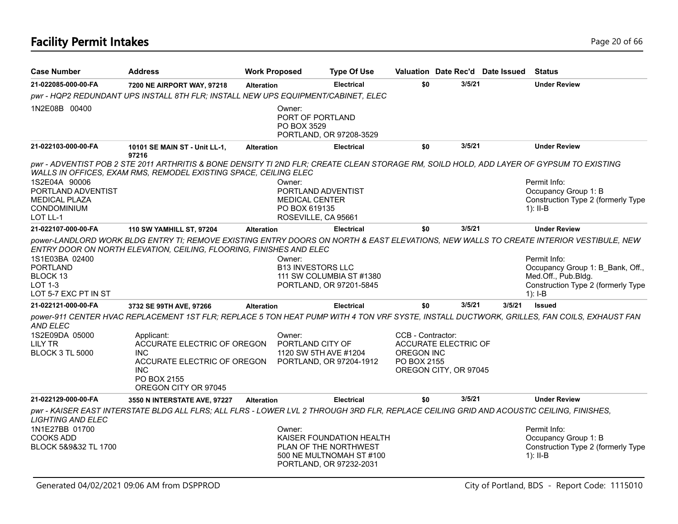| <b>Case Number</b>                                                                      | <b>Address</b>                                                                                                                                                                                                                                                                            | <b>Work Proposed</b>                      | <b>Type Of Use</b>                                                                                       |                                                       |                                               | Valuation Date Rec'd Date Issued | Status                                                                                                                     |
|-----------------------------------------------------------------------------------------|-------------------------------------------------------------------------------------------------------------------------------------------------------------------------------------------------------------------------------------------------------------------------------------------|-------------------------------------------|----------------------------------------------------------------------------------------------------------|-------------------------------------------------------|-----------------------------------------------|----------------------------------|----------------------------------------------------------------------------------------------------------------------------|
| 21-022085-000-00-FA                                                                     | 7200 NE AIRPORT WAY, 97218                                                                                                                                                                                                                                                                | <b>Alteration</b>                         | <b>Electrical</b>                                                                                        | \$0                                                   | 3/5/21                                        |                                  | <b>Under Review</b>                                                                                                        |
|                                                                                         | pwr - HQP2 REDUNDANT UPS INSTALL 8TH FLR; INSTALL NEW UPS EQUIPMENT/CABINET, ELEC                                                                                                                                                                                                         |                                           |                                                                                                          |                                                       |                                               |                                  |                                                                                                                            |
| 1N2E08B 00400                                                                           |                                                                                                                                                                                                                                                                                           | Owner:<br>PORT OF PORTLAND<br>PO BOX 3529 | PORTLAND, OR 97208-3529                                                                                  |                                                       |                                               |                                  |                                                                                                                            |
| 21-022103-000-00-FA                                                                     | 10101 SE MAIN ST - Unit LL-1,<br>97216                                                                                                                                                                                                                                                    | <b>Alteration</b>                         | <b>Electrical</b>                                                                                        | \$0                                                   | 3/5/21                                        |                                  | <b>Under Review</b>                                                                                                        |
| 1S2E04A 90006<br>PORTLAND ADVENTIST<br><b>MEDICAL PLAZA</b>                             | pwr - ADVENTIST POB 2 STE 2011 ARTHRITIS & BONE DENSITY TI 2ND FLR; CREATE CLEAN STORAGE RM, SOILD HOLD, ADD LAYER OF GYPSUM TO EXISTING<br>WALLS IN OFFICES, EXAM RMS, REMODEL EXISTING SPACE, CEILING ELEC                                                                              | Owner:<br><b>MEDICAL CENTER</b>           | PORTLAND ADVENTIST                                                                                       |                                                       |                                               |                                  | Permit Info:<br>Occupancy Group 1: B<br>Construction Type 2 (formerly Type                                                 |
| CONDOMINIUM<br>LOT LL-1                                                                 |                                                                                                                                                                                                                                                                                           | PO BOX 619135                             | ROSEVILLE, CA 95661                                                                                      |                                                       |                                               |                                  | $1$ : II-B                                                                                                                 |
| 21-022107-000-00-FA                                                                     | 110 SW YAMHILL ST, 97204                                                                                                                                                                                                                                                                  | <b>Alteration</b>                         | <b>Electrical</b>                                                                                        | \$0                                                   | 3/5/21                                        |                                  | <b>Under Review</b>                                                                                                        |
| 1S1E03BA 02400<br><b>PORTLAND</b><br>BLOCK 13<br><b>LOT 1-3</b><br>LOT 5-7 EXC PT IN ST | power-LANDLORD WORK BLDG ENTRY TI; REMOVE EXISTING ENTRY DOORS ON NORTH & EAST ELEVATIONS, NEW WALLS TO CREATE INTERIOR VESTIBULE, NEW<br>ENTRY DOOR ON NORTH ELEVATION, CEILING, FLOORING, FINISHES AND ELEC                                                                             | Owner:<br><b>B13 INVESTORS LLC</b>        | 111 SW COLUMBIA ST #1380<br>PORTLAND, OR 97201-5845                                                      |                                                       |                                               |                                  | Permit Info:<br>Occupancy Group 1: B Bank, Off.,<br>Med.Off., Pub.Bldg.<br>Construction Type 2 (formerly Type<br>$1$ : I-B |
| 21-022121-000-00-FA                                                                     | 3732 SE 99TH AVE, 97266                                                                                                                                                                                                                                                                   | <b>Alteration</b>                         | <b>Electrical</b>                                                                                        | \$0                                                   | 3/5/21                                        | 3/5/21                           | <b>Issued</b>                                                                                                              |
| AND ELEC<br>1S2E09DA 05000<br><b>LILY TR</b><br><b>BLOCK 3 TL 5000</b>                  | power-911 CENTER HVAC REPLACEMENT 1ST FLR; REPLACE 5 TON HEAT PUMP WITH 4 TON VRF SYSTE, INSTALL DUCTWORK, GRILLES, FAN COILS, EXHAUST FAN<br>Applicant:<br>ACCURATE ELECTRIC OF OREGON<br><b>INC</b><br>ACCURATE ELECTRIC OF OREGON<br><b>INC</b><br>PO BOX 2155<br>OREGON CITY OR 97045 | Owner:<br>PORTLAND CITY OF                | 1120 SW 5TH AVE #1204<br>PORTLAND, OR 97204-1912                                                         | CCB - Contractor:<br><b>OREGON INC</b><br>PO BOX 2155 | ACCURATE ELECTRIC OF<br>OREGON CITY, OR 97045 |                                  |                                                                                                                            |
| 21-022129-000-00-FA                                                                     | 3550 N INTERSTATE AVE, 97227                                                                                                                                                                                                                                                              | <b>Alteration</b>                         | <b>Electrical</b>                                                                                        | \$0                                                   | 3/5/21                                        |                                  | <b>Under Review</b>                                                                                                        |
| <b>LIGHTING AND ELEC</b><br>1N1E27BB 01700<br><b>COOKS ADD</b><br>BLOCK 5&9&32 TL 1700  | pwr - KAISER EAST INTERSTATE BLDG ALL FLRS; ALL FLRS - LOWER LVL 2 THROUGH 3RD FLR, REPLACE CEILING GRID AND ACOUSTIC CEILING, FINISHES,                                                                                                                                                  | Owner:                                    | KAISER FOUNDATION HEALTH<br>PLAN OF THE NORTHWEST<br>500 NE MULTNOMAH ST #100<br>PORTLAND, OR 97232-2031 |                                                       |                                               |                                  | Permit Info:<br>Occupancy Group 1: B<br>Construction Type 2 (formerly Type<br>$1$ : II-B                                   |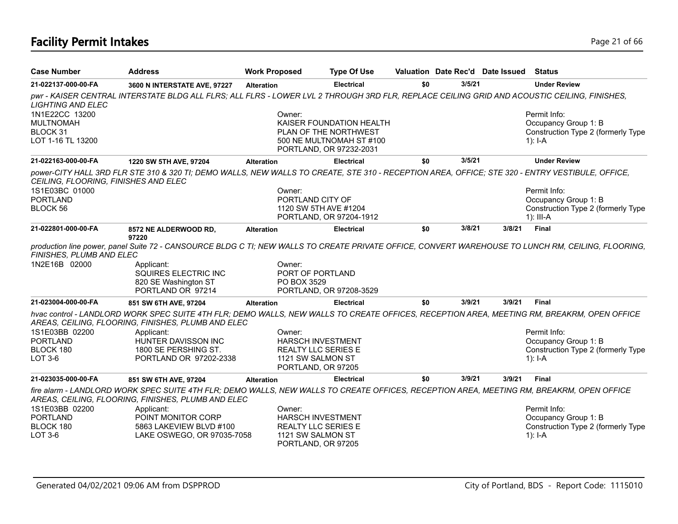# **Facility Permit Intakes** Page 21 of 66

| <b>Case Number</b>                                                  | <b>Address</b>                                                                                                                                                                                   | <b>Work Proposed</b> | <b>Type Of Use</b>                                                            |     |        | Valuation Date Rec'd Date Issued | <b>Status</b>                                                                                                                                      |
|---------------------------------------------------------------------|--------------------------------------------------------------------------------------------------------------------------------------------------------------------------------------------------|----------------------|-------------------------------------------------------------------------------|-----|--------|----------------------------------|----------------------------------------------------------------------------------------------------------------------------------------------------|
| 21-022137-000-00-FA                                                 | 3600 N INTERSTATE AVE, 97227                                                                                                                                                                     | <b>Alteration</b>    | <b>Electrical</b>                                                             | \$0 | 3/5/21 |                                  | <b>Under Review</b>                                                                                                                                |
| <b>LIGHTING AND ELEC</b>                                            | pwr - KAISER CENTRAL INTERSTATE BLDG ALL FLRS; ALL FLRS - LOWER LVL 2 THROUGH 3RD FLR, REPLACE CEILING GRID AND ACOUSTIC CEILING, FINISHES,                                                      |                      |                                                                               |     |        |                                  |                                                                                                                                                    |
| 1N1E22CC 13200<br><b>MULTNOMAH</b><br>BLOCK 31<br>LOT 1-16 TL 13200 |                                                                                                                                                                                                  | Owner:               | KAISER FOUNDATION HEALTH<br>PLAN OF THE NORTHWEST<br>500 NE MULTNOMAH ST #100 |     |        |                                  | Permit Info:<br>Occupancy Group 1: B<br>Construction Type 2 (formerly Type<br>1): $I - A$                                                          |
| 21-022163-000-00-FA                                                 | 1220 SW 5TH AVE, 97204                                                                                                                                                                           | <b>Alteration</b>    | PORTLAND, OR 97232-2031<br><b>Electrical</b>                                  | \$0 | 3/5/21 |                                  | <b>Under Review</b>                                                                                                                                |
|                                                                     | power-CITY HALL 3RD FLR STE 310 & 320 TI; DEMO WALLS, NEW WALLS TO CREATE, STE 310 - RECEPTION AREA, OFFICE; STE 320 - ENTRY VESTIBULE, OFFICE,                                                  |                      |                                                                               |     |        |                                  |                                                                                                                                                    |
| CEILING, FLOORING, FINISHES AND ELEC                                |                                                                                                                                                                                                  |                      |                                                                               |     |        |                                  |                                                                                                                                                    |
| 1S1E03BC 01000                                                      |                                                                                                                                                                                                  | Owner:               |                                                                               |     |        |                                  | Permit Info:                                                                                                                                       |
| <b>PORTLAND</b>                                                     |                                                                                                                                                                                                  |                      | PORTLAND CITY OF                                                              |     |        |                                  | Occupancy Group 1: B                                                                                                                               |
| BLOCK 56                                                            |                                                                                                                                                                                                  |                      | 1120 SW 5TH AVE #1204                                                         |     |        |                                  | Construction Type 2 (formerly Type                                                                                                                 |
|                                                                     |                                                                                                                                                                                                  |                      | PORTLAND, OR 97204-1912                                                       |     |        |                                  | 1): III-A                                                                                                                                          |
| 21-022801-000-00-FA                                                 | 8572 NE ALDERWOOD RD,<br>97220                                                                                                                                                                   | <b>Alteration</b>    | <b>Electrical</b>                                                             | \$0 | 3/8/21 | 3/8/21                           | Final                                                                                                                                              |
| FINISHES, PLUMB AND ELEC                                            |                                                                                                                                                                                                  |                      |                                                                               |     |        |                                  | production line power, panel Suite 72 - CANSOURCE BLDG C TI; NEW WALLS TO CREATE PRIVATE OFFICE, CONVERT WAREHOUSE TO LUNCH RM, CEILING, FLOORING, |
| 1N2E16B 02000                                                       | Applicant:<br>SQUIRES ELECTRIC INC<br>820 SE Washington ST                                                                                                                                       | Owner:               | PORT OF PORTLAND<br>PO BOX 3529                                               |     |        |                                  |                                                                                                                                                    |
|                                                                     | PORTLAND OR 97214                                                                                                                                                                                |                      | PORTLAND, OR 97208-3529                                                       |     |        |                                  |                                                                                                                                                    |
| 21-023004-000-00-FA                                                 | 851 SW 6TH AVE, 97204                                                                                                                                                                            | <b>Alteration</b>    | <b>Electrical</b>                                                             | \$0 | 3/9/21 | 3/9/21                           | <b>Final</b>                                                                                                                                       |
|                                                                     | hvac control - LANDLORD WORK SPEC SUITE 4TH FLR; DEMO WALLS, NEW WALLS TO CREATE OFFICES, RECEPTION AREA, MEETING RM, BREAKRM, OPEN OFFICE<br>AREAS, CEILING, FLOORING, FINISHES, PLUMB AND ELEC |                      |                                                                               |     |        |                                  |                                                                                                                                                    |
| 1S1E03BB 02200                                                      | Applicant:                                                                                                                                                                                       | Owner:               |                                                                               |     |        |                                  | Permit Info:                                                                                                                                       |
| <b>PORTLAND</b>                                                     | HUNTER DAVISSON INC                                                                                                                                                                              |                      | <b>HARSCH INVESTMENT</b>                                                      |     |        |                                  | Occupancy Group 1: B                                                                                                                               |
| BLOCK 180                                                           | 1800 SE PERSHING ST.                                                                                                                                                                             |                      | <b>REALTY LLC SERIES E</b>                                                    |     |        |                                  | Construction Type 2 (formerly Type                                                                                                                 |
| LOT 3-6                                                             | PORTLAND OR 97202-2338                                                                                                                                                                           |                      | 1121 SW SALMON ST                                                             |     |        |                                  | 1): $I - A$                                                                                                                                        |
|                                                                     |                                                                                                                                                                                                  |                      | PORTLAND, OR 97205                                                            |     |        |                                  |                                                                                                                                                    |
| 21-023035-000-00-FA                                                 | 851 SW 6TH AVE, 97204                                                                                                                                                                            | <b>Alteration</b>    | <b>Electrical</b>                                                             | \$0 | 3/9/21 | 3/9/21                           | <b>Final</b>                                                                                                                                       |
|                                                                     | fire alarm - LANDLORD WORK SPEC SUITE 4TH FLR; DEMO WALLS, NEW WALLS TO CREATE OFFICES, RECEPTION AREA, MEETING RM, BREAKRM, OPEN OFFICE<br>AREAS, CEILING, FLOORING, FINISHES, PLUMB AND ELEC   |                      |                                                                               |     |        |                                  |                                                                                                                                                    |
| 1S1E03BB 02200                                                      | Applicant:                                                                                                                                                                                       | Owner:               |                                                                               |     |        |                                  | Permit Info:                                                                                                                                       |
| <b>PORTLAND</b>                                                     | POINT MONITOR CORP                                                                                                                                                                               |                      | <b>HARSCH INVESTMENT</b>                                                      |     |        |                                  | Occupancy Group 1: B                                                                                                                               |
| BLOCK 180                                                           | 5863 LAKEVIEW BLVD #100                                                                                                                                                                          |                      | <b>REALTY LLC SERIES E</b>                                                    |     |        |                                  | Construction Type 2 (formerly Type                                                                                                                 |
| LOT 3-6                                                             | LAKE OSWEGO, OR 97035-7058                                                                                                                                                                       |                      | 1121 SW SALMON ST<br>PORTLAND, OR 97205                                       |     |        |                                  | 1): $I - A$                                                                                                                                        |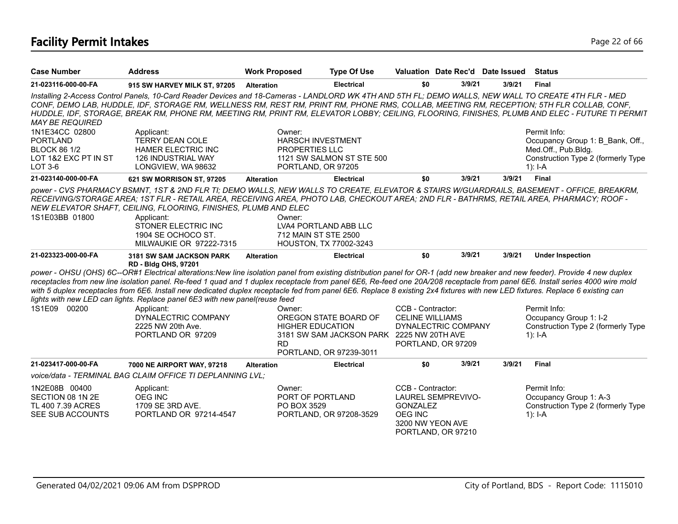# **Facility Permit Intakes** Page 22 of 66

| <b>Case Number</b>                                                                                 | <b>Address</b>                                                                                                                                                                                                                                                                                                                                                                                                                                                                                                                                                                                                                 | <b>Work Proposed</b>                                                              | <b>Type Of Use</b>                                                                            |                                                                            | Valuation Date Rec'd Date Issued                |        | <b>Status</b>                                                                                                                                  |
|----------------------------------------------------------------------------------------------------|--------------------------------------------------------------------------------------------------------------------------------------------------------------------------------------------------------------------------------------------------------------------------------------------------------------------------------------------------------------------------------------------------------------------------------------------------------------------------------------------------------------------------------------------------------------------------------------------------------------------------------|-----------------------------------------------------------------------------------|-----------------------------------------------------------------------------------------------|----------------------------------------------------------------------------|-------------------------------------------------|--------|------------------------------------------------------------------------------------------------------------------------------------------------|
| 21-023116-000-00-FA                                                                                | 915 SW HARVEY MILK ST, 97205                                                                                                                                                                                                                                                                                                                                                                                                                                                                                                                                                                                                   | <b>Alteration</b>                                                                 | <b>Electrical</b>                                                                             | \$0                                                                        | 3/9/21                                          | 3/9/21 | <b>Final</b>                                                                                                                                   |
| <b>MAY BE REQUIRED</b>                                                                             | Installing 2-Access Control Panels, 10-Card Reader Devices and 18-Cameras - LANDLORD WK 4TH AND 5TH FL; DEMO WALLS, NEW WALL TO CREATE 4TH FLR - MED<br>CONF, DEMO LAB, HUDDLE, IDF, STORAGE RM, WELLNESS RM, REST RM, PRINT RM, PHONE RMS, COLLAB, MEETING RM, RECEPTION; 5TH FLR COLLAB, CONF,                                                                                                                                                                                                                                                                                                                               |                                                                                   |                                                                                               |                                                                            |                                                 |        | HUDDLE, IDF, STORAGE, BREAK RM, PHONE RM, MEETING RM, PRINT RM, ELEVATOR LOBBY; CEILING, FLOORING, FINISHES, PLUMB AND ELEC - FUTURE TI PERMIT |
| 1N1E34CC 02800<br><b>PORTLAND</b><br><b>BLOCK 86 1/2</b><br>LOT 1&2 EXC PT IN ST<br><b>LOT 3-6</b> | Applicant:<br><b>TERRY DEAN COLE</b><br><b>HAMER ELECTRIC INC</b><br><b>126 INDUSTRIAL WAY</b><br>LONGVIEW, WA 98632                                                                                                                                                                                                                                                                                                                                                                                                                                                                                                           | Owner:<br><b>HARSCH INVESTMENT</b><br><b>PROPERTIES LLC</b><br>PORTLAND, OR 97205 | 1121 SW SALMON ST STE 500                                                                     |                                                                            |                                                 |        | Permit Info:<br>Occupancy Group 1: B Bank, Off.,<br>Med.Off., Pub.Bldg.<br>Construction Type 2 (formerly Type<br>$1$ : I-A                     |
| 21-023140-000-00-FA                                                                                | 621 SW MORRISON ST, 97205                                                                                                                                                                                                                                                                                                                                                                                                                                                                                                                                                                                                      | <b>Alteration</b>                                                                 | <b>Electrical</b>                                                                             | \$0                                                                        | 3/9/21                                          | 3/9/21 | <b>Final</b>                                                                                                                                   |
| 1S1E03BB 01800                                                                                     | power - CVS PHARMACY BSMNT, 1ST & 2ND FLR TI; DEMO WALLS, NEW WALLS TO CREATE, ELEVATOR & STAIRS W/GUARDRAILS, BASEMENT - OFFICE, BREAKRM,<br>RECEIVING/STORAGE AREA; 1ST FLR - RETAIL AREA, RECEIVING AREA, PHOTO LAB, CHECKOUT AREA; 2ND FLR - BATHRMS, RETAIL AREA, PHARMACY; ROOF -<br>NEW ELEVATOR SHAFT, CEILING, FLOORING, FINISHES, PLUMB AND ELEC<br>Applicant:<br>STONER ELECTRIC INC<br>1904 SE OCHOCO ST.<br>MILWAUKIE OR 97222-7315                                                                                                                                                                               | Owner:<br>LVA4 PORTLAND ABB LLC<br>712 MAIN ST STE 2500<br>HOUSTON, TX 77002-3243 |                                                                                               |                                                                            |                                                 |        |                                                                                                                                                |
| 21-023323-000-00-FA                                                                                | 3181 SW SAM JACKSON PARK<br>RD - Bldg OHS, 97201                                                                                                                                                                                                                                                                                                                                                                                                                                                                                                                                                                               | <b>Alteration</b>                                                                 | <b>Electrical</b>                                                                             | \$0                                                                        | 3/9/21                                          | 3/9/21 | <b>Under Inspection</b>                                                                                                                        |
|                                                                                                    | power - OHSU (OHS) 6C--OR#1 Electrical alterations:New line isolation panel from existing distribution panel for OR-1 (add new breaker and new feeder). Provide 4 new duplex<br>receptacles from new line isolation panel. Re-feed 1 quad and 1 duplex receptacle from panel 6E6, Re-feed one 20A/208 receptacle from panel 6E6. Install series 4000 wire mold<br>with 5 duplex receptacles from 6E6. Install new dedicated duplex receptacle fed from panel 6E6. Replace 8 existing 2x4 fixtures with new LED fixtures. Replace 6 existing can<br>lights with new LED can lights. Replace panel 6E3 with new panel(reuse feed |                                                                                   |                                                                                               |                                                                            |                                                 |        |                                                                                                                                                |
| 1S1E09 00200                                                                                       | Applicant:                                                                                                                                                                                                                                                                                                                                                                                                                                                                                                                                                                                                                     | Owner:                                                                            |                                                                                               | CCB - Contractor:                                                          |                                                 |        | Permit Info:                                                                                                                                   |
|                                                                                                    | DYNALECTRIC COMPANY<br>2225 NW 20th Ave.<br>PORTLAND OR 97209                                                                                                                                                                                                                                                                                                                                                                                                                                                                                                                                                                  | <b>HIGHER EDUCATION</b><br><b>RD</b>                                              | OREGON STATE BOARD OF<br>3181 SW SAM JACKSON PARK 2225 NW 20TH AVE<br>PORTLAND, OR 97239-3011 | <b>CELINE WILLIAMS</b>                                                     | DYNALECTRIC COMPANY<br>PORTLAND, OR 97209       |        | Occupancy Group 1: I-2<br>Construction Type 2 (formerly Type<br>$1$ : I-A                                                                      |
| 21-023417-000-00-FA                                                                                | 7000 NE AIRPORT WAY, 97218                                                                                                                                                                                                                                                                                                                                                                                                                                                                                                                                                                                                     | <b>Alteration</b>                                                                 | <b>Electrical</b>                                                                             | \$0                                                                        | 3/9/21                                          | 3/9/21 | Final                                                                                                                                          |
|                                                                                                    | voice/data - TERMINAL BAG CLAIM OFFICE TI DEPLANNING LVL;                                                                                                                                                                                                                                                                                                                                                                                                                                                                                                                                                                      |                                                                                   |                                                                                               |                                                                            |                                                 |        |                                                                                                                                                |
| 1N2E08B 00400<br>SECTION 08 1N 2E<br>TL 400 7.39 ACRES<br>SEE SUB ACCOUNTS                         | Applicant:<br><b>OEG INC</b><br>1709 SE 3RD AVE.<br>PORTLAND OR 97214-4547                                                                                                                                                                                                                                                                                                                                                                                                                                                                                                                                                     | Owner:<br>PORT OF PORTLAND<br>PO BOX 3529                                         | PORTLAND, OR 97208-3529                                                                       | CCB - Contractor:<br><b>GONZALEZ</b><br><b>OEG INC</b><br>3200 NW YEON AVE | <b>LAUREL SEMPREVIVO-</b><br>PORTLAND, OR 97210 |        | Permit Info:<br>Occupancy Group 1: A-3<br>Construction Type 2 (formerly Type<br>$1$ : I-A                                                      |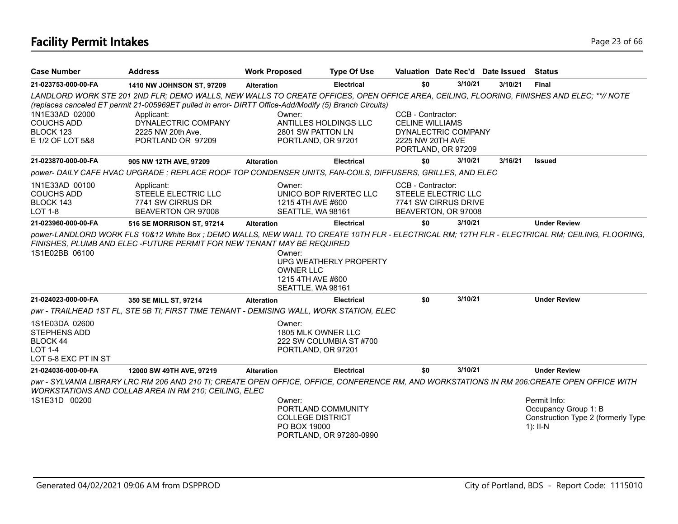# **Facility Permit Intakes** Page 23 of 66

| <b>Case Number</b>                                                                                 | <b>Address</b>                                                                                                                                                                                                                                      | <b>Work Proposed</b>                                                    | <b>Type Of Use</b>      |                                             |                                             | Valuation Date Rec'd Date Issued | <b>Status</b>                                                                                                                                   |
|----------------------------------------------------------------------------------------------------|-----------------------------------------------------------------------------------------------------------------------------------------------------------------------------------------------------------------------------------------------------|-------------------------------------------------------------------------|-------------------------|---------------------------------------------|---------------------------------------------|----------------------------------|-------------------------------------------------------------------------------------------------------------------------------------------------|
| 21-023753-000-00-FA                                                                                | 1410 NW JOHNSON ST, 97209                                                                                                                                                                                                                           | <b>Alteration</b>                                                       | <b>Electrical</b>       | \$0                                         | 3/10/21                                     | 3/10/21                          | <b>Final</b>                                                                                                                                    |
|                                                                                                    | LANDLORD WORK STE 201 2ND FLR; DEMO WALLS, NEW WALLS TO CREATE OFFICES, OPEN OFFICE AREA, CEILING, FLOORING, FINISHES AND ELEC; **// NOTE<br>(replaces canceled ET permit 21-005969ET pulled in error- DIRTT Office-Add/Modify (5) Branch Circuits) |                                                                         |                         |                                             |                                             |                                  |                                                                                                                                                 |
| 1N1E33AD 02000<br><b>COUCHS ADD</b>                                                                | Applicant:<br>DYNALECTRIC COMPANY                                                                                                                                                                                                                   | Owner:<br>ANTILLES HOLDINGS LLC                                         |                         | CCB - Contractor:<br><b>CELINE WILLIAMS</b> |                                             |                                  |                                                                                                                                                 |
| BLOCK 123                                                                                          | 2225 NW 20th Ave.                                                                                                                                                                                                                                   | 2801 SW PATTON LN                                                       |                         |                                             | DYNALECTRIC COMPANY                         |                                  |                                                                                                                                                 |
| E 1/2 OF LOT 5&8                                                                                   | PORTLAND OR 97209                                                                                                                                                                                                                                   | PORTLAND, OR 97201                                                      |                         | 2225 NW 20TH AVE                            | PORTLAND, OR 97209                          |                                  |                                                                                                                                                 |
| 21-023870-000-00-FA                                                                                | 905 NW 12TH AVE, 97209                                                                                                                                                                                                                              | <b>Alteration</b>                                                       | <b>Electrical</b>       | \$0                                         | 3/10/21                                     | 3/16/21                          | <b>Issued</b>                                                                                                                                   |
|                                                                                                    | power-DAILY CAFE HVAC UPGRADE; REPLACE ROOF TOP CONDENSER UNITS, FAN-COILS, DIFFUSERS, GRILLES, AND ELEC                                                                                                                                            |                                                                         |                         |                                             |                                             |                                  |                                                                                                                                                 |
| 1N1E33AD 00100                                                                                     | Applicant:                                                                                                                                                                                                                                          | Owner:                                                                  |                         | CCB - Contractor:                           |                                             |                                  |                                                                                                                                                 |
| <b>COUCHS ADD</b>                                                                                  | STEELE ELECTRIC LLC                                                                                                                                                                                                                                 |                                                                         | UNICO BOP RIVERTEC LLC  |                                             | STEELE ELECTRIC LLC                         |                                  |                                                                                                                                                 |
| BLOCK 143<br><b>LOT 1-8</b>                                                                        | 7741 SW CIRRUS DR<br>BEAVERTON OR 97008                                                                                                                                                                                                             | 1215 4TH AVE #600<br>SEATTLE, WA 98161                                  |                         |                                             | 7741 SW CIRRUS DRIVE<br>BEAVERTON, OR 97008 |                                  |                                                                                                                                                 |
| 21-023960-000-00-FA                                                                                | 516 SE MORRISON ST, 97214                                                                                                                                                                                                                           | <b>Alteration</b>                                                       | <b>Electrical</b>       | \$0                                         | 3/10/21                                     |                                  | <b>Under Review</b>                                                                                                                             |
| 1S1E02BB 06100                                                                                     | FINISHES, PLUMB AND ELEC - FUTURE PERMIT FOR NEW TENANT MAY BE REQUIRED                                                                                                                                                                             | Owner:<br><b>OWNER LLC</b><br>1215 4TH AVE #600<br>SEATTLE, WA 98161    | UPG WEATHERLY PROPERTY  |                                             |                                             |                                  | power-LANDLORD WORK FLS 10&12 White Box ; DEMO WALLS, NEW WALL TO CREATE 10TH FLR - ELECTRICAL RM; 12TH FLR - ELECTRICAL RM; CEILING, FLOORING, |
| 21-024023-000-00-FA                                                                                | 350 SE MILL ST, 97214                                                                                                                                                                                                                               | <b>Alteration</b>                                                       | <b>Electrical</b>       | \$0                                         | 3/10/21                                     |                                  | <b>Under Review</b>                                                                                                                             |
|                                                                                                    | pwr - TRAILHEAD 1ST FL, STE 5B TI; FIRST TIME TENANT - DEMISING WALL, WORK STATION, ELEC                                                                                                                                                            |                                                                         |                         |                                             |                                             |                                  |                                                                                                                                                 |
| 1S1E03DA 02600<br><b>STEPHENS ADD</b><br><b>BLOCK 44</b><br><b>LOT 1-4</b><br>LOT 5-8 EXC PT IN ST |                                                                                                                                                                                                                                                     | Owner:<br>1805 MLK OWNER LLC<br>PORTLAND, OR 97201                      | 222 SW COLUMBIA ST #700 |                                             |                                             |                                  |                                                                                                                                                 |
| 21-024036-000-00-FA                                                                                | 12000 SW 49TH AVE, 97219                                                                                                                                                                                                                            | <b>Alteration</b>                                                       | <b>Electrical</b>       | \$0                                         | 3/10/21                                     |                                  | <b>Under Review</b>                                                                                                                             |
|                                                                                                    | pwr - SYLVANIA LIBRARY LRC RM 206 AND 210 TI; CREATE OPEN OFFICE, OFFICE, CONFERENCE RM, AND WORKSTATIONS IN RM 206:CREATE OPEN OFFICE WITH<br><b>WORKSTATIONS AND COLLAB AREA IN RM 210; CEILING, ELEC</b>                                         |                                                                         |                         |                                             |                                             |                                  |                                                                                                                                                 |
| 1S1E31D 00200                                                                                      |                                                                                                                                                                                                                                                     | Owner:<br>PORTLAND COMMUNITY<br><b>COLLEGE DISTRICT</b><br>PO BOX 19000 | PORTLAND, OR 97280-0990 |                                             |                                             |                                  | Permit Info:<br>Occupancy Group 1: B<br>Construction Type 2 (formerly Type<br>$1$ : II-N                                                        |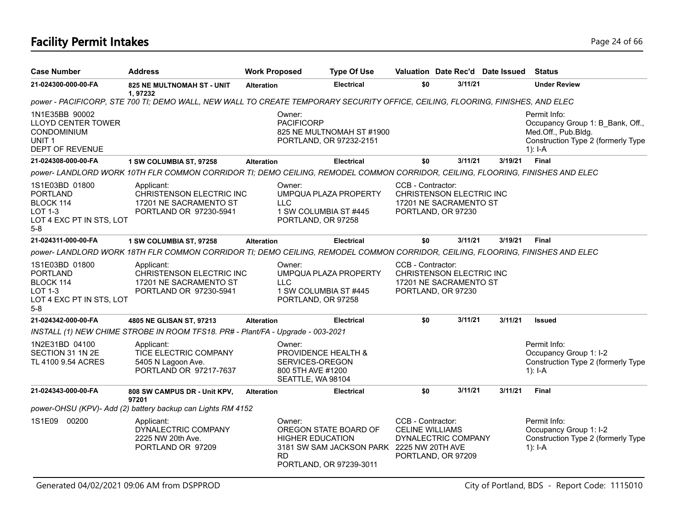# **Facility Permit Intakes** Page 24 of 66

| <b>Case Number</b>                                                                                        | <b>Address</b>                                                                                                                 | <b>Work Proposed</b> |                                                                                            | <b>Type Of Use</b>                                                                            |                                                                                               |         | Valuation Date Rec'd Date Issued | <b>Status</b>                                                                                                              |
|-----------------------------------------------------------------------------------------------------------|--------------------------------------------------------------------------------------------------------------------------------|----------------------|--------------------------------------------------------------------------------------------|-----------------------------------------------------------------------------------------------|-----------------------------------------------------------------------------------------------|---------|----------------------------------|----------------------------------------------------------------------------------------------------------------------------|
| 21-024300-000-00-FA                                                                                       | 825 NE MULTNOMAH ST - UNIT<br>1.97232                                                                                          | <b>Alteration</b>    |                                                                                            | <b>Electrical</b>                                                                             | \$0                                                                                           | 3/11/21 |                                  | <b>Under Review</b>                                                                                                        |
|                                                                                                           | power - PACIFICORP, STE 700 TI; DEMO WALL, NEW WALL TO CREATE TEMPORARY SECURITY OFFICE, CEILING, FLOORING, FINISHES, AND ELEC |                      |                                                                                            |                                                                                               |                                                                                               |         |                                  |                                                                                                                            |
| 1N1E35BB 90002<br>LLOYD CENTER TOWER<br><b>CONDOMINIUM</b><br>UNIT <sub>1</sub><br><b>DEPT OF REVENUE</b> |                                                                                                                                |                      | Owner:<br><b>PACIFICORP</b>                                                                | 825 NE MULTNOMAH ST #1900<br>PORTLAND, OR 97232-2151                                          |                                                                                               |         |                                  | Permit Info:<br>Occupancy Group 1: B Bank, Off.,<br>Med.Off., Pub.Bldg.<br>Construction Type 2 (formerly Type<br>$1$ : I-A |
| 21-024308-000-00-FA                                                                                       | 1 SW COLUMBIA ST, 97258                                                                                                        | <b>Alteration</b>    |                                                                                            | <b>Electrical</b>                                                                             | \$0                                                                                           | 3/11/21 | 3/19/21                          | <b>Final</b>                                                                                                               |
|                                                                                                           | power- LANDLORD WORK 10TH FLR COMMON CORRIDOR TI; DEMO CEILING, REMODEL COMMON CORRIDOR, CEILING, FLOORING, FINISHES AND ELEC  |                      |                                                                                            |                                                                                               |                                                                                               |         |                                  |                                                                                                                            |
| 1S1E03BD 01800<br><b>PORTLAND</b><br>BLOCK 114<br>LOT 1-3<br>LOT 4 EXC PT IN STS, LOT<br>$5-8$            | Applicant:<br>CHRISTENSON ELECTRIC INC<br>17201 NE SACRAMENTO ST<br>PORTLAND OR 97230-5941                                     |                      | Owner:<br><b>LLC</b><br>1 SW COLUMBIA ST #445<br>PORTLAND, OR 97258                        | UMPQUA PLAZA PROPERTY                                                                         | CCB - Contractor:<br>CHRISTENSON ELECTRIC INC<br>17201 NE SACRAMENTO ST<br>PORTLAND, OR 97230 |         |                                  |                                                                                                                            |
| 21-024311-000-00-FA                                                                                       | 1 SW COLUMBIA ST, 97258                                                                                                        | <b>Alteration</b>    |                                                                                            | <b>Electrical</b>                                                                             | \$0                                                                                           | 3/11/21 | 3/19/21                          | <b>Final</b>                                                                                                               |
|                                                                                                           | power- LANDLORD WORK 18TH FLR COMMON CORRIDOR TI; DEMO CEILING, REMODEL COMMON CORRIDOR, CEILING, FLOORING, FINISHES AND ELEC  |                      |                                                                                            |                                                                                               |                                                                                               |         |                                  |                                                                                                                            |
| 1S1E03BD 01800<br><b>PORTLAND</b><br>BLOCK 114<br>LOT 1-3<br>LOT 4 EXC PT IN STS, LOT<br>$5-8$            | Applicant:<br>CHRISTENSON ELECTRIC INC<br>17201 NE SACRAMENTO ST<br>PORTLAND OR 97230-5941                                     |                      | Owner:<br>LLC<br>1 SW COLUMBIA ST #445<br>PORTLAND, OR 97258                               | UMPQUA PLAZA PROPERTY                                                                         | CCB - Contractor:<br>CHRISTENSON ELECTRIC INC<br>17201 NE SACRAMENTO ST<br>PORTLAND, OR 97230 |         |                                  |                                                                                                                            |
| 21-024342-000-00-FA                                                                                       | 4805 NE GLISAN ST, 97213                                                                                                       | <b>Alteration</b>    |                                                                                            | <b>Electrical</b>                                                                             | \$0                                                                                           | 3/11/21 | 3/11/21                          | <b>Issued</b>                                                                                                              |
|                                                                                                           | INSTALL (1) NEW CHIME STROBE IN ROOM TFS18. PR# - Plant/FA - Upgrade - 003-2021                                                |                      |                                                                                            |                                                                                               |                                                                                               |         |                                  |                                                                                                                            |
| 1N2E31BD 04100<br>SECTION 31 1N 2E<br>TL 4100 9.54 ACRES                                                  | Applicant:<br>TICE ELECTRIC COMPANY<br>5405 N Lagoon Ave.<br>PORTLAND OR 97217-7637                                            |                      | Owner:<br>PROVIDENCE HEALTH &<br>SERVICES-OREGON<br>800 5TH AVE #1200<br>SEATTLE, WA 98104 |                                                                                               |                                                                                               |         |                                  | Permit Info:<br>Occupancy Group 1: I-2<br>Construction Type 2 (formerly Type<br>$1$ : I-A                                  |
| 21-024343-000-00-FA                                                                                       | 808 SW CAMPUS DR - Unit KPV,                                                                                                   | <b>Alteration</b>    |                                                                                            | <b>Electrical</b>                                                                             | \$0                                                                                           | 3/11/21 | 3/11/21                          | <b>Final</b>                                                                                                               |
|                                                                                                           | 97201<br>power-OHSU (KPV)- Add (2) battery backup can Lights RM 4152                                                           |                      |                                                                                            |                                                                                               |                                                                                               |         |                                  |                                                                                                                            |
| 1S1E09 00200                                                                                              | Applicant:<br>DYNALECTRIC COMPANY<br>2225 NW 20th Ave.<br>PORTLAND OR 97209                                                    |                      | Owner:<br><b>HIGHER EDUCATION</b><br><b>RD</b>                                             | OREGON STATE BOARD OF<br>3181 SW SAM JACKSON PARK 2225 NW 20TH AVE<br>PORTLAND, OR 97239-3011 | CCB - Contractor:<br><b>CELINE WILLIAMS</b><br>DYNALECTRIC COMPANY<br>PORTLAND, OR 97209      |         |                                  | Permit Info:<br>Occupancy Group 1: I-2<br>Construction Type 2 (formerly Type<br>$1$ : I-A                                  |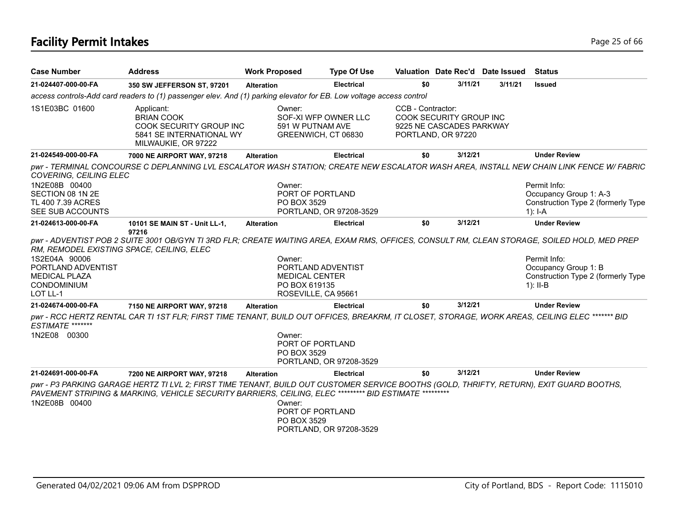# **Facility Permit Intakes** Page 25 of 66

| <b>Case Number</b>                                                                                                                  | <b>Address</b>                                                                                                                                                                                                                                     | <b>Work Proposed</b>                                                                          | <b>Type Of Use</b>                              | Valuation Date Rec'd Date Issued                                                               |         |         | <b>Status</b>                                                                                                                                                                      |
|-------------------------------------------------------------------------------------------------------------------------------------|----------------------------------------------------------------------------------------------------------------------------------------------------------------------------------------------------------------------------------------------------|-----------------------------------------------------------------------------------------------|-------------------------------------------------|------------------------------------------------------------------------------------------------|---------|---------|------------------------------------------------------------------------------------------------------------------------------------------------------------------------------------|
| 21-024407-000-00-FA                                                                                                                 | 350 SW JEFFERSON ST, 97201                                                                                                                                                                                                                         | <b>Alteration</b>                                                                             | <b>Electrical</b>                               | \$0                                                                                            | 3/11/21 | 3/11/21 | <b>Issued</b>                                                                                                                                                                      |
|                                                                                                                                     | access controls-Add card readers to (1) passenger elev. And (1) parking elevator for EB. Low voltage access control                                                                                                                                |                                                                                               |                                                 |                                                                                                |         |         |                                                                                                                                                                                    |
| 1S1E03BC 01600                                                                                                                      | Applicant:<br><b>BRIAN COOK</b><br>COOK SECURITY GROUP INC<br>5841 SE INTERNATIONAL WY<br>MILWAUKIE, OR 97222                                                                                                                                      | Owner:<br>591 W PUTNAM AVE<br>GREENWICH, CT 06830                                             | SOF-XI WFP OWNER LLC                            | CCB - Contractor:<br>COOK SECURITY GROUP INC<br>9225 NE CASCADES PARKWAY<br>PORTLAND, OR 97220 |         |         |                                                                                                                                                                                    |
| 21-024549-000-00-FA                                                                                                                 | 7000 NE AIRPORT WAY, 97218                                                                                                                                                                                                                         | <b>Alteration</b>                                                                             | <b>Electrical</b>                               | \$0                                                                                            | 3/12/21 |         | <b>Under Review</b>                                                                                                                                                                |
| COVERING, CEILING ELEC<br>1N2E08B 00400<br>SECTION 08 1N 2E                                                                         |                                                                                                                                                                                                                                                    | Owner:<br>PORT OF PORTLAND                                                                    |                                                 |                                                                                                |         |         | pwr - TERMINAL CONCOURSE C DEPLANNING LVL ESCALATOR WASH STATION; CREATE NEW ESCALATOR WASH AREA, INSTALL NEW CHAIN LINK FENCE W/ FABRIC<br>Permit Info:<br>Occupancy Group 1: A-3 |
| TL 400 7.39 ACRES<br>SEE SUB ACCOUNTS                                                                                               |                                                                                                                                                                                                                                                    | PO BOX 3529<br>PORTLAND, OR 97208-3529                                                        | Construction Type 2 (formerly Type<br>$1$ : I-A |                                                                                                |         |         |                                                                                                                                                                                    |
| 21-024613-000-00-FA                                                                                                                 | 10101 SE MAIN ST - Unit LL-1,                                                                                                                                                                                                                      | <b>Alteration</b>                                                                             | <b>Electrical</b>                               | \$0                                                                                            | 3/12/21 |         | <b>Under Review</b>                                                                                                                                                                |
| RM, REMODEL EXISTING SPACE, CEILING, ELEC<br>1S2E04A 90006<br>PORTLAND ADVENTIST<br><b>MEDICAL PLAZA</b><br>CONDOMINIUM<br>LOT LL-1 | 97216<br>pwr - ADVENTIST POB 2 SUITE 3001 OB/GYN TI 3RD FLR; CREATE WAITING AREA, EXAM RMS, OFFICES, CONSULT RM, CLEAN STORAGE, SOILED HOLD, MED PREP                                                                                              | Owner:<br>PORTLAND ADVENTIST<br><b>MEDICAL CENTER</b><br>PO BOX 619135<br>ROSEVILLE, CA 95661 |                                                 |                                                                                                |         |         | Permit Info:<br>Occupancy Group 1: B<br>Construction Type 2 (formerly Type<br>1): $II-B$                                                                                           |
| 21-024674-000-00-FA                                                                                                                 | 7150 NE AIRPORT WAY, 97218                                                                                                                                                                                                                         | <b>Alteration</b>                                                                             | <b>Electrical</b>                               | \$0                                                                                            | 3/12/21 |         | <b>Under Review</b>                                                                                                                                                                |
| ESTIMATE *******<br>1N2E08 00300                                                                                                    | pwr - RCC HERTZ RENTAL CAR TI 1ST FLR; FIRST TIME TENANT, BUILD OUT OFFICES, BREAKRM, IT CLOSET, STORAGE, WORK AREAS, CEILING ELEC ******* BID                                                                                                     | Owner:<br>PORT OF PORTLAND<br>PO BOX 3529                                                     | PORTLAND, OR 97208-3529                         |                                                                                                |         |         |                                                                                                                                                                                    |
| 21-024691-000-00-FA                                                                                                                 | 7200 NE AIRPORT WAY, 97218                                                                                                                                                                                                                         | <b>Alteration</b>                                                                             | <b>Electrical</b>                               | \$0                                                                                            | 3/12/21 |         | <b>Under Review</b>                                                                                                                                                                |
| 1N2E08B 00400                                                                                                                       | pwr - P3 PARKING GARAGE HERTZ TI LVL 2; FIRST TIME TENANT, BUILD OUT CUSTOMER SERVICE BOOTHS (GOLD, THRIFTY, RETURN), EXIT GUARD BOOTHS,<br>PAVEMENT STRIPING & MARKING, VEHICLE SECURITY BARRIERS, CEILING, ELEC ********* BID ESTIMATE ********* | Owner:<br>PORT OF PORTLAND<br>PO BOX 3529                                                     | PORTLAND, OR 97208-3529                         |                                                                                                |         |         |                                                                                                                                                                                    |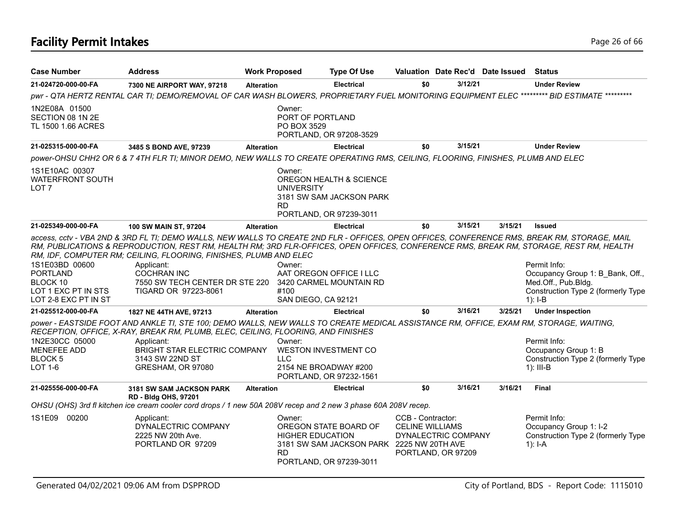# **Facility Permit Intakes** Page 26 of 66

| <b>Case Number</b>                                                                           | <b>Address</b>                                                                                                                                                                                                                                                                                                                                                                                                                                            |                   | <b>Work Proposed</b>                           | <b>Type Of Use</b>                                                                            |                                                                                          |         | Valuation Date Rec'd Date Issued | Status                                                                                                                     |
|----------------------------------------------------------------------------------------------|-----------------------------------------------------------------------------------------------------------------------------------------------------------------------------------------------------------------------------------------------------------------------------------------------------------------------------------------------------------------------------------------------------------------------------------------------------------|-------------------|------------------------------------------------|-----------------------------------------------------------------------------------------------|------------------------------------------------------------------------------------------|---------|----------------------------------|----------------------------------------------------------------------------------------------------------------------------|
| 21-024720-000-00-FA                                                                          | 7300 NE AIRPORT WAY, 97218                                                                                                                                                                                                                                                                                                                                                                                                                                | <b>Alteration</b> |                                                | <b>Electrical</b>                                                                             | \$0                                                                                      | 3/12/21 |                                  | <b>Under Review</b>                                                                                                        |
|                                                                                              | pwr - QTA HERTZ RENTAL CAR TI; DEMO/REMOVAL OF CAR WASH BLOWERS, PROPRIETARY FUEL MONITORING EQUIPMENT ELEC ********* BID ESTIMATE *********                                                                                                                                                                                                                                                                                                              |                   |                                                |                                                                                               |                                                                                          |         |                                  |                                                                                                                            |
| 1N2E08A 01500<br>SECTION 08 1N 2E<br>TL 1500 1.66 ACRES                                      |                                                                                                                                                                                                                                                                                                                                                                                                                                                           |                   | Owner:<br>PORT OF PORTLAND<br>PO BOX 3529      | PORTLAND, OR 97208-3529                                                                       |                                                                                          |         |                                  |                                                                                                                            |
| 21-025315-000-00-FA                                                                          | 3485 S BOND AVE, 97239                                                                                                                                                                                                                                                                                                                                                                                                                                    | <b>Alteration</b> |                                                | <b>Electrical</b>                                                                             | \$0                                                                                      | 3/15/21 |                                  | <b>Under Review</b>                                                                                                        |
|                                                                                              | power-OHSU CHH2 OR 6 & 7 4TH FLR TI; MINOR DEMO, NEW WALLS TO CREATE OPERATING RMS, CEILING, FLOORING, FINISHES, PLUMB AND ELEC                                                                                                                                                                                                                                                                                                                           |                   |                                                |                                                                                               |                                                                                          |         |                                  |                                                                                                                            |
| 1S1E10AC 00307<br><b>WATERFRONT SOUTH</b><br>LOT <sub>7</sub>                                |                                                                                                                                                                                                                                                                                                                                                                                                                                                           |                   | Owner:<br><b>UNIVERSITY</b><br><b>RD</b>       | OREGON HEALTH & SCIENCE<br>3181 SW SAM JACKSON PARK<br>PORTLAND, OR 97239-3011                |                                                                                          |         |                                  |                                                                                                                            |
| 21-025349-000-00-FA                                                                          | <b>100 SW MAIN ST, 97204</b>                                                                                                                                                                                                                                                                                                                                                                                                                              | <b>Alteration</b> |                                                | <b>Electrical</b>                                                                             | \$0                                                                                      | 3/15/21 | 3/15/21                          | <b>Issued</b>                                                                                                              |
| 1S1E03BD 00600<br><b>PORTLAND</b><br>BLOCK 10<br>LOT 1 EXC PT IN STS<br>LOT 2-8 EXC PT IN ST | access, cctv - VBA 2ND & 3RD FL TI; DEMO WALLS, NEW WALLS TO CREATE 2ND FLR - OFFICES, OPEN OFFICES, CONFERENCE RMS, BREAK RM, STORAGE, MAIL<br>RM, PUBLICATIONS & REPRODUCTION, REST RM, HEALTH RM; 3RD FLR-OFFICES, OPEN OFFICES, CONFERENCE RMS, BREAK RM, STORAGE, REST RM, HEALTH<br>RM, IDF, COMPUTER RM; CEILING, FLOORING, FINISHES, PLUMB AND ELEC<br>Applicant:<br><b>COCHRAN INC</b><br>7550 SW TECH CENTER DR STE 220<br>TIGARD OR 97223-8061 |                   | Owner:<br>#100<br>SAN DIEGO, CA 92121          | AAT OREGON OFFICE I LLC<br>3420 CARMEL MOUNTAIN RD                                            |                                                                                          |         |                                  | Permit Info:<br>Occupancy Group 1: B Bank, Off.,<br>Med.Off., Pub.Bldg.<br>Construction Type 2 (formerly Type<br>$1$ : I-B |
| 21-025512-000-00-FA                                                                          | 1827 NE 44TH AVE, 97213                                                                                                                                                                                                                                                                                                                                                                                                                                   | <b>Alteration</b> |                                                | <b>Electrical</b>                                                                             | \$0                                                                                      | 3/16/21 | 3/25/21                          | <b>Under Inspection</b>                                                                                                    |
| 1N2E30CC 05000<br><b>MENEFEE ADD</b><br>BLOCK <sub>5</sub><br><b>LOT 1-6</b>                 | power - EASTSIDE FOOT AND ANKLE TI, STE 100; DEMO WALLS, NEW WALLS TO CREATE MEDICAL ASSISTANCE RM, OFFICE, EXAM RM, STORAGE, WAITING,<br>RECEPTION, OFFICE, X-RAY, BREAK RM, PLUMB, ELEC, CEILING, FLOORING, AND FINISHES<br>Applicant:<br>BRIGHT STAR ELECTRIC COMPANY<br>3143 SW 22ND ST<br>GRESHAM, OR 97080                                                                                                                                          |                   | Owner:<br><b>LLC</b>                           | WESTON INVESTMENT CO<br>2154 NE BROADWAY #200<br>PORTLAND, OR 97232-1561                      |                                                                                          |         |                                  | Permit Info:<br>Occupancy Group 1: B<br>Construction Type 2 (formerly Type<br>$1$ : III-B                                  |
| 21-025556-000-00-FA                                                                          | <b>3181 SW SAM JACKSON PARK</b><br>RD - Bldg OHS, 97201                                                                                                                                                                                                                                                                                                                                                                                                   | <b>Alteration</b> |                                                | <b>Electrical</b>                                                                             | \$0                                                                                      | 3/16/21 | 3/16/21                          | Final                                                                                                                      |
|                                                                                              | OHSU (OHS) 3rd fl kitchen ice cream cooler cord drops / 1 new 50A 208V recep and 2 new 3 phase 60A 208V recep.                                                                                                                                                                                                                                                                                                                                            |                   |                                                |                                                                                               |                                                                                          |         |                                  |                                                                                                                            |
| 1S1E09<br>00200                                                                              | Applicant:<br>DYNALECTRIC COMPANY<br>2225 NW 20th Ave.<br>PORTLAND OR 97209                                                                                                                                                                                                                                                                                                                                                                               |                   | Owner:<br><b>HIGHER EDUCATION</b><br><b>RD</b> | OREGON STATE BOARD OF<br>3181 SW SAM JACKSON PARK 2225 NW 20TH AVE<br>PORTLAND, OR 97239-3011 | CCB - Contractor:<br><b>CELINE WILLIAMS</b><br>DYNALECTRIC COMPANY<br>PORTLAND, OR 97209 |         |                                  | Permit Info:<br>Occupancy Group 1: I-2<br>Construction Type 2 (formerly Type<br>$1$ : I-A                                  |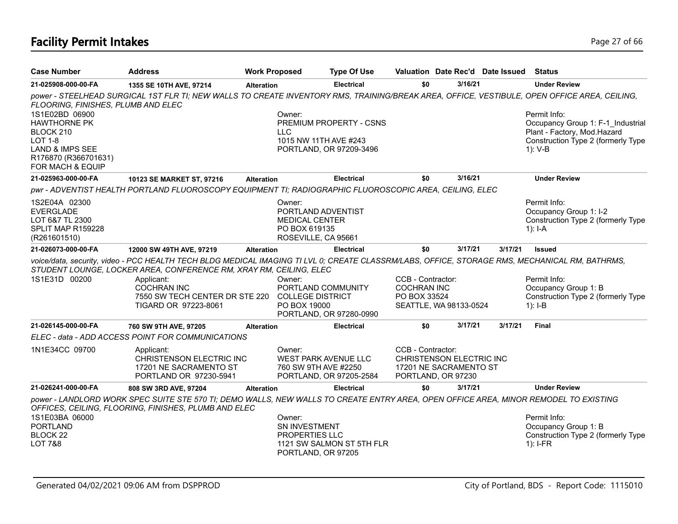# **Facility Permit Intakes** Page 27 of 66

| <b>Case Number</b>                                                                        | <b>Address</b>                                                                                                                                                                                                                                                                                                     | <b>Work Proposed</b> |                                                                                               | <b>Type Of Use</b>        |                                                                                               |         | Valuation Date Rec'd Date Issued Status |                                                                                           |
|-------------------------------------------------------------------------------------------|--------------------------------------------------------------------------------------------------------------------------------------------------------------------------------------------------------------------------------------------------------------------------------------------------------------------|----------------------|-----------------------------------------------------------------------------------------------|---------------------------|-----------------------------------------------------------------------------------------------|---------|-----------------------------------------|-------------------------------------------------------------------------------------------|
| 21-025908-000-00-FA                                                                       | 1355 SE 10TH AVE, 97214                                                                                                                                                                                                                                                                                            | <b>Alteration</b>    |                                                                                               | <b>Electrical</b>         | \$0                                                                                           | 3/16/21 |                                         | <b>Under Review</b>                                                                       |
| FLOORING, FINISHES, PLUMB AND ELEC                                                        | power - STEELHEAD SURGICAL 1ST FLR TI; NEW WALLS TO CREATE INVENTORY RMS, TRAINING/BREAK AREA, OFFICE, VESTIBULE, OPEN OFFICE AREA, CEILING,                                                                                                                                                                       |                      |                                                                                               |                           |                                                                                               |         |                                         |                                                                                           |
| 1S1E02BD 06900<br><b>HAWTHORNE PK</b><br>BLOCK 210                                        |                                                                                                                                                                                                                                                                                                                    |                      | Owner:<br><b>LLC</b>                                                                          | PREMIUM PROPERTY - CSNS   |                                                                                               |         |                                         | Permit Info:<br>Occupancy Group 1: F-1 Industrial<br>Plant - Factory, Mod.Hazard          |
| <b>LOT 1-8</b><br>LAND & IMPS SEE<br>R176870 (R366701631)<br>FOR MACH & EQUIP             |                                                                                                                                                                                                                                                                                                                    |                      | 1015 NW 11TH AVE #243                                                                         | PORTLAND, OR 97209-3496   |                                                                                               |         |                                         | Construction Type 2 (formerly Type<br>$1)$ : V-B                                          |
| 21-025963-000-00-FA                                                                       | 10123 SE MARKET ST, 97216                                                                                                                                                                                                                                                                                          | <b>Alteration</b>    |                                                                                               | <b>Electrical</b>         | \$0                                                                                           | 3/16/21 |                                         | <b>Under Review</b>                                                                       |
|                                                                                           | pwr - ADVENTIST HEALTH PORTLAND FLUOROSCOPY EQUIPMENT TI; RADIOGRAPHIC FLUOROSCOPIC AREA, CEILING, ELEC                                                                                                                                                                                                            |                      |                                                                                               |                           |                                                                                               |         |                                         |                                                                                           |
| 1S2E04A 02300<br><b>EVERGLADE</b><br>LOT 6&7 TL 2300<br>SPLIT MAP R159228<br>(R261601510) |                                                                                                                                                                                                                                                                                                                    |                      | Owner:<br>PORTLAND ADVENTIST<br><b>MEDICAL CENTER</b><br>PO BOX 619135<br>ROSEVILLE, CA 95661 |                           |                                                                                               |         |                                         | Permit Info:<br>Occupancy Group 1: I-2<br>Construction Type 2 (formerly Type<br>1): $I-A$ |
| 21-026073-000-00-FA                                                                       | 12000 SW 49TH AVE, 97219                                                                                                                                                                                                                                                                                           | <b>Alteration</b>    |                                                                                               | <b>Electrical</b>         | \$0                                                                                           | 3/17/21 | 3/17/21                                 | <b>Issued</b>                                                                             |
| 1S1E31D 00200                                                                             | voice/data, security, video - PCC HEALTH TECH BLDG MEDICAL IMAGING TI LVL 0; CREATE CLASSRM/LABS, OFFICE, STORAGE RMS, MECHANICAL RM, BATHRMS,<br>STUDENT LOUNGE, LOCKER AREA, CONFERENCE RM, XRAY RM, CEILING, ELEC<br>Applicant:<br><b>COCHRAN INC</b><br>7550 SW TECH CENTER DR STE 220<br>TIGARD OR 97223-8061 |                      | Owner:<br>PORTLAND COMMUNITY<br><b>COLLEGE DISTRICT</b><br>PO BOX 19000                       | PORTLAND, OR 97280-0990   | CCB - Contractor:<br><b>COCHRAN INC</b><br>PO BOX 33524<br>SEATTLE, WA 98133-0524             |         |                                         | Permit Info:<br>Occupancy Group 1: B<br>Construction Type 2 (formerly Type<br>$1$ : I-B   |
| 21-026145-000-00-FA                                                                       | 760 SW 9TH AVE, 97205                                                                                                                                                                                                                                                                                              | <b>Alteration</b>    |                                                                                               | <b>Electrical</b>         | \$0                                                                                           | 3/17/21 | 3/17/21                                 | Final                                                                                     |
|                                                                                           | ELEC - data - ADD ACCESS POINT FOR COMMUNICATIONS                                                                                                                                                                                                                                                                  |                      |                                                                                               |                           |                                                                                               |         |                                         |                                                                                           |
| 1N1E34CC 09700                                                                            | Applicant:<br>CHRISTENSON ELECTRIC INC<br>17201 NE SACRAMENTO ST<br>PORTLAND OR 97230-5941                                                                                                                                                                                                                         |                      | Owner:<br>WEST PARK AVENUE LLC<br>760 SW 9TH AVE #2250                                        | PORTLAND, OR 97205-2584   | CCB - Contractor:<br>CHRISTENSON ELECTRIC INC<br>17201 NE SACRAMENTO ST<br>PORTLAND, OR 97230 |         |                                         |                                                                                           |
| 21-026241-000-00-FA                                                                       | 808 SW 3RD AVE, 97204                                                                                                                                                                                                                                                                                              | <b>Alteration</b>    |                                                                                               | Electrical                | \$0                                                                                           | 3/17/21 |                                         | <b>Under Review</b>                                                                       |
|                                                                                           | power - LANDLORD WORK SPEC SUITE STE 570 TI; DEMO WALLS, NEW WALLS TO CREATE ENTRY AREA, OPEN OFFICE AREA, MINOR REMODEL TO EXISTING<br>OFFICES, CEILING, FLOORING, FINISHES, PLUMB AND ELEC                                                                                                                       |                      |                                                                                               |                           |                                                                                               |         |                                         |                                                                                           |
| 1S1E03BA 06000<br><b>PORTLAND</b><br>BLOCK <sub>22</sub><br><b>LOT 7&amp;8</b>            |                                                                                                                                                                                                                                                                                                                    |                      | Owner:<br>SN INVESTMENT<br>PROPERTIES LLC<br>PORTLAND, OR 97205                               | 1121 SW SALMON ST 5TH FLR |                                                                                               |         |                                         | Permit Info:<br>Occupancy Group 1: B<br>Construction Type 2 (formerly Type<br>$1$ : I-FR  |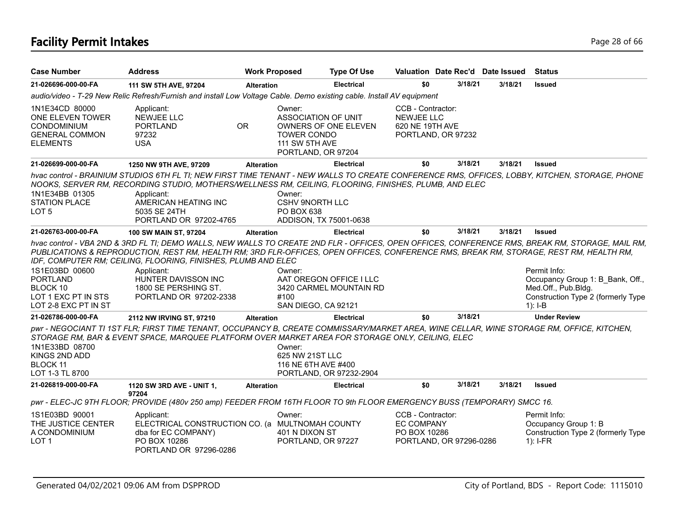# **Facility Permit Intakes** Page 28 of 66

| <b>Case Number</b>                                                                                   | <b>Address</b>                                                                                                                                                                                                                                                                                 | <b>Work Proposed</b> |                                                                                      | <b>Type Of Use</b>                                 | Valuation Date Rec'd Date Issued                                                  |         |         | <b>Status</b>                                                                                                                                                                                                                                                                  |
|------------------------------------------------------------------------------------------------------|------------------------------------------------------------------------------------------------------------------------------------------------------------------------------------------------------------------------------------------------------------------------------------------------|----------------------|--------------------------------------------------------------------------------------|----------------------------------------------------|-----------------------------------------------------------------------------------|---------|---------|--------------------------------------------------------------------------------------------------------------------------------------------------------------------------------------------------------------------------------------------------------------------------------|
| 21-026696-000-00-FA                                                                                  | 111 SW 5TH AVE, 97204                                                                                                                                                                                                                                                                          | <b>Alteration</b>    |                                                                                      | <b>Electrical</b>                                  | \$0                                                                               | 3/18/21 | 3/18/21 | <b>Issued</b>                                                                                                                                                                                                                                                                  |
|                                                                                                      | audio/video - T-29 New Relic Refresh/Furnish and install Low Voltage Cable. Demo existing cable. Install AV equipment                                                                                                                                                                          |                      |                                                                                      |                                                    |                                                                                   |         |         |                                                                                                                                                                                                                                                                                |
| 1N1E34CD 80000<br>ONE ELEVEN TOWER<br><b>CONDOMINIUM</b><br><b>GENERAL COMMON</b><br><b>ELEMENTS</b> | Applicant:<br>NEWJEE LLC<br><b>PORTLAND</b><br>97232<br><b>USA</b>                                                                                                                                                                                                                             | <b>OR</b>            | Owner:<br>ASSOCIATION OF UNIT<br>TOWER CONDO<br>111 SW 5TH AVE<br>PORTLAND, OR 97204 | <b>OWNERS OF ONE ELEVEN</b>                        | CCB - Contractor:<br><b>NEWJEE LLC</b><br>620 NE 19TH AVE<br>PORTLAND, OR 97232   |         |         |                                                                                                                                                                                                                                                                                |
| 21-026699-000-00-FA                                                                                  | 1250 NW 9TH AVE, 97209                                                                                                                                                                                                                                                                         | <b>Alteration</b>    |                                                                                      | <b>Electrical</b>                                  | \$0                                                                               | 3/18/21 | 3/18/21 | <b>Issued</b>                                                                                                                                                                                                                                                                  |
| 1N1E34BB 01305<br><b>STATION PLACE</b><br>LOT <sub>5</sub>                                           | NOOKS, SERVER RM, RECORDING STUDIO, MOTHERS/WELLNESS RM, CEILING, FLOORING, FINISHES, PLUMB, AND ELEC<br>Applicant:<br>AMERICAN HEATING INC<br>5035 SE 24TH<br>PORTLAND OR 97202-4765                                                                                                          |                      | Owner:<br>CSHV 9NORTH LLC<br>PO BOX 638                                              | ADDISON, TX 75001-0638                             |                                                                                   |         |         | hvac control - BRAINIUM STUDIOS 6TH FL TI; NEW FIRST TIME TENANT - NEW WALLS TO CREATE CONFERENCE RMS, OFFICES, LOBBY, KITCHEN, STORAGE, PHONE                                                                                                                                 |
| 21-026763-000-00-FA                                                                                  | 100 SW MAIN ST, 97204                                                                                                                                                                                                                                                                          | <b>Alteration</b>    |                                                                                      | <b>Electrical</b>                                  | \$0                                                                               | 3/18/21 | 3/18/21 | <b>Issued</b>                                                                                                                                                                                                                                                                  |
| 1S1E03BD 00600<br><b>PORTLAND</b><br>BLOCK 10<br>LOT 1 EXC PT IN STS<br>LOT 2-8 EXC PT IN ST         | PUBLICATIONS & REPRODUCTION, REST RM, HEALTH RM; 3RD FLR-OFFICES, OPEN OFFICES, CONFERENCE RMS, BREAK RM, STORAGE, REST RM, HEALTH RM,<br>IDF, COMPUTER RM; CEILING, FLOORING, FINISHES, PLUMB AND ELEC<br>Applicant:<br>HUNTER DAVISSON INC<br>1800 SE PERSHING ST.<br>PORTLAND OR 97202-2338 |                      | Owner:<br>#100<br>SAN DIEGO, CA 92121                                                | AAT OREGON OFFICE I LLC<br>3420 CARMEL MOUNTAIN RD |                                                                                   |         |         | hvac control - VBA 2ND & 3RD FL TI; DEMO WALLS, NEW WALLS TO CREATE 2ND FLR - OFFICES, OPEN OFFICES, CONFERENCE RMS, BREAK RM, STORAGE, MAIL RM,<br>Permit Info:<br>Occupancy Group 1: B Bank, Off.,<br>Med.Off., Pub.Bldg.<br>Construction Type 2 (formerly Type<br>$1$ : I-B |
| 21-026786-000-00-FA                                                                                  | 2112 NW IRVING ST, 97210                                                                                                                                                                                                                                                                       | <b>Alteration</b>    |                                                                                      | <b>Electrical</b>                                  | \$0                                                                               | 3/18/21 |         | <b>Under Review</b>                                                                                                                                                                                                                                                            |
| 1N1E33BD 08700<br>KINGS 2ND ADD<br><b>BLOCK 11</b><br>LOT 1-3 TL 8700                                | pwr - NEGOCIANT TI 1ST FLR; FIRST TIME TENANT, OCCUPANCY B, CREATE COMMISSARY/MARKET AREA, WINE CELLAR, WINE STORAGE RM, OFFICE, KITCHEN,<br>STORAGE RM, BAR & EVENT SPACE, MARQUEE PLATFORM OVER MARKET AREA FOR STORAGE ONLY, CEILING, ELEC                                                  |                      | Owner:<br>625 NW 21ST LLC<br>116 NE 6TH AVE #400                                     | PORTLAND, OR 97232-2904                            |                                                                                   |         |         |                                                                                                                                                                                                                                                                                |
| 21-026819-000-00-FA                                                                                  | 1120 SW 3RD AVE - UNIT 1,                                                                                                                                                                                                                                                                      | <b>Alteration</b>    |                                                                                      | <b>Electrical</b>                                  | \$0                                                                               | 3/18/21 | 3/18/21 | <b>Issued</b>                                                                                                                                                                                                                                                                  |
|                                                                                                      | 97204<br>pwr - ELEC-JC 9TH FLOOR; PROVIDE (480v 250 amp) FEEDER FROM 16TH FLOOR TO 9th FLOOR EMERGENCY BUSS (TEMPORARY) SMCC 16.                                                                                                                                                               |                      |                                                                                      |                                                    |                                                                                   |         |         |                                                                                                                                                                                                                                                                                |
| 1S1E03BD 90001<br>THE JUSTICE CENTER<br>A CONDOMINIUM<br>LOT <sub>1</sub>                            | Applicant:<br>ELECTRICAL CONSTRUCTION CO. (a MULTNOMAH COUNTY<br>dba for EC COMPANY)<br>PO BOX 10286<br>PORTLAND OR 97296-0286                                                                                                                                                                 |                      | Owner:<br>401 N DIXON ST<br>PORTLAND, OR 97227                                       |                                                    | CCB - Contractor:<br><b>EC COMPANY</b><br>PO BOX 10286<br>PORTLAND, OR 97296-0286 |         |         | Permit Info:<br>Occupancy Group 1: B<br>Construction Type 2 (formerly Type<br>$1$ : I-FR                                                                                                                                                                                       |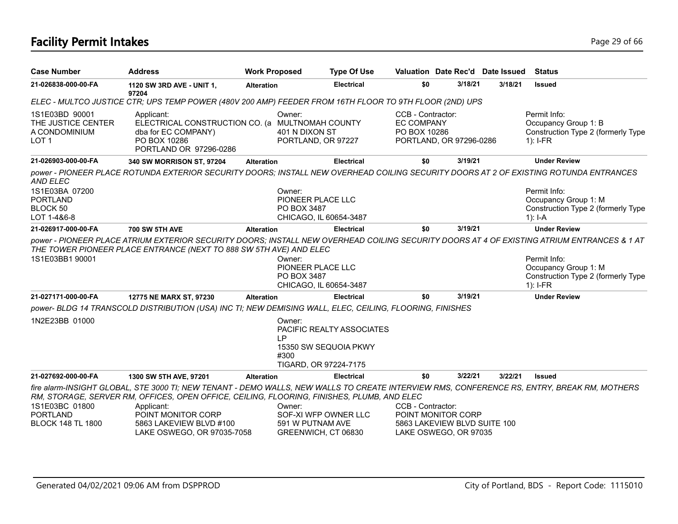## **Facility Permit Intakes** Page 29 of 66

| <b>Case Number</b>                                                              | <b>Address</b>                                                                                                                                                                                                                            | <b>Work Proposed</b> |                                                                           | <b>Type Of Use</b>                                 |                                                                                                  |         | Valuation Date Rec'd Date Issued | Status                                                                                                                                                                                                                                 |
|---------------------------------------------------------------------------------|-------------------------------------------------------------------------------------------------------------------------------------------------------------------------------------------------------------------------------------------|----------------------|---------------------------------------------------------------------------|----------------------------------------------------|--------------------------------------------------------------------------------------------------|---------|----------------------------------|----------------------------------------------------------------------------------------------------------------------------------------------------------------------------------------------------------------------------------------|
| 21-026838-000-00-FA                                                             | 1120 SW 3RD AVE - UNIT 1,<br>97204                                                                                                                                                                                                        | <b>Alteration</b>    |                                                                           | <b>Electrical</b>                                  | \$0                                                                                              | 3/18/21 | 3/18/21                          | <b>Issued</b>                                                                                                                                                                                                                          |
|                                                                                 | ELEC - MULTCO JUSTICE CTR; UPS TEMP POWER (480V 200 AMP) FEEDER FROM 16TH FLOOR TO 9TH FLOOR (2ND) UPS                                                                                                                                    |                      |                                                                           |                                                    |                                                                                                  |         |                                  |                                                                                                                                                                                                                                        |
| 1S1E03BD 90001<br>THE JUSTICE CENTER<br>A CONDOMINIUM<br>LOT <sub>1</sub>       | Applicant:<br>ELECTRICAL CONSTRUCTION CO. (a MULTNOMAH COUNTY<br>dba for EC COMPANY)<br>PO BOX 10286<br>PORTLAND OR 97296-0286                                                                                                            |                      | Owner:<br>401 N DIXON ST<br>PORTLAND, OR 97227                            |                                                    | CCB - Contractor:<br><b>EC COMPANY</b><br>PO BOX 10286<br>PORTLAND, OR 97296-0286                |         |                                  | Permit Info:<br>Occupancy Group 1: B<br>Construction Type 2 (formerly Type<br>$1$ : I-FR                                                                                                                                               |
| 21-026903-000-00-FA                                                             | 340 SW MORRISON ST, 97204                                                                                                                                                                                                                 | <b>Alteration</b>    |                                                                           | <b>Electrical</b>                                  | \$0                                                                                              | 3/19/21 |                                  | <b>Under Review</b>                                                                                                                                                                                                                    |
| <b>AND ELEC</b><br>1S1E03BA 07200<br><b>PORTLAND</b><br>BLOCK 50<br>LOT 1-4&6-8 | power - PIONEER PLACE ROTUNDA EXTERIOR SECURITY DOORS; INSTALL NEW OVERHEAD COILING SECURITY DOORS AT 2 OF EXISTING ROTUNDA ENTRANCES                                                                                                     |                      | Owner:<br>PIONEER PLACE LLC<br>PO BOX 3487<br>CHICAGO, IL 60654-3487      |                                                    |                                                                                                  |         |                                  | Permit Info:<br>Occupancy Group 1: M<br>Construction Type 2 (formerly Type<br>1): $I-A$                                                                                                                                                |
| 21-026917-000-00-FA                                                             | <b>700 SW 5TH AVE</b>                                                                                                                                                                                                                     | <b>Alteration</b>    |                                                                           | <b>Electrical</b>                                  | \$0                                                                                              | 3/19/21 |                                  | <b>Under Review</b>                                                                                                                                                                                                                    |
| 1S1E03BB1 90001                                                                 | THE TOWER PIONEER PLACE ENTRANCE (NEXT TO 888 SW 5TH AVE) AND ELEC                                                                                                                                                                        |                      | Owner:<br>PIONEER PLACE LLC<br>PO BOX 3487<br>CHICAGO, IL 60654-3487      |                                                    |                                                                                                  |         |                                  | power - PIONEER PLACE ATRIUM EXTERIOR SECURITY DOORS; INSTALL NEW OVERHEAD COILING SECURITY DOORS AT 4 OF EXISTING ATRIUM ENTRANCES & 1 AT<br>Permit Info:<br>Occupancy Group 1: M<br>Construction Type 2 (formerly Type<br>$1$ : I-FR |
| 21-027171-000-00-FA                                                             | 12775 NE MARX ST, 97230                                                                                                                                                                                                                   | <b>Alteration</b>    |                                                                           | <b>Electrical</b>                                  | \$0                                                                                              | 3/19/21 |                                  | <b>Under Review</b>                                                                                                                                                                                                                    |
|                                                                                 | power- BLDG 14 TRANSCOLD DISTRIBUTION (USA) INC TI; NEW DEMISING WALL, ELEC, CEILING, FLOORING, FINISHES                                                                                                                                  |                      |                                                                           |                                                    |                                                                                                  |         |                                  |                                                                                                                                                                                                                                        |
| 1N2E23BB 01000                                                                  |                                                                                                                                                                                                                                           |                      | Owner:<br>I P<br>#300<br>TIGARD, OR 97224-7175                            | PACIFIC REALTY ASSOCIATES<br>15350 SW SEQUOIA PKWY |                                                                                                  |         |                                  |                                                                                                                                                                                                                                        |
| 21-027692-000-00-FA                                                             | 1300 SW 5TH AVE, 97201                                                                                                                                                                                                                    | <b>Alteration</b>    |                                                                           | <b>Electrical</b>                                  | \$0                                                                                              | 3/22/21 | 3/22/21                          | <b>Issued</b>                                                                                                                                                                                                                          |
|                                                                                 | fire alarm-INSIGHT GLOBAL, STE 3000 TI; NEW TENANT - DEMO WALLS, NEW WALLS TO CREATE INTERVIEW RMS, CONFERENCE RS, ENTRY, BREAK RM, MOTHERS<br>RM, STORAGE, SERVER RM, OFFICES, OPEN OFFICE, CEILING, FLOORING, FINISHES, PLUMB, AND ELEC |                      |                                                                           |                                                    |                                                                                                  |         |                                  |                                                                                                                                                                                                                                        |
| 1S1E03BC 01800<br><b>PORTLAND</b><br><b>BLOCK 148 TL 1800</b>                   | Applicant:<br>POINT MONITOR CORP<br>5863 LAKEVIEW BLVD #100<br>LAKE OSWEGO, OR 97035-7058                                                                                                                                                 |                      | Owner:<br>SOF-XI WFP OWNER LLC<br>591 W PUTNAM AVE<br>GREENWICH, CT 06830 |                                                    | CCB - Contractor:<br>POINT MONITOR CORP<br>5863 LAKEVIEW BLVD SUITE 100<br>LAKE OSWEGO, OR 97035 |         |                                  |                                                                                                                                                                                                                                        |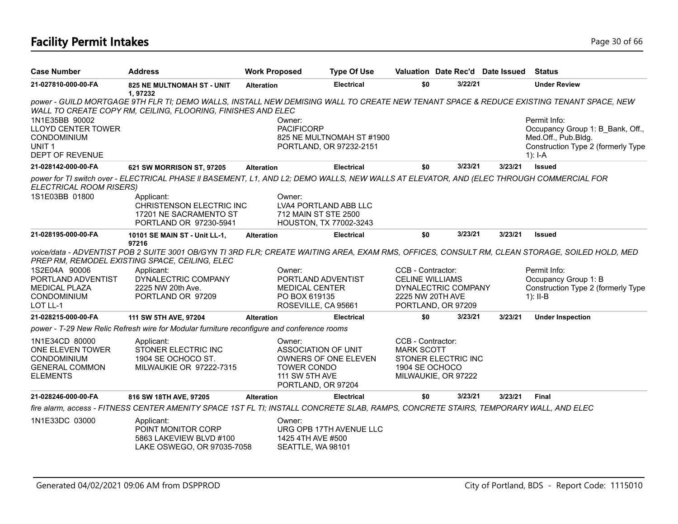# **Facility Permit Intakes** Page 30 of 66

| <b>Case Number</b>                         | <b>Address</b>                                                                                                                                                                                          | <b>Work Proposed</b> |                                                      | <b>Type Of Use</b> |                        | Valuation Date Rec'd Date Issued |         | <b>Status</b>                                              |
|--------------------------------------------|---------------------------------------------------------------------------------------------------------------------------------------------------------------------------------------------------------|----------------------|------------------------------------------------------|--------------------|------------------------|----------------------------------|---------|------------------------------------------------------------|
| 21-027810-000-00-FA                        | <b>825 NE MULTNOMAH ST - UNIT</b><br>1,97232                                                                                                                                                            | <b>Alteration</b>    |                                                      | <b>Electrical</b>  | \$0                    | 3/22/21                          |         | <b>Under Review</b>                                        |
|                                            | power - GUILD MORTGAGE 9TH FLR TI; DEMO WALLS, INSTALL NEW DEMISING WALL TO CREATE NEW TENANT SPACE & REDUCE EXISTING TENANT SPACE, NEW<br>WALL TO CREATE COPY RM, CEILING, FLOORING, FINISHES AND ELEC |                      |                                                      |                    |                        |                                  |         |                                                            |
| 1N1E35BB 90002                             |                                                                                                                                                                                                         |                      | Owner:                                               |                    |                        |                                  |         | Permit Info:                                               |
| <b>LLOYD CENTER TOWER</b>                  |                                                                                                                                                                                                         |                      | <b>PACIFICORP</b>                                    |                    |                        |                                  |         | Occupancy Group 1: B Bank, Off.,                           |
| <b>CONDOMINIUM</b><br>UNIT <sub>1</sub>    |                                                                                                                                                                                                         |                      | 825 NE MULTNOMAH ST #1900<br>PORTLAND, OR 97232-2151 |                    |                        |                                  |         | Med.Off., Pub.Bldg.<br>Construction Type 2 (formerly Type  |
| DEPT OF REVENUE                            |                                                                                                                                                                                                         |                      |                                                      |                    |                        |                                  |         | 1): $I - A$                                                |
| 21-028142-000-00-FA                        | 621 SW MORRISON ST, 97205                                                                                                                                                                               | <b>Alteration</b>    |                                                      | <b>Electrical</b>  | \$0                    | 3/23/21                          | 3/23/21 | <b>Issued</b>                                              |
| ELECTRICAL ROOM RISERS)                    | power for TI switch over - ELECTRICAL PHASE II BASEMENT, L1, AND L2; DEMO WALLS, NEW WALLS AT ELEVATOR, AND (ELEC THROUGH COMMERCIAL FOR                                                                |                      |                                                      |                    |                        |                                  |         |                                                            |
| 1S1E03BB 01800                             | Applicant:                                                                                                                                                                                              |                      | Owner:                                               |                    |                        |                                  |         |                                                            |
|                                            | CHRISTENSON ELECTRIC INC                                                                                                                                                                                |                      | LVA4 PORTLAND ABB LLC                                |                    |                        |                                  |         |                                                            |
|                                            | 17201 NE SACRAMENTO ST<br>PORTLAND OR 97230-5941                                                                                                                                                        |                      | 712 MAIN ST STE 2500<br>HOUSTON, TX 77002-3243       |                    |                        |                                  |         |                                                            |
| 21-028195-000-00-FA                        | 10101 SE MAIN ST - Unit LL-1,                                                                                                                                                                           | <b>Alteration</b>    |                                                      | <b>Electrical</b>  | \$0                    | 3/23/21                          | 3/23/21 | <b>Issued</b>                                              |
|                                            | 97216                                                                                                                                                                                                   |                      |                                                      |                    |                        |                                  |         |                                                            |
|                                            | voice/data - ADVENTIST POB 2 SUITE 3001 OB/GYN TI 3RD FLR; CREATE WAITING AREA, EXAM RMS, OFFICES, CONSULT RM, CLEAN STORAGE, SOILED HOLD, MED<br>PREP RM, REMODEL EXISTING SPACE, CEILING, ELEC        |                      |                                                      |                    |                        |                                  |         |                                                            |
| 1S2E04A 90006                              | Applicant:                                                                                                                                                                                              |                      | Owner:                                               |                    | CCB - Contractor:      |                                  |         | Permit Info:                                               |
| PORTLAND ADVENTIST<br><b>MEDICAL PLAZA</b> | DYNALECTRIC COMPANY<br>2225 NW 20th Ave.                                                                                                                                                                |                      | PORTLAND ADVENTIST<br><b>MEDICAL CENTER</b>          |                    | <b>CELINE WILLIAMS</b> | DYNALECTRIC COMPANY              |         | Occupancy Group 1: B<br>Construction Type 2 (formerly Type |
| <b>CONDOMINIUM</b>                         | PORTLAND OR 97209                                                                                                                                                                                       |                      | PO BOX 619135                                        |                    | 2225 NW 20TH AVE       |                                  |         | $1$ : II-B                                                 |
| LOT LL-1                                   |                                                                                                                                                                                                         |                      | ROSEVILLE, CA 95661                                  |                    |                        | PORTLAND, OR 97209               |         |                                                            |
| 21-028215-000-00-FA                        | 111 SW 5TH AVE, 97204                                                                                                                                                                                   | <b>Alteration</b>    |                                                      | <b>Electrical</b>  | \$0                    | 3/23/21                          | 3/23/21 | <b>Under Inspection</b>                                    |
|                                            | power - T-29 New Relic Refresh wire for Modular furniture reconfigure and conference rooms                                                                                                              |                      |                                                      |                    |                        |                                  |         |                                                            |
| 1N1E34CD 80000                             | Applicant:                                                                                                                                                                                              |                      | Owner:                                               |                    | CCB - Contractor:      |                                  |         |                                                            |
| ONE ELEVEN TOWER                           | STONER ELECTRIC INC                                                                                                                                                                                     |                      | ASSOCIATION OF UNIT                                  |                    | <b>MARK SCOTT</b>      |                                  |         |                                                            |
| CONDOMINIUM<br><b>GENERAL COMMON</b>       | 1904 SE OCHOCO ST.<br>MILWAUKIE OR 97222-7315                                                                                                                                                           |                      | <b>OWNERS OF ONE ELEVEN</b><br>TOWER CONDO           |                    | 1904 SE OCHOCO         | <b>STONER ELECTRIC INC</b>       |         |                                                            |
| <b>ELEMENTS</b>                            |                                                                                                                                                                                                         |                      | 111 SW 5TH AVE                                       |                    |                        | MILWAUKIE, OR 97222              |         |                                                            |
|                                            |                                                                                                                                                                                                         |                      | PORTLAND, OR 97204                                   |                    |                        |                                  |         |                                                            |
| 21-028246-000-00-FA                        | 816 SW 18TH AVE, 97205                                                                                                                                                                                  | <b>Alteration</b>    |                                                      | <b>Electrical</b>  | \$0                    | 3/23/21                          | 3/23/21 | <b>Final</b>                                               |
|                                            | fire alarm, access - FITNESS CENTER AMENITY SPACE 1ST FL TI; INSTALL CONCRETE SLAB, RAMPS, CONCRETE STAIRS, TEMPORARY WALL, AND ELEC                                                                    |                      |                                                      |                    |                        |                                  |         |                                                            |
| 1N1E33DC 03000                             | Applicant:                                                                                                                                                                                              |                      | Owner:                                               |                    |                        |                                  |         |                                                            |
|                                            | POINT MONITOR CORP<br>5863 LAKEVIEW BLVD #100                                                                                                                                                           |                      | URG OPB 17TH AVENUE LLC<br>1425 4TH AVE #500         |                    |                        |                                  |         |                                                            |
|                                            | LAKE OSWEGO, OR 97035-7058                                                                                                                                                                              |                      | SEATTLE, WA 98101                                    |                    |                        |                                  |         |                                                            |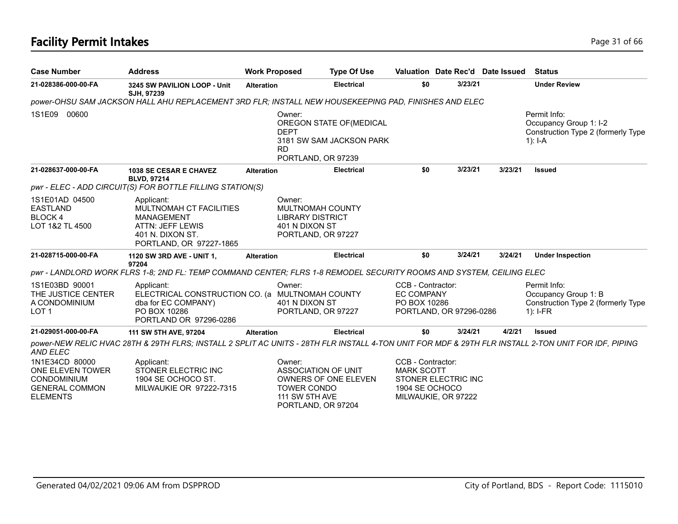| <b>Case Number</b>                                                                                   | <b>Address</b>                                                                                                                                      | <b>Work Proposed</b> |                                                                                               | <b>Type Of Use</b>                                   |                                                                                                        |         | Valuation Date Rec'd Date Issued | <b>Status</b>                                                                             |
|------------------------------------------------------------------------------------------------------|-----------------------------------------------------------------------------------------------------------------------------------------------------|----------------------|-----------------------------------------------------------------------------------------------|------------------------------------------------------|--------------------------------------------------------------------------------------------------------|---------|----------------------------------|-------------------------------------------------------------------------------------------|
| 21-028386-000-00-FA                                                                                  | 3245 SW PAVILION LOOP - Unit<br>SJH, 97239                                                                                                          | <b>Alteration</b>    |                                                                                               | <b>Electrical</b>                                    | \$0                                                                                                    | 3/23/21 |                                  | <b>Under Review</b>                                                                       |
|                                                                                                      | power-OHSU SAM JACKSON HALL AHU REPLACEMENT 3RD FLR; INSTALL NEW HOUSEKEEPING PAD, FINISHES AND ELEC                                                |                      |                                                                                               |                                                      |                                                                                                        |         |                                  |                                                                                           |
| 1S1E09<br>00600                                                                                      |                                                                                                                                                     |                      | Owner:<br><b>DEPT</b><br><b>RD</b><br>PORTLAND, OR 97239                                      | OREGON STATE OF (MEDICAL<br>3181 SW SAM JACKSON PARK |                                                                                                        |         |                                  | Permit Info:<br>Occupancy Group 1: I-2<br>Construction Type 2 (formerly Type<br>$1$ : I-A |
| 21-028637-000-00-FA                                                                                  | <b>1038 SE CESAR E CHAVEZ</b><br><b>BLVD, 97214</b>                                                                                                 | <b>Alteration</b>    |                                                                                               | <b>Electrical</b>                                    | \$0                                                                                                    | 3/23/21 | 3/23/21                          | <b>Issued</b>                                                                             |
|                                                                                                      | pwr - ELEC - ADD CIRCUIT(S) FOR BOTTLE FILLING STATION(S)                                                                                           |                      |                                                                                               |                                                      |                                                                                                        |         |                                  |                                                                                           |
| 1S1E01AD 04500<br><b>EASTLAND</b><br><b>BLOCK4</b><br>LOT 1&2 TL 4500                                | Applicant:<br>MULTNOMAH CT FACILITIES<br><b>MANAGEMENT</b><br>ATTN: JEFF LEWIS<br>401 N. DIXON ST.<br>PORTLAND, OR 97227-1865                       |                      | Owner:<br>MULTNOMAH COUNTY<br><b>LIBRARY DISTRICT</b><br>401 N DIXON ST<br>PORTLAND, OR 97227 |                                                      |                                                                                                        |         |                                  |                                                                                           |
| 21-028715-000-00-FA                                                                                  | 1120 SW 3RD AVE - UNIT 1,<br>97204                                                                                                                  | <b>Alteration</b>    |                                                                                               | <b>Electrical</b>                                    | \$0                                                                                                    | 3/24/21 | 3/24/21                          | <b>Under Inspection</b>                                                                   |
|                                                                                                      | pwr - LANDLORD WORK FLRS 1-8; 2ND FL: TEMP COMMAND CENTER; FLRS 1-8 REMODEL SECURITY ROOMS AND SYSTEM, CEILING ELEC                                 |                      |                                                                                               |                                                      |                                                                                                        |         |                                  |                                                                                           |
| 1S1E03BD 90001<br>THE JUSTICE CENTER<br>A CONDOMINIUM<br>LOT <sub>1</sub>                            | Applicant:<br>ELECTRICAL CONSTRUCTION CO. (a MULTNOMAH COUNTY<br>dba for EC COMPANY)<br>PO BOX 10286<br>PORTLAND OR 97296-0286                      |                      | Owner:<br>401 N DIXON ST<br>PORTLAND, OR 97227                                                |                                                      | CCB - Contractor:<br><b>EC COMPANY</b><br>PO BOX 10286<br>PORTLAND, OR 97296-0286                      |         |                                  | Permit Info:<br>Occupancy Group 1: B<br>Construction Type 2 (formerly Type<br>$1$ : I-FR  |
| 21-029051-000-00-FA                                                                                  | 111 SW 5TH AVE, 97204                                                                                                                               | <b>Alteration</b>    |                                                                                               | <b>Electrical</b>                                    | \$0                                                                                                    | 3/24/21 | 4/2/21                           | <b>Issued</b>                                                                             |
| AND ELEC                                                                                             | power-NEW RELIC HVAC 28TH & 29TH FLRS; INSTALL 2 SPLIT AC UNITS - 28TH FLR INSTALL 4-TON UNIT FOR MDF & 29TH FLR INSTALL 2-TON UNIT FOR IDF, PIPING |                      |                                                                                               |                                                      |                                                                                                        |         |                                  |                                                                                           |
| 1N1E34CD 80000<br>ONE ELEVEN TOWER<br><b>CONDOMINIUM</b><br><b>GENERAL COMMON</b><br><b>ELEMENTS</b> | Applicant:<br>STONER ELECTRIC INC<br>1904 SE OCHOCO ST.<br>MILWAUKIE OR 97222-7315                                                                  |                      | Owner:<br>ASSOCIATION OF UNIT<br><b>TOWER CONDO</b><br>111 SW 5TH AVE<br>PORTLAND, OR 97204   | OWNERS OF ONE ELEVEN                                 | CCB - Contractor:<br><b>MARK SCOTT</b><br>STONER ELECTRIC INC<br>1904 SE OCHOCO<br>MILWAUKIE, OR 97222 |         |                                  |                                                                                           |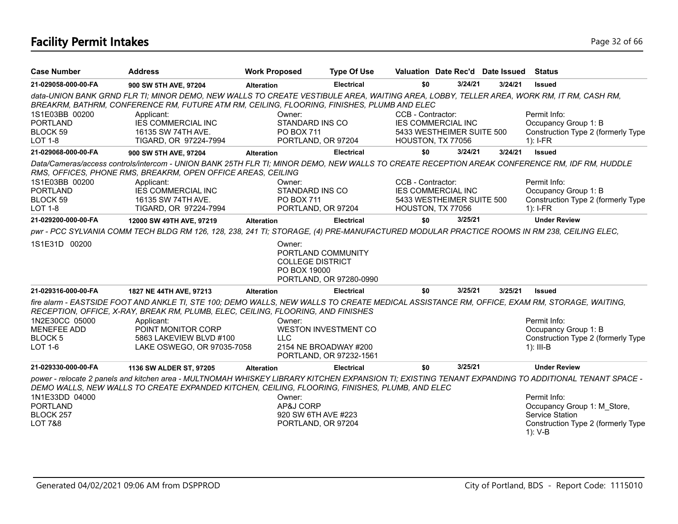# **Facility Permit Intakes** Page 32 of 66

| <b>Case Number</b>                                                    | <b>Address</b>                                                                                                                                                                                                                        | <b>Work Proposed</b> | <b>Type Of Use</b>                                                                       |                   |                           | Valuation Date Rec'd Date Issued | <b>Status</b>                                                                                                                                                       |
|-----------------------------------------------------------------------|---------------------------------------------------------------------------------------------------------------------------------------------------------------------------------------------------------------------------------------|----------------------|------------------------------------------------------------------------------------------|-------------------|---------------------------|----------------------------------|---------------------------------------------------------------------------------------------------------------------------------------------------------------------|
| 21-029058-000-00-FA                                                   | 900 SW 5TH AVE, 97204                                                                                                                                                                                                                 | <b>Alteration</b>    | <b>Electrical</b>                                                                        | \$0               | 3/24/21                   | 3/24/21                          | <b>Issued</b>                                                                                                                                                       |
|                                                                       | data-UNION BANK GRND FLR TI; MINOR DEMO, NEW WALLS TO CREATE VESTIBULE AREA, WAITING AREA, LOBBY, TELLER AREA, WORK RM, IT RM, CASH RM,<br>BREAKRM, BATHRM, CONFERENCE RM, FUTURE ATM RM, CEILING, FLOORING, FINISHES, PLUMB AND ELEC |                      |                                                                                          |                   |                           |                                  |                                                                                                                                                                     |
| 1S1E03BB 00200<br><b>PORTLAND</b>                                     | Applicant:<br><b>IES COMMERCIAL INC</b>                                                                                                                                                                                               | Owner:               | STANDARD INS CO                                                                          | CCB - Contractor: | <b>IES COMMERCIAL INC</b> |                                  | Permit Info:<br>Occupancy Group 1: B                                                                                                                                |
| BLOCK 59<br><b>LOT 1-8</b>                                            | 16135 SW 74TH AVE.<br>TIGARD, OR 97224-7994                                                                                                                                                                                           |                      | <b>PO BOX 711</b><br>PORTLAND, OR 97204                                                  | HOUSTON, TX 77056 | 5433 WESTHEIMER SUITE 500 |                                  | Construction Type 2 (formerly Type<br>$1$ : I-FR                                                                                                                    |
| 21-029068-000-00-FA                                                   | 900 SW 5TH AVE, 97204                                                                                                                                                                                                                 | <b>Alteration</b>    | <b>Electrical</b>                                                                        | \$0               | 3/24/21                   | 3/24/21                          | <b>Issued</b>                                                                                                                                                       |
|                                                                       | Data/Cameras/access controls/intercom - UNION BANK 25TH FLR TI; MINOR DEMO, NEW WALLS TO CREATE RECEPTION AREAK CONFERENCE RM, IDF RM, HUDDLE<br>RMS, OFFICES, PHONE RMS, BREAKRM, OPEN OFFICE AREAS, CEILING                         |                      |                                                                                          |                   |                           |                                  |                                                                                                                                                                     |
| 1S1E03BB 00200                                                        | Applicant:                                                                                                                                                                                                                            | Owner:               |                                                                                          | CCB - Contractor: |                           |                                  | Permit Info:                                                                                                                                                        |
| <b>PORTLAND</b>                                                       | <b>IES COMMERCIAL INC</b>                                                                                                                                                                                                             |                      | STANDARD INS CO                                                                          |                   | <b>IES COMMERCIAL INC</b> |                                  | Occupancy Group 1: B                                                                                                                                                |
| BLOCK 59<br><b>LOT 1-8</b>                                            | 16135 SW 74TH AVE.<br>TIGARD, OR 97224-7994                                                                                                                                                                                           |                      | <b>PO BOX 711</b><br>PORTLAND, OR 97204                                                  | HOUSTON, TX 77056 | 5433 WESTHEIMER SUITE 500 |                                  | Construction Type 2 (formerly Type<br>$1$ : I-FR                                                                                                                    |
| 21-029200-000-00-FA                                                   | 12000 SW 49TH AVE, 97219                                                                                                                                                                                                              | <b>Alteration</b>    | <b>Electrical</b>                                                                        | \$0               | 3/25/21                   |                                  | <b>Under Review</b>                                                                                                                                                 |
|                                                                       | pwr - PCC SYLVANIA COMM TECH BLDG RM 126, 128, 238, 241 TI; STORAGE, (4) PRE-MANUFACTURED MODULAR PRACTICE ROOMS IN RM 238, CEILING ELEC,                                                                                             |                      |                                                                                          |                   |                           |                                  |                                                                                                                                                                     |
| 1S1E31D 00200                                                         |                                                                                                                                                                                                                                       | Owner:               | PORTLAND COMMUNITY<br><b>COLLEGE DISTRICT</b><br>PO BOX 19000<br>PORTLAND, OR 97280-0990 |                   |                           |                                  |                                                                                                                                                                     |
| 21-029316-000-00-FA                                                   | 1827 NE 44TH AVE, 97213                                                                                                                                                                                                               | <b>Alteration</b>    | <b>Electrical</b>                                                                        | \$0               | 3/25/21                   | 3/25/21                          | <b>Issued</b>                                                                                                                                                       |
|                                                                       | fire alarm - EASTSIDE FOOT AND ANKLE TI, STE 100; DEMO WALLS, NEW WALLS TO CREATE MEDICAL ASSISTANCE RM, OFFICE, EXAM RM, STORAGE, WAITING,<br>RECEPTION, OFFICE, X-RAY, BREAK RM, PLUMB, ELEC, CEILING, FLOORING, AND FINISHES       |                      |                                                                                          |                   |                           |                                  |                                                                                                                                                                     |
| 1N2E30CC 05000<br><b>MENEFEE ADD</b><br>BLOCK <sub>5</sub><br>LOT 1-6 | Applicant:<br>POINT MONITOR CORP<br>5863 LAKEVIEW BLVD #100<br>LAKE OSWEGO, OR 97035-7058                                                                                                                                             | Owner:<br><b>LLC</b> | <b>WESTON INVESTMENT CO</b><br>2154 NE BROADWAY #200<br>PORTLAND, OR 97232-1561          |                   |                           |                                  | Permit Info:<br>Occupancy Group 1: B<br>Construction Type 2 (formerly Type<br>$1$ : III-B                                                                           |
| 21-029330-000-00-FA                                                   | 1136 SW ALDER ST, 97205                                                                                                                                                                                                               | <b>Alteration</b>    | <b>Electrical</b>                                                                        | \$0               | 3/25/21                   |                                  | <b>Under Review</b>                                                                                                                                                 |
| 1N1E33DD 04000                                                        | DEMO WALLS, NEW WALLS TO CREATE EXPANDED KITCHEN, CEILING, FLOORING, FINISHES, PLUMB, AND ELEC                                                                                                                                        | Owner:               |                                                                                          |                   |                           |                                  | power - relocate 2 panels and kitchen area - MULTNOMAH WHISKEY LIBRARY KITCHEN EXPANSION TI; EXISTING TENANT EXPANDING TO ADDITIONAL TENANT SPACE -<br>Permit Info: |
| <b>PORTLAND</b><br>BLOCK 257                                          |                                                                                                                                                                                                                                       |                      | AP&J CORP<br>920 SW 6TH AVE #223                                                         |                   |                           |                                  | Occupancy Group 1: M Store,<br>Service Station                                                                                                                      |
| <b>LOT 7&amp;8</b>                                                    |                                                                                                                                                                                                                                       |                      | PORTLAND, OR 97204                                                                       |                   |                           |                                  | Construction Type 2 (formerly Type<br>$1): V-B$                                                                                                                     |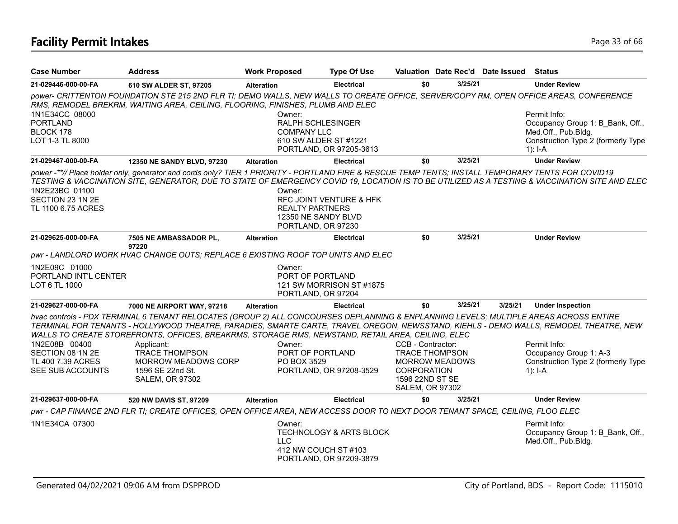# **Facility Permit Intakes** Page 13 of 66

| <b>Case Number</b>                                       | <b>Address</b>                                                                                                                                                                                                                                                                                                                                                                      | <b>Work Proposed</b>                                   | <b>Type Of Use</b>                                                                    |                                                                 |                       | Valuation Date Rec'd Date Issued | <b>Status</b>                                                                                                                                  |
|----------------------------------------------------------|-------------------------------------------------------------------------------------------------------------------------------------------------------------------------------------------------------------------------------------------------------------------------------------------------------------------------------------------------------------------------------------|--------------------------------------------------------|---------------------------------------------------------------------------------------|-----------------------------------------------------------------|-----------------------|----------------------------------|------------------------------------------------------------------------------------------------------------------------------------------------|
| 21-029446-000-00-FA                                      | 610 SW ALDER ST, 97205                                                                                                                                                                                                                                                                                                                                                              | <b>Alteration</b>                                      | <b>Electrical</b>                                                                     | \$0                                                             | 3/25/21               |                                  | <b>Under Review</b>                                                                                                                            |
|                                                          | power- CRITTENTON FOUNDATION STE 215 2ND FLR TI; DEMO WALLS, NEW WALLS TO CREATE OFFICE, SERVER/COPY RM, OPEN OFFICE AREAS, CONFERENCE<br>RMS, REMODEL BREKRM, WAITING AREA, CEILING, FLOORING, FINISHES, PLUMB AND ELEC                                                                                                                                                            |                                                        |                                                                                       |                                                                 |                       |                                  |                                                                                                                                                |
| 1N1E34CC 08000<br><b>PORTLAND</b><br>BLOCK 178           |                                                                                                                                                                                                                                                                                                                                                                                     | Owner:<br>RALPH SCHLESINGER<br><b>COMPANY LLC</b>      |                                                                                       |                                                                 |                       |                                  | Permit Info:<br>Occupancy Group 1: B Bank, Off.,<br>Med.Off., Pub.Bldg.                                                                        |
| LOT 1-3 TL 8000                                          |                                                                                                                                                                                                                                                                                                                                                                                     |                                                        | 610 SW ALDER ST #1221<br>PORTLAND, OR 97205-3613                                      |                                                                 |                       |                                  | Construction Type 2 (formerly Type<br>$1$ : I-A                                                                                                |
| 21-029467-000-00-FA                                      | 12350 NE SANDY BLVD, 97230                                                                                                                                                                                                                                                                                                                                                          | <b>Alteration</b>                                      | <b>Electrical</b>                                                                     | \$0                                                             | 3/25/21               |                                  | <b>Under Review</b>                                                                                                                            |
| 1N2E23BC 01100<br>SECTION 23 1N 2E<br>TL 1100 6.75 ACRES | power -**// Place holder only, generator and cords only? TIER 1 PRIORITY - PORTLAND FIRE & RESCUE TEMP TENTS; INSTALL TEMPORARY TENTS FOR COVID19                                                                                                                                                                                                                                   | Owner:<br><b>REALTY PARTNERS</b><br>PORTLAND, OR 97230 | RFC JOINT VENTURE & HFK<br>12350 NE SANDY BLVD                                        |                                                                 |                       |                                  | TESTING & VACCINATION SITE, GENERATOR, DUE TO STATE OF EMERGENCY COVID 19, LOCATION IS TO BE UTILIZED AS A TESTING & VACCINATION SITE AND ELEC |
| 21-029625-000-00-FA                                      | <b>7505 NE AMBASSADOR PL.</b><br>97220                                                                                                                                                                                                                                                                                                                                              | <b>Alteration</b>                                      | <b>Electrical</b>                                                                     | \$0                                                             | 3/25/21               |                                  | <b>Under Review</b>                                                                                                                            |
|                                                          | pwr - LANDLORD WORK HVAC CHANGE OUTS; REPLACE 6 EXISTING ROOF TOP UNITS AND ELEC                                                                                                                                                                                                                                                                                                    |                                                        |                                                                                       |                                                                 |                       |                                  |                                                                                                                                                |
| 1N2E09C 01000<br>PORTLAND INT'L CENTER<br>LOT 6 TL 1000  |                                                                                                                                                                                                                                                                                                                                                                                     | Owner:<br>PORT OF PORTLAND<br>PORTLAND, OR 97204       | 121 SW MORRISON ST #1875                                                              |                                                                 |                       |                                  |                                                                                                                                                |
| 21-029627-000-00-FA                                      | 7000 NE AIRPORT WAY, 97218                                                                                                                                                                                                                                                                                                                                                          | <b>Alteration</b>                                      | <b>Electrical</b>                                                                     | \$0                                                             | 3/25/21               | 3/25/21                          | <b>Under Inspection</b>                                                                                                                        |
|                                                          | hvac controls - PDX TERMINAL 6 TENANT RELOCATES (GROUP 2) ALL CONCOURSES DEPLANNING & ENPLANNING LEVELS; MULTIPLE AREAS ACROSS ENTIRE<br>TERMINAL FOR TENANTS - HOLLYWOOD THEATRE, PARADIES, SMARTE CARTE, TRAVEL OREGON, NEWSSTAND, KIEHLS - DEMO WALLS, REMODEL THEATRE, NEW<br>WALLS TO CREATE STOREFRONTS, OFFICES, BREAKRMS, STORAGE RMS, NEWSTAND, RETAIL AREA, CEILING, ELEC |                                                        |                                                                                       |                                                                 |                       |                                  |                                                                                                                                                |
| 1N2E08B 00400                                            | Applicant:                                                                                                                                                                                                                                                                                                                                                                          | Owner:                                                 |                                                                                       | CCB - Contractor:                                               |                       |                                  | Permit Info:                                                                                                                                   |
| SECTION 08 1N 2E                                         | <b>TRACE THOMPSON</b>                                                                                                                                                                                                                                                                                                                                                               | PORT OF PORTLAND                                       |                                                                                       |                                                                 | <b>TRACE THOMPSON</b> |                                  | Occupancy Group 1: A-3                                                                                                                         |
| TL 400 7.39 ACRES<br>SEE SUB ACCOUNTS                    | MORROW MEADOWS CORP<br>1596 SE 22nd St.<br><b>SALEM, OR 97302</b>                                                                                                                                                                                                                                                                                                                   | PO BOX 3529                                            | PORTLAND, OR 97208-3529                                                               | <b>CORPORATION</b><br>1596 22ND ST SE<br><b>SALEM, OR 97302</b> | <b>MORROW MEADOWS</b> |                                  | Construction Type 2 (formerly Type<br>$1$ : I-A                                                                                                |
| 21-029637-000-00-FA                                      | 520 NW DAVIS ST, 97209                                                                                                                                                                                                                                                                                                                                                              | <b>Alteration</b>                                      | <b>Electrical</b>                                                                     | \$0                                                             | 3/25/21               |                                  | <b>Under Review</b>                                                                                                                            |
|                                                          | pwr - CAP FINANCE 2ND FLR TI; CREATE OFFICES, OPEN OFFICE AREA, NEW ACCESS DOOR TO NEXT DOOR TENANT SPACE, CEILING, FLOO ELEC                                                                                                                                                                                                                                                       |                                                        |                                                                                       |                                                                 |                       |                                  |                                                                                                                                                |
| 1N1E34CA 07300                                           |                                                                                                                                                                                                                                                                                                                                                                                     | Owner:<br><b>LLC</b>                                   | <b>TECHNOLOGY &amp; ARTS BLOCK</b><br>412 NW COUCH ST #103<br>PORTLAND, OR 97209-3879 |                                                                 |                       |                                  | Permit Info:<br>Occupancy Group 1: B Bank, Off.,<br>Med.Off., Pub.Bldg.                                                                        |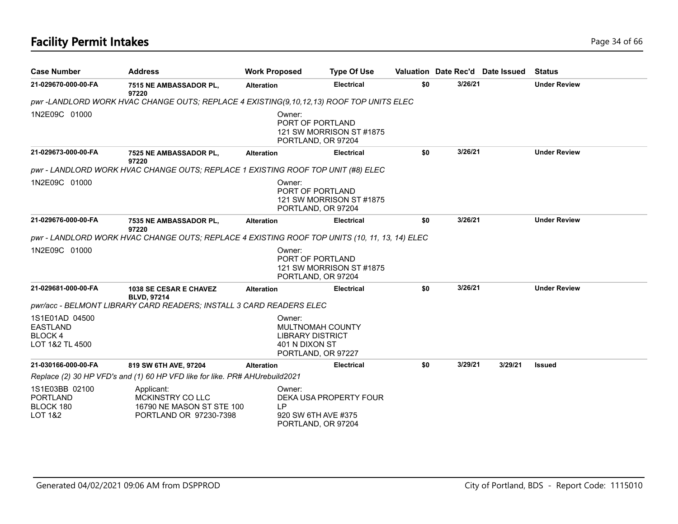# **Facility Permit Intakes** Page 34 of 66

| <b>Case Number</b>                                                    | <b>Address</b>                                                                                | <b>Work Proposed</b>                                | <b>Type Of Use</b>                                                  |     |         | Valuation Date Rec'd Date Issued | <b>Status</b>       |
|-----------------------------------------------------------------------|-----------------------------------------------------------------------------------------------|-----------------------------------------------------|---------------------------------------------------------------------|-----|---------|----------------------------------|---------------------|
| 21-029670-000-00-FA                                                   | 7515 NE AMBASSADOR PL,<br>97220                                                               | <b>Alteration</b>                                   | <b>Electrical</b>                                                   | \$0 | 3/26/21 |                                  | <b>Under Review</b> |
|                                                                       | pwr-LANDLORD WORK HVAC CHANGE OUTS; REPLACE 4 EXISTING(9,10,12,13) ROOF TOP UNITS ELEC        |                                                     |                                                                     |     |         |                                  |                     |
| 1N2E09C 01000                                                         |                                                                                               | Owner:                                              | PORT OF PORTLAND<br>121 SW MORRISON ST #1875<br>PORTLAND, OR 97204  |     |         |                                  |                     |
| 21-029673-000-00-FA                                                   | 7525 NE AMBASSADOR PL,<br>97220                                                               | <b>Alteration</b>                                   | <b>Electrical</b>                                                   | \$0 | 3/26/21 |                                  | <b>Under Review</b> |
|                                                                       | pwr - LANDLORD WORK HVAC CHANGE OUTS; REPLACE 1 EXISTING ROOF TOP UNIT (#8) ELEC              |                                                     |                                                                     |     |         |                                  |                     |
| 1N2E09C 01000                                                         |                                                                                               | Owner:                                              | PORT OF PORTLAND<br>121 SW MORRISON ST #1875<br>PORTLAND, OR 97204  |     |         |                                  |                     |
| 21-029676-000-00-FA                                                   | 7535 NE AMBASSADOR PL,<br>97220                                                               | <b>Alteration</b>                                   | <b>Electrical</b>                                                   | \$0 | 3/26/21 |                                  | <b>Under Review</b> |
|                                                                       | pwr - LANDLORD WORK HVAC CHANGE OUTS; REPLACE 4 EXISTING ROOF TOP UNITS (10, 11, 13, 14) ELEC |                                                     |                                                                     |     |         |                                  |                     |
| 1N2E09C 01000                                                         |                                                                                               | Owner:                                              | PORT OF PORTLAND<br>121 SW MORRISON ST #1875<br>PORTLAND, OR 97204  |     |         |                                  |                     |
| 21-029681-000-00-FA                                                   | <b>1038 SE CESAR E CHAVEZ</b><br><b>BLVD, 97214</b>                                           | <b>Alteration</b>                                   | <b>Electrical</b>                                                   | \$0 | 3/26/21 |                                  | <b>Under Review</b> |
|                                                                       | pwr/acc - BELMONT LIBRARY CARD READERS; INSTALL 3 CARD READERS ELEC                           |                                                     |                                                                     |     |         |                                  |                     |
| 1S1E01AD 04500<br><b>EASTLAND</b><br><b>BLOCK4</b><br>LOT 1&2 TL 4500 |                                                                                               | Owner:<br><b>LIBRARY DISTRICT</b><br>401 N DIXON ST | <b>MULTNOMAH COUNTY</b><br>PORTLAND, OR 97227                       |     |         |                                  |                     |
| 21-030166-000-00-FA                                                   | 819 SW 6TH AVE, 97204                                                                         | <b>Alteration</b>                                   | <b>Electrical</b>                                                   | \$0 | 3/29/21 | 3/29/21                          | <b>Issued</b>       |
|                                                                       | Replace (2) 30 HP VFD's and (1) 60 HP VFD like for like. PR# AHUrebuild2021                   |                                                     |                                                                     |     |         |                                  |                     |
| 1S1E03BB 02100<br><b>PORTLAND</b><br>BLOCK 180<br>LOT 1&2             | Applicant:<br><b>MCKINSTRY COLLC</b><br>16790 NE MASON ST STE 100<br>PORTLAND OR 97230-7398   | Owner:<br>LP.                                       | DEKA USA PROPERTY FOUR<br>920 SW 6TH AVE #375<br>PORTLAND, OR 97204 |     |         |                                  |                     |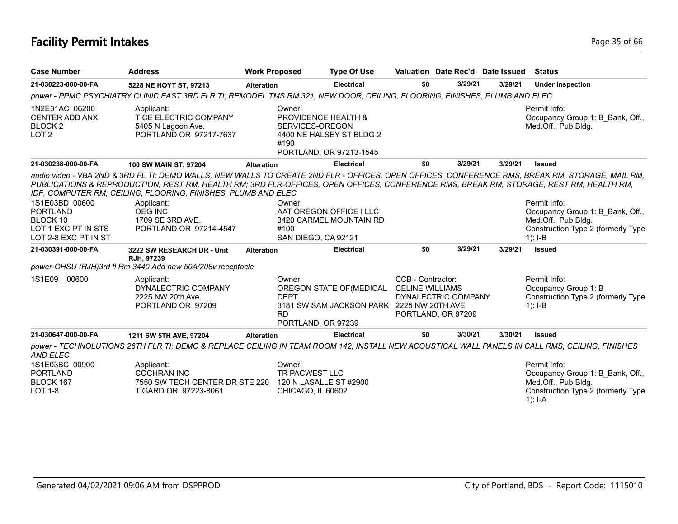# **Facility Permit Intakes** Page 35 of 66

| <b>Case Number</b>                                                                | <b>Address</b>                                                                                                                                                                                                        | <b>Work Proposed</b> |                                                                     | <b>Type Of Use</b>                                                    | Valuation Date Rec'd Date Issued                                                         |         |         | <b>Status</b>                                                                                                                                                   |
|-----------------------------------------------------------------------------------|-----------------------------------------------------------------------------------------------------------------------------------------------------------------------------------------------------------------------|----------------------|---------------------------------------------------------------------|-----------------------------------------------------------------------|------------------------------------------------------------------------------------------|---------|---------|-----------------------------------------------------------------------------------------------------------------------------------------------------------------|
| 21-030223-000-00-FA                                                               | 5228 NE HOYT ST, 97213                                                                                                                                                                                                | <b>Alteration</b>    |                                                                     | <b>Electrical</b>                                                     | \$0                                                                                      | 3/29/21 | 3/29/21 | <b>Under Inspection</b>                                                                                                                                         |
|                                                                                   | power - PPMC PSYCHIATRY CLINIC EAST 3RD FLR TI; REMODEL TMS RM 321, NEW DOOR, CEILING, FLOORING, FINISHES, PLUMB AND ELEC                                                                                             |                      |                                                                     |                                                                       |                                                                                          |         |         |                                                                                                                                                                 |
| 1N2E31AC 06200<br><b>CENTER ADD ANX</b><br>BLOCK <sub>2</sub><br>LOT <sub>2</sub> | Applicant:<br>TICE ELECTRIC COMPANY<br>5405 N Lagoon Ave.<br>PORTLAND OR 97217-7637                                                                                                                                   |                      | Owner:<br><b>PROVIDENCE HEALTH &amp;</b><br>SERVICES-OREGON<br>#190 | 4400 NE HALSEY ST BLDG 2<br>PORTLAND, OR 97213-1545                   |                                                                                          |         |         | Permit Info:<br>Occupancy Group 1: B Bank, Off.,<br>Med.Off., Pub.Bldg.                                                                                         |
| 21-030238-000-00-FA                                                               | 100 SW MAIN ST, 97204                                                                                                                                                                                                 | <b>Alteration</b>    |                                                                     | <b>Electrical</b>                                                     | \$0                                                                                      | 3/29/21 | 3/29/21 | <b>Issued</b>                                                                                                                                                   |
| 1S1E03BD 00600                                                                    | PUBLICATIONS & REPRODUCTION, REST RM, HEALTH RM; 3RD FLR-OFFICES, OPEN OFFICES, CONFERENCE RMS, BREAK RM, STORAGE, REST RM, HEALTH RM,<br>IDF, COMPUTER RM; CEILING, FLOORING, FINISHES, PLUMB AND ELEC<br>Applicant: |                      | Owner:                                                              |                                                                       |                                                                                          |         |         | audio video - VBA 2ND & 3RD FL TI; DEMO WALLS, NEW WALLS TO CREATE 2ND FLR - OFFICES, OPEN OFFICES, CONFERENCE RMS, BREAK RM, STORAGE, MAIL RM,<br>Permit Info: |
| <b>PORTLAND</b>                                                                   | <b>OEG INC</b>                                                                                                                                                                                                        |                      |                                                                     | AAT OREGON OFFICE I LLC                                               |                                                                                          |         |         | Occupancy Group 1: B Bank, Off.,                                                                                                                                |
| BLOCK 10                                                                          | 1709 SE 3RD AVE.                                                                                                                                                                                                      |                      |                                                                     | 3420 CARMEL MOUNTAIN RD                                               |                                                                                          |         |         | Med.Off., Pub.Bldg.                                                                                                                                             |
| LOT 1 EXC PT IN STS<br>LOT 2-8 EXC PT IN ST                                       | PORTLAND OR 97214-4547                                                                                                                                                                                                |                      | #100<br>SAN DIEGO, CA 92121                                         |                                                                       |                                                                                          |         |         | Construction Type 2 (formerly Type<br>$1$ : I-B                                                                                                                 |
| 21-030391-000-00-FA                                                               | 3222 SW RESEARCH DR - Unit<br>RJH, 97239                                                                                                                                                                              | <b>Alteration</b>    |                                                                     | <b>Electrical</b>                                                     | \$0                                                                                      | 3/29/21 | 3/29/21 | <b>Issued</b>                                                                                                                                                   |
|                                                                                   | power-OHSU (RJH)3rd fl Rm 3440 Add new 50A/208v receptacle                                                                                                                                                            |                      |                                                                     |                                                                       |                                                                                          |         |         |                                                                                                                                                                 |
| 1S1E09 00600                                                                      | Applicant:<br>DYNALECTRIC COMPANY<br>2225 NW 20th Ave.<br>PORTLAND OR 97209                                                                                                                                           |                      | Owner:<br><b>DEPT</b><br><b>RD</b><br>PORTLAND, OR 97239            | OREGON STATE OF (MEDICAL<br>3181 SW SAM JACKSON PARK 2225 NW 20TH AVE | CCB - Contractor:<br><b>CELINE WILLIAMS</b><br>DYNALECTRIC COMPANY<br>PORTLAND, OR 97209 |         |         | Permit Info:<br>Occupancy Group 1: B<br>Construction Type 2 (formerly Type<br>$1$ : I-B                                                                         |
| 21-030647-000-00-FA                                                               | 1211 SW 5TH AVE, 97204                                                                                                                                                                                                | <b>Alteration</b>    |                                                                     | <b>Electrical</b>                                                     | \$0                                                                                      | 3/30/21 | 3/30/21 | <b>Issued</b>                                                                                                                                                   |
| AND ELEC                                                                          |                                                                                                                                                                                                                       |                      |                                                                     |                                                                       |                                                                                          |         |         | power - TECHNOLUTIONS 26TH FLR TI; DEMO & REPLACE CEILING IN TEAM ROOM 142, INSTALL NEW ACOUSTICAL WALL PANELS IN CALL RMS, CEILING, FINISHES                   |
| 1S1E03BC 00900                                                                    | Applicant:                                                                                                                                                                                                            |                      | Owner:                                                              |                                                                       |                                                                                          |         |         | Permit Info:                                                                                                                                                    |
| <b>PORTLAND</b>                                                                   | <b>COCHRAN INC</b>                                                                                                                                                                                                    |                      | TR PACWEST LLC                                                      |                                                                       |                                                                                          |         |         | Occupancy Group 1: B Bank, Off.,                                                                                                                                |
| BLOCK 167                                                                         | 7550 SW TECH CENTER DR STE 220                                                                                                                                                                                        |                      | 120 N LASALLE ST #2900                                              |                                                                       |                                                                                          |         |         | Med.Off., Pub.Bldg.                                                                                                                                             |
| <b>LOT 1-8</b>                                                                    | TIGARD OR 97223-8061                                                                                                                                                                                                  |                      | CHICAGO, IL 60602                                                   |                                                                       |                                                                                          |         |         | Construction Type 2 (formerly Type<br>1): $I-A$                                                                                                                 |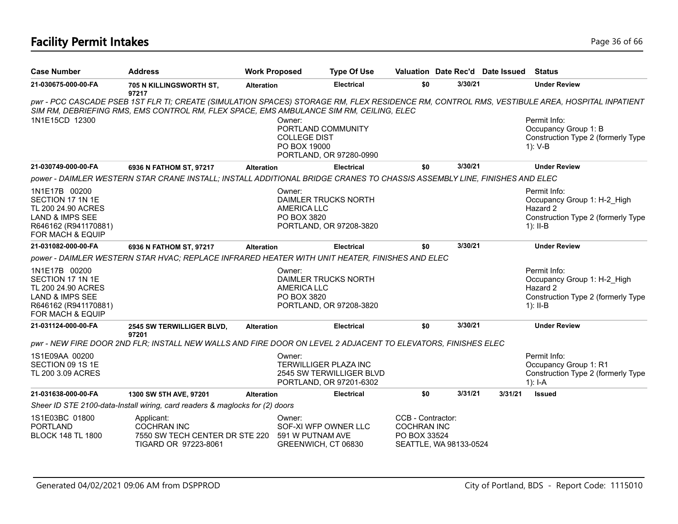# **Facility Permit Intakes** Page 36 of 66

| <b>Case Number</b>                                                                                                                | <b>Address</b>                                                                                                           | <b>Work Proposed</b> |                                                                     | <b>Type Of Use</b>                                                                  |                                                         |                        | Valuation Date Rec'd Date Issued | Status                                                                                                                                       |
|-----------------------------------------------------------------------------------------------------------------------------------|--------------------------------------------------------------------------------------------------------------------------|----------------------|---------------------------------------------------------------------|-------------------------------------------------------------------------------------|---------------------------------------------------------|------------------------|----------------------------------|----------------------------------------------------------------------------------------------------------------------------------------------|
| 21-030675-000-00-FA                                                                                                               | 705 N KILLINGSWORTH ST,<br>97217                                                                                         | <b>Alteration</b>    |                                                                     | <b>Electrical</b>                                                                   | \$0                                                     | 3/30/21                |                                  | <b>Under Review</b>                                                                                                                          |
|                                                                                                                                   | SIM RM, DEBRIEFING RMS, EMS CONTROL RM, FLEX SPACE, EMS AMBULANCE SIM RM, CEILING, ELEC                                  |                      |                                                                     |                                                                                     |                                                         |                        |                                  | pwr - PCC CASCADE PSEB 1ST FLR TI; CREATE (SIMULATION SPACES) STORAGE RM, FLEX RESIDENCE RM, CONTROL RMS, VESTIBULE AREA, HOSPITAL INPATIENT |
| 1N1E15CD 12300                                                                                                                    |                                                                                                                          |                      | Owner:<br>PORTLAND COMMUNITY<br><b>COLLEGE DIST</b><br>PO BOX 19000 | PORTLAND, OR 97280-0990                                                             |                                                         |                        |                                  | Permit Info:<br>Occupancy Group 1: B<br>Construction Type 2 (formerly Type<br>$1): V-B$                                                      |
| 21-030749-000-00-FA                                                                                                               | 6936 N FATHOM ST, 97217                                                                                                  | <b>Alteration</b>    |                                                                     | <b>Electrical</b>                                                                   | \$0                                                     | 3/30/21                |                                  | <b>Under Review</b>                                                                                                                          |
|                                                                                                                                   | power - DAIMLER WESTERN STAR CRANE INSTALL; INSTALL ADDITIONAL BRIDGE CRANES TO CHASSIS ASSEMBLY LINE, FINISHES AND ELEC |                      |                                                                     |                                                                                     |                                                         |                        |                                  |                                                                                                                                              |
| 1N1E17B 00200<br>SECTION 17 1N 1E<br>TL 200 24.90 ACRES<br><b>LAND &amp; IMPS SEE</b><br>R646162 (R941170881)<br>FOR MACH & EQUIP |                                                                                                                          |                      | Owner:<br><b>AMERICA LLC</b><br>PO BOX 3820                         | DAIMLER TRUCKS NORTH<br>PORTLAND, OR 97208-3820                                     |                                                         |                        |                                  | Permit Info:<br>Occupancy Group 1: H-2 High<br>Hazard 2<br>Construction Type 2 (formerly Type<br>$1$ : II-B                                  |
| 21-031082-000-00-FA                                                                                                               | 6936 N FATHOM ST, 97217                                                                                                  | <b>Alteration</b>    |                                                                     | <b>Electrical</b>                                                                   | \$0                                                     | 3/30/21                |                                  | <b>Under Review</b>                                                                                                                          |
|                                                                                                                                   | power - DAIMLER WESTERN STAR HVAC; REPLACE INFRARED HEATER WITH UNIT HEATER, FINISHES AND ELEC                           |                      |                                                                     |                                                                                     |                                                         |                        |                                  |                                                                                                                                              |
| 1N1E17B 00200<br>SECTION 17 1N 1E<br>TL 200 24.90 ACRES<br><b>LAND &amp; IMPS SEE</b><br>R646162 (R941170881)<br>FOR MACH & EQUIP |                                                                                                                          |                      | Owner:<br><b>AMERICA LLC</b><br>PO BOX 3820                         | <b>DAIMLER TRUCKS NORTH</b><br>PORTLAND, OR 97208-3820                              |                                                         |                        |                                  | Permit Info:<br>Occupancy Group 1: H-2_High<br>Hazard 2<br>Construction Type 2 (formerly Type<br>$1$ : II-B                                  |
| 21-031124-000-00-FA                                                                                                               | 2545 SW TERWILLIGER BLVD,                                                                                                | <b>Alteration</b>    |                                                                     | <b>Electrical</b>                                                                   | \$0                                                     | 3/30/21                |                                  | <b>Under Review</b>                                                                                                                          |
|                                                                                                                                   | 97201<br>pwr - NEW FIRE DOOR 2ND FLR; INSTALL NEW WALLS AND FIRE DOOR ON LEVEL 2 ADJACENT TO ELEVATORS, FINISHES ELEC    |                      |                                                                     |                                                                                     |                                                         |                        |                                  |                                                                                                                                              |
| 1S1E09AA 00200<br>SECTION 09 1S 1E<br>TL 200 3.09 ACRES                                                                           |                                                                                                                          |                      | Owner:                                                              | <b>TERWILLIGER PLAZA INC</b><br>2545 SW TERWILLIGER BLVD<br>PORTLAND, OR 97201-6302 |                                                         |                        |                                  | Permit Info:<br>Occupancy Group 1: R1<br>Construction Type 2 (formerly Type<br>$1$ : I-A                                                     |
| 21-031638-000-00-FA                                                                                                               | 1300 SW 5TH AVE, 97201                                                                                                   | <b>Alteration</b>    |                                                                     | <b>Electrical</b>                                                                   | \$0                                                     | 3/31/21                | 3/31/21                          | <b>Issued</b>                                                                                                                                |
|                                                                                                                                   | Sheer ID STE 2100-data-Install wiring, card readers & maglocks for (2) doors                                             |                      |                                                                     |                                                                                     |                                                         |                        |                                  |                                                                                                                                              |
| 1S1E03BC 01800<br><b>PORTLAND</b><br><b>BLOCK 148 TL 1800</b>                                                                     | Applicant:<br><b>COCHRAN INC</b><br>7550 SW TECH CENTER DR STE 220<br>TIGARD OR 97223-8061                               |                      | Owner:<br>591 W PUTNAM AVE<br>GREENWICH, CT 06830                   | SOF-XI WFP OWNER LLC                                                                | CCB - Contractor:<br><b>COCHRAN INC</b><br>PO BOX 33524 | SEATTLE, WA 98133-0524 |                                  |                                                                                                                                              |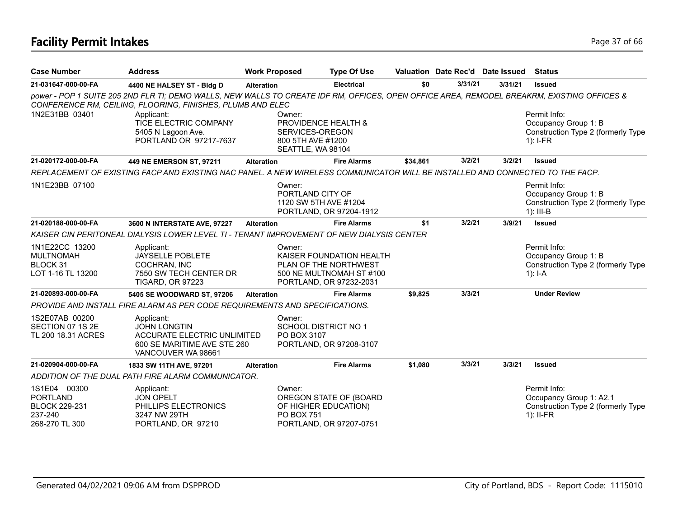# **Facility Permit Intakes** Page 17 of 66

| <b>Case Number</b>                                                                   | <b>Address</b>                                                                                                                                                                                           | <b>Work Proposed</b> |                                                                                                                    | <b>Type Of Use</b> |          | Valuation Date Rec'd Date Issued |        |         | <b>Status</b>                                                                                |
|--------------------------------------------------------------------------------------|----------------------------------------------------------------------------------------------------------------------------------------------------------------------------------------------------------|----------------------|--------------------------------------------------------------------------------------------------------------------|--------------------|----------|----------------------------------|--------|---------|----------------------------------------------------------------------------------------------|
| 21-031647-000-00-FA                                                                  | 4400 NE HALSEY ST - Bldg D                                                                                                                                                                               | <b>Alteration</b>    |                                                                                                                    | Electrical         | \$0      | 3/31/21                          |        | 3/31/21 | <b>Issued</b>                                                                                |
|                                                                                      | power - POP 1 SUITE 205 2ND FLR TI; DEMO WALLS, NEW WALLS TO CREATE IDF RM, OFFICES, OPEN OFFICE AREA, REMODEL BREAKRM, EXISTING OFFICES &<br>CONFERENCE RM, CEILING, FLOORING, FINISHES, PLUMB AND ELEC |                      |                                                                                                                    |                    |          |                                  |        |         |                                                                                              |
| 1N2E31BB 03401                                                                       | Applicant:<br>TICE ELECTRIC COMPANY<br>5405 N Lagoon Ave.<br>PORTLAND OR 97217-7637                                                                                                                      |                      | Owner:<br>PROVIDENCE HEALTH &<br>SERVICES-OREGON<br>800 5TH AVE #1200<br>SEATTLE, WA 98104                         |                    |          |                                  |        |         | Permit Info:<br>Occupancy Group 1: B<br>Construction Type 2 (formerly Type<br>$1$ : I-FR     |
| 21-020172-000-00-FA                                                                  | 449 NE EMERSON ST, 97211                                                                                                                                                                                 | <b>Alteration</b>    |                                                                                                                    | <b>Fire Alarms</b> | \$34,861 | 3/2/21                           |        | 3/2/21  | <b>Issued</b>                                                                                |
|                                                                                      | REPLACEMENT OF EXISTING FACP AND EXISTING NAC PANEL. A NEW WIRELESS COMMUNICATOR WILL BE INSTALLED AND CONNECTED TO THE FACP.                                                                            |                      |                                                                                                                    |                    |          |                                  |        |         |                                                                                              |
| 1N1E23BB 07100                                                                       |                                                                                                                                                                                                          |                      | Owner:<br>PORTLAND CITY OF<br>1120 SW 5TH AVE #1204<br>PORTLAND, OR 97204-1912                                     |                    |          |                                  |        |         | Permit Info:<br>Occupancy Group 1: B<br>Construction Type 2 (formerly Type<br>$1$ : III-B    |
| 21-020188-000-00-FA                                                                  | 3600 N INTERSTATE AVE, 97227                                                                                                                                                                             | <b>Alteration</b>    |                                                                                                                    | <b>Fire Alarms</b> | \$1      |                                  | 3/2/21 | 3/9/21  | <b>Issued</b>                                                                                |
|                                                                                      | KAISER CIN PERITONEAL DIALYSIS LOWER LEVEL TI - TENANT IMPROVEMENT OF NEW DIALYSIS CENTER                                                                                                                |                      |                                                                                                                    |                    |          |                                  |        |         |                                                                                              |
| 1N1E22CC 13200<br><b>MULTNOMAH</b><br>BLOCK 31<br>LOT 1-16 TL 13200                  | Applicant:<br><b>JAYSELLE POBLETE</b><br>COCHRAN, INC<br>7550 SW TECH CENTER DR<br><b>TIGARD, OR 97223</b>                                                                                               |                      | Owner:<br>KAISER FOUNDATION HEALTH<br>PLAN OF THE NORTHWEST<br>500 NE MULTNOMAH ST #100<br>PORTLAND, OR 97232-2031 |                    |          |                                  |        |         | Permit Info:<br>Occupancy Group 1: B<br>Construction Type 2 (formerly Type<br>1): $I - A$    |
| 21-020893-000-00-FA                                                                  | 5405 SE WOODWARD ST, 97206                                                                                                                                                                               | <b>Alteration</b>    |                                                                                                                    | <b>Fire Alarms</b> | \$9,825  | 3/3/21                           |        |         | <b>Under Review</b>                                                                          |
|                                                                                      | PROVIDE AND INSTALL FIRE ALARM AS PER CODE REQUIREMENTS AND SPECIFICATIONS.                                                                                                                              |                      |                                                                                                                    |                    |          |                                  |        |         |                                                                                              |
| 1S2E07AB 00200<br>SECTION 07 1S 2E<br>TL 200 18.31 ACRES                             | Applicant:<br><b>JOHN LONGTIN</b><br><b>ACCURATE ELECTRIC UNLIMITED</b><br>600 SE MARITIME AVE STE 260<br>VANCOUVER WA 98661                                                                             |                      | Owner:<br><b>SCHOOL DISTRICT NO 1</b><br>PO BOX 3107<br>PORTLAND, OR 97208-3107                                    |                    |          |                                  |        |         |                                                                                              |
| 21-020904-000-00-FA                                                                  | 1833 SW 11TH AVE, 97201                                                                                                                                                                                  | <b>Alteration</b>    |                                                                                                                    | <b>Fire Alarms</b> | \$1,080  |                                  | 3/3/21 | 3/3/21  | <b>Issued</b>                                                                                |
|                                                                                      | ADDITION OF THE DUAL PATH FIRE ALARM COMMUNICATOR.                                                                                                                                                       |                      |                                                                                                                    |                    |          |                                  |        |         |                                                                                              |
| 1S1E04 00300<br><b>PORTLAND</b><br><b>BLOCK 229-231</b><br>237-240<br>268-270 TL 300 | Applicant:<br><b>JON OPELT</b><br>PHILLIPS ELECTRONICS<br>3247 NW 29TH<br>PORTLAND, OR 97210                                                                                                             |                      | Owner:<br>OREGON STATE OF (BOARD<br>OF HIGHER EDUCATION)<br><b>PO BOX 751</b><br>PORTLAND, OR 97207-0751           |                    |          |                                  |        |         | Permit Info:<br>Occupancy Group 1: A2.1<br>Construction Type 2 (formerly Type<br>$1$ : II-FR |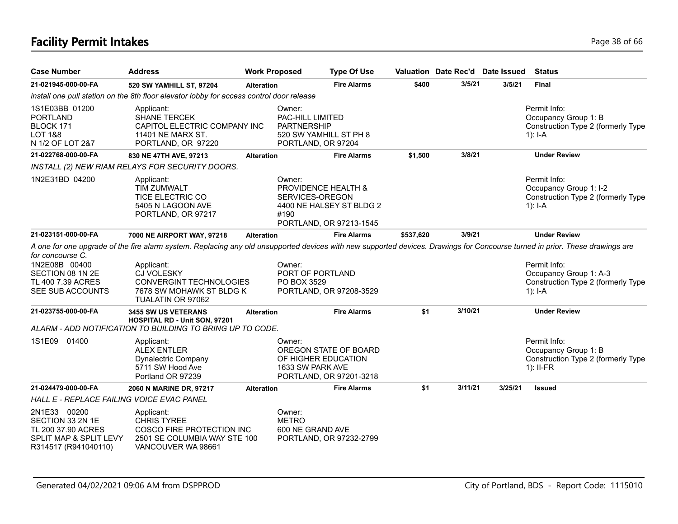# **Facility Permit Intakes** Page 18 of 66

| <b>Case Number</b>                                                                                       | <b>Address</b>                                                                                                                                                                                                                                                                              | <b>Work Proposed</b> |                                                                                                         | <b>Type Of Use</b>                                  |           | Valuation Date Rec'd Date Issued |         | <b>Status</b>                                                                             |
|----------------------------------------------------------------------------------------------------------|---------------------------------------------------------------------------------------------------------------------------------------------------------------------------------------------------------------------------------------------------------------------------------------------|----------------------|---------------------------------------------------------------------------------------------------------|-----------------------------------------------------|-----------|----------------------------------|---------|-------------------------------------------------------------------------------------------|
| 21-021945-000-00-FA                                                                                      | 520 SW YAMHILL ST, 97204                                                                                                                                                                                                                                                                    | <b>Alteration</b>    |                                                                                                         | <b>Fire Alarms</b>                                  | \$400     | 3/5/21                           | 3/5/21  | <b>Final</b>                                                                              |
|                                                                                                          | install one pull station on the 8th floor elevator lobby for access control door release                                                                                                                                                                                                    |                      |                                                                                                         |                                                     |           |                                  |         |                                                                                           |
| 1S1E03BB 01200<br><b>PORTLAND</b><br>BLOCK 171<br><b>LOT 1&amp;8</b><br>N 1/2 OF LOT 2&7                 | Applicant:<br><b>SHANE TERCEK</b><br>CAPITOL ELECTRIC COMPANY INC<br>11401 NE MARX ST.<br>PORTLAND, OR 97220                                                                                                                                                                                |                      | Owner:<br><b>PAC-HILL LIMITED</b><br><b>PARTNERSHIP</b><br>520 SW YAMHILL ST PH 8<br>PORTLAND, OR 97204 |                                                     |           |                                  |         | Permit Info:<br>Occupancy Group 1: B<br>Construction Type 2 (formerly Type<br>$1$ : I-A   |
| 21-022768-000-00-FA                                                                                      | 830 NE 47TH AVE, 97213                                                                                                                                                                                                                                                                      | <b>Alteration</b>    |                                                                                                         | <b>Fire Alarms</b>                                  | \$1,500   | 3/8/21                           |         | <b>Under Review</b>                                                                       |
|                                                                                                          | INSTALL (2) NEW RIAM RELAYS FOR SECURITY DOORS.                                                                                                                                                                                                                                             |                      |                                                                                                         |                                                     |           |                                  |         |                                                                                           |
| 1N2E31BD 04200                                                                                           | Applicant:<br>TIM ZUMWALT<br><b>TICE ELECTRIC CO</b><br>5405 N LAGOON AVE<br>PORTLAND, OR 97217                                                                                                                                                                                             |                      | Owner:<br>PROVIDENCE HEALTH &<br>SERVICES-OREGON<br>#190                                                | 4400 NE HALSEY ST BLDG 2<br>PORTLAND, OR 97213-1545 |           |                                  |         | Permit Info:<br>Occupancy Group 1: I-2<br>Construction Type 2 (formerly Type<br>$1$ : I-A |
| 21-023151-000-00-FA                                                                                      | 7000 NE AIRPORT WAY, 97218                                                                                                                                                                                                                                                                  | <b>Alteration</b>    |                                                                                                         | <b>Fire Alarms</b>                                  | \$537,620 | 3/9/21                           |         | <b>Under Review</b>                                                                       |
| for concourse C.<br>1N2E08B 00400<br>SECTION 08 1N 2E<br>TL 400 7.39 ACRES<br>SEE SUB ACCOUNTS           | A one for one upgrade of the fire alarm system. Replacing any old unsupported devices with new supported devices. Drawings for Concourse turned in prior. These drawings are<br>Applicant:<br><b>CJ VOLESKY</b><br>CONVERGINT TECHNOLOGIES<br>7678 SW MOHAWK ST BLDG K<br>TUALATIN OR 97062 |                      | Owner:<br>PORT OF PORTLAND<br>PO BOX 3529                                                               | PORTLAND, OR 97208-3529                             |           |                                  |         | Permit Info:<br>Occupancy Group 1: A-3<br>Construction Type 2 (formerly Type<br>1): I-A   |
| 21-023755-000-00-FA                                                                                      | 3455 SW US VETERANS<br>HOSPITAL RD - Unit SON, 97201<br>ALARM - ADD NOTIFICATION TO BUILDING TO BRING UP TO CODE.                                                                                                                                                                           | <b>Alteration</b>    |                                                                                                         | <b>Fire Alarms</b>                                  | \$1       | 3/10/21                          |         | <b>Under Review</b>                                                                       |
| 1S1E09 01400                                                                                             | Applicant:<br><b>ALEX ENTLER</b><br><b>Dynalectric Company</b><br>5711 SW Hood Ave<br>Portland OR 97239                                                                                                                                                                                     |                      | Owner:<br>OF HIGHER EDUCATION<br>1633 SW PARK AVE                                                       | OREGON STATE OF BOARD<br>PORTLAND, OR 97201-3218    |           |                                  |         | Permit Info:<br>Occupancy Group 1: B<br>Construction Type 2 (formerly Type<br>$1$ : II-FR |
| 21-024479-000-00-FA                                                                                      | 2060 N MARINE DR, 97217                                                                                                                                                                                                                                                                     | <b>Alteration</b>    |                                                                                                         | <b>Fire Alarms</b>                                  | \$1       | 3/11/21                          | 3/25/21 | <b>Issued</b>                                                                             |
| HALL E - REPLACE FAILING VOICE EVAC PANEL                                                                |                                                                                                                                                                                                                                                                                             |                      |                                                                                                         |                                                     |           |                                  |         |                                                                                           |
| 2N1E33 00200<br>SECTION 33 2N 1E<br>TL 200 37.90 ACRES<br>SPLIT MAP & SPLIT LEVY<br>R314517 (R941040110) | Applicant:<br><b>CHRIS TYREE</b><br>COSCO FIRE PROTECTION INC<br>2501 SE COLUMBIA WAY STE 100<br>VANCOUVER WA 98661                                                                                                                                                                         |                      | Owner:<br><b>METRO</b><br>600 NE GRAND AVE                                                              | PORTLAND, OR 97232-2799                             |           |                                  |         |                                                                                           |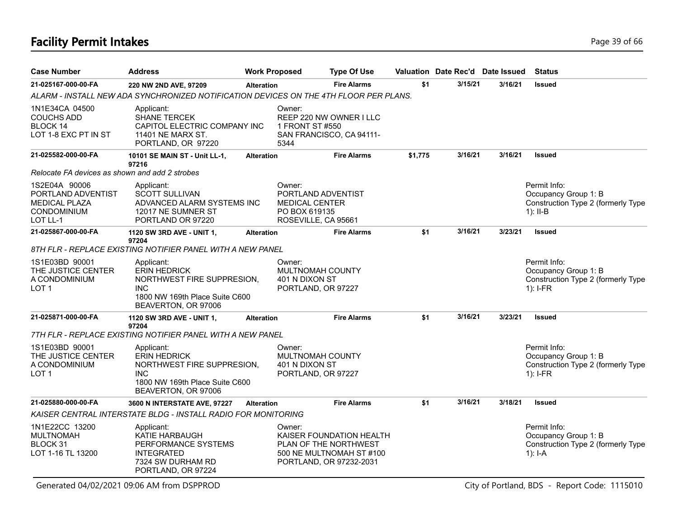# **Facility Permit Intakes** Page 19 of 66

| <b>Case Number</b>                                                                            | <b>Address</b>                                                                                                                         | <b>Work Proposed</b> |                                                                                               | <b>Type Of Use</b>                                                                                       |         | Valuation Date Rec'd Date Issued |         | <b>Status</b>                                                                            |
|-----------------------------------------------------------------------------------------------|----------------------------------------------------------------------------------------------------------------------------------------|----------------------|-----------------------------------------------------------------------------------------------|----------------------------------------------------------------------------------------------------------|---------|----------------------------------|---------|------------------------------------------------------------------------------------------|
| 21-025167-000-00-FA                                                                           | 220 NW 2ND AVE, 97209                                                                                                                  | <b>Alteration</b>    |                                                                                               | <b>Fire Alarms</b>                                                                                       | \$1     | 3/15/21                          | 3/16/21 | <b>Issued</b>                                                                            |
|                                                                                               | ALARM - INSTALL NEW ADA SYNCHRONIZED NOTIFICATION DEVICES ON THE 4TH FLOOR PER PLANS.                                                  |                      |                                                                                               |                                                                                                          |         |                                  |         |                                                                                          |
| 1N1E34CA 04500<br><b>COUCHS ADD</b><br>BLOCK 14<br>LOT 1-8 EXC PT IN ST                       | Applicant:<br><b>SHANE TERCEK</b><br>CAPITOL ELECTRIC COMPANY INC<br>11401 NE MARX ST.<br>PORTLAND, OR 97220                           |                      | Owner:<br>1 FRONT ST #550<br>5344                                                             | REEP 220 NW OWNER I LLC<br>SAN FRANCISCO, CA 94111-                                                      |         |                                  |         |                                                                                          |
| 21-025582-000-00-FA                                                                           | 10101 SE MAIN ST - Unit LL-1,<br>97216                                                                                                 | <b>Alteration</b>    |                                                                                               | <b>Fire Alarms</b>                                                                                       | \$1,775 | 3/16/21                          | 3/16/21 | <b>Issued</b>                                                                            |
| Relocate FA devices as shown and add 2 strobes                                                |                                                                                                                                        |                      |                                                                                               |                                                                                                          |         |                                  |         |                                                                                          |
| 1S2E04A 90006<br>PORTLAND ADVENTIST<br><b>MEDICAL PLAZA</b><br><b>CONDOMINIUM</b><br>LOT LL-1 | Applicant:<br><b>SCOTT SULLIVAN</b><br>ADVANCED ALARM SYSTEMS INC<br>12017 NE SUMNER ST<br>PORTLAND OR 97220                           |                      | Owner:<br>PORTLAND ADVENTIST<br><b>MEDICAL CENTER</b><br>PO BOX 619135<br>ROSEVILLE, CA 95661 |                                                                                                          |         |                                  |         | Permit Info:<br>Occupancy Group 1: B<br>Construction Type 2 (formerly Type<br>$1$ : II-B |
| 21-025867-000-00-FA                                                                           | 1120 SW 3RD AVE - UNIT 1,                                                                                                              | <b>Alteration</b>    |                                                                                               | <b>Fire Alarms</b>                                                                                       | \$1     | 3/16/21                          | 3/23/21 | <b>Issued</b>                                                                            |
|                                                                                               | 97204<br>8TH FLR - REPLACE EXISTING NOTIFIER PANEL WITH A NEW PANEL                                                                    |                      |                                                                                               |                                                                                                          |         |                                  |         |                                                                                          |
| 1S1E03BD 90001<br>THE JUSTICE CENTER<br>A CONDOMINIUM<br>LOT <sub>1</sub>                     | Applicant:<br><b>ERIN HEDRICK</b><br>NORTHWEST FIRE SUPPRESION,<br><b>INC</b><br>1800 NW 169th Place Suite C600<br>BEAVERTON, OR 97006 |                      | Owner:<br><b>MULTNOMAH COUNTY</b><br>401 N DIXON ST<br>PORTLAND, OR 97227                     |                                                                                                          |         |                                  |         | Permit Info:<br>Occupancy Group 1: B<br>Construction Type 2 (formerly Type<br>$1$ : I-FR |
| 21-025871-000-00-FA                                                                           | 1120 SW 3RD AVE - UNIT 1,<br>97204<br>7TH FLR - REPLACE EXISTING NOTIFIER PANEL WITH A NEW PANEL                                       | <b>Alteration</b>    |                                                                                               | <b>Fire Alarms</b>                                                                                       | \$1     | 3/16/21                          | 3/23/21 | <b>Issued</b>                                                                            |
| 1S1E03BD 90001<br>THE JUSTICE CENTER<br>A CONDOMINIUM<br>LOT <sub>1</sub>                     | Applicant:<br><b>ERIN HEDRICK</b><br>NORTHWEST FIRE SUPPRESION,<br><b>INC</b><br>1800 NW 169th Place Suite C600<br>BEAVERTON, OR 97006 |                      | Owner:<br>MULTNOMAH COUNTY<br>401 N DIXON ST<br>PORTLAND, OR 97227                            |                                                                                                          |         |                                  |         | Permit Info:<br>Occupancy Group 1: B<br>Construction Type 2 (formerly Type<br>$1$ : I-FR |
| 21-025880-000-00-FA                                                                           | 3600 N INTERSTATE AVE, 97227                                                                                                           | <b>Alteration</b>    |                                                                                               | <b>Fire Alarms</b>                                                                                       | \$1     | 3/16/21                          | 3/18/21 | <b>Issued</b>                                                                            |
|                                                                                               | KAISER CENTRAL INTERSTATE BLDG - INSTALL RADIO FOR MONITORING                                                                          |                      |                                                                                               |                                                                                                          |         |                                  |         |                                                                                          |
| 1N1E22CC 13200<br><b>MULTNOMAH</b><br>BLOCK 31<br>LOT 1-16 TL 13200                           | Applicant:<br>KATIE HARBAUGH<br>PERFORMANCE SYSTEMS<br><b>INTEGRATED</b><br>7324 SW DURHAM RD<br>PORTLAND, OR 97224                    |                      | Owner:                                                                                        | KAISER FOUNDATION HEALTH<br>PLAN OF THE NORTHWEST<br>500 NE MULTNOMAH ST #100<br>PORTLAND, OR 97232-2031 |         |                                  |         | Permit Info:<br>Occupancy Group 1: B<br>Construction Type 2 (formerly Type<br>$1$ : I-A  |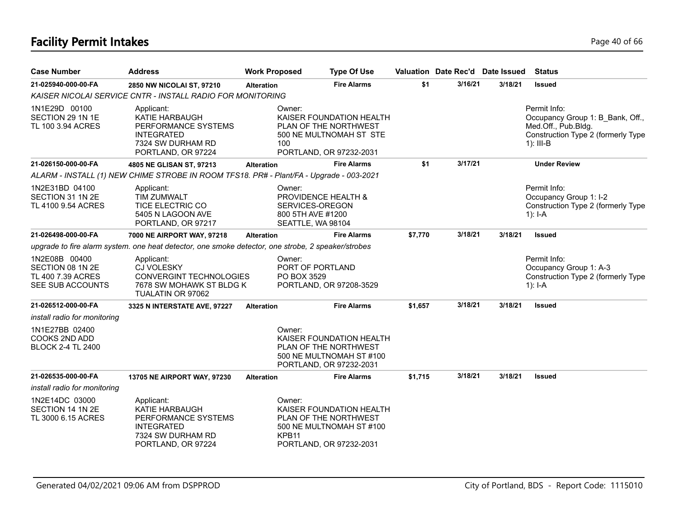# **Facility Permit Intakes** Page 40 of 66

| <b>Case Number</b>                                                         | <b>Address</b>                                                                                                             | <b>Work Proposed</b>        | <b>Type Of Use</b>                                                                                       |         | Valuation Date Rec'd Date Issued |         | <b>Status</b>                                                                                                                |
|----------------------------------------------------------------------------|----------------------------------------------------------------------------------------------------------------------------|-----------------------------|----------------------------------------------------------------------------------------------------------|---------|----------------------------------|---------|------------------------------------------------------------------------------------------------------------------------------|
| 21-025940-000-00-FA                                                        | 2850 NW NICOLAI ST, 97210                                                                                                  | <b>Alteration</b>           | <b>Fire Alarms</b>                                                                                       | \$1     | 3/16/21                          | 3/18/21 | <b>Issued</b>                                                                                                                |
|                                                                            | KAISER NICOLAI SERVICE CNTR - INSTALL RADIO FOR MONITORING                                                                 |                             |                                                                                                          |         |                                  |         |                                                                                                                              |
| 1N1E29D 00100<br>SECTION 29 1N 1E<br>TL 100 3.94 ACRES                     | Applicant:<br>KATIE HARBAUGH<br>PERFORMANCE SYSTEMS<br><b>INTEGRATED</b><br>7324 SW DURHAM RD<br>PORTLAND, OR 97224        | Owner:<br>100               | KAISER FOUNDATION HEALTH<br>PLAN OF THE NORTHWEST<br>500 NE MULTNOMAH ST STE<br>PORTLAND, OR 97232-2031  |         |                                  |         | Permit Info:<br>Occupancy Group 1: B_Bank, Off.,<br>Med.Off., Pub.Bldg.<br>Construction Type 2 (formerly Type<br>$1$ : III-B |
| 21-026150-000-00-FA                                                        | 4805 NE GLISAN ST, 97213                                                                                                   | <b>Alteration</b>           | <b>Fire Alarms</b>                                                                                       | \$1     | 3/17/21                          |         | <b>Under Review</b>                                                                                                          |
|                                                                            | ALARM - INSTALL (1) NEW CHIME STROBE IN ROOM TFS18. PR# - Plant/FA - Upgrade - 003-2021                                    |                             |                                                                                                          |         |                                  |         |                                                                                                                              |
| 1N2E31BD 04100<br>SECTION 31 1N 2E<br>TL 4100 9.54 ACRES                   | Applicant:<br><b>TIM ZUMWALT</b><br><b>TICE ELECTRIC CO</b><br>5405 N LAGOON AVE<br>PORTLAND, OR 97217                     | Owner:                      | <b>PROVIDENCE HEALTH &amp;</b><br>SERVICES-OREGON<br>800 5TH AVE #1200<br>SEATTLE, WA 98104              |         |                                  |         | Permit Info:<br>Occupancy Group 1: I-2<br>Construction Type 2 (formerly Type<br>$1$ : I-A                                    |
| 21-026498-000-00-FA                                                        | 7000 NE AIRPORT WAY, 97218                                                                                                 | <b>Alteration</b>           | <b>Fire Alarms</b>                                                                                       | \$7,770 | 3/18/21                          | 3/18/21 | <b>Issued</b>                                                                                                                |
|                                                                            | upgrade to fire alarm system. one heat detector, one smoke detector, one strobe, 2 speaker/strobes                         |                             |                                                                                                          |         |                                  |         |                                                                                                                              |
| 1N2E08B 00400<br>SECTION 08 1N 2E<br>TL 400 7.39 ACRES<br>SEE SUB ACCOUNTS | Applicant:<br><b>CJ VOLESKY</b><br>CONVERGINT TECHNOLOGIES<br>7678 SW MOHAWK ST BLDG K<br>TUALATIN OR 97062                | Owner:<br>PO BOX 3529       | PORT OF PORTLAND<br>PORTLAND, OR 97208-3529                                                              |         |                                  |         | Permit Info:<br>Occupancy Group 1: A-3<br>Construction Type 2 (formerly Type<br>$1$ : I-A                                    |
| 21-026512-000-00-FA                                                        | 3325 N INTERSTATE AVE, 97227                                                                                               | <b>Alteration</b>           | <b>Fire Alarms</b>                                                                                       | \$1,657 | 3/18/21                          | 3/18/21 | <b>Issued</b>                                                                                                                |
| install radio for monitoring                                               |                                                                                                                            |                             |                                                                                                          |         |                                  |         |                                                                                                                              |
| 1N1E27BB 02400<br><b>COOKS 2ND ADD</b><br><b>BLOCK 2-4 TL 2400</b>         |                                                                                                                            | Owner:                      | KAISER FOUNDATION HEALTH<br>PLAN OF THE NORTHWEST<br>500 NE MULTNOMAH ST #100<br>PORTLAND, OR 97232-2031 |         |                                  |         |                                                                                                                              |
| 21-026535-000-00-FA                                                        | 13705 NE AIRPORT WAY, 97230                                                                                                | <b>Alteration</b>           | <b>Fire Alarms</b>                                                                                       | \$1,715 | 3/18/21                          | 3/18/21 | <b>Issued</b>                                                                                                                |
| install radio for monitoring                                               |                                                                                                                            |                             |                                                                                                          |         |                                  |         |                                                                                                                              |
| 1N2E14DC 03000<br>SECTION 14 1N 2E<br>TL 3000 6.15 ACRES                   | Applicant:<br><b>KATIE HARBAUGH</b><br>PERFORMANCE SYSTEMS<br><b>INTEGRATED</b><br>7324 SW DURHAM RD<br>PORTLAND, OR 97224 | Owner:<br>KPB <sub>11</sub> | KAISER FOUNDATION HEALTH<br>PLAN OF THE NORTHWEST<br>500 NE MULTNOMAH ST #100<br>PORTLAND, OR 97232-2031 |         |                                  |         |                                                                                                                              |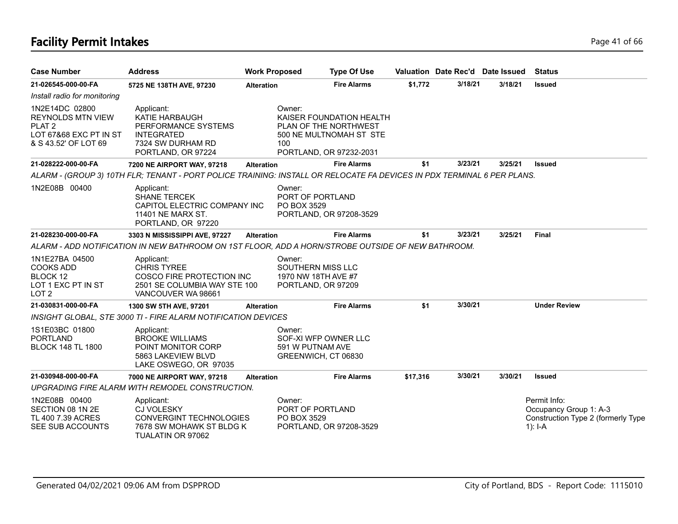# **Facility Permit Intakes** Page 41 of 66

| <b>Case Number</b>                                                                                                | <b>Address</b>                                                                                                         | <b>Work Proposed</b> | <b>Type Of Use</b>                                                                                      |          | Valuation Date Rec'd Date Issued |         | <b>Status</b>                                                                               |
|-------------------------------------------------------------------------------------------------------------------|------------------------------------------------------------------------------------------------------------------------|----------------------|---------------------------------------------------------------------------------------------------------|----------|----------------------------------|---------|---------------------------------------------------------------------------------------------|
| 21-026545-000-00-FA                                                                                               | 5725 NE 138TH AVE, 97230                                                                                               | <b>Alteration</b>    | <b>Fire Alarms</b>                                                                                      | \$1,772  | 3/18/21                          | 3/18/21 | <b>Issued</b>                                                                               |
| Install radio for monitoring                                                                                      |                                                                                                                        |                      |                                                                                                         |          |                                  |         |                                                                                             |
| 1N2E14DC 02800<br><b>REYNOLDS MTN VIEW</b><br>PLAT <sub>2</sub><br>LOT 67&68 EXC PT IN ST<br>& S 43.52' OF LOT 69 | Applicant:<br>KATIE HARBAUGH<br>PERFORMANCE SYSTEMS<br><b>INTEGRATED</b><br>7324 SW DURHAM RD<br>PORTLAND, OR 97224    | Owner:<br>100        | KAISER FOUNDATION HEALTH<br>PLAN OF THE NORTHWEST<br>500 NE MULTNOMAH ST STE<br>PORTLAND, OR 97232-2031 |          |                                  |         |                                                                                             |
| 21-028222-000-00-FA                                                                                               | 7200 NE AIRPORT WAY, 97218                                                                                             | <b>Alteration</b>    | <b>Fire Alarms</b>                                                                                      | \$1      | 3/23/21                          | 3/25/21 | <b>Issued</b>                                                                               |
|                                                                                                                   | ALARM - (GROUP 3) 10TH FLR; TENANT - PORT POLICE TRAINING: INSTALL OR RELOCATE FA DEVICES IN PDX TERMINAL 6 PER PLANS. |                      |                                                                                                         |          |                                  |         |                                                                                             |
| 1N2E08B 00400                                                                                                     | Applicant:<br><b>SHANE TERCEK</b><br>CAPITOL ELECTRIC COMPANY INC<br>11401 NE MARX ST.<br>PORTLAND, OR 97220           | Owner:               | PORT OF PORTLAND<br>PO BOX 3529<br>PORTLAND, OR 97208-3529                                              |          |                                  |         |                                                                                             |
| 21-028230-000-00-FA                                                                                               | 3303 N MISSISSIPPI AVE, 97227                                                                                          | <b>Alteration</b>    | <b>Fire Alarms</b>                                                                                      | \$1      | 3/23/21                          | 3/25/21 | <b>Final</b>                                                                                |
|                                                                                                                   | ALARM - ADD NOTIFICATION IN NEW BATHROOM ON 1ST FLOOR, ADD A HORN/STROBE OUTSIDE OF NEW BATHROOM.                      |                      |                                                                                                         |          |                                  |         |                                                                                             |
| 1N1E27BA 04500<br><b>COOKS ADD</b><br>BLOCK 12<br>LOT 1 EXC PT IN ST<br>LOT <sub>2</sub>                          | Applicant:<br><b>CHRIS TYREE</b><br>COSCO FIRE PROTECTION INC<br>2501 SE COLUMBIA WAY STE 100<br>VANCOUVER WA 98661    | Owner:               | SOUTHERN MISS LLC<br>1970 NW 18TH AVE #7<br>PORTLAND, OR 97209                                          |          |                                  |         |                                                                                             |
| 21-030831-000-00-FA                                                                                               | 1300 SW 5TH AVE, 97201                                                                                                 | <b>Alteration</b>    | <b>Fire Alarms</b>                                                                                      | \$1      | 3/30/21                          |         | <b>Under Review</b>                                                                         |
|                                                                                                                   | INSIGHT GLOBAL, STE 3000 TI - FIRE ALARM NOTIFICATION DEVICES                                                          |                      |                                                                                                         |          |                                  |         |                                                                                             |
| 1S1E03BC 01800<br><b>PORTLAND</b><br><b>BLOCK 148 TL 1800</b>                                                     | Applicant:<br><b>BROOKE WILLIAMS</b><br>POINT MONITOR CORP<br>5863 LAKEVIEW BLVD<br>LAKE OSWEGO, OR 97035              | Owner:               | SOF-XI WFP OWNER LLC<br>591 W PUTNAM AVE<br>GREENWICH, CT 06830                                         |          |                                  |         |                                                                                             |
| 21-030948-000-00-FA                                                                                               | 7000 NE AIRPORT WAY, 97218                                                                                             | <b>Alteration</b>    | <b>Fire Alarms</b>                                                                                      | \$17,316 | 3/30/21                          | 3/30/21 | Issued                                                                                      |
|                                                                                                                   | UPGRADING FIRE ALARM WITH REMODEL CONSTRUCTION.                                                                        |                      |                                                                                                         |          |                                  |         |                                                                                             |
| 1N2E08B 00400<br>SECTION 08 1N 2E<br>TL 400 7.39 ACRES<br>SEE SUB ACCOUNTS                                        | Applicant:<br>CJ VOLESKY<br><b>CONVERGINT TECHNOLOGIES</b><br>7678 SW MOHAWK ST BLDG K<br>TUALATIN OR 97062            | Owner:               | PORT OF PORTLAND<br>PO BOX 3529<br>PORTLAND, OR 97208-3529                                              |          |                                  |         | Permit Info:<br>Occupancy Group 1: A-3<br>Construction Type 2 (formerly Type<br>1): $I - A$ |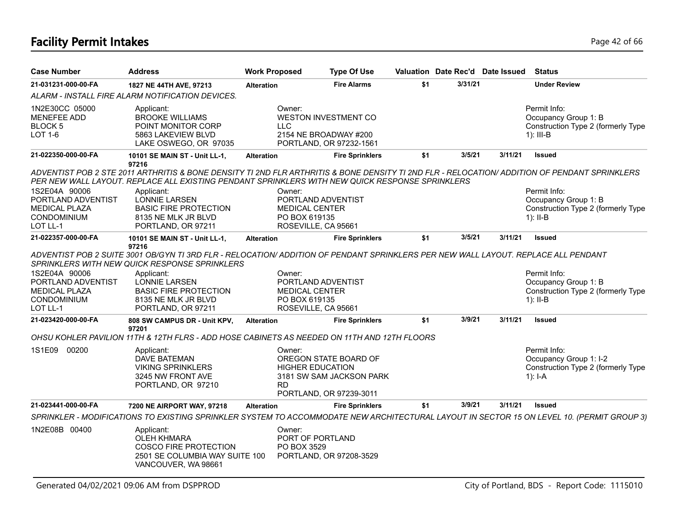## **Facility Permit Intakes** Page 42 of 66

| <b>Case Number</b>                                                                            | <b>Address</b>                                                                                                                                                                                                                                                                                         | <b>Work Proposed</b>  | <b>Type Of Use</b>                                                                                      |     | Valuation Date Rec'd Date Issued |         | <b>Status</b>                                                                                                                             |
|-----------------------------------------------------------------------------------------------|--------------------------------------------------------------------------------------------------------------------------------------------------------------------------------------------------------------------------------------------------------------------------------------------------------|-----------------------|---------------------------------------------------------------------------------------------------------|-----|----------------------------------|---------|-------------------------------------------------------------------------------------------------------------------------------------------|
| 21-031231-000-00-FA                                                                           | 1827 NE 44TH AVE, 97213                                                                                                                                                                                                                                                                                | <b>Alteration</b>     | <b>Fire Alarms</b>                                                                                      | \$1 | 3/31/21                          |         | <b>Under Review</b>                                                                                                                       |
|                                                                                               | ALARM - INSTALL FIRE ALARM NOTIFICATION DEVICES.                                                                                                                                                                                                                                                       |                       |                                                                                                         |     |                                  |         |                                                                                                                                           |
| 1N2E30CC 05000<br><b>MENEFEE ADD</b><br><b>BLOCK 5</b><br>LOT 1-6                             | Applicant:<br><b>BROOKE WILLIAMS</b><br>POINT MONITOR CORP<br>5863 LAKEVIEW BLVD<br>LAKE OSWEGO, OR 97035                                                                                                                                                                                              | Owner:<br><b>LLC</b>  | <b>WESTON INVESTMENT CO</b><br>2154 NE BROADWAY #200<br>PORTLAND, OR 97232-1561                         |     |                                  |         | Permit Info:<br>Occupancy Group 1: B<br>Construction Type 2 (formerly Type<br>$1$ : III-B                                                 |
| 21-022350-000-00-FA                                                                           | 10101 SE MAIN ST - Unit LL-1,<br>97216                                                                                                                                                                                                                                                                 | <b>Alteration</b>     | <b>Fire Sprinklers</b>                                                                                  | \$1 | 3/5/21                           | 3/11/21 | <b>Issued</b>                                                                                                                             |
|                                                                                               | ADVENTIST POB 2 STE 2011 ARTHRITIS & BONE DENSITY TI 2ND FLR ARTHRITIS & BONE DENSITY TI 2ND FLR - RELOCATION/ ADDITION OF PENDANT SPRINKLERS<br>PER NEW WALL LAYOUT. REPLACE ALL EXISTING PENDANT SPRINKLERS WITH NEW QUICK RESPONSE SPRINKLERS                                                       |                       |                                                                                                         |     |                                  |         |                                                                                                                                           |
| 1S2E04A 90006<br>PORTLAND ADVENTIST<br><b>MEDICAL PLAZA</b><br><b>CONDOMINIUM</b><br>LOT LL-1 | Applicant:<br>LONNIE LARSEN<br><b>BASIC FIRE PROTECTION</b><br>8135 NE MLK JR BLVD<br>PORTLAND, OR 97211                                                                                                                                                                                               | Owner:                | PORTLAND ADVENTIST<br><b>MEDICAL CENTER</b><br>PO BOX 619135<br>ROSEVILLE, CA 95661                     |     |                                  |         | Permit Info:<br>Occupancy Group 1: B<br>Construction Type 2 (formerly Type<br>$1$ : II-B                                                  |
| 21-022357-000-00-FA                                                                           | 10101 SE MAIN ST - Unit LL-1,<br>97216                                                                                                                                                                                                                                                                 | <b>Alteration</b>     | <b>Fire Sprinklers</b>                                                                                  | \$1 | 3/5/21                           | 3/11/21 | <b>Issued</b>                                                                                                                             |
| 1S2E04A 90006<br>PORTLAND ADVENTIST<br><b>MEDICAL PLAZA</b><br><b>CONDOMINIUM</b><br>LOT LL-1 | ADVENTIST POB 2 SUITE 3001 OB/GYN TI 3RD FLR - RELOCATION/ ADDITION OF PENDANT SPRINKLERS PER NEW WALL LAYOUT. REPLACE ALL PENDANT<br>SPRINKLERS WITH NEW QUICK RESPONSE SPRINKLERS<br>Applicant:<br><b>LONNIE LARSEN</b><br><b>BASIC FIRE PROTECTION</b><br>8135 NE MLK JR BLVD<br>PORTLAND, OR 97211 | Owner:                | PORTLAND ADVENTIST<br><b>MEDICAL CENTER</b><br>PO BOX 619135<br>ROSEVILLE, CA 95661                     |     |                                  |         | Permit Info:<br>Occupancy Group 1: B<br>Construction Type 2 (formerly Type<br>$1$ : II-B                                                  |
| 21-023420-000-00-FA                                                                           | 808 SW CAMPUS DR - Unit KPV,<br>97201<br>OHSU KOHLER PAVILION 11TH & 12TH FLRS - ADD HOSE CABINETS AS NEEDED ON 11TH AND 12TH FLOORS                                                                                                                                                                   | <b>Alteration</b>     | <b>Fire Sprinklers</b>                                                                                  | \$1 | 3/9/21                           | 3/11/21 | <b>Issued</b>                                                                                                                             |
| 1S1E09<br>00200                                                                               | Applicant:<br><b>DAVE BATEMAN</b><br><b>VIKING SPRINKLERS</b><br>3245 NW FRONT AVE<br>PORTLAND, OR 97210                                                                                                                                                                                               | Owner:<br><b>RD</b>   | OREGON STATE BOARD OF<br><b>HIGHER EDUCATION</b><br>3181 SW SAM JACKSON PARK<br>PORTLAND, OR 97239-3011 |     |                                  |         | Permit Info:<br>Occupancy Group 1: I-2<br>Construction Type 2 (formerly Type<br>$1$ : I-A                                                 |
| 21-023441-000-00-FA                                                                           | 7200 NE AIRPORT WAY, 97218                                                                                                                                                                                                                                                                             | <b>Alteration</b>     | <b>Fire Sprinklers</b>                                                                                  | \$1 | 3/9/21                           | 3/11/21 | <b>Issued</b>                                                                                                                             |
|                                                                                               |                                                                                                                                                                                                                                                                                                        |                       |                                                                                                         |     |                                  |         | SPRINKLER - MODIFICATIONS TO EXISTING SPRINKLER SYSTEM TO ACCOMMODATE NEW ARCHITECTURAL LAYOUT IN SECTOR 15 ON LEVEL 10. (PERMIT GROUP 3) |
| 1N2E08B 00400                                                                                 | Applicant:<br><b>OLEH KHMARA</b><br><b>COSCO FIRE PROTECTION</b><br>2501 SE COLUMBIA WAY SUITE 100<br>VANCOUVER, WA 98661                                                                                                                                                                              | Owner:<br>PO BOX 3529 | PORT OF PORTLAND<br>PORTLAND, OR 97208-3529                                                             |     |                                  |         |                                                                                                                                           |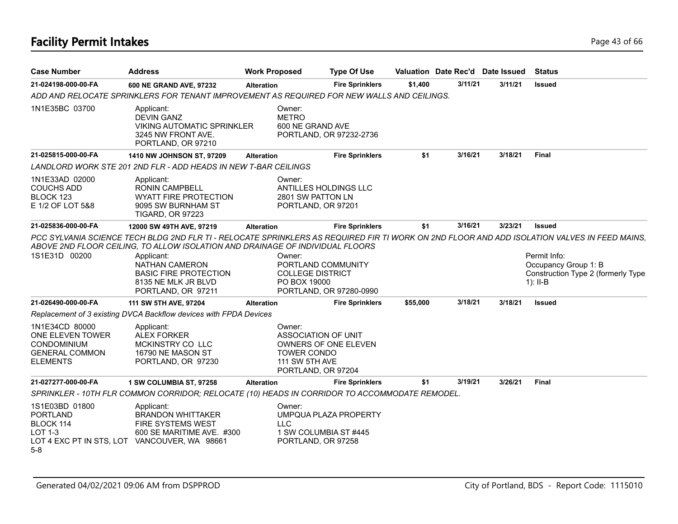# **Facility Permit Intakes** Page 43 of 66

| <b>Case Number</b>                                                                                                        | <b>Address</b>                                                                                                       | <b>Work Proposed</b> |                                                                                                    | <b>Type Of Use</b>      | Valuation Date Rec'd Date Issued |         |         | <b>Status</b>                                                                                                                                |
|---------------------------------------------------------------------------------------------------------------------------|----------------------------------------------------------------------------------------------------------------------|----------------------|----------------------------------------------------------------------------------------------------|-------------------------|----------------------------------|---------|---------|----------------------------------------------------------------------------------------------------------------------------------------------|
| 21-024198-000-00-FA                                                                                                       | 600 NE GRAND AVE, 97232                                                                                              | <b>Alteration</b>    |                                                                                                    | <b>Fire Sprinklers</b>  | \$1,400                          | 3/11/21 | 3/11/21 | <b>Issued</b>                                                                                                                                |
|                                                                                                                           | ADD AND RELOCATE SPRINKLERS FOR TENANT IMPROVEMENT AS REQUIRED FOR NEW WALLS AND CEILINGS.                           |                      |                                                                                                    |                         |                                  |         |         |                                                                                                                                              |
| 1N1E35BC 03700                                                                                                            | Applicant:<br><b>DEVIN GANZ</b><br><b>VIKING AUTOMATIC SPRINKLER</b><br>3245 NW FRONT AVE.<br>PORTLAND, OR 97210     |                      | Owner:<br><b>METRO</b><br>600 NE GRAND AVE                                                         | PORTLAND, OR 97232-2736 |                                  |         |         |                                                                                                                                              |
| 21-025815-000-00-FA                                                                                                       | 1410 NW JOHNSON ST, 97209                                                                                            | <b>Alteration</b>    |                                                                                                    | <b>Fire Sprinklers</b>  | \$1                              | 3/16/21 | 3/18/21 | <b>Final</b>                                                                                                                                 |
|                                                                                                                           | LANDLORD WORK STE 201 2ND FLR - ADD HEADS IN NEW T-BAR CEILINGS                                                      |                      |                                                                                                    |                         |                                  |         |         |                                                                                                                                              |
| 1N1E33AD 02000<br><b>COUCHS ADD</b><br>BLOCK 123<br>E 1/2 OF LOT 5&8                                                      | Applicant:<br><b>RONIN CAMPBELL</b><br><b>WYATT FIRE PROTECTION</b><br>9095 SW BURNHAM ST<br><b>TIGARD, OR 97223</b> |                      | Owner:<br>ANTILLES HOLDINGS LLC<br>2801 SW PATTON LN<br>PORTLAND, OR 97201                         |                         |                                  |         |         |                                                                                                                                              |
| 21-025836-000-00-FA                                                                                                       | 12000 SW 49TH AVE, 97219                                                                                             | <b>Alteration</b>    |                                                                                                    | <b>Fire Sprinklers</b>  | \$1                              | 3/16/21 | 3/23/21 | <b>Issued</b>                                                                                                                                |
|                                                                                                                           | ABOVE 2ND FLOOR CEILING, TO ALLOW ISOLATION AND DRAINAGE OF INDIVIDUAL FLOORS                                        |                      |                                                                                                    |                         |                                  |         |         | PCC SYLVANIA SCIENCE TECH BLDG 2ND FLR TI - RELOCATE SPRINKLERS AS REQUIRED FIR TI WORK ON 2ND FLOOR AND ADD ISOLATION VALVES IN FEED MAINS, |
| 1S1E31D 00200                                                                                                             | Applicant:<br><b>NATHAN CAMERON</b><br><b>BASIC FIRE PROTECTION</b><br>8135 NE MLK JR BLVD<br>PORTLAND, OR 97211     |                      | Owner:<br>PORTLAND COMMUNITY<br><b>COLLEGE DISTRICT</b><br>PO BOX 19000                            | PORTLAND, OR 97280-0990 |                                  |         |         | Permit Info:<br>Occupancy Group 1: B<br>Construction Type 2 (formerly Type<br>$1$ : II-B                                                     |
| 21-026490-000-00-FA                                                                                                       | 111 SW 5TH AVE, 97204                                                                                                | <b>Alteration</b>    |                                                                                                    | <b>Fire Sprinklers</b>  | \$55,000                         | 3/18/21 | 3/18/21 | <b>Issued</b>                                                                                                                                |
|                                                                                                                           | Replacement of 3 existing DVCA Backflow devices with FPDA Devices                                                    |                      |                                                                                                    |                         |                                  |         |         |                                                                                                                                              |
| 1N1E34CD 80000<br>ONE ELEVEN TOWER<br><b>CONDOMINIUM</b><br><b>GENERAL COMMON</b><br><b>ELEMENTS</b>                      | Applicant:<br><b>ALEX FORKER</b><br>MCKINSTRY CO LLC<br>16790 NE MASON ST<br>PORTLAND, OR 97230                      |                      | Owner:<br><b>ASSOCIATION OF UNIT</b><br><b>TOWER CONDO</b><br>111 SW 5TH AVE<br>PORTLAND, OR 97204 | OWNERS OF ONE ELEVEN    |                                  |         |         |                                                                                                                                              |
| 21-027277-000-00-FA                                                                                                       | 1 SW COLUMBIA ST, 97258                                                                                              | <b>Alteration</b>    |                                                                                                    | <b>Fire Sprinklers</b>  | \$1                              | 3/19/21 | 3/26/21 | <b>Final</b>                                                                                                                                 |
|                                                                                                                           | SPRINKLER - 10TH FLR COMMON CORRIDOR; RELOCATE (10) HEADS IN CORRIDOR TO ACCOMMODATE REMODEL.                        |                      |                                                                                                    |                         |                                  |         |         |                                                                                                                                              |
| 1S1E03BD 01800<br><b>PORTLAND</b><br>BLOCK 114<br><b>LOT 1-3</b><br>LOT 4 EXC PT IN STS, LOT VANCOUVER, WA 98661<br>$5-8$ | Applicant:<br><b>BRANDON WHITTAKER</b><br><b>FIRE SYSTEMS WEST</b><br>600 SE MARITIME AVE. #300                      |                      | Owner:<br><b>LLC</b><br>1 SW COLUMBIA ST #445<br>PORTLAND, OR 97258                                | UMPQUA PLAZA PROPERTY   |                                  |         |         |                                                                                                                                              |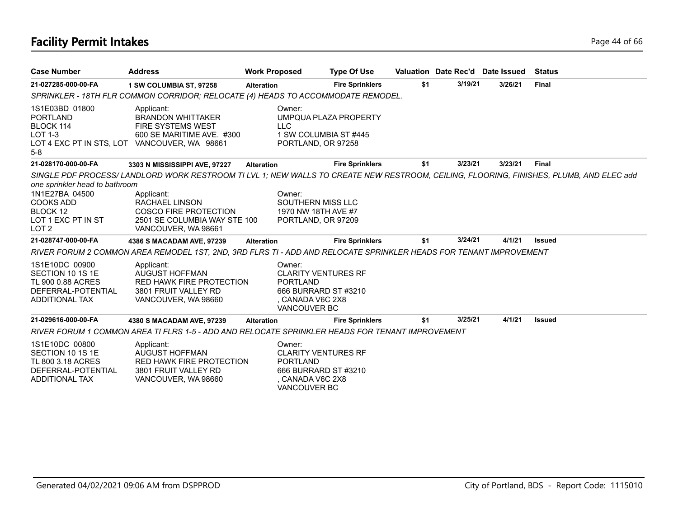# **Facility Permit Intakes** Page 44 of 66

| <b>Case Number</b>                                                                                                         | <b>Address</b>                                                                                                                                                                                                                                                | <b>Work Proposed</b>                                                                                                       | <b>Type Of Use</b>                             |     |         | Valuation Date Rec'd Date Issued | <b>Status</b> |
|----------------------------------------------------------------------------------------------------------------------------|---------------------------------------------------------------------------------------------------------------------------------------------------------------------------------------------------------------------------------------------------------------|----------------------------------------------------------------------------------------------------------------------------|------------------------------------------------|-----|---------|----------------------------------|---------------|
| 21-027285-000-00-FA                                                                                                        | 1 SW COLUMBIA ST, 97258                                                                                                                                                                                                                                       | <b>Alteration</b>                                                                                                          | <b>Fire Sprinklers</b>                         | \$1 | 3/19/21 | 3/26/21                          | Final         |
|                                                                                                                            | SPRINKLER - 18TH FLR COMMON CORRIDOR; RELOCATE (4) HEADS TO ACCOMMODATE REMODEL.                                                                                                                                                                              |                                                                                                                            |                                                |     |         |                                  |               |
| 1S1E03BD 01800<br><b>PORTLAND</b><br>BLOCK 114<br><b>LOT 1-3</b><br>LOT 4 EXC PT IN STS, LOT<br>$5-8$                      | Applicant:<br><b>BRANDON WHITTAKER</b><br>FIRE SYSTEMS WEST<br>600 SE MARITIME AVE. #300<br>VANCOUVER, WA 98661                                                                                                                                               | Owner:<br><b>LLC</b><br>PORTLAND, OR 97258                                                                                 | UMPQUA PLAZA PROPERTY<br>1 SW COLUMBIA ST #445 |     |         |                                  |               |
| 21-028170-000-00-FA                                                                                                        | 3303 N MISSISSIPPI AVE, 97227                                                                                                                                                                                                                                 | <b>Alteration</b>                                                                                                          | <b>Fire Sprinklers</b>                         | \$1 | 3/23/21 | 3/23/21                          | <b>Final</b>  |
| one sprinkler head to bathroom<br>1N1E27BA 04500<br><b>COOKS ADD</b><br>BLOCK 12<br>LOT 1 EXC PT IN ST<br>LOT <sub>2</sub> | SINGLE PDF PROCESS/LANDLORD WORK RESTROOM TI LVL 1; NEW WALLS TO CREATE NEW RESTROOM, CEILING, FLOORING, FINISHES, PLUMB, AND ELEC add<br>Applicant:<br>RACHAEL LINSON<br><b>COSCO FIRE PROTECTION</b><br>2501 SE COLUMBIA WAY STE 100<br>VANCOUVER, WA 98661 | Owner:<br>SOUTHERN MISS LLC<br>1970 NW 18TH AVE #7<br>PORTLAND, OR 97209                                                   |                                                |     |         |                                  |               |
| 21-028747-000-00-FA                                                                                                        | 4386 S MACADAM AVE, 97239                                                                                                                                                                                                                                     | <b>Alteration</b>                                                                                                          | <b>Fire Sprinklers</b>                         | \$1 | 3/24/21 | 4/1/21                           | <b>Issued</b> |
|                                                                                                                            | RIVER FORUM 2 COMMON AREA REMODEL 1ST, 2ND, 3RD FLRS TI - ADD AND RELOCATE SPRINKLER HEADS FOR TENANT IMPROVEMENT                                                                                                                                             |                                                                                                                            |                                                |     |         |                                  |               |
| 1S1E10DC 00900<br>SECTION 10 1S 1E<br>TL 900 0.88 ACRES<br>DEFERRAL-POTENTIAL<br>ADDITIONAL TAX                            | Applicant:<br><b>AUGUST HOFFMAN</b><br><b>RED HAWK FIRE PROTECTION</b><br>3801 FRUIT VALLEY RD<br>VANCOUVER, WA 98660                                                                                                                                         | Owner:<br><b>CLARITY VENTURES RF</b><br><b>PORTLAND</b><br>666 BURRARD ST #3210<br>, CANADA V6C 2X8<br><b>VANCOUVER BC</b> |                                                |     |         |                                  |               |
| 21-029616-000-00-FA                                                                                                        | 4380 S MACADAM AVE, 97239                                                                                                                                                                                                                                     | <b>Alteration</b>                                                                                                          | <b>Fire Sprinklers</b>                         | \$1 | 3/25/21 | 4/1/21                           | <b>Issued</b> |
|                                                                                                                            | RIVER FORUM 1 COMMON AREA TI FLRS 1-5 - ADD AND RELOCATE SPRINKLER HEADS FOR TENANT IMPROVEMENT                                                                                                                                                               |                                                                                                                            |                                                |     |         |                                  |               |
| 1S1E10DC 00800<br>SECTION 10 1S 1E<br>TL 800 3.18 ACRES<br>DEFERRAL-POTENTIAL<br>ADDITIONAL TAX                            | Applicant:<br><b>AUGUST HOFFMAN</b><br><b>RED HAWK FIRE PROTECTION</b><br>3801 FRUIT VALLEY RD<br>VANCOUVER, WA 98660                                                                                                                                         | Owner:<br><b>CLARITY VENTURES RF</b><br><b>PORTLAND</b><br>666 BURRARD ST#3210<br>, CANADA V6C 2X8<br><b>VANCOUVER BC</b>  |                                                |     |         |                                  |               |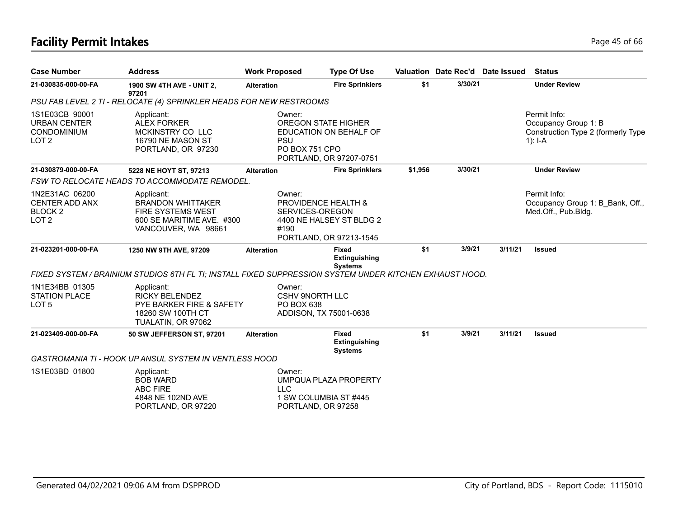# **Facility Permit Intakes** Page 45 of 66

| <b>Case Number</b>                                                                | <b>Address</b>                                                                                                         | <b>Work Proposed</b> | <b>Type Of Use</b>                                                                                       |         | Valuation Date Rec'd Date Issued |         | <b>Status</b>                                                                           |
|-----------------------------------------------------------------------------------|------------------------------------------------------------------------------------------------------------------------|----------------------|----------------------------------------------------------------------------------------------------------|---------|----------------------------------|---------|-----------------------------------------------------------------------------------------|
| 21-030835-000-00-FA                                                               | <b>1900 SW 4TH AVE - UNIT 2,</b><br>97201                                                                              | <b>Alteration</b>    | <b>Fire Sprinklers</b>                                                                                   | \$1     | 3/30/21                          |         | <b>Under Review</b>                                                                     |
|                                                                                   | PSU FAB LEVEL 2 TI - RELOCATE (4) SPRINKLER HEADS FOR NEW RESTROOMS                                                    |                      |                                                                                                          |         |                                  |         |                                                                                         |
| 1S1E03CB 90001<br><b>URBAN CENTER</b><br><b>CONDOMINIUM</b><br>LOT <sub>2</sub>   | Applicant:<br><b>ALEX FORKER</b><br><b>MCKINSTRY CO LLC</b><br>16790 NE MASON ST<br>PORTLAND, OR 97230                 | Owner:<br><b>PSU</b> | <b>OREGON STATE HIGHER</b><br>EDUCATION ON BEHALF OF<br><b>PO BOX 751 CPO</b><br>PORTLAND, OR 97207-0751 |         |                                  |         | Permit Info:<br>Occupancy Group 1: B<br>Construction Type 2 (formerly Type<br>1): $I-A$ |
| 21-030879-000-00-FA                                                               | 5228 NE HOYT ST, 97213                                                                                                 | <b>Alteration</b>    | <b>Fire Sprinklers</b>                                                                                   | \$1,956 | 3/30/21                          |         | <b>Under Review</b>                                                                     |
|                                                                                   | <b>FSW TO RELOCATE HEADS TO ACCOMMODATE REMODEL.</b>                                                                   |                      |                                                                                                          |         |                                  |         |                                                                                         |
| 1N2E31AC 06200<br><b>CENTER ADD ANX</b><br>BLOCK <sub>2</sub><br>LOT <sub>2</sub> | Applicant:<br><b>BRANDON WHITTAKER</b><br><b>FIRE SYSTEMS WEST</b><br>600 SE MARITIME AVE. #300<br>VANCOUVER, WA 98661 | Owner:<br>#190       | <b>PROVIDENCE HEALTH &amp;</b><br>SERVICES-OREGON<br>4400 NE HALSEY ST BLDG 2<br>PORTLAND, OR 97213-1545 |         |                                  |         | Permit Info:<br>Occupancy Group 1: B Bank, Off.,<br>Med.Off., Pub.Bldg.                 |
| 21-023201-000-00-FA                                                               | 1250 NW 9TH AVE, 97209                                                                                                 | <b>Alteration</b>    | <b>Fixed</b><br><b>Extinguishing</b><br><b>Systems</b>                                                   | \$1     | 3/9/21                           | 3/11/21 | <b>Issued</b>                                                                           |
|                                                                                   | FIXED SYSTEM / BRAINIUM STUDIOS 6TH FL TI; INSTALL FIXED SUPPRESSION SYSTEM UNDER KITCHEN EXHAUST HOOD.                |                      |                                                                                                          |         |                                  |         |                                                                                         |
| 1N1E34BB 01305<br><b>STATION PLACE</b><br>LOT <sub>5</sub>                        | Applicant:<br><b>RICKY BELENDEZ</b><br><b>PYE BARKER FIRE &amp; SAFETY</b><br>18260 SW 100TH CT<br>TUALATIN, OR 97062  | Owner:<br>PO BOX 638 | <b>CSHV 9NORTH LLC</b><br>ADDISON, TX 75001-0638                                                         |         |                                  |         |                                                                                         |
| 21-023409-000-00-FA                                                               | 50 SW JEFFERSON ST, 97201                                                                                              | <b>Alteration</b>    | <b>Fixed</b><br>Extinguishing<br><b>Systems</b>                                                          | \$1     | 3/9/21                           | 3/11/21 | <b>Issued</b>                                                                           |
|                                                                                   | GASTROMANIA TI - HOOK UP ANSUL SYSTEM IN VENTLESS HOOD                                                                 |                      |                                                                                                          |         |                                  |         |                                                                                         |
| 1S1E03BD 01800                                                                    | Applicant:<br><b>BOB WARD</b><br><b>ABC FIRE</b><br>4848 NE 102ND AVE<br>PORTLAND, OR 97220                            | Owner:<br><b>LLC</b> | UMPQUA PLAZA PROPERTY<br>1 SW COLUMBIA ST #445<br>PORTLAND, OR 97258                                     |         |                                  |         |                                                                                         |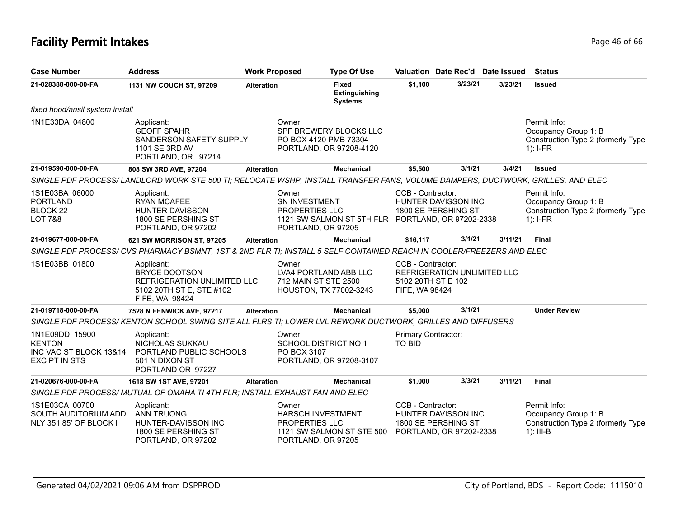# **Facility Permit Intakes** Page 46 of 66

| <b>Case Number</b>                                                             | <b>Address</b>                                                                                                                 | <b>Work Proposed</b>                                            | <b>Type Of Use</b>                                                         |                                                           | Valuation Date Rec'd Date Issued                                             |         | <b>Status</b>                                                                             |
|--------------------------------------------------------------------------------|--------------------------------------------------------------------------------------------------------------------------------|-----------------------------------------------------------------|----------------------------------------------------------------------------|-----------------------------------------------------------|------------------------------------------------------------------------------|---------|-------------------------------------------------------------------------------------------|
| 21-028388-000-00-FA                                                            | 1131 NW COUCH ST, 97209                                                                                                        | <b>Alteration</b>                                               | Fixed<br><b>Extinguishing</b><br><b>Systems</b>                            | \$1,100                                                   | 3/23/21                                                                      | 3/23/21 | <b>Issued</b>                                                                             |
| fixed hood/ansil system install                                                |                                                                                                                                |                                                                 |                                                                            |                                                           |                                                                              |         |                                                                                           |
| 1N1E33DA 04800                                                                 | Applicant:<br><b>GEOFF SPAHR</b><br>SANDERSON SAFETY SUPPLY<br>1101 SE 3RD AV<br>PORTLAND, OR 97214                            | Owner:                                                          | SPF BREWERY BLOCKS LLC<br>PO BOX 4120 PMB 73304<br>PORTLAND, OR 97208-4120 |                                                           |                                                                              |         | Permit Info:<br>Occupancy Group 1: B<br>Construction Type 2 (formerly Type<br>$1$ : I-FR  |
| 21-019590-000-00-FA                                                            | 808 SW 3RD AVE, 97204                                                                                                          | <b>Alteration</b>                                               | <b>Mechanical</b>                                                          | \$5,500                                                   | 3/1/21                                                                       | 3/4/21  | <b>Issued</b>                                                                             |
|                                                                                | SINGLE PDF PROCESS/LANDLORD WORK STE 500 TI; RELOCATE WSHP, INSTALL TRANSFER FANS, VOLUME DAMPERS, DUCTWORK, GRILLES, AND ELEC |                                                                 |                                                                            |                                                           |                                                                              |         |                                                                                           |
| 1S1E03BA 06000<br><b>PORTLAND</b><br>BLOCK <sub>22</sub><br><b>LOT 7&amp;8</b> | Applicant:<br><b>RYAN MCAFEE</b><br><b>HUNTER DAVISSON</b><br>1800 SE PERSHING ST<br>PORTLAND, OR 97202                        | Owner:<br>SN INVESTMENT<br>PROPERTIES LLC<br>PORTLAND, OR 97205 | 1121 SW SALMON ST 5TH FLR PORTLAND, OR 97202-2338                          | CCB - Contractor:                                         | HUNTER DAVISSON INC<br>1800 SE PERSHING ST                                   |         | Permit Info:<br>Occupancy Group 1: B<br>Construction Type 2 (formerly Type<br>$1$ : I-FR  |
| 21-019677-000-00-FA                                                            | 621 SW MORRISON ST, 97205                                                                                                      | <b>Alteration</b>                                               | <b>Mechanical</b>                                                          | \$16,117                                                  | 3/1/21                                                                       | 3/11/21 | <b>Final</b>                                                                              |
|                                                                                | SINGLE PDF PROCESS/ CVS PHARMACY BSMNT, 1ST & 2ND FLR TI; INSTALL 5 SELF CONTAINED REACH IN COOLER/FREEZERS AND ELEC           |                                                                 |                                                                            |                                                           |                                                                              |         |                                                                                           |
| 1S1E03BB 01800                                                                 | Applicant:<br><b>BRYCE DOOTSON</b><br>REFRIGERATION UNLIMITED LLC<br>5102 20TH ST E, STE #102<br>FIFE, WA 98424                | Owner:                                                          | LVA4 PORTLAND ABB LLC<br>712 MAIN ST STE 2500<br>HOUSTON, TX 77002-3243    | CCB - Contractor:<br>5102 20TH ST E 102<br>FIFE, WA 98424 | <b>REFRIGERATION UNLIMITED LLC</b>                                           |         |                                                                                           |
| 21-019718-000-00-FA                                                            | 7528 N FENWICK AVE, 97217                                                                                                      | <b>Alteration</b>                                               | <b>Mechanical</b>                                                          | \$5,000                                                   | 3/1/21                                                                       |         | <b>Under Review</b>                                                                       |
|                                                                                | SINGLE PDF PROCESS/KENTON SCHOOL SWING SITE ALL FLRS TI; LOWER LVL REWORK DUCTWORK, GRILLES AND DIFFUSERS                      |                                                                 |                                                                            |                                                           |                                                                              |         |                                                                                           |
| 1N1E09DD 15900<br><b>KENTON</b><br>INC VAC ST BLOCK 13&14<br>EXC PT IN STS     | Applicant:<br>NICHOLAS SUKKAU<br>PORTLAND PUBLIC SCHOOLS<br>501 N DIXON ST<br>PORTLAND OR 97227                                | Owner:<br>PO BOX 3107                                           | <b>SCHOOL DISTRICT NO 1</b><br>PORTLAND, OR 97208-3107                     | Primary Contractor:<br><b>TO BID</b>                      |                                                                              |         |                                                                                           |
| 21-020676-000-00-FA                                                            | 1618 SW 1ST AVE, 97201                                                                                                         | <b>Alteration</b>                                               | <b>Mechanical</b>                                                          | \$1,000                                                   | 3/3/21                                                                       | 3/11/21 | <b>Final</b>                                                                              |
|                                                                                | SINGLE PDF PROCESS/ MUTUAL OF OMAHA TI 4TH FLR; INSTALL EXHAUST FAN AND ELEC                                                   |                                                                 |                                                                            |                                                           |                                                                              |         |                                                                                           |
| 1S1E03CA 00700<br>SOUTH AUDITORIUM ADD<br>NLY 351.85' OF BLOCK I               | Applicant:<br>ANN TRUONG<br>HUNTER-DAVISSON INC<br>1800 SE PERSHING ST<br>PORTLAND, OR 97202                                   | Owner:<br>PROPERTIES LLC<br>PORTLAND, OR 97205                  | <b>HARSCH INVESTMENT</b><br>1121 SW SALMON ST STE 500                      | CCB - Contractor:                                         | <b>HUNTER DAVISSON INC</b><br>1800 SE PERSHING ST<br>PORTLAND, OR 97202-2338 |         | Permit Info:<br>Occupancy Group 1: B<br>Construction Type 2 (formerly Type<br>$1$ : III-B |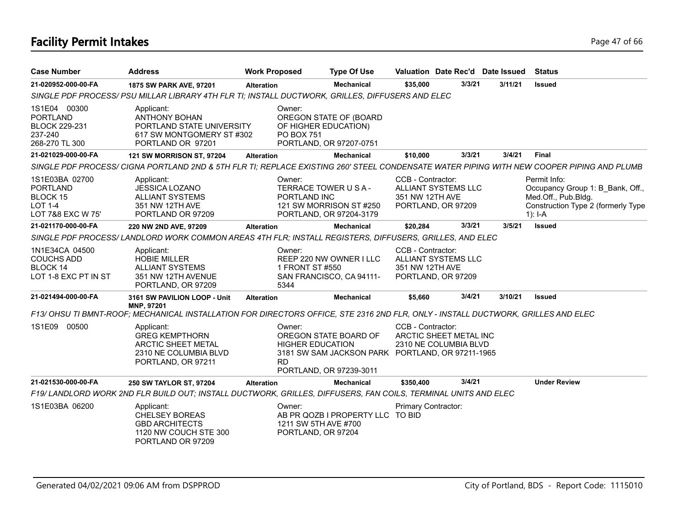# **Facility Permit Intakes** Page 47 of 66

| <b>Case Number</b>                                                                   | <b>Address</b>                                                                                                                    | <b>Work Proposed</b>                                 | <b>Type Of Use</b>                                                                                   |                                      | Valuation Date Rec'd Date Issued                 |         | <b>Status</b>                                                                                                                             |
|--------------------------------------------------------------------------------------|-----------------------------------------------------------------------------------------------------------------------------------|------------------------------------------------------|------------------------------------------------------------------------------------------------------|--------------------------------------|--------------------------------------------------|---------|-------------------------------------------------------------------------------------------------------------------------------------------|
| 21-020952-000-00-FA                                                                  | 1875 SW PARK AVE, 97201                                                                                                           | <b>Alteration</b>                                    | <b>Mechanical</b>                                                                                    | \$35,000                             | 3/3/21                                           | 3/11/21 | <b>Issued</b>                                                                                                                             |
|                                                                                      | SINGLE PDF PROCESS/ PSU MILLAR LIBRARY 4TH FLR TI; INSTALL DUCTWORK, GRILLES, DIFFUSERS AND ELEC                                  |                                                      |                                                                                                      |                                      |                                                  |         |                                                                                                                                           |
| 1S1E04 00300<br><b>PORTLAND</b><br><b>BLOCK 229-231</b><br>237-240<br>268-270 TL 300 | Applicant:<br><b>ANTHONY BOHAN</b><br>PORTLAND STATE UNIVERSITY<br>617 SW MONTGOMERY ST #302<br>PORTLAND OR 97201                 | Owner:<br><b>PO BOX 751</b>                          | OREGON STATE OF (BOARD<br>OF HIGHER EDUCATION)<br>PORTLAND, OR 97207-0751                            |                                      |                                                  |         |                                                                                                                                           |
| 21-021029-000-00-FA                                                                  | 121 SW MORRISON ST, 97204                                                                                                         | <b>Alteration</b>                                    | <b>Mechanical</b>                                                                                    | \$10,000                             | 3/3/21                                           | 3/4/21  | <b>Final</b>                                                                                                                              |
|                                                                                      |                                                                                                                                   |                                                      |                                                                                                      |                                      |                                                  |         | SINGLE PDF PROCESS/ CIGNA PORTLAND 2ND & 5TH FLR TI; REPLACE EXISTING 260' STEEL CONDENSATE WATER PIPING WITH NEW COOPER PIPING AND PLUMB |
| 1S1E03BA 02700<br><b>PORTLAND</b><br>BLOCK 15<br>LOT 1-4<br>LOT 7&8 EXC W 75'        | Applicant:<br><b>JESSICA LOZANO</b><br><b>ALLIANT SYSTEMS</b><br>351 NW 12TH AVE<br>PORTLAND OR 97209                             | Owner:<br>PORTLAND INC                               | TERRACE TOWER U S A -<br>121 SW MORRISON ST #250<br>PORTLAND, OR 97204-3179                          | CCB - Contractor:<br>351 NW 12TH AVE | <b>ALLIANT SYSTEMS LLC</b><br>PORTLAND, OR 97209 |         | Permit Info:<br>Occupancy Group 1: B Bank, Off.,<br>Med.Off., Pub.Bldg.<br>Construction Type 2 (formerly Type<br>$1$ : I-A                |
| 21-021170-000-00-FA                                                                  | 220 NW 2ND AVE, 97209                                                                                                             | <b>Alteration</b>                                    | <b>Mechanical</b>                                                                                    | \$20,284                             | 3/3/21                                           | 3/5/21  | <b>Issued</b>                                                                                                                             |
|                                                                                      | SINGLE PDF PROCESS/ LANDLORD WORK COMMON AREAS 4TH FLR; INSTALL REGISTERS, DIFFUSERS, GRILLES, AND ELEC                           |                                                      |                                                                                                      |                                      |                                                  |         |                                                                                                                                           |
| 1N1E34CA 04500<br><b>COUCHS ADD</b><br>BLOCK 14<br>LOT 1-8 EXC PT IN ST              | Applicant:<br><b>HOBIE MILLER</b><br><b>ALLIANT SYSTEMS</b><br>351 NW 12TH AVENUE<br>PORTLAND, OR 97209                           | Owner:<br>1 FRONT ST #550<br>5344                    | REEP 220 NW OWNER I LLC<br>SAN FRANCISCO, CA 94111-                                                  | CCB - Contractor:<br>351 NW 12TH AVE | ALLIANT SYSTEMS LLC<br>PORTLAND, OR 97209        |         |                                                                                                                                           |
| 21-021494-000-00-FA                                                                  | 3161 SW PAVILION LOOP - Unit<br>MNP, 97201                                                                                        | <b>Alteration</b>                                    | <b>Mechanical</b>                                                                                    | \$5,660                              | 3/4/21                                           | 3/10/21 | <b>Issued</b>                                                                                                                             |
|                                                                                      | F13/ OHSU TI BMNT-ROOF; MECHANICAL INSTALLATION FOR DIRECTORS OFFICE, STE 2316 2ND FLR, ONLY - INSTALL DUCTWORK, GRILLES AND ELEC |                                                      |                                                                                                      |                                      |                                                  |         |                                                                                                                                           |
| 1S1E09 00500                                                                         | Applicant:<br><b>GREG KEMPTHORN</b><br><b>ARCTIC SHEET METAL</b><br>2310 NE COLUMBIA BLVD<br>PORTLAND, OR 97211                   | Owner:<br><b>HIGHER EDUCATION</b><br><b>RD</b>       | OREGON STATE BOARD OF<br>3181 SW SAM JACKSON PARK PORTLAND, OR 97211-1965<br>PORTLAND, OR 97239-3011 | CCB - Contractor:                    | ARCTIC SHEET METAL INC<br>2310 NE COLUMBIA BLVD  |         |                                                                                                                                           |
| 21-021530-000-00-FA                                                                  | <b>250 SW TAYLOR ST, 97204</b>                                                                                                    | <b>Alteration</b>                                    | <b>Mechanical</b>                                                                                    | \$350,400                            | 3/4/21                                           |         | <b>Under Review</b>                                                                                                                       |
|                                                                                      | F19/ LANDLORD WORK 2ND FLR BUILD OUT; INSTALL DUCTWORK, GRILLES, DIFFUSERS, FAN COILS, TERMINAL UNITS AND ELEC                    |                                                      |                                                                                                      |                                      |                                                  |         |                                                                                                                                           |
| 1S1E03BA 06200                                                                       | Applicant:<br><b>CHELSEY BOREAS</b><br><b>GBD ARCHITECTS</b><br>1120 NW COUCH STE 300<br>PORTLAND OR 97209                        | Owner:<br>1211 SW 5TH AVE #700<br>PORTLAND, OR 97204 | AB PR QOZB I PROPERTY LLC TO BID                                                                     | Primary Contractor:                  |                                                  |         |                                                                                                                                           |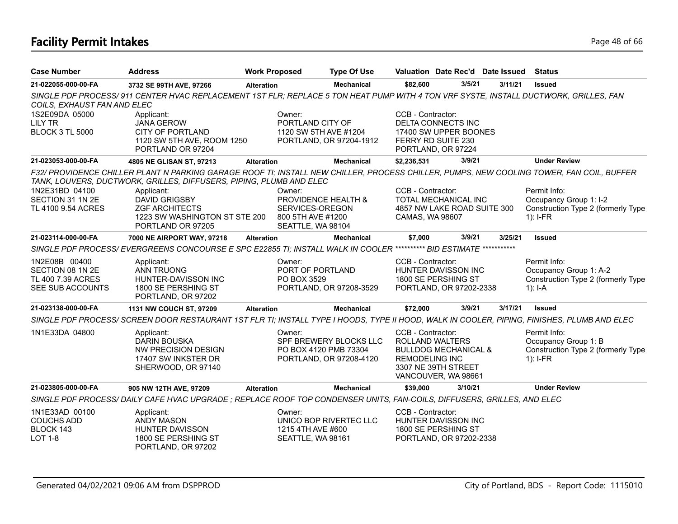# **Facility Permit Intakes** Page 48 of 66

| <b>Case Number</b>                                                         | <b>Address</b>                                                                                                                              | <b>Work Proposed</b>                                                | <b>Type Of Use</b>                                                         |                                                                      | Valuation Date Rec'd Date Issued                                              |         | <b>Status</b>                                                                              |
|----------------------------------------------------------------------------|---------------------------------------------------------------------------------------------------------------------------------------------|---------------------------------------------------------------------|----------------------------------------------------------------------------|----------------------------------------------------------------------|-------------------------------------------------------------------------------|---------|--------------------------------------------------------------------------------------------|
| 21-022055-000-00-FA                                                        | 3732 SE 99TH AVE, 97266                                                                                                                     | <b>Alteration</b>                                                   | <b>Mechanical</b>                                                          | \$82,600                                                             | 3/5/21                                                                        | 3/11/21 | <b>Issued</b>                                                                              |
| COILS, EXHAUST FAN AND ELEC                                                | SINGLE PDF PROCESS/911 CENTER HVAC REPLACEMENT 1ST FLR; REPLACE 5 TON HEAT PUMP WITH 4 TON VRF SYSTE, INSTALL DUCTWORK, GRILLES, FAN        |                                                                     |                                                                            |                                                                      |                                                                               |         |                                                                                            |
| 1S2E09DA 05000<br><b>LILY TR</b><br><b>BLOCK 3 TL 5000</b>                 | Applicant:<br><b>JANA GEROW</b><br><b>CITY OF PORTLAND</b><br>1120 SW 5TH AVE, ROOM 1250                                                    | Owner:<br>PORTLAND CITY OF                                          | 1120 SW 5TH AVE #1204<br>PORTLAND, OR 97204-1912                           | CCB - Contractor:<br>FERRY RD SUITE 230                              | DELTA CONNECTS INC<br>17400 SW UPPER BOONES                                   |         |                                                                                            |
| 21-023053-000-00-FA                                                        | PORTLAND OR 97204<br>4805 NE GLISAN ST, 97213                                                                                               | <b>Alteration</b>                                                   | <b>Mechanical</b>                                                          | \$2,236,531                                                          | PORTLAND, OR 97224<br>3/9/21                                                  |         | <b>Under Review</b>                                                                        |
|                                                                            | F32/ PROVIDENCE CHILLER PLANT N PARKING GARAGE ROOF TI; INSTALL NEW CHILLER, PROCESS CHILLER, PUMPS, NEW COOLING TOWER, FAN COIL, BUFFER    |                                                                     |                                                                            |                                                                      |                                                                               |         |                                                                                            |
|                                                                            | TANK, LOUVERS, DUCTWORK, GRILLES, DIFFUSERS, PIPING, PLUMB AND ELEC                                                                         |                                                                     |                                                                            |                                                                      |                                                                               |         |                                                                                            |
| 1N2E31BD 04100<br>SECTION 31 1N 2E<br>TL 4100 9.54 ACRES                   | Applicant:<br><b>DAVID GRIGSBY</b><br><b>ZGF ARCHITECTS</b><br>1223 SW WASHINGTON ST STE 200<br>PORTLAND OR 97205                           | Owner:<br>SERVICES-OREGON<br>800 5TH AVE #1200<br>SEATTLE, WA 98104 | PROVIDENCE HEALTH &                                                        | CCB - Contractor:<br>CAMAS, WA 98607                                 | TOTAL MECHANICAL INC<br>4857 NW LAKE ROAD SUITE 300                           |         | Permit Info:<br>Occupancy Group 1: I-2<br>Construction Type 2 (formerly Type<br>$1$ : I-FR |
| 21-023114-000-00-FA                                                        | 7000 NE AIRPORT WAY, 97218                                                                                                                  | <b>Alteration</b>                                                   | <b>Mechanical</b>                                                          | \$7,000                                                              | 3/9/21                                                                        | 3/25/21 | <b>Issued</b>                                                                              |
|                                                                            | SINGLE PDF PROCESS/ EVERGREENS CONCOURSE E SPC E22855 TI; INSTALL WALK IN COOLER ********** BID ESTIMATE ***********                        |                                                                     |                                                                            |                                                                      |                                                                               |         |                                                                                            |
| 1N2E08B 00400<br>SECTION 08 1N 2E<br>TL 400 7.39 ACRES<br>SEE SUB ACCOUNTS | Applicant:<br><b>ANN TRUONG</b><br>HUNTER-DAVISSON INC<br>1800 SE PERSHING ST<br>PORTLAND, OR 97202                                         | Owner:<br>PORT OF PORTLAND<br>PO BOX 3529                           | PORTLAND, OR 97208-3529                                                    | CCB - Contractor:                                                    | HUNTER DAVISSON INC<br>1800 SE PERSHING ST<br>PORTLAND, OR 97202-2338         |         | Permit Info:<br>Occupancy Group 1: A-2<br>Construction Type 2 (formerly Type<br>$1$ : I-A  |
| 21-023138-000-00-FA                                                        | 1131 NW COUCH ST, 97209                                                                                                                     | <b>Alteration</b>                                                   | <b>Mechanical</b>                                                          | \$72,000                                                             | 3/9/21                                                                        | 3/17/21 | <b>Issued</b>                                                                              |
|                                                                            | SINGLE PDF PROCESS/ SCREEN DOOR RESTAURANT 1ST FLR TI; INSTALL TYPE I HOODS, TYPE II HOOD, WALK IN COOLER, PIPING, FINISHES, PLUMB AND ELEC |                                                                     |                                                                            |                                                                      |                                                                               |         |                                                                                            |
| 1N1E33DA 04800                                                             | Applicant:<br><b>DARIN BOUSKA</b><br>NW PRECISION DESIGN<br>17407 SW INKSTER DR<br>SHERWOOD, OR 97140                                       | Owner:                                                              | SPF BREWERY BLOCKS LLC<br>PO BOX 4120 PMB 73304<br>PORTLAND, OR 97208-4120 | CCB - Contractor:<br><b>ROLLAND WALTERS</b><br><b>REMODELING INC</b> | <b>BULLDOG MECHANICAL &amp;</b><br>3307 NE 39TH STREET<br>VANCOUVER, WA 98661 |         | Permit Info:<br>Occupancy Group 1: B<br>Construction Type 2 (formerly Type<br>$1$ : I-FR   |
| 21-023805-000-00-FA                                                        | 905 NW 12TH AVE, 97209                                                                                                                      | <b>Alteration</b>                                                   | <b>Mechanical</b>                                                          | \$39,000                                                             | 3/10/21                                                                       |         | <b>Under Review</b>                                                                        |
|                                                                            | SINGLE PDF PROCESS/DAILY CAFE HVAC UPGRADE; REPLACE ROOF TOP CONDENSER UNITS, FAN-COILS, DIFFUSERS, GRILLES, AND ELEC                       |                                                                     |                                                                            |                                                                      |                                                                               |         |                                                                                            |
| 1N1E33AD 00100<br><b>COUCHS ADD</b><br>BLOCK 143<br><b>LOT 1-8</b>         | Applicant:<br><b>ANDY MASON</b><br>HUNTER DAVISSON<br>1800 SE PERSHING ST<br>PORTLAND, OR 97202                                             | Owner:<br>1215 4TH AVE #600<br>SEATTLE, WA 98161                    | UNICO BOP RIVERTEC LLC                                                     | CCB - Contractor:                                                    | HUNTER DAVISSON INC<br>1800 SE PERSHING ST<br>PORTLAND, OR 97202-2338         |         |                                                                                            |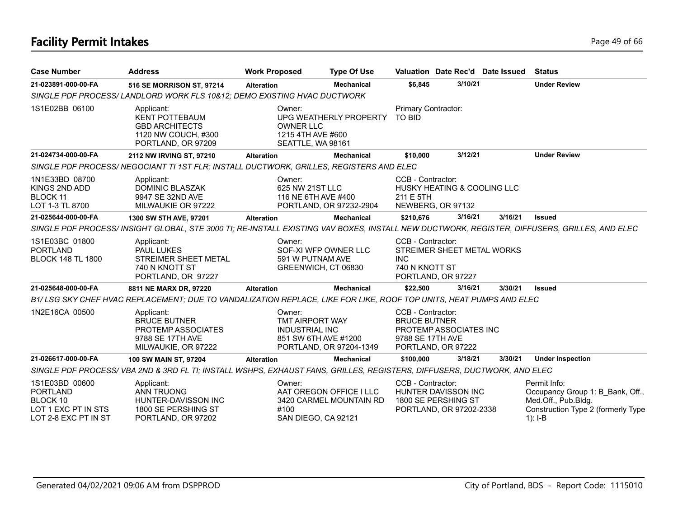# **Facility Permit Intakes** Page 49 of 66

| <b>Case Number</b>                                                                           | <b>Address</b>                                                                                                         | <b>Work Proposed</b>                               | <b>Type Of Use</b>                                                        |                                                              | Valuation Date Rec'd Date Issued                                             |         | <b>Status</b>                                                                                                                               |
|----------------------------------------------------------------------------------------------|------------------------------------------------------------------------------------------------------------------------|----------------------------------------------------|---------------------------------------------------------------------------|--------------------------------------------------------------|------------------------------------------------------------------------------|---------|---------------------------------------------------------------------------------------------------------------------------------------------|
| 21-023891-000-00-FA                                                                          | 516 SE MORRISON ST, 97214                                                                                              | <b>Alteration</b>                                  | <b>Mechanical</b>                                                         | \$6,845                                                      | 3/10/21                                                                      |         | <b>Under Review</b>                                                                                                                         |
|                                                                                              | SINGLE PDF PROCESS/ LANDLORD WORK FLS 10&12; DEMO EXISTING HVAC DUCTWORK                                               |                                                    |                                                                           |                                                              |                                                                              |         |                                                                                                                                             |
| 1S1E02BB 06100                                                                               | Applicant:<br><b>KENT POTTEBAUM</b><br><b>GBD ARCHITECTS</b><br>1120 NW COUCH, #300<br>PORTLAND, OR 97209              | Owner:<br><b>OWNER LLC</b><br>1215 4TH AVE #600    | UPG WEATHERLY PROPERTY<br>SEATTLE, WA 98161                               | Primary Contractor:<br><b>TO BID</b>                         |                                                                              |         |                                                                                                                                             |
| 21-024734-000-00-FA                                                                          | 2112 NW IRVING ST, 97210                                                                                               | <b>Alteration</b>                                  | <b>Mechanical</b>                                                         | \$10,000                                                     | 3/12/21                                                                      |         | <b>Under Review</b>                                                                                                                         |
|                                                                                              | SINGLE PDF PROCESS/ NEGOCIANT TI 1ST FLR; INSTALL DUCTWORK, GRILLES, REGISTERS AND ELEC                                |                                                    |                                                                           |                                                              |                                                                              |         |                                                                                                                                             |
| 1N1E33BD 08700<br>KINGS 2ND ADD<br>BLOCK 11<br>LOT 1-3 TL 8700                               | Applicant:<br>DOMINIC BLASZAK<br>9947 SE 32ND AVE<br>MILWAUKIE OR 97222                                                | Owner:<br>625 NW 21ST LLC                          | 116 NE 6TH AVE #400<br>PORTLAND, OR 97232-2904                            | CCB - Contractor:<br>211 E 5TH                               | HUSKY HEATING & COOLING LLC<br>NEWBERG, OR 97132                             |         |                                                                                                                                             |
| 21-025644-000-00-FA                                                                          | 1300 SW 5TH AVE, 97201                                                                                                 | <b>Alteration</b>                                  | <b>Mechanical</b>                                                         | \$210,676                                                    | 3/16/21                                                                      | 3/16/21 | <b>Issued</b>                                                                                                                               |
|                                                                                              |                                                                                                                        |                                                    |                                                                           |                                                              |                                                                              |         | SINGLE PDF PROCESS/INSIGHT GLOBAL, STE 3000 TI; RE-INSTALL EXISTING VAV BOXES, INSTALL NEW DUCTWORK, REGISTER, DIFFUSERS, GRILLES, AND ELEC |
| 1S1E03BC 01800<br><b>PORTLAND</b><br><b>BLOCK 148 TL 1800</b>                                | Applicant:<br>PAUL LUKES<br>STREIMER SHEET METAL<br>740 N KNOTT ST<br>PORTLAND, OR 97227                               | Owner:                                             | SOF-XI WFP OWNER LLC<br>591 W PUTNAM AVE<br>GREENWICH, CT 06830           | CCB - Contractor:<br><b>INC</b><br>740 N KNOTT ST            | STREIMER SHEET METAL WORKS<br>PORTLAND, OR 97227                             |         |                                                                                                                                             |
| 21-025648-000-00-FA                                                                          | 8811 NE MARX DR, 97220                                                                                                 | <b>Alteration</b>                                  | <b>Mechanical</b>                                                         | \$22,500                                                     | 3/16/21                                                                      | 3/30/21 | <b>Issued</b>                                                                                                                               |
|                                                                                              | B1/LSG SKY CHEF HVAC REPLACEMENT; DUE TO VANDALIZATION REPLACE, LIKE FOR LIKE, ROOF TOP UNITS, HEAT PUMPS AND ELEC     |                                                    |                                                                           |                                                              |                                                                              |         |                                                                                                                                             |
| 1N2E16CA 00500                                                                               | Applicant:<br><b>BRUCE BUTNER</b><br>PROTEMP ASSOCIATES<br>9788 SE 17TH AVE<br>MILWAUKIE, OR 97222                     | Owner:<br>TMT AIRPORT WAY<br><b>INDUSTRIAL INC</b> | 851 SW 6TH AVE #1200<br>PORTLAND, OR 97204-1349                           | CCB - Contractor:<br><b>BRUCE BUTNER</b><br>9788 SE 17TH AVE | PROTEMP ASSOCIATES INC<br>PORTLAND, OR 97222                                 |         |                                                                                                                                             |
| 21-026617-000-00-FA                                                                          | 100 SW MAIN ST, 97204                                                                                                  | <b>Alteration</b>                                  | <b>Mechanical</b>                                                         | \$100,000                                                    | 3/18/21                                                                      | 3/30/21 | <b>Under Inspection</b>                                                                                                                     |
|                                                                                              | SINGLE PDF PROCESS/VBA 2ND & 3RD FL TI; INSTALL WSHPS, EXHAUST FANS, GRILLES, REGISTERS, DIFFUSERS, DUCTWORK, AND ELEC |                                                    |                                                                           |                                                              |                                                                              |         |                                                                                                                                             |
| 1S1E03BD 00600<br><b>PORTLAND</b><br>BLOCK 10<br>LOT 1 EXC PT IN STS<br>LOT 2-8 EXC PT IN ST | Applicant:<br><b>ANN TRUONG</b><br>HUNTER-DAVISSON INC<br>1800 SE PERSHING ST<br>PORTLAND, OR 97202                    | Owner:<br>#100                                     | AAT OREGON OFFICE I LLC<br>3420 CARMEL MOUNTAIN RD<br>SAN DIEGO, CA 92121 | CCB - Contractor:                                            | <b>HUNTER DAVISSON INC</b><br>1800 SE PERSHING ST<br>PORTLAND, OR 97202-2338 |         | Permit Info:<br>Occupancy Group 1: B_Bank, Off.,<br>Med.Off., Pub.Bldg.<br>Construction Type 2 (formerly Type<br>$1$ : I-B                  |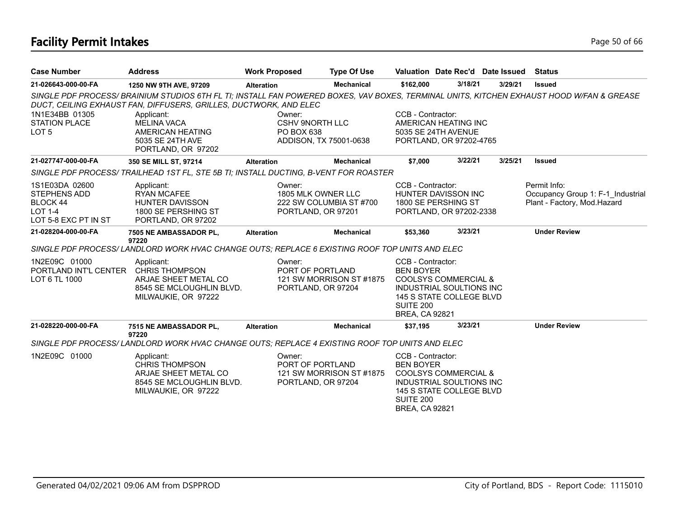# **Facility Permit Intakes** Page 50 of 66

| <b>Case Number</b>                                                                                 | <b>Address</b>                                                                                                                                                      | <b>Work Proposed</b> |                                                                          | <b>Type Of Use</b>       | Valuation Date Rec'd Date Issued                                                                                                                                    |         |         | <b>Status</b>                                                                                                                             |
|----------------------------------------------------------------------------------------------------|---------------------------------------------------------------------------------------------------------------------------------------------------------------------|----------------------|--------------------------------------------------------------------------|--------------------------|---------------------------------------------------------------------------------------------------------------------------------------------------------------------|---------|---------|-------------------------------------------------------------------------------------------------------------------------------------------|
| 21-026643-000-00-FA                                                                                | 1250 NW 9TH AVE, 97209                                                                                                                                              | <b>Alteration</b>    |                                                                          | <b>Mechanical</b>        | \$162.000                                                                                                                                                           | 3/18/21 | 3/29/21 | <b>Issued</b>                                                                                                                             |
| 1N1E34BB 01305<br><b>STATION PLACE</b><br>LOT <sub>5</sub>                                         | DUCT, CEILING EXHAUST FAN, DIFFUSERS, GRILLES, DUCTWORK, AND ELEC<br>Applicant:<br><b>MELINA VACA</b><br>AMERICAN HEATING<br>5035 SE 24TH AVE<br>PORTLAND, OR 97202 |                      | Owner:<br><b>CSHV 9NORTH LLC</b><br>PO BOX 638<br>ADDISON, TX 75001-0638 |                          | CCB - Contractor:<br>AMERICAN HEATING INC<br>5035 SE 24TH AVENUE<br>PORTLAND, OR 97202-4765                                                                         |         |         | SINGLE PDF PROCESS/ BRAINIUM STUDIOS 6TH FL TI; INSTALL FAN POWERED BOXES, VAV BOXES, TERMINAL UNITS, KITCHEN EXHAUST HOOD W/FAN & GREASE |
| 21-027747-000-00-FA                                                                                | 350 SE MILL ST, 97214                                                                                                                                               | <b>Alteration</b>    |                                                                          | <b>Mechanical</b>        | \$7,000                                                                                                                                                             | 3/22/21 | 3/25/21 | <b>Issued</b>                                                                                                                             |
|                                                                                                    | SINGLE PDF PROCESS/ TRAILHEAD 1ST FL, STE 5B TI; INSTALL DUCTING, B-VENT FOR ROASTER                                                                                |                      |                                                                          |                          |                                                                                                                                                                     |         |         |                                                                                                                                           |
| 1S1E03DA 02600<br><b>STEPHENS ADD</b><br><b>BLOCK 44</b><br><b>LOT 1-4</b><br>LOT 5-8 EXC PT IN ST | Applicant:<br><b>RYAN MCAFEE</b><br><b>HUNTER DAVISSON</b><br>1800 SE PERSHING ST<br>PORTLAND, OR 97202                                                             |                      | Owner:<br>1805 MLK OWNER LLC<br>PORTLAND, OR 97201                       | 222 SW COLUMBIA ST #700  | CCB - Contractor:<br>HUNTER DAVISSON INC<br>1800 SE PERSHING ST<br>PORTLAND, OR 97202-2338                                                                          |         |         | Permit Info:<br>Occupancy Group 1: F-1_Industrial<br>Plant - Factory, Mod.Hazard                                                          |
| 21-028204-000-00-FA                                                                                | 7505 NE AMBASSADOR PL,                                                                                                                                              | <b>Alteration</b>    |                                                                          | <b>Mechanical</b>        | \$53,360                                                                                                                                                            | 3/23/21 |         | <b>Under Review</b>                                                                                                                       |
|                                                                                                    | 97220<br>SINGLE PDF PROCESS/LANDLORD WORK HVAC CHANGE OUTS; REPLACE 6 EXISTING ROOF TOP UNITS AND ELEC                                                              |                      |                                                                          |                          |                                                                                                                                                                     |         |         |                                                                                                                                           |
| 1N2E09C 01000<br>PORTLAND INT'L CENTER<br>LOT 6 TL 1000                                            | Applicant:<br><b>CHRIS THOMPSON</b><br>ARJAE SHEET METAL CO<br>8545 SE MCLOUGHLIN BLVD.<br>MILWAUKIE, OR 97222                                                      |                      | Owner:<br>PORT OF PORTLAND<br>PORTLAND, OR 97204                         | 121 SW MORRISON ST #1875 | CCB - Contractor:<br><b>BEN BOYER</b><br>COOLSYS COMMERCIAL &<br>INDUSTRIAL SOULTIONS INC<br>145 S STATE COLLEGE BLVD<br>SUITE 200<br><b>BREA, CA 92821</b>         |         |         |                                                                                                                                           |
| 21-028220-000-00-FA                                                                                | 7515 NE AMBASSADOR PL,                                                                                                                                              | <b>Alteration</b>    |                                                                          | <b>Mechanical</b>        | \$37,195                                                                                                                                                            | 3/23/21 |         | <b>Under Review</b>                                                                                                                       |
|                                                                                                    | 97220<br>SINGLE PDF PROCESS/LANDLORD WORK HVAC CHANGE OUTS; REPLACE 4 EXISTING ROOF TOP UNITS AND ELEC                                                              |                      |                                                                          |                          |                                                                                                                                                                     |         |         |                                                                                                                                           |
| 1N2E09C 01000                                                                                      | Applicant:<br><b>CHRIS THOMPSON</b><br>ARJAE SHEET METAL CO<br>8545 SE MCLOUGHLIN BLVD.<br>MILWAUKIE, OR 97222                                                      |                      | Owner:<br>PORT OF PORTLAND<br>PORTLAND, OR 97204                         | 121 SW MORRISON ST#1875  | CCB - Contractor:<br><b>BEN BOYER</b><br>COOLSYS COMMERCIAL &<br><b>INDUSTRIAL SOULTIONS INC.</b><br>145 S STATE COLLEGE BLVD<br>SUITE 200<br><b>BREA, CA 92821</b> |         |         |                                                                                                                                           |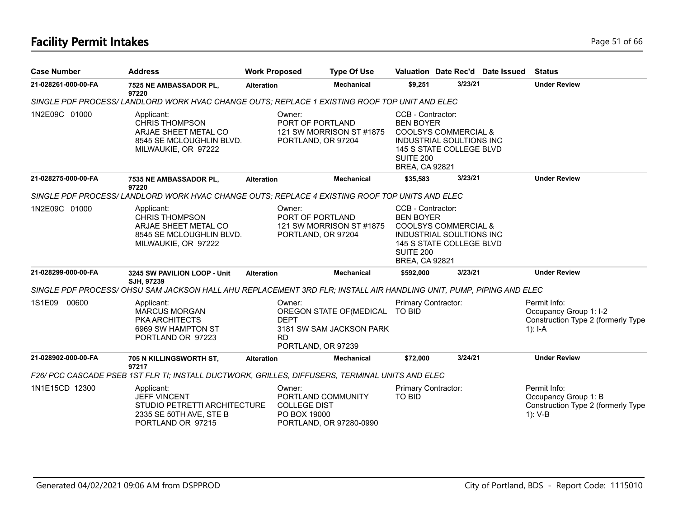# **Facility Permit Intakes** Page 51 of 66

| <b>Case Number</b>  | <b>Address</b>                                                                                                     | <b>Work Proposed</b> |                                                                     | <b>Type Of Use</b>                                   |                                                                                                                                                                                      |         | Valuation Date Rec'd Date Issued | <b>Status</b>                                                                             |
|---------------------|--------------------------------------------------------------------------------------------------------------------|----------------------|---------------------------------------------------------------------|------------------------------------------------------|--------------------------------------------------------------------------------------------------------------------------------------------------------------------------------------|---------|----------------------------------|-------------------------------------------------------------------------------------------|
| 21-028261-000-00-FA | 7525 NE AMBASSADOR PL,<br>97220                                                                                    | <b>Alteration</b>    |                                                                     | <b>Mechanical</b>                                    | \$9,251                                                                                                                                                                              | 3/23/21 |                                  | <b>Under Review</b>                                                                       |
|                     | SINGLE PDF PROCESS/LANDLORD WORK HVAC CHANGE OUTS; REPLACE 1 EXISTING ROOF TOP UNIT AND ELEC                       |                      |                                                                     |                                                      |                                                                                                                                                                                      |         |                                  |                                                                                           |
| 1N2E09C 01000       | Applicant:<br><b>CHRIS THOMPSON</b><br>ARJAE SHEET METAL CO<br>8545 SE MCLOUGHLIN BLVD.<br>MILWAUKIE, OR 97222     |                      | Owner:<br>PORT OF PORTLAND<br>PORTLAND, OR 97204                    | 121 SW MORRISON ST #1875                             | CCB - Contractor:<br><b>BEN BOYER</b><br><b>COOLSYS COMMERCIAL &amp;</b><br><b>INDUSTRIAL SOULTIONS INC</b><br>145 S STATE COLLEGE BLVD<br><b>SUITE 200</b><br><b>BREA, CA 92821</b> |         |                                  |                                                                                           |
| 21-028275-000-00-FA | 7535 NE AMBASSADOR PL,<br>97220                                                                                    | <b>Alteration</b>    |                                                                     | <b>Mechanical</b>                                    | \$35,583                                                                                                                                                                             | 3/23/21 |                                  | <b>Under Review</b>                                                                       |
|                     | SINGLE PDF PROCESS/LANDLORD WORK HVAC CHANGE OUTS; REPLACE 4 EXISTING ROOF TOP UNITS AND ELEC                      |                      |                                                                     |                                                      |                                                                                                                                                                                      |         |                                  |                                                                                           |
| 1N2E09C 01000       | Applicant:<br><b>CHRIS THOMPSON</b><br>ARJAE SHEET METAL CO<br>8545 SE MCLOUGHLIN BLVD.<br>MILWAUKIE, OR 97222     |                      | Owner:<br>PORT OF PORTLAND<br>PORTLAND, OR 97204                    | 121 SW MORRISON ST #1875                             | CCB - Contractor:<br><b>BEN BOYER</b><br><b>COOLSYS COMMERCIAL &amp;</b><br>INDUSTRIAL SOULTIONS INC<br>145 S STATE COLLEGE BLVD<br>SUITE 200<br><b>BREA, CA 92821</b>               |         |                                  |                                                                                           |
| 21-028299-000-00-FA | 3245 SW PAVILION LOOP - Unit<br>SJH. 97239                                                                         | <b>Alteration</b>    |                                                                     | <b>Mechanical</b>                                    | \$592,000                                                                                                                                                                            | 3/23/21 |                                  | <b>Under Review</b>                                                                       |
|                     | SINGLE PDF PROCESS/OHSU SAM JACKSON HALL AHU REPLACEMENT 3RD FLR; INSTALL AIR HANDLING UNIT, PUMP, PIPING AND ELEC |                      |                                                                     |                                                      |                                                                                                                                                                                      |         |                                  |                                                                                           |
| 1S1E09<br>00600     | Applicant:<br>MARCUS MORGAN<br><b>PKA ARCHITECTS</b><br>6969 SW HAMPTON ST<br>PORTLAND OR 97223                    |                      | Owner:<br><b>DEPT</b><br><b>RD</b><br>PORTLAND, OR 97239            | OREGON STATE OF (MEDICAL<br>3181 SW SAM JACKSON PARK | Primary Contractor:<br><b>TO BID</b>                                                                                                                                                 |         |                                  | Permit Info:<br>Occupancy Group 1: I-2<br>Construction Type 2 (formerly Type<br>$1$ : I-A |
| 21-028902-000-00-FA | 705 N KILLINGSWORTH ST,                                                                                            | <b>Alteration</b>    |                                                                     | <b>Mechanical</b>                                    | \$72,000                                                                                                                                                                             | 3/24/21 |                                  | <b>Under Review</b>                                                                       |
|                     | 97217<br>F26/ PCC CASCADE PSEB 1ST FLR TI; INSTALL DUCTWORK, GRILLES, DIFFUSERS, TERMINAL UNITS AND ELEC           |                      |                                                                     |                                                      |                                                                                                                                                                                      |         |                                  |                                                                                           |
| 1N1E15CD 12300      | Applicant:<br><b>JEFF VINCENT</b><br>STUDIO PETRETTI ARCHITECTURE<br>2335 SE 50TH AVE, STE B<br>PORTLAND OR 97215  |                      | Owner:<br>PORTLAND COMMUNITY<br><b>COLLEGE DIST</b><br>PO BOX 19000 | PORTLAND, OR 97280-0990                              | Primary Contractor:<br><b>TO BID</b>                                                                                                                                                 |         |                                  | Permit Info:<br>Occupancy Group 1: B<br>Construction Type 2 (formerly Type<br>1): V-B     |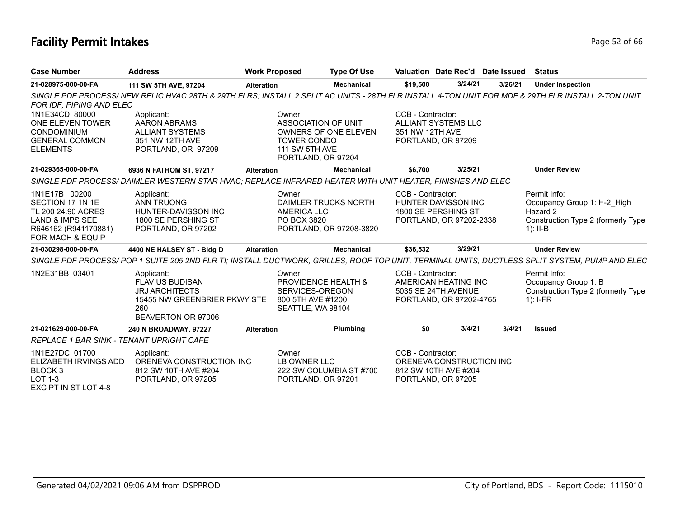# **Facility Permit Intakes** Page 52 of 66

| <b>Case Number</b>                                                                                                                | <b>Address</b>                                                                                                             | <b>Work Proposed</b> |                                                                                             | <b>Type Of Use</b>                              |                                      | Valuation Date Rec'd Date Issued                                             |         | <b>Status</b>                                                                                                                                    |
|-----------------------------------------------------------------------------------------------------------------------------------|----------------------------------------------------------------------------------------------------------------------------|----------------------|---------------------------------------------------------------------------------------------|-------------------------------------------------|--------------------------------------|------------------------------------------------------------------------------|---------|--------------------------------------------------------------------------------------------------------------------------------------------------|
| 21-028975-000-00-FA                                                                                                               | 111 SW 5TH AVE, 97204                                                                                                      | <b>Alteration</b>    |                                                                                             | <b>Mechanical</b>                               | \$19,500                             | 3/24/21                                                                      | 3/26/21 | <b>Under Inspection</b>                                                                                                                          |
| FOR IDF, PIPING AND ELEC                                                                                                          |                                                                                                                            |                      |                                                                                             |                                                 |                                      |                                                                              |         | SINGLE PDF PROCESS/NEW RELIC HVAC 28TH & 29TH FLRS; INSTALL 2 SPLIT AC UNITS - 28TH FLR INSTALL 4-TON UNIT FOR MDF & 29TH FLR INSTALL 2-TON UNIT |
| 1N1E34CD 80000<br>ONE ELEVEN TOWER<br><b>CONDOMINIUM</b><br><b>GENERAL COMMON</b><br><b>ELEMENTS</b>                              | Applicant:<br><b>AARON ABRAMS</b><br><b>ALLIANT SYSTEMS</b><br>351 NW 12TH AVE<br>PORTLAND, OR 97209                       |                      | Owner:<br>ASSOCIATION OF UNIT<br><b>TOWER CONDO</b><br>111 SW 5TH AVE<br>PORTLAND, OR 97204 | <b>OWNERS OF ONE ELEVEN</b>                     | CCB - Contractor:<br>351 NW 12TH AVE | <b>ALLIANT SYSTEMS LLC</b><br>PORTLAND, OR 97209                             |         |                                                                                                                                                  |
| 21-029365-000-00-FA                                                                                                               | 6936 N FATHOM ST, 97217                                                                                                    | <b>Alteration</b>    |                                                                                             | <b>Mechanical</b>                               | \$6,700                              | 3/25/21                                                                      |         | <b>Under Review</b>                                                                                                                              |
|                                                                                                                                   | SINGLE PDF PROCESS/DAIMLER WESTERN STAR HVAC; REPLACE INFRARED HEATER WITH UNIT HEATER, FINISHES AND ELEC                  |                      |                                                                                             |                                                 |                                      |                                                                              |         |                                                                                                                                                  |
| 1N1E17B 00200<br>SECTION 17 1N 1E<br>TL 200 24.90 ACRES<br><b>LAND &amp; IMPS SEE</b><br>R646162 (R941170881)<br>FOR MACH & EQUIP | Applicant:<br><b>ANN TRUONG</b><br>HUNTER-DAVISSON INC<br>1800 SE PERSHING ST<br>PORTLAND, OR 97202                        |                      | Owner:<br>AMERICA LLC<br>PO BOX 3820                                                        | DAIMLER TRUCKS NORTH<br>PORTLAND, OR 97208-3820 | CCB - Contractor:                    | <b>HUNTER DAVISSON INC</b><br>1800 SE PERSHING ST<br>PORTLAND, OR 97202-2338 |         | Permit Info:<br>Occupancy Group 1: H-2 High<br>Hazard 2<br>Construction Type 2 (formerly Type<br>$1$ : II-B                                      |
| 21-030298-000-00-FA                                                                                                               | 4400 NE HALSEY ST - Bldg D                                                                                                 | <b>Alteration</b>    |                                                                                             | <b>Mechanical</b>                               | \$36,532                             | 3/29/21                                                                      |         | <b>Under Review</b>                                                                                                                              |
|                                                                                                                                   |                                                                                                                            |                      |                                                                                             |                                                 |                                      |                                                                              |         | SINGLE PDF PROCESS/POP 1 SUITE 205 2ND FLR TI; INSTALL DUCTWORK, GRILLES, ROOF TOP UNIT, TERMINAL UNITS, DUCTLESS SPLIT SYSTEM, PUMP AND ELEC    |
| 1N2E31BB 03401                                                                                                                    | Applicant:<br><b>FLAVIUS BUDISAN</b><br><b>JRJ ARCHITECTS</b><br>15455 NW GREENBRIER PKWY STE<br>260<br>BEAVERTON OR 97006 |                      | Owner:<br>PROVIDENCE HEALTH &<br>SERVICES-OREGON<br>800 5TH AVE #1200<br>SEATTLE, WA 98104  |                                                 | CCB - Contractor:                    | AMERICAN HEATING INC<br>5035 SE 24TH AVENUE<br>PORTLAND, OR 97202-4765       |         | Permit Info:<br>Occupancy Group 1: B<br>Construction Type 2 (formerly Type<br>$1$ : I-FR                                                         |
| 21-021629-000-00-FA                                                                                                               | 240 N BROADWAY, 97227                                                                                                      | <b>Alteration</b>    |                                                                                             | Plumbing                                        | \$0                                  | 3/4/21                                                                       | 3/4/21  | <b>Issued</b>                                                                                                                                    |
| <b>REPLACE 1 BAR SINK - TENANT UPRIGHT CAFE</b>                                                                                   |                                                                                                                            |                      |                                                                                             |                                                 |                                      |                                                                              |         |                                                                                                                                                  |
| 1N1E27DC 01700<br>ELIZABETH IRVINGS ADD<br>BLOCK <sub>3</sub><br>LOT 1-3<br>EXC PT IN ST LOT 4-8                                  | Applicant:<br>ORENEVA CONSTRUCTION INC<br>812 SW 10TH AVE #204<br>PORTLAND, OR 97205                                       |                      | Owner:<br>LB OWNER LLC<br>PORTLAND, OR 97201                                                | 222 SW COLUMBIA ST #700                         | CCB - Contractor:                    | ORENEVA CONSTRUCTION INC<br>812 SW 10TH AVE #204<br>PORTLAND, OR 97205       |         |                                                                                                                                                  |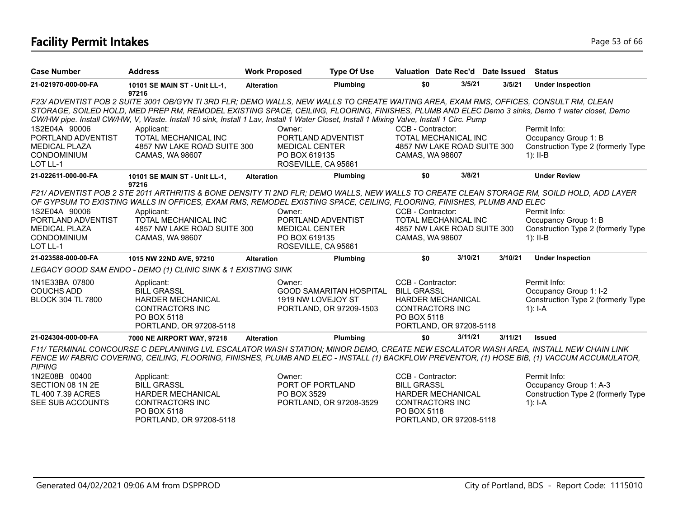# **Facility Permit Intakes** Page 53 of 66

| <b>Case Number</b>       | <b>Address</b>                                                                                                                                                                                                                                                                              | <b>Work Proposed</b>  | <b>Type Of Use</b>             |                        | Valuation Date Rec'd Date Issued |         | <b>Status</b>                                                                                                                                |
|--------------------------|---------------------------------------------------------------------------------------------------------------------------------------------------------------------------------------------------------------------------------------------------------------------------------------------|-----------------------|--------------------------------|------------------------|----------------------------------|---------|----------------------------------------------------------------------------------------------------------------------------------------------|
| 21-021970-000-00-FA      | 10101 SE MAIN ST - Unit LL-1,<br>97216                                                                                                                                                                                                                                                      | <b>Alteration</b>     | Plumbing                       | \$0                    | 3/5/21                           | 3/5/21  | <b>Under Inspection</b>                                                                                                                      |
|                          | F23/ ADVENTIST POB 2 SUITE 3001 OB/GYN TI 3RD FLR; DEMO WALLS, NEW WALLS TO CREATE WAITING AREA, EXAM RMS, OFFICES, CONSULT RM, CLEAN                                                                                                                                                       |                       |                                |                        |                                  |         |                                                                                                                                              |
|                          | STORAGE, SOILED HOLD, MED PREP RM, REMODEL EXISTING SPACE, CEILING, FLOORING, FINISHES, PLUMB AND ELEC Demo 3 sinks, Demo 1 water closet, Demo<br>CW/HW pipe. Install CW/HW, V, Waste. Install 10 sink, Install 1 Lav, Install 1 Water Closet, Install 1 Mixing Valve, Install 1 Circ. Pump |                       |                                |                        |                                  |         |                                                                                                                                              |
| 1S2E04A 90006            | Applicant:                                                                                                                                                                                                                                                                                  | Owner:                |                                | CCB - Contractor:      |                                  |         | Permit Info:                                                                                                                                 |
| PORTLAND ADVENTIST       | TOTAL MECHANICAL INC                                                                                                                                                                                                                                                                        | PORTLAND ADVENTIST    |                                |                        | TOTAL MECHANICAL INC             |         | Occupancy Group 1: B                                                                                                                         |
| <b>MEDICAL PLAZA</b>     | 4857 NW LAKE ROAD SUITE 300                                                                                                                                                                                                                                                                 | <b>MEDICAL CENTER</b> |                                |                        | 4857 NW LAKE ROAD SUITE 300      |         | Construction Type 2 (formerly Type                                                                                                           |
| <b>CONDOMINIUM</b>       | CAMAS, WA 98607                                                                                                                                                                                                                                                                             | PO BOX 619135         |                                | CAMAS, WA 98607        |                                  |         | $1$ : II-B                                                                                                                                   |
| LOT LL-1                 |                                                                                                                                                                                                                                                                                             | ROSEVILLE, CA 95661   |                                |                        |                                  |         |                                                                                                                                              |
| 21-022611-000-00-FA      | 10101 SE MAIN ST - Unit LL-1,<br>97216                                                                                                                                                                                                                                                      | <b>Alteration</b>     | Plumbing                       | \$0                    | 3/8/21                           |         | <b>Under Review</b>                                                                                                                          |
|                          | F21/ ADVENTIST POB 2 STE 2011 ARTHRITIS & BONE DENSITY TI 2ND FLR; DEMO WALLS, NEW WALLS TO CREATE CLEAN STORAGE RM, SOILD HOLD, ADD LAYER<br>OF GYPSUM TO EXISTING WALLS IN OFFICES, EXAM RMS, REMODEL EXISTING SPACE, CEILING, FLOORING, FINISHES, PLUMB AND ELEC                         |                       |                                |                        |                                  |         |                                                                                                                                              |
| 1S2E04A 90006            | Applicant:                                                                                                                                                                                                                                                                                  | Owner:                |                                | CCB - Contractor:      |                                  |         | Permit Info:                                                                                                                                 |
| PORTLAND ADVENTIST       | TOTAL MECHANICAL INC                                                                                                                                                                                                                                                                        | PORTLAND ADVENTIST    |                                |                        | TOTAL MECHANICAL INC             |         | Occupancy Group 1: B                                                                                                                         |
| <b>MEDICAL PLAZA</b>     | 4857 NW LAKE ROAD SUITE 300                                                                                                                                                                                                                                                                 | <b>MEDICAL CENTER</b> |                                |                        | 4857 NW LAKE ROAD SUITE 300      |         | Construction Type 2 (formerly Type                                                                                                           |
| <b>CONDOMINIUM</b>       | CAMAS, WA 98607                                                                                                                                                                                                                                                                             | PO BOX 619135         |                                | CAMAS, WA 98607        |                                  |         | $1$ : II-B                                                                                                                                   |
| LOT LL-1                 |                                                                                                                                                                                                                                                                                             | ROSEVILLE, CA 95661   |                                |                        |                                  |         |                                                                                                                                              |
| 21-023588-000-00-FA      | 1015 NW 22ND AVE, 97210                                                                                                                                                                                                                                                                     | <b>Alteration</b>     | Plumbing                       | \$0                    | 3/10/21                          | 3/10/21 | <b>Under Inspection</b>                                                                                                                      |
|                          | LEGACY GOOD SAM ENDO - DEMO (1) CLINIC SINK & 1 EXISTING SINK                                                                                                                                                                                                                               |                       |                                |                        |                                  |         |                                                                                                                                              |
| 1N1E33BA 07800           | Applicant:                                                                                                                                                                                                                                                                                  | Owner:                |                                | CCB - Contractor:      |                                  |         | Permit Info:                                                                                                                                 |
| <b>COUCHS ADD</b>        | <b>BILL GRASSL</b>                                                                                                                                                                                                                                                                          |                       | <b>GOOD SAMARITAN HOSPITAL</b> | <b>BILL GRASSL</b>     |                                  |         | Occupancy Group 1: I-2                                                                                                                       |
| <b>BLOCK 304 TL 7800</b> | <b>HARDER MECHANICAL</b>                                                                                                                                                                                                                                                                    | 1919 NW LOVEJOY ST    |                                |                        | HARDER MECHANICAL                |         | Construction Type 2 (formerly Type                                                                                                           |
|                          | <b>CONTRACTORS INC</b>                                                                                                                                                                                                                                                                      |                       | PORTLAND, OR 97209-1503        | <b>CONTRACTORS INC</b> |                                  |         | $1$ : I-A                                                                                                                                    |
|                          | PO BOX 5118                                                                                                                                                                                                                                                                                 |                       |                                | PO BOX 5118            |                                  |         |                                                                                                                                              |
|                          | PORTLAND, OR 97208-5118                                                                                                                                                                                                                                                                     |                       |                                |                        | PORTLAND, OR 97208-5118          |         |                                                                                                                                              |
| 21-024304-000-00-FA      | 7000 NE AIRPORT WAY, 97218                                                                                                                                                                                                                                                                  | <b>Alteration</b>     | Plumbing                       | \$0                    | 3/11/21                          | 3/11/21 | <b>Issued</b>                                                                                                                                |
| <b>PIPING</b>            | F11/ TERMINAL CONCOURSE C DEPLANNING LVL ESCALATOR WASH STATION; MINOR DEMO, CREATE NEW ESCALATOR WASH AREA, INSTALL NEW CHAIN LINK                                                                                                                                                         |                       |                                |                        |                                  |         | FENCE W/FABRIC COVERING, CEILING, FLOORING, FINISHES, PLUMB AND ELEC - INSTALL (1) BACKFLOW PREVENTOR, (1) HOSE BIB, (1) VACCUM ACCUMULATOR, |
| 1N2E08B 00400            | Applicant:                                                                                                                                                                                                                                                                                  | Owner:                |                                | CCB - Contractor:      |                                  |         | Permit Info:                                                                                                                                 |
| SECTION 08 1N 2E         | <b>BILL GRASSL</b>                                                                                                                                                                                                                                                                          | PORT OF PORTLAND      |                                | <b>BILL GRASSL</b>     |                                  |         | Occupancy Group 1: A-3                                                                                                                       |
| TL 400 7.39 ACRES        | <b>HARDER MECHANICAL</b>                                                                                                                                                                                                                                                                    | PO BOX 3529           |                                |                        | <b>HARDER MECHANICAL</b>         |         | Construction Type 2 (formerly Type                                                                                                           |
| SEE SUB ACCOUNTS         | <b>CONTRACTORS INC</b>                                                                                                                                                                                                                                                                      |                       | PORTLAND, OR 97208-3529        | <b>CONTRACTORS INC</b> |                                  |         | $1$ : I-A                                                                                                                                    |
|                          | PO BOX 5118                                                                                                                                                                                                                                                                                 |                       |                                | PO BOX 5118            |                                  |         |                                                                                                                                              |
|                          | PORTLAND, OR 97208-5118                                                                                                                                                                                                                                                                     |                       |                                |                        | PORTLAND, OR 97208-5118          |         |                                                                                                                                              |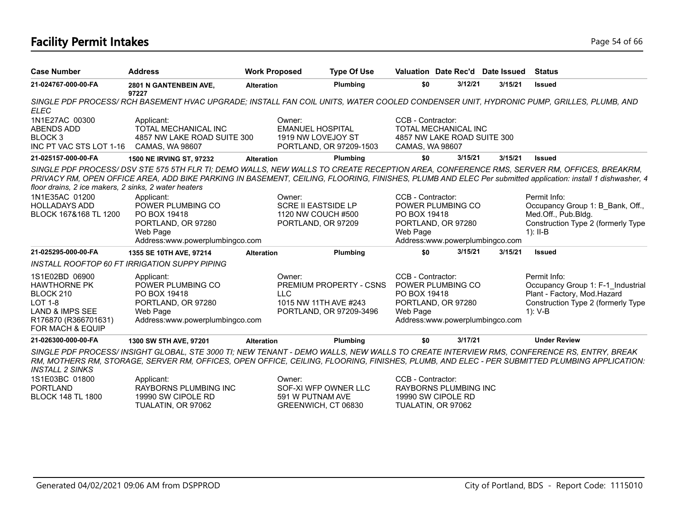## **Facility Permit Intakes** Page 54 of 66

| <b>Case Number</b>                                                                                                                             | <b>Address</b>                                                                                                                                                                                                                                                                                                                                                                                                                | <b>Work Proposed</b> | <b>Type Of Use</b>                                                          |                                               |                                                                            | Valuation Date Rec'd Date Issued | <b>Status</b>                                                                                                                       |
|------------------------------------------------------------------------------------------------------------------------------------------------|-------------------------------------------------------------------------------------------------------------------------------------------------------------------------------------------------------------------------------------------------------------------------------------------------------------------------------------------------------------------------------------------------------------------------------|----------------------|-----------------------------------------------------------------------------|-----------------------------------------------|----------------------------------------------------------------------------|----------------------------------|-------------------------------------------------------------------------------------------------------------------------------------|
| 21-024767-000-00-FA                                                                                                                            | 2801 N GANTENBEIN AVE,<br>97227                                                                                                                                                                                                                                                                                                                                                                                               | <b>Alteration</b>    | Plumbing                                                                    | \$0                                           | 3/12/21                                                                    | 3/15/21                          | <b>Issued</b>                                                                                                                       |
| <b>ELEC</b>                                                                                                                                    | SINGLE PDF PROCESS/RCH BASEMENT HVAC UPGRADE; INSTALL FAN COIL UNITS, WATER COOLED CONDENSER UNIT, HYDRONIC PUMP, GRILLES, PLUMB, AND                                                                                                                                                                                                                                                                                         |                      |                                                                             |                                               |                                                                            |                                  |                                                                                                                                     |
| 1N1E27AC 00300<br><b>ABENDS ADD</b><br>BLOCK 3<br>INC PT VAC STS LOT 1-16                                                                      | Applicant:<br>TOTAL MECHANICAL INC<br>4857 NW LAKE ROAD SUITE 300<br>CAMAS, WA 98607                                                                                                                                                                                                                                                                                                                                          | Owner:               | <b>EMANUEL HOSPITAL</b><br>1919 NW LOVEJOY ST<br>PORTLAND, OR 97209-1503    | CCB - Contractor:<br>CAMAS, WA 98607          | <b>TOTAL MECHANICAL INC</b><br>4857 NW LAKE ROAD SUITE 300                 |                                  |                                                                                                                                     |
| 21-025157-000-00-FA                                                                                                                            | <b>1500 NE IRVING ST, 97232</b>                                                                                                                                                                                                                                                                                                                                                                                               | Alteration           | <b>Plumbing</b>                                                             | \$0                                           | 3/15/21                                                                    | 3/15/21                          | <b>Issued</b>                                                                                                                       |
| floor drains, 2 ice makers, 2 sinks, 2 water heaters<br>1N1E35AC 01200<br><b>HOLLADAYS ADD</b><br>BLOCK 167&168 TL 1200                        | SINGLE PDF PROCESS/DSV STE 575 5TH FLR TI; DEMO WALLS, NEW WALLS TO CREATE RECEPTION AREA, CONFERENCE RMS, SERVER RM, OFFICES, BREAKRM,<br>PRIVACY RM, OPEN OFFICE AREA, ADD BIKE PARKING IN BASEMENT, CEILING, FLOORING, FINISHES, PLUMB AND ELEC Per submitted application: install 1 dishwasher, 4<br>Applicant:<br>POWER PLUMBING CO<br>PO BOX 19418<br>PORTLAND, OR 97280<br>Web Page<br>Address:www.powerplumbingco.com | Owner:               | <b>SCRE II EASTSIDE LP</b><br>1120 NW COUCH #500<br>PORTLAND, OR 97209      | CCB - Contractor:<br>PO BOX 19418<br>Web Page | POWER PLUMBING CO<br>PORTLAND, OR 97280<br>Address:www.powerplumbingco.com |                                  | Permit Info:<br>Occupancy Group 1: B_Bank, Off.,<br>Med.Off., Pub.Bldg.<br>Construction Type 2 (formerly Type<br>$1$ : II-B         |
| 21-025295-000-00-FA                                                                                                                            | 1355 SE 10TH AVE, 97214                                                                                                                                                                                                                                                                                                                                                                                                       | <b>Alteration</b>    | Plumbing                                                                    | \$0                                           | 3/15/21                                                                    | 3/15/21                          | <b>Issued</b>                                                                                                                       |
|                                                                                                                                                | INSTALL ROOFTOP 60 FT IRRIGATION SUPPY PIPING                                                                                                                                                                                                                                                                                                                                                                                 |                      |                                                                             |                                               |                                                                            |                                  |                                                                                                                                     |
| 1S1E02BD 06900<br><b>HAWTHORNE PK</b><br>BLOCK 210<br><b>LOT 1-8</b><br><b>LAND &amp; IMPS SEE</b><br>R176870 (R366701631)<br>FOR MACH & EQUIP | Applicant:<br>POWER PLUMBING CO<br>PO BOX 19418<br>PORTLAND, OR 97280<br>Web Page<br>Address:www.powerplumbingco.com                                                                                                                                                                                                                                                                                                          | Owner:<br><b>LLC</b> | PREMIUM PROPERTY - CSNS<br>1015 NW 11TH AVE #243<br>PORTLAND, OR 97209-3496 | CCB - Contractor:<br>PO BOX 19418<br>Web Page | POWER PLUMBING CO<br>PORTLAND, OR 97280<br>Address:www.powerplumbingco.com |                                  | Permit Info:<br>Occupancy Group 1: F-1 Industrial<br>Plant - Factory, Mod.Hazard<br>Construction Type 2 (formerly Type<br>1): $V-B$ |
| 21-026300-000-00-FA                                                                                                                            | 1300 SW 5TH AVE, 97201                                                                                                                                                                                                                                                                                                                                                                                                        | <b>Alteration</b>    | Plumbing                                                                    | \$0                                           | 3/17/21                                                                    |                                  | <b>Under Review</b>                                                                                                                 |
| <b>INSTALL 2 SINKS</b>                                                                                                                         | SINGLE PDF PROCESS/INSIGHT GLOBAL, STE 3000 TI; NEW TENANT - DEMO WALLS, NEW WALLS TO CREATE INTERVIEW RMS, CONFERENCE RS, ENTRY, BREAK<br>RM, MOTHERS RM, STORAGE, SERVER RM, OFFICES, OPEN OFFICE, CEILING, FLOORING, FINISHES, PLUMB, AND ELEC - PER SUBMITTED PLUMBING APPLICATION:                                                                                                                                       |                      |                                                                             |                                               |                                                                            |                                  |                                                                                                                                     |
| 1S1E03BC 01800<br><b>PORTLAND</b><br><b>BLOCK 148 TL 1800</b>                                                                                  | Applicant:<br>RAYBORNS PLUMBING INC<br>19990 SW CIPOLE RD                                                                                                                                                                                                                                                                                                                                                                     | Owner:               | SOF-XI WFP OWNER LLC<br>591 W PUTNAM AVE                                    | CCB - Contractor:                             | RAYBORNS PLUMBING INC<br>19990 SW CIPOLE RD                                |                                  |                                                                                                                                     |

GREENWICH, CT 06830

19990 SW CIPOLE RD TUALATIN, OR 97062

BLOCK 148 TL 1800

TUALATIN, OR 97062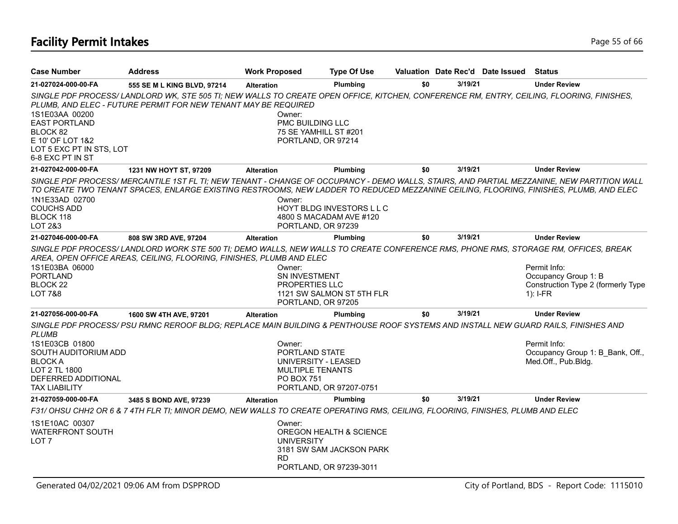# **Facility Permit Intakes** Page 15 of 66

| <b>Case Number</b>                                                                                                                       | <b>Address</b>                                                                                                                                                                                                                                                                      | <b>Work Proposed</b>                                                                            | <b>Type Of Use</b>                                                             |     |         | Valuation Date Rec'd Date Issued | <b>Status</b>                                                                            |
|------------------------------------------------------------------------------------------------------------------------------------------|-------------------------------------------------------------------------------------------------------------------------------------------------------------------------------------------------------------------------------------------------------------------------------------|-------------------------------------------------------------------------------------------------|--------------------------------------------------------------------------------|-----|---------|----------------------------------|------------------------------------------------------------------------------------------|
| 21-027024-000-00-FA                                                                                                                      | 555 SE M L KING BLVD, 97214                                                                                                                                                                                                                                                         | <b>Alteration</b>                                                                               | Plumbing                                                                       | \$0 | 3/19/21 |                                  | <b>Under Review</b>                                                                      |
| 1S1E03AA 00200<br><b>EAST PORTLAND</b><br>BLOCK 82                                                                                       | SINGLE PDF PROCESS/LANDLORD WK, STE 505 TI; NEW WALLS TO CREATE OPEN OFFICE, KITCHEN, CONFERENCE RM, ENTRY, CEILING, FLOORING, FINISHES,<br>PLUMB, AND ELEC - FUTURE PERMIT FOR NEW TENANT MAY BE REQUIRED                                                                          | Owner:<br>PMC BUILDING LLC<br>75 SE YAMHILL ST #201                                             |                                                                                |     |         |                                  |                                                                                          |
| E 10' OF LOT 1&2<br>LOT 5 EXC PT IN STS, LOT<br>6-8 EXC PT IN ST                                                                         |                                                                                                                                                                                                                                                                                     | PORTLAND, OR 97214                                                                              |                                                                                |     |         |                                  |                                                                                          |
| 21-027042-000-00-FA                                                                                                                      | 1231 NW HOYT ST, 97209                                                                                                                                                                                                                                                              | <b>Alteration</b>                                                                               | Plumbing                                                                       | \$0 | 3/19/21 |                                  | <b>Under Review</b>                                                                      |
| 1N1E33AD 02700<br><b>COUCHS ADD</b><br>BLOCK 118<br>LOT 2&3                                                                              | SINGLE PDF PROCESS/ MERCANTILE 1ST FL TI; NEW TENANT - CHANGE OF OCCUPANCY - DEMO WALLS, STAIRS, AND PARTIAL MEZZANINE, NEW PARTITION WALL<br>TO CREATE TWO TENANT SPACES, ENLARGE EXISTING RESTROOMS, NEW LADDER TO REDUCED MEZZANINE CEILING, FLOORING, FINISHES, PLUMB, AND ELEC | Owner:<br>PORTLAND, OR 97239                                                                    | HOYT BLDG INVESTORS LLC<br>4800 S MACADAM AVE #120                             |     |         |                                  |                                                                                          |
| 21-027046-000-00-FA                                                                                                                      | 808 SW 3RD AVE, 97204                                                                                                                                                                                                                                                               | <b>Alteration</b>                                                                               | Plumbing                                                                       | \$0 | 3/19/21 |                                  | <b>Under Review</b>                                                                      |
| 1S1E03BA 06000<br><b>PORTLAND</b><br>BLOCK 22<br><b>LOT 7&amp;8</b>                                                                      | SINGLE PDF PROCESS/LANDLORD WORK STE 500 TI; DEMO WALLS, NEW WALLS TO CREATE CONFERENCE RMS, PHONE RMS, STORAGE RM, OFFICES, BREAK<br>AREA, OPEN OFFICE AREAS, CEILING, FLOORING, FINISHES, PLUMB AND ELEC                                                                          | Owner:<br>SN INVESTMENT<br><b>PROPERTIES LLC</b><br>PORTLAND, OR 97205                          | 1121 SW SALMON ST 5TH FLR                                                      |     |         |                                  | Permit Info:<br>Occupancy Group 1: B<br>Construction Type 2 (formerly Type<br>$1$ : I-FR |
| 21-027056-000-00-FA                                                                                                                      | 1600 SW 4TH AVE, 97201                                                                                                                                                                                                                                                              | <b>Alteration</b>                                                                               | <b>Plumbing</b>                                                                | \$0 | 3/19/21 |                                  | <b>Under Review</b>                                                                      |
| <b>PLUMB</b><br>1S1E03CB 01800<br>SOUTH AUDITORIUM ADD<br><b>BLOCK A</b><br>LOT 2 TL 1800<br>DEFERRED ADDITIONAL<br><b>TAX LIABILITY</b> | SINGLE PDF PROCESS/ PSU RMNC REROOF BLDG; REPLACE MAIN BUILDING & PENTHOUSE ROOF SYSTEMS AND INSTALL NEW GUARD RAILS, FINISHES AND                                                                                                                                                  | Owner:<br>PORTLAND STATE<br>UNIVERSITY - LEASED<br><b>MULTIPLE TENANTS</b><br><b>PO BOX 751</b> | PORTLAND, OR 97207-0751                                                        |     |         |                                  | Permit Info:<br>Occupancy Group 1: B Bank, Off.,<br>Med.Off., Pub.Bldg.                  |
| 21-027059-000-00-FA                                                                                                                      | 3485 S BOND AVE, 97239                                                                                                                                                                                                                                                              | <b>Alteration</b>                                                                               | Plumbing                                                                       | \$0 | 3/19/21 |                                  | <b>Under Review</b>                                                                      |
|                                                                                                                                          | F31/ OHSU CHH2 OR 6 & 7 4TH FLR TI; MINOR DEMO, NEW WALLS TO CREATE OPERATING RMS, CEILING, FLOORING, FINISHES, PLUMB AND ELEC                                                                                                                                                      |                                                                                                 |                                                                                |     |         |                                  |                                                                                          |
| 1S1E10AC 00307<br><b>WATERFRONT SOUTH</b><br>LOT <sub>7</sub>                                                                            |                                                                                                                                                                                                                                                                                     | Owner:<br><b>UNIVERSITY</b><br><b>RD</b>                                                        | OREGON HEALTH & SCIENCE<br>3181 SW SAM JACKSON PARK<br>PORTLAND, OR 97239-3011 |     |         |                                  |                                                                                          |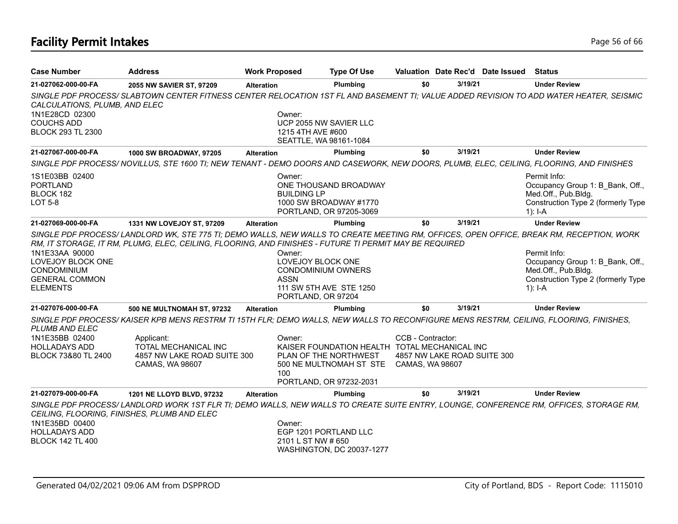# **Facility Permit Intakes** Page 16 of 66

| <b>Case Number</b>                                        | <b>Address</b>                                                                                                                                                                       | <b>Work Proposed</b> |                                                                                                            | <b>Type Of Use</b> |                             |         | Valuation Date Rec'd Date Issued | Status                                                                                                                                  |
|-----------------------------------------------------------|--------------------------------------------------------------------------------------------------------------------------------------------------------------------------------------|----------------------|------------------------------------------------------------------------------------------------------------|--------------------|-----------------------------|---------|----------------------------------|-----------------------------------------------------------------------------------------------------------------------------------------|
| 21-027062-000-00-FA                                       | 2055 NW SAVIER ST, 97209                                                                                                                                                             | <b>Alteration</b>    |                                                                                                            | Plumbing           | \$0                         | 3/19/21 |                                  | <b>Under Review</b>                                                                                                                     |
| CALCULATIONS, PLUMB, AND ELEC                             |                                                                                                                                                                                      |                      |                                                                                                            |                    |                             |         |                                  | SINGLE PDF PROCESS/SLABTOWN CENTER FITNESS CENTER RELOCATION 1ST FL AND BASEMENT TI; VALUE ADDED REVISION TO ADD WATER HEATER, SEISMIC  |
| 1N1E28CD 02300                                            |                                                                                                                                                                                      |                      | Owner:                                                                                                     |                    |                             |         |                                  |                                                                                                                                         |
| <b>COUCHS ADD</b>                                         |                                                                                                                                                                                      |                      | UCP 2055 NW SAVIER LLC                                                                                     |                    |                             |         |                                  |                                                                                                                                         |
| <b>BLOCK 293 TL 2300</b>                                  |                                                                                                                                                                                      |                      | 1215 4TH AVE #600<br>SEATTLE, WA 98161-1084                                                                |                    |                             |         |                                  |                                                                                                                                         |
| 21-027067-000-00-FA                                       | 1000 SW BROADWAY, 97205                                                                                                                                                              | <b>Alteration</b>    |                                                                                                            | Plumbing           | \$0                         | 3/19/21 |                                  | <b>Under Review</b>                                                                                                                     |
|                                                           | SINGLE PDF PROCESS/NOVILLUS, STE 1600 TI; NEW TENANT - DEMO DOORS AND CASEWORK, NEW DOORS, PLUMB, ELEC, CEILING, FLOORING, AND FINISHES                                              |                      |                                                                                                            |                    |                             |         |                                  |                                                                                                                                         |
| 1S1E03BB 02400<br><b>PORTLAND</b><br>BLOCK 182<br>LOT 5-8 |                                                                                                                                                                                      |                      | Owner:<br>ONE THOUSAND BROADWAY<br><b>BUILDING LP</b><br>1000 SW BROADWAY #1770<br>PORTLAND, OR 97205-3069 |                    |                             |         |                                  | Permit Info:<br>Occupancy Group 1: B_Bank, Off.,<br>Med.Off., Pub.Bldg.<br>Construction Type 2 (formerly Type<br>$1$ : I-A              |
| 21-027069-000-00-FA                                       | 1331 NW LOVEJOY ST, 97209                                                                                                                                                            | <b>Alteration</b>    |                                                                                                            | Plumbing           | \$0                         | 3/19/21 |                                  | <b>Under Review</b>                                                                                                                     |
|                                                           | RM, IT STORAGE, IT RM, PLUMG, ELEC, CEILING, FLOORING, AND FINISHES - FUTURE TI PERMIT MAY BE REQUIRED                                                                               |                      |                                                                                                            |                    |                             |         |                                  | SINGLE PDF PROCESS/LANDLORD WK, STE 775 TI; DEMO WALLS, NEW WALLS TO CREATE MEETING RM, OFFICES, OPEN OFFICE, BREAK RM, RECEPTION, WORK |
| 1N1E33AA 90000<br>LOVEJOY BLOCK ONE                       |                                                                                                                                                                                      |                      | Owner:<br>LOVEJOY BLOCK ONE                                                                                |                    |                             |         |                                  | Permit Info:<br>Occupancy Group 1: B Bank, Off.,                                                                                        |
| <b>CONDOMINIUM</b>                                        |                                                                                                                                                                                      |                      | <b>CONDOMINIUM OWNERS</b>                                                                                  |                    |                             |         |                                  | Med.Off., Pub.Bldg.                                                                                                                     |
| <b>GENERAL COMMON</b>                                     |                                                                                                                                                                                      |                      | <b>ASSN</b>                                                                                                |                    |                             |         |                                  | Construction Type 2 (formerly Type                                                                                                      |
| <b>ELEMENTS</b>                                           |                                                                                                                                                                                      |                      | 111 SW 5TH AVE STE 1250<br>PORTLAND, OR 97204                                                              |                    |                             |         |                                  | $1$ : I-A                                                                                                                               |
| 21-027076-000-00-FA                                       | <b>500 NE MULTNOMAH ST, 97232</b>                                                                                                                                                    | <b>Alteration</b>    |                                                                                                            | Plumbing           | \$0                         | 3/19/21 |                                  | <b>Under Review</b>                                                                                                                     |
| <b>PLUMB AND ELEC</b>                                     | SINGLE PDF PROCESS/KAISER KPB MENS RESTRM TI 15TH FLR; DEMO WALLS, NEW WALLS TO RECONFIGURE MENS RESTRM, CEILING, FLOORING, FINISHES,                                                |                      |                                                                                                            |                    |                             |         |                                  |                                                                                                                                         |
| 1N1E35BB 02400                                            | Applicant:                                                                                                                                                                           |                      | Owner:                                                                                                     |                    | CCB - Contractor:           |         |                                  |                                                                                                                                         |
| <b>HOLLADAYS ADD</b><br>BLOCK 73&80 TL 2400               | TOTAL MECHANICAL INC<br>4857 NW LAKE ROAD SUITE 300                                                                                                                                  |                      | KAISER FOUNDATION HEALTH TOTAL MECHANICAL INC<br>PLAN OF THE NORTHWEST                                     |                    | 4857 NW LAKE ROAD SUITE 300 |         |                                  |                                                                                                                                         |
|                                                           | CAMAS, WA 98607                                                                                                                                                                      |                      | 500 NE MULTNOMAH ST STE CAMAS, WA 98607                                                                    |                    |                             |         |                                  |                                                                                                                                         |
|                                                           |                                                                                                                                                                                      |                      | 100<br>PORTLAND, OR 97232-2031                                                                             |                    |                             |         |                                  |                                                                                                                                         |
| 21-027079-000-00-FA                                       | 1201 NE LLOYD BLVD, 97232                                                                                                                                                            | <b>Alteration</b>    |                                                                                                            | Plumbing           | \$0                         | 3/19/21 |                                  | <b>Under Review</b>                                                                                                                     |
|                                                           | SINGLE PDF PROCESS/LANDLORD WORK 1ST FLR TI; DEMO WALLS, NEW WALLS TO CREATE SUITE ENTRY, LOUNGE, CONFERENCE RM, OFFICES, STORAGE RM,<br>CEILING, FLOORING, FINISHES, PLUMB AND ELEC |                      |                                                                                                            |                    |                             |         |                                  |                                                                                                                                         |
| 1N1E35BD 00400                                            |                                                                                                                                                                                      |                      | Owner:                                                                                                     |                    |                             |         |                                  |                                                                                                                                         |
| <b>HOLLADAYS ADD</b><br><b>BLOCK 142 TL 400</b>           |                                                                                                                                                                                      |                      | EGP 1201 PORTLAND LLC<br>2101 L ST NW # 650                                                                |                    |                             |         |                                  |                                                                                                                                         |
|                                                           |                                                                                                                                                                                      |                      | WASHINGTON, DC 20037-1277                                                                                  |                    |                             |         |                                  |                                                                                                                                         |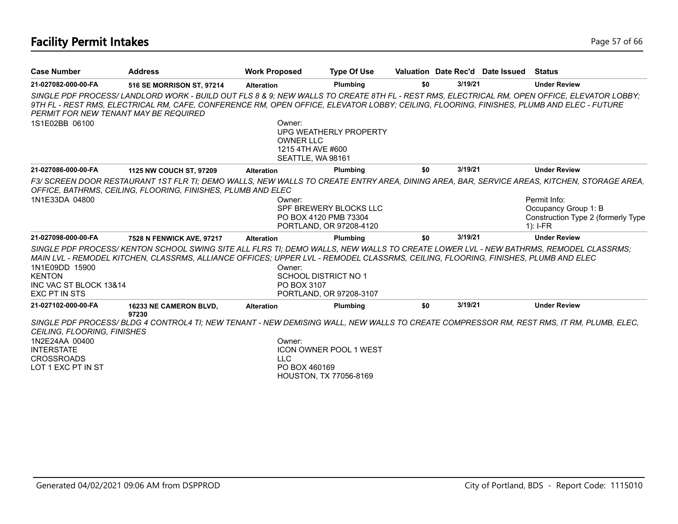| <b>Case Number</b>                                                                                                   | <b>Address</b>                                                                                                                                                                                                                                                                         | <b>Work Proposed</b>                                                 | <b>Type Of Use</b>                                      |     |         | Valuation Date Rec'd Date Issued Status |                                                                                                                                                                                                                                       |
|----------------------------------------------------------------------------------------------------------------------|----------------------------------------------------------------------------------------------------------------------------------------------------------------------------------------------------------------------------------------------------------------------------------------|----------------------------------------------------------------------|---------------------------------------------------------|-----|---------|-----------------------------------------|---------------------------------------------------------------------------------------------------------------------------------------------------------------------------------------------------------------------------------------|
| 21-027082-000-00-FA                                                                                                  | 516 SE MORRISON ST, 97214                                                                                                                                                                                                                                                              | <b>Alteration</b>                                                    | Plumbing                                                | \$0 | 3/19/21 |                                         | <b>Under Review</b>                                                                                                                                                                                                                   |
| PERMIT FOR NEW TENANT MAY BE REQUIRED                                                                                | SINGLE PDF PROCESS/LANDLORD WORK - BUILD OUT FLS 8 & 9; NEW WALLS TO CREATE 8TH FL - REST RMS, ELECTRICAL RM, OPEN OFFICE, ELEVATOR LOBBY;<br>9TH FL - REST RMS, ELECTRICAL RM, CAFE, CONFERENCE RM, OPEN OFFICE, ELEVATOR LOBBY; CEILING, FLOORING, FINISHES, PLUMB AND ELEC - FUTURE |                                                                      |                                                         |     |         |                                         |                                                                                                                                                                                                                                       |
| 1S1E02BB 06100                                                                                                       |                                                                                                                                                                                                                                                                                        | Owner:<br><b>OWNER LLC</b><br>1215 4TH AVE #600<br>SEATTLE, WA 98161 | UPG WEATHERLY PROPERTY                                  |     |         |                                         |                                                                                                                                                                                                                                       |
| 21-027086-000-00-FA                                                                                                  | 1125 NW COUCH ST, 97209                                                                                                                                                                                                                                                                | <b>Alteration</b>                                                    | Plumbing                                                | \$0 | 3/19/21 |                                         | <b>Under Review</b>                                                                                                                                                                                                                   |
| 1N1E33DA 04800                                                                                                       | OFFICE, BATHRMS, CEILING, FLOORING, FINISHES, PLUMB AND ELEC                                                                                                                                                                                                                           | Owner:<br>PO BOX 4120 PMB 73304                                      | SPF BREWERY BLOCKS LLC<br>PORTLAND, OR 97208-4120       |     |         |                                         | F3/SCREEN DOOR RESTAURANT 1ST FLR TI; DEMO WALLS, NEW WALLS TO CREATE ENTRY AREA, DINING AREA, BAR, SERVICE AREAS, KITCHEN, STORAGE AREA,<br>Permit Info:<br>Occupancy Group 1: B<br>Construction Type 2 (formerly Type<br>$1$ : I-FR |
| 21-027098-000-00-FA                                                                                                  | 7528 N FENWICK AVE, 97217                                                                                                                                                                                                                                                              | <b>Alteration</b>                                                    | Plumbing                                                | \$0 | 3/19/21 |                                         | <b>Under Review</b>                                                                                                                                                                                                                   |
| 1N1E09DD 15900<br><b>KENTON</b><br>INC VAC ST BLOCK 13&14<br>EXC PT IN STS                                           | SINGLE PDF PROCESS/KENTON SCHOOL SWING SITE ALL FLRS TI; DEMO WALLS, NEW WALLS TO CREATE LOWER LVL - NEW BATHRMS, REMODEL CLASSRMS;<br>MAIN LVL - REMODEL KITCHEN, CLASSRMS, ALLIANCE OFFICES; UPPER LVL - REMODEL CLASSRMS, CEILING, FLOORING, FINISHES, PLUMB AND ELEC               | Owner:<br><b>SCHOOL DISTRICT NO 1</b><br>PO BOX 3107                 | PORTLAND, OR 97208-3107                                 |     |         |                                         |                                                                                                                                                                                                                                       |
| 21-027102-000-00-FA                                                                                                  | 16233 NE CAMERON BLVD,<br>97230                                                                                                                                                                                                                                                        | <b>Alteration</b>                                                    | Plumbing                                                | \$0 | 3/19/21 |                                         | <b>Under Review</b>                                                                                                                                                                                                                   |
| <b>CEILING. FLOORING. FINISHES</b><br>1N2E24AA 00400<br><b>INTERSTATE</b><br><b>CROSSROADS</b><br>LOT 1 EXC PT IN ST | SINGLE PDF PROCESS/BLDG 4 CONTROL4 TI; NEW TENANT - NEW DEMISING WALL, NEW WALLS TO CREATE COMPRESSOR RM, REST RMS, IT RM, PLUMB, ELEC,                                                                                                                                                | Owner:<br>LLC.<br>PO BOX 460169                                      | ICON OWNER POOL 1 WEST<br><b>HOUSTON, TX 77056-8169</b> |     |         |                                         |                                                                                                                                                                                                                                       |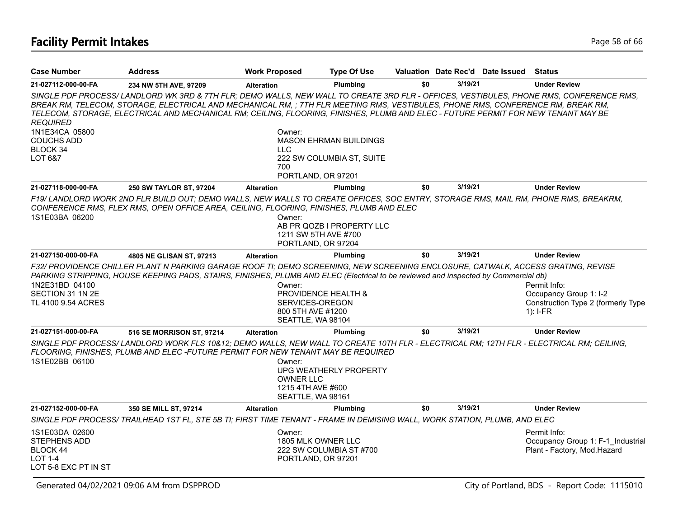# **Facility Permit Intakes** Page 58 of 66

| <b>Case Number</b>                                                                   | <b>Address</b>                                                                                                                                                                                                                                                                                                                                                                                                  | <b>Work Proposed</b>                                                                                  | <b>Type Of Use</b>                                         |     |         | Valuation Date Rec'd Date Issued | <b>Status</b>                                                                              |
|--------------------------------------------------------------------------------------|-----------------------------------------------------------------------------------------------------------------------------------------------------------------------------------------------------------------------------------------------------------------------------------------------------------------------------------------------------------------------------------------------------------------|-------------------------------------------------------------------------------------------------------|------------------------------------------------------------|-----|---------|----------------------------------|--------------------------------------------------------------------------------------------|
| 21-027112-000-00-FA                                                                  | 234 NW 5TH AVE, 97209                                                                                                                                                                                                                                                                                                                                                                                           | <b>Alteration</b>                                                                                     | <b>Plumbina</b>                                            | \$0 | 3/19/21 |                                  | <b>Under Review</b>                                                                        |
| <b>REQUIRED</b>                                                                      | SINGLE PDF PROCESS/LANDLORD WK 3RD & 7TH FLR; DEMO WALLS, NEW WALL TO CREATE 3RD FLR - OFFICES, VESTIBULES, PHONE RMS, CONFERENCE RMS,<br>BREAK RM, TELECOM, STORAGE, ELECTRICAL AND MECHANICAL RM, ; 7TH FLR MEETING RMS, VESTIBULES, PHONE RMS, CONFERENCE RM, BREAK RM,<br>TELECOM, STORAGE, ELECTRICAL AND MECHANICAL RM; CEILING, FLOORING, FINISHES, PLUMB AND ELEC - FUTURE PERMIT FOR NEW TENANT MAY BE |                                                                                                       |                                                            |     |         |                                  |                                                                                            |
| 1N1E34CA 05800<br><b>COUCHS ADD</b><br>BLOCK 34<br>LOT 6&7                           |                                                                                                                                                                                                                                                                                                                                                                                                                 | Owner:<br><b>LLC</b>                                                                                  | <b>MASON EHRMAN BUILDINGS</b><br>222 SW COLUMBIA ST, SUITE |     |         |                                  |                                                                                            |
|                                                                                      |                                                                                                                                                                                                                                                                                                                                                                                                                 | 700<br>PORTLAND, OR 97201                                                                             |                                                            |     |         |                                  |                                                                                            |
| 21-027118-000-00-FA                                                                  | 250 SW TAYLOR ST, 97204                                                                                                                                                                                                                                                                                                                                                                                         | <b>Alteration</b>                                                                                     | Plumbing                                                   | \$0 | 3/19/21 |                                  | <b>Under Review</b>                                                                        |
| 1S1E03BA 06200                                                                       | F19/LANDLORD WORK 2ND FLR BUILD OUT; DEMO WALLS, NEW WALLS TO CREATE OFFICES, SOC ENTRY, STORAGE RMS, MAIL RM, PHONE RMS, BREAKRM,<br>CONFERENCE RMS, FLEX RMS, OPEN OFFICE AREA, CEILING, FLOORING, FINISHES, PLUMB AND ELEC                                                                                                                                                                                   | Owner:<br>1211 SW 5TH AVE #700<br>PORTLAND, OR 97204                                                  | AB PR QOZB I PROPERTY LLC                                  |     |         |                                  |                                                                                            |
| 21-027150-000-00-FA                                                                  | 4805 NE GLISAN ST, 97213                                                                                                                                                                                                                                                                                                                                                                                        | <b>Alteration</b>                                                                                     | <b>Plumbing</b>                                            | \$0 | 3/19/21 |                                  | <b>Under Review</b>                                                                        |
| 1N2E31BD 04100<br>SECTION 31 1N 2E<br>TL 4100 9.54 ACRES                             | F32/ PROVIDENCE CHILLER PLANT N PARKING GARAGE ROOF TI; DEMO SCREENING, NEW SCREENING ENCLOSURE, CATWALK, ACCESS GRATING, REVISE<br>PARKING STRIPPING, HOUSE KEEPING PADS, STAIRS, FINISHES, PLUMB AND ELEC (Electrical to be reviewed and inspected by Commercial db)                                                                                                                                          | Owner:<br><b>PROVIDENCE HEALTH &amp;</b><br>SERVICES-OREGON<br>800 5TH AVE #1200<br>SEATTLE, WA 98104 |                                                            |     |         |                                  | Permit Info:<br>Occupancy Group 1: I-2<br>Construction Type 2 (formerly Type<br>$1$ : I-FR |
| 21-027151-000-00-FA                                                                  | 516 SE MORRISON ST, 97214                                                                                                                                                                                                                                                                                                                                                                                       | <b>Alteration</b>                                                                                     | Plumbing                                                   | \$0 | 3/19/21 |                                  | <b>Under Review</b>                                                                        |
| 1S1E02BB 06100                                                                       | SINGLE PDF PROCESS/LANDLORD WORK FLS 10&12; DEMO WALLS, NEW WALL TO CREATE 10TH FLR - ELECTRICAL RM; 12TH FLR - ELECTRICAL RM; CEILING,<br>FLOORING, FINISHES, PLUMB AND ELEC -FUTURE PERMIT FOR NEW TENANT MAY BE REQUIRED                                                                                                                                                                                     | Owner:<br><b>OWNER LLC</b><br>1215 4TH AVE #600<br>SEATTLE, WA 98161                                  | UPG WEATHERLY PROPERTY                                     |     |         |                                  |                                                                                            |
| 21-027152-000-00-FA                                                                  | 350 SE MILL ST, 97214                                                                                                                                                                                                                                                                                                                                                                                           | <b>Alteration</b>                                                                                     | Plumbing                                                   | \$0 | 3/19/21 |                                  | <b>Under Review</b>                                                                        |
|                                                                                      | SINGLE PDF PROCESS/ TRAILHEAD 1ST FL, STE 5B TI; FIRST TIME TENANT - FRAME IN DEMISING WALL, WORK STATION, PLUMB, AND ELEC                                                                                                                                                                                                                                                                                      |                                                                                                       |                                                            |     |         |                                  |                                                                                            |
| 1S1E03DA 02600<br>STEPHENS ADD<br>BLOCK 44<br><b>LOT 1-4</b><br>LOT 5-8 EXC PT IN ST |                                                                                                                                                                                                                                                                                                                                                                                                                 | Owner:<br>1805 MLK OWNER LLC<br>PORTLAND, OR 97201                                                    | 222 SW COLUMBIA ST #700                                    |     |         |                                  | Permit Info:<br>Occupancy Group 1: F-1 Industrial<br>Plant - Factory, Mod.Hazard           |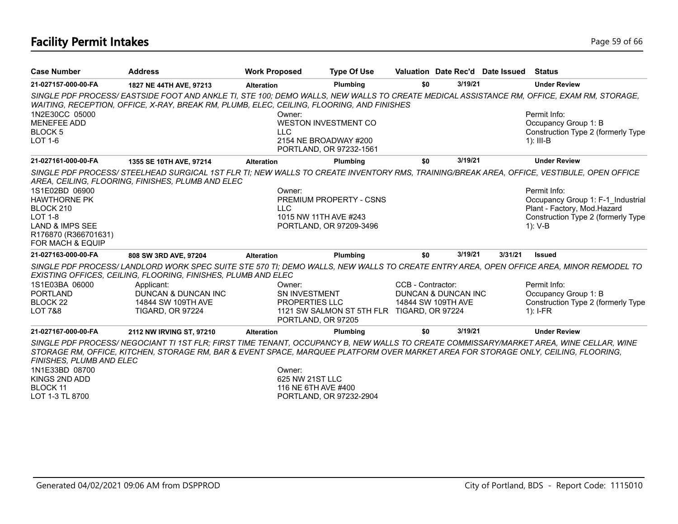# **Facility Permit Intakes** Page 19 of 66

| <b>Case Number</b>                                                                                                                  | <b>Address</b>                                                                                                                                                                                                                                                               | <b>Work Proposed</b>                             | <b>Type Of Use</b>                                                                 |                   |                                           | Valuation Date Rec'd Date Issued Status |                                                                                                                                        |
|-------------------------------------------------------------------------------------------------------------------------------------|------------------------------------------------------------------------------------------------------------------------------------------------------------------------------------------------------------------------------------------------------------------------------|--------------------------------------------------|------------------------------------------------------------------------------------|-------------------|-------------------------------------------|-----------------------------------------|----------------------------------------------------------------------------------------------------------------------------------------|
| 21-027157-000-00-FA                                                                                                                 | 1827 NE 44TH AVE, 97213                                                                                                                                                                                                                                                      | <b>Alteration</b>                                | Plumbing                                                                           | \$0               | 3/19/21                                   |                                         | <b>Under Review</b>                                                                                                                    |
|                                                                                                                                     | SINGLE PDF PROCESS/EASTSIDE FOOT AND ANKLE TI, STE 100; DEMO WALLS, NEW WALLS TO CREATE MEDICAL ASSISTANCE RM, OFFICE, EXAM RM, STORAGE,<br>WAITING, RECEPTION, OFFICE, X-RAY, BREAK RM, PLUMB, ELEC, CEILING, FLOORING, AND FINISHES                                        |                                                  |                                                                                    |                   |                                           |                                         |                                                                                                                                        |
| 1N2E30CC 05000<br><b>MENEFEE ADD</b><br><b>BLOCK 5</b><br><b>LOT 1-6</b>                                                            |                                                                                                                                                                                                                                                                              | Owner:<br><b>LLC</b>                             | <b>WESTON INVESTMENT CO</b><br>2154 NE BROADWAY #200<br>PORTLAND, OR 97232-1561    |                   |                                           |                                         | Permit Info:<br>Occupancy Group 1: B<br>Construction Type 2 (formerly Type<br>$1$ : III-B                                              |
| 21-027161-000-00-FA                                                                                                                 | 1355 SE 10TH AVE, 97214                                                                                                                                                                                                                                                      | <b>Alteration</b>                                | Plumbing                                                                           | \$0               | 3/19/21                                   |                                         | <b>Under Review</b>                                                                                                                    |
|                                                                                                                                     | SINGLE PDF PROCESS/ STEELHEAD SURGICAL 1ST FLR TI; NEW WALLS TO CREATE INVENTORY RMS, TRAINING/BREAK AREA, OFFICE, VESTIBULE, OPEN OFFICE<br>AREA, CEILING, FLOORING, FINISHES, PLUMB AND ELEC                                                                               |                                                  |                                                                                    |                   |                                           |                                         |                                                                                                                                        |
| 1S1E02BD 06900<br><b>HAWTHORNE PK</b><br>BLOCK 210<br><b>LOT 1-8</b><br>LAND & IMPS SEE<br>R176870 (R366701631)<br>FOR MACH & EQUIP |                                                                                                                                                                                                                                                                              | Owner:<br><b>LLC</b>                             | <b>PREMIUM PROPERTY - CSNS</b><br>1015 NW 11TH AVE #243<br>PORTLAND, OR 97209-3496 |                   |                                           |                                         | Permit Info:<br>Occupancy Group 1: F-1 Industrial<br>Plant - Factory, Mod.Hazard<br>Construction Type 2 (formerly Type<br>1): V-B      |
| 21-027163-000-00-FA                                                                                                                 | 808 SW 3RD AVE, 97204                                                                                                                                                                                                                                                        | <b>Alteration</b>                                | Plumbing                                                                           | \$0               | 3/19/21                                   | 3/31/21                                 | Issued                                                                                                                                 |
|                                                                                                                                     | EXISTING OFFICES, CEILING, FLOORING, FINISHES, PLUMB AND ELEC                                                                                                                                                                                                                |                                                  |                                                                                    |                   |                                           |                                         | SINGLE PDF PROCESS/LANDLORD WORK SPEC SUITE STE 570 TI; DEMO WALLS, NEW WALLS TO CREATE ENTRY AREA, OPEN OFFICE AREA, MINOR REMODEL TO |
| 1S1E03BA 06000<br><b>PORTLAND</b><br>BLOCK 22<br><b>LOT 7&amp;8</b>                                                                 | Applicant:<br>DUNCAN & DUNCAN INC<br>14844 SW 109TH AVE<br><b>TIGARD, OR 97224</b>                                                                                                                                                                                           | Owner:<br>SN INVESTMENT<br><b>PROPERTIES LLC</b> | 1121 SW SALMON ST 5TH FLR TIGARD, OR 97224<br>PORTLAND, OR 97205                   | CCB - Contractor: | DUNCAN & DUNCAN INC<br>14844 SW 109TH AVE |                                         | Permit Info:<br>Occupancy Group 1: B<br>Construction Type 2 (formerly Type<br>$1$ : I-FR                                               |
| 21-027167-000-00-FA                                                                                                                 | 2112 NW IRVING ST, 97210                                                                                                                                                                                                                                                     | <b>Alteration</b>                                | Plumbing                                                                           | \$0               | 3/19/21                                   |                                         | <b>Under Review</b>                                                                                                                    |
| FINISHES, PLUMB AND ELEC<br>1N1E33BD 08700<br>KINGS 2ND ADD<br><b>BLOCK 11</b><br>LOT 1-3 TL 8700                                   | SINGLE PDF PROCESS/NEGOCIANT TI 1ST FLR; FIRST TIME TENANT, OCCUPANCY B, NEW WALLS TO CREATE COMMISSARY/MARKET AREA, WINE CELLAR, WINE<br>STORAGE RM, OFFICE, KITCHEN, STORAGE RM, BAR & EVENT SPACE, MARQUEE PLATFORM OVER MARKET AREA FOR STORAGE ONLY, CEILING, FLOORING, | Owner:<br>625 NW 21ST LLC<br>116 NE 6TH AVE #400 | PORTLAND, OR 97232-2904                                                            |                   |                                           |                                         |                                                                                                                                        |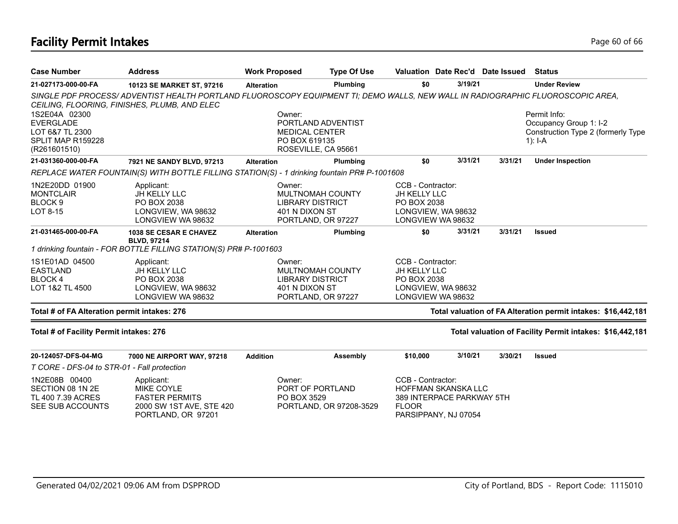## **Facility Permit Intakes** Page 60 of 66

| <b>Case Number</b>                                                         | <b>Address</b>                                                                                                                                                                 | <b>Work Proposed</b> | <b>Type Of Use</b>                                                                  |                                                         | Valuation Date Rec'd Date Issued                                                |         | <b>Status</b>                                                 |
|----------------------------------------------------------------------------|--------------------------------------------------------------------------------------------------------------------------------------------------------------------------------|----------------------|-------------------------------------------------------------------------------------|---------------------------------------------------------|---------------------------------------------------------------------------------|---------|---------------------------------------------------------------|
| 21-027173-000-00-FA                                                        | 10123 SE MARKET ST, 97216                                                                                                                                                      | <b>Alteration</b>    | Plumbing                                                                            | \$0                                                     | 3/19/21                                                                         |         | <b>Under Review</b>                                           |
|                                                                            | SINGLE PDF PROCESS/ADVENTIST HEALTH PORTLAND FLUOROSCOPY EQUIPMENT TI; DEMO WALLS, NEW WALL IN RADIOGRAPHIC FLUOROSCOPIC AREA,<br>CEILING, FLOORING, FINISHES, PLUMB, AND ELEC |                      |                                                                                     |                                                         |                                                                                 |         |                                                               |
| 1S2E04A 02300<br><b>EVERGLADE</b>                                          |                                                                                                                                                                                |                      | Owner:<br>PORTLAND ADVENTIST                                                        |                                                         |                                                                                 |         | Permit Info:<br>Occupancy Group 1: I-2                        |
| LOT 6&7 TL 2300<br>SPLIT MAP R159228<br>(R261601510)                       |                                                                                                                                                                                |                      | <b>MEDICAL CENTER</b><br>PO BOX 619135<br>ROSEVILLE, CA 95661                       |                                                         |                                                                                 |         | Construction Type 2 (formerly Type<br>1): $I - A$             |
| 21-031360-000-00-FA                                                        | 7921 NE SANDY BLVD, 97213                                                                                                                                                      | <b>Alteration</b>    | Plumbing                                                                            | \$0                                                     | 3/31/21                                                                         | 3/31/21 | <b>Under Inspection</b>                                       |
|                                                                            | REPLACE WATER FOUNTAIN(S) WITH BOTTLE FILLING STATION(S) - 1 drinking fountain PR# P-1001608                                                                                   |                      |                                                                                     |                                                         |                                                                                 |         |                                                               |
| 1N2E20DD 01900<br><b>MONTCLAIR</b><br>BLOCK <sub>9</sub><br>LOT 8-15       | Applicant:<br>JH KELLY LLC<br>PO BOX 2038<br>LONGVIEW, WA 98632<br>LONGVIEW WA 98632                                                                                           | Owner:               | MULTNOMAH COUNTY<br><b>LIBRARY DISTRICT</b><br>401 N DIXON ST<br>PORTLAND, OR 97227 | CCB - Contractor:<br><b>JH KELLY LLC</b><br>PO BOX 2038 | LONGVIEW, WA 98632<br>LONGVIEW WA 98632                                         |         |                                                               |
| 21-031465-000-00-FA                                                        | 1038 SE CESAR E CHAVEZ                                                                                                                                                         | <b>Alteration</b>    | Plumbing                                                                            | \$0                                                     | 3/31/21                                                                         | 3/31/21 | <b>Issued</b>                                                 |
|                                                                            | <b>BLVD, 97214</b><br>1 drinking fountain - FOR BOTTLE FILLING STATION(S) PR# P-1001603                                                                                        |                      |                                                                                     |                                                         |                                                                                 |         |                                                               |
| 1S1E01AD 04500<br><b>EASTLAND</b><br>BLOCK 4<br>LOT 1&2 TL 4500            | Applicant:<br>JH KELLY LLC<br>PO BOX 2038<br>LONGVIEW, WA 98632<br>LONGVIEW WA 98632                                                                                           | Owner:               | MULTNOMAH COUNTY<br><b>LIBRARY DISTRICT</b><br>401 N DIXON ST<br>PORTLAND, OR 97227 | CCB - Contractor:<br>JH KELLY LLC<br>PO BOX 2038        | LONGVIEW, WA 98632<br>LONGVIEW WA 98632                                         |         |                                                               |
| Total # of FA Alteration permit intakes: 276                               |                                                                                                                                                                                |                      |                                                                                     |                                                         |                                                                                 |         | Total valuation of FA Alteration permit intakes: \$16,442,181 |
| Total # of Facility Permit intakes: 276                                    |                                                                                                                                                                                |                      |                                                                                     |                                                         |                                                                                 |         | Total valuation of Facility Permit intakes: \$16,442,181      |
| 20-124057-DFS-04-MG                                                        | 7000 NE AIRPORT WAY, 97218                                                                                                                                                     | <b>Addition</b>      | Assembly                                                                            | \$10,000                                                | 3/10/21                                                                         | 3/30/21 | <b>Issued</b>                                                 |
| T CORE - DFS-04 to STR-01 - Fall protection                                |                                                                                                                                                                                |                      |                                                                                     |                                                         |                                                                                 |         |                                                               |
| 1N2E08B 00400<br>SECTION 08 1N 2E<br>TL 400 7.39 ACRES<br>SEE SUB ACCOUNTS | Applicant:<br>MIKE COYLE<br><b>FASTER PERMITS</b><br>2000 SW 1ST AVE, STE 420<br>PORTLAND, OR 97201                                                                            | Owner:               | PORT OF PORTLAND<br>PO BOX 3529<br>PORTLAND, OR 97208-3529                          | CCB - Contractor:<br><b>FLOOR</b>                       | <b>HOFFMAN SKANSKA LLC</b><br>389 INTERPACE PARKWAY 5TH<br>PARSIPPANY, NJ 07054 |         |                                                               |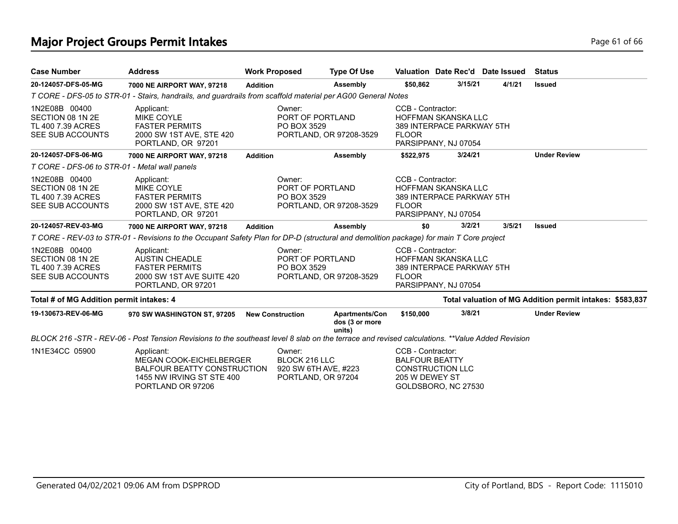# **Major Project Groups Permit Intakes Page 61 of 66 Page 61 of 66 Page 61 of 66**

| <b>Case Number</b>                                                         | <b>Address</b>                                                                                                                                 | <b>Work Proposed</b> |                                                                       | <b>Type Of Use</b>                         |                                                              |                                                                                 | Valuation Date Rec'd Date Issued | <b>Status</b>                                            |
|----------------------------------------------------------------------------|------------------------------------------------------------------------------------------------------------------------------------------------|----------------------|-----------------------------------------------------------------------|--------------------------------------------|--------------------------------------------------------------|---------------------------------------------------------------------------------|----------------------------------|----------------------------------------------------------|
| 20-124057-DFS-05-MG                                                        | 7000 NE AIRPORT WAY, 97218                                                                                                                     | <b>Addition</b>      |                                                                       | Assembly                                   | \$50,862                                                     | 3/15/21                                                                         | 4/1/21                           | <b>Issued</b>                                            |
|                                                                            | T CORE - DFS-05 to STR-01 - Stairs, handrails, and guardrails from scaffold material per AG00 General Notes                                    |                      |                                                                       |                                            |                                                              |                                                                                 |                                  |                                                          |
| 1N2E08B 00400<br>SECTION 08 1N 2E<br>TL 400 7.39 ACRES<br>SEE SUB ACCOUNTS | Applicant:<br><b>MIKE COYLE</b><br><b>FASTER PERMITS</b><br>2000 SW 1ST AVE, STE 420<br>PORTLAND, OR 97201                                     |                      | Owner:<br>PORT OF PORTLAND<br>PO BOX 3529                             | PORTLAND, OR 97208-3529                    | CCB - Contractor:<br><b>FLOOR</b>                            | <b>HOFFMAN SKANSKA LLC</b><br>389 INTERPACE PARKWAY 5TH<br>PARSIPPANY, NJ 07054 |                                  |                                                          |
| 20-124057-DFS-06-MG                                                        | 7000 NE AIRPORT WAY, 97218                                                                                                                     | <b>Addition</b>      |                                                                       | Assembly                                   | \$522,975                                                    | 3/24/21                                                                         |                                  | <b>Under Review</b>                                      |
| T CORE - DFS-06 to STR-01 - Metal wall panels                              |                                                                                                                                                |                      |                                                                       |                                            |                                                              |                                                                                 |                                  |                                                          |
| 1N2E08B 00400<br>SECTION 08 1N 2E<br>TL 400 7.39 ACRES<br>SEE SUB ACCOUNTS | Applicant:<br><b>MIKE COYLE</b><br><b>FASTER PERMITS</b><br>2000 SW 1ST AVE, STE 420<br>PORTLAND, OR 97201                                     |                      | Owner:<br>PORT OF PORTLAND<br>PO BOX 3529                             | PORTLAND, OR 97208-3529                    | CCB - Contractor:<br><b>FLOOR</b>                            | <b>HOFFMAN SKANSKA LLC</b><br>389 INTERPACE PARKWAY 5TH<br>PARSIPPANY, NJ 07054 |                                  |                                                          |
| 20-124057-REV-03-MG                                                        | 7000 NE AIRPORT WAY, 97218                                                                                                                     | <b>Addition</b>      |                                                                       | Assembly                                   | \$0                                                          | 3/2/21                                                                          | 3/5/21                           | <b>Issued</b>                                            |
|                                                                            | T CORE - REV-03 to STR-01 - Revisions to the Occupant Safety Plan for DP-D (structural and demolition package) for main T Core project         |                      |                                                                       |                                            |                                                              |                                                                                 |                                  |                                                          |
| 1N2E08B 00400<br>SECTION 08 1N 2E<br>TL 400 7.39 ACRES<br>SEE SUB ACCOUNTS | Applicant:<br><b>AUSTIN CHEADLE</b><br><b>FASTER PERMITS</b><br>2000 SW 1ST AVE SUITE 420<br>PORTLAND, OR 97201                                |                      | Owner:<br>PORT OF PORTLAND<br>PO BOX 3529                             | PORTLAND, OR 97208-3529                    | CCB - Contractor:<br><b>FLOOR</b>                            | <b>HOFFMAN SKANSKA LLC</b><br>389 INTERPACE PARKWAY 5TH<br>PARSIPPANY, NJ 07054 |                                  |                                                          |
| Total # of MG Addition permit intakes: 4                                   |                                                                                                                                                |                      |                                                                       |                                            |                                                              |                                                                                 |                                  | Total valuation of MG Addition permit intakes: \$583,837 |
| 19-130673-REV-06-MG                                                        | 970 SW WASHINGTON ST, 97205                                                                                                                    |                      | <b>New Construction</b>                                               | Apartments/Con<br>dos (3 or more<br>units) | \$150,000                                                    | 3/8/21                                                                          |                                  | <b>Under Review</b>                                      |
|                                                                            | BLOCK 216 -STR - REV-06 - Post Tension Revisions to the southeast level 8 slab on the terrace and revised calculations. **Value Added Revision |                      |                                                                       |                                            |                                                              |                                                                                 |                                  |                                                          |
| 1N1E34CC 05900                                                             | Applicant:<br>MEGAN COOK-EICHELBERGER<br><b>BALFOUR BEATTY CONSTRUCTION</b><br>1455 NW IRVING ST STE 400<br>PORTLAND OR 97206                  |                      | Owner:<br>BLOCK 216 LLC<br>920 SW 6TH AVE, #223<br>PORTLAND, OR 97204 |                                            | CCB - Contractor:<br><b>BALFOUR BEATTY</b><br>205 W DEWEY ST | <b>CONSTRUCTION LLC</b><br>GOLDSBORO, NC 27530                                  |                                  |                                                          |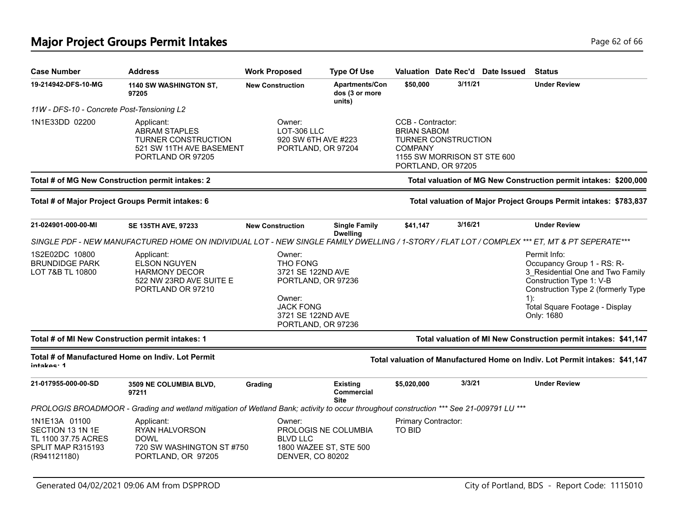# **Major Project Groups Permit Intakes Page 10 and 20 and 20 and 20 and 20 and 20 and 20 and 20 and 20 and 20 and 20 and 20 and 20 and 20 and 20 and 20 and 20 and 20 and 20 and 20 and 20 and 20 and 20 and 20 and 20 and 20**

| <b>Case Number</b>                                                                            | <b>Address</b>                                                                                                                               | <b>Work Proposed</b>                             | <b>Type Of Use</b>                                                                 |                                                           |                                                                                 | Valuation Date Rec'd Date Issued | <b>Status</b>                                                                                                                                                                                              |
|-----------------------------------------------------------------------------------------------|----------------------------------------------------------------------------------------------------------------------------------------------|--------------------------------------------------|------------------------------------------------------------------------------------|-----------------------------------------------------------|---------------------------------------------------------------------------------|----------------------------------|------------------------------------------------------------------------------------------------------------------------------------------------------------------------------------------------------------|
| 19-214942-DFS-10-MG                                                                           | 1140 SW WASHINGTON ST,<br>97205                                                                                                              | <b>New Construction</b>                          | Apartments/Con<br>dos (3 or more<br>units)                                         | \$50,000                                                  | 3/11/21                                                                         |                                  | <b>Under Review</b>                                                                                                                                                                                        |
| 11W - DFS-10 - Concrete Post-Tensioning L2                                                    |                                                                                                                                              |                                                  |                                                                                    |                                                           |                                                                                 |                                  |                                                                                                                                                                                                            |
| 1N1E33DD 02200                                                                                | Applicant:<br><b>ABRAM STAPLES</b><br><b>TURNER CONSTRUCTION</b><br>521 SW 11TH AVE BASEMENT<br>PORTLAND OR 97205                            | Owner:<br><b>LOT-306 LLC</b>                     | 920 SW 6TH AVE #223<br>PORTLAND, OR 97204                                          | CCB - Contractor:<br><b>BRIAN SABOM</b><br><b>COMPANY</b> | <b>TURNER CONSTRUCTION</b><br>1155 SW MORRISON ST STE 600<br>PORTLAND, OR 97205 |                                  |                                                                                                                                                                                                            |
|                                                                                               | Total # of MG New Construction permit intakes: 2                                                                                             |                                                  |                                                                                    |                                                           |                                                                                 |                                  | Total valuation of MG New Construction permit intakes: \$200,000                                                                                                                                           |
|                                                                                               | Total # of Major Project Groups Permit intakes: 6                                                                                            |                                                  |                                                                                    |                                                           |                                                                                 |                                  | Total valuation of Major Project Groups Permit intakes: \$783,837                                                                                                                                          |
| 21-024901-000-00-MI                                                                           | SE 135TH AVE, 97233                                                                                                                          | <b>New Construction</b>                          | <b>Single Family</b><br><b>Dwelling</b>                                            | \$41,147                                                  | 3/16/21                                                                         |                                  | <b>Under Review</b>                                                                                                                                                                                        |
|                                                                                               | SINGLE PDF - NEW MANUFACTURED HOME ON INDIVIDUAL LOT - NEW SINGLE FAMILY DWELLING / 1-STORY / FLAT LOT / COMPLEX *** ET, MT & PT SEPERATE*** |                                                  |                                                                                    |                                                           |                                                                                 |                                  |                                                                                                                                                                                                            |
| 1S2E02DC 10800<br><b>BRUNDIDGE PARK</b><br>LOT 7&B TL 10800                                   | Applicant:<br><b>ELSON NGUYEN</b><br><b>HARMONY DECOR</b><br>522 NW 23RD AVE SUITE E<br>PORTLAND OR 97210                                    | Owner:<br>THO FONG<br>Owner:<br><b>JACK FONG</b> | 3721 SE 122ND AVE<br>PORTLAND, OR 97236<br>3721 SE 122ND AVE<br>PORTLAND, OR 97236 |                                                           |                                                                                 |                                  | Permit Info:<br>Occupancy Group 1 - RS: R-<br>3 Residential One and Two Family<br>Construction Type 1: V-B<br>Construction Type 2 (formerly Type<br>$1)$ :<br>Total Square Footage - Display<br>Only: 1680 |
|                                                                                               | Total # of MI New Construction permit intakes: 1                                                                                             |                                                  |                                                                                    |                                                           |                                                                                 |                                  | Total valuation of MI New Construction permit intakes: \$41,147                                                                                                                                            |
| intakos <sup>.</sup> 1                                                                        | Total # of Manufactured Home on Indiv. Lot Permit                                                                                            |                                                  |                                                                                    |                                                           |                                                                                 |                                  | Total valuation of Manufactured Home on Indiv. Lot Permit intakes: \$41,147                                                                                                                                |
| 21-017955-000-00-SD                                                                           | 3509 NE COLUMBIA BLVD,<br>97211                                                                                                              | Grading                                          | <b>Existing</b><br><b>Commercial</b><br><b>Site</b>                                | \$5,020,000                                               | 3/3/21                                                                          |                                  | <b>Under Review</b>                                                                                                                                                                                        |
|                                                                                               | PROLOGIS BROADMOOR - Grading and wetland mitigation of Wetland Bank; activity to occur throughout construction *** See 21-009791 LU ***      |                                                  |                                                                                    |                                                           |                                                                                 |                                  |                                                                                                                                                                                                            |
| 1N1E13A 01100<br>SECTION 13 1N 1E<br>TL 1100 37.75 ACRES<br>SPLIT MAP R315193<br>(R941121180) | Applicant:<br>RYAN HALVORSON<br><b>DOWL</b><br>720 SW WASHINGTON ST #750<br>PORTLAND, OR 97205                                               | Owner:<br><b>BLVD LLC</b>                        | PROLOGIS NE COLUMBIA<br>1800 WAZEE ST, STE 500<br><b>DENVER, CO 80202</b>          | Primary Contractor:<br><b>TO BID</b>                      |                                                                                 |                                  |                                                                                                                                                                                                            |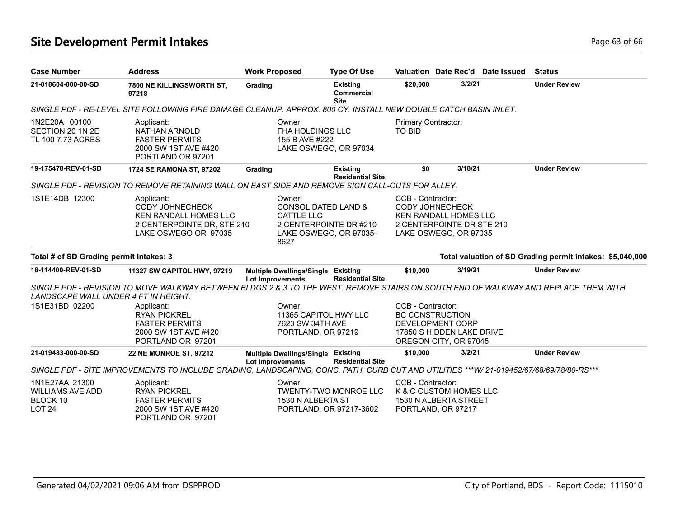# **Site Development Permit Intakes Page 63 of 66 Page 63 of 66**

| <b>Case Number</b>                                                     | <b>Address</b>                                                                                                                          | <b>Work Proposed</b>                                        | <b>Type Of Use</b>                                                                 |                                      |                                                                                                              | Valuation Date Rec'd Date Issued | <b>Status</b>                                             |
|------------------------------------------------------------------------|-----------------------------------------------------------------------------------------------------------------------------------------|-------------------------------------------------------------|------------------------------------------------------------------------------------|--------------------------------------|--------------------------------------------------------------------------------------------------------------|----------------------------------|-----------------------------------------------------------|
| 21-018604-000-00-SD                                                    | 7800 NE KILLINGSWORTH ST,<br>97218                                                                                                      | Grading                                                     | <b>Existing</b><br>Commercial<br><b>Site</b>                                       | \$20,000                             | 3/2/21                                                                                                       |                                  | <b>Under Review</b>                                       |
|                                                                        | SINGLE PDF - RE-LEVEL SITE FOLLOWING FIRE DAMAGE CLEANUP. APPROX. 800 CY. INSTALL NEW DOUBLE CATCH BASIN INLET.                         |                                                             |                                                                                    |                                      |                                                                                                              |                                  |                                                           |
| 1N2E20A 00100<br>SECTION 20 1N 2E<br>TL 100 7.73 ACRES                 | Applicant:<br><b>NATHAN ARNOLD</b><br><b>FASTER PERMITS</b><br>2000 SW 1ST AVE #420<br>PORTLAND OR 97201                                | Owner:<br>155 B AVE #222                                    | <b>FHA HOLDINGS LLC</b><br>LAKE OSWEGO, OR 97034                                   | Primary Contractor:<br><b>TO BID</b> |                                                                                                              |                                  |                                                           |
| 19-175478-REV-01-SD                                                    | 1724 SE RAMONA ST, 97202                                                                                                                | Grading                                                     | <b>Existing</b><br><b>Residential Site</b>                                         | \$0                                  | 3/18/21                                                                                                      |                                  | <b>Under Review</b>                                       |
|                                                                        | SINGLE PDF - REVISION TO REMOVE RETAINING WALL ON EAST SIDE AND REMOVE SIGN CALL-OUTS FOR ALLEY.                                        |                                                             |                                                                                    |                                      |                                                                                                              |                                  |                                                           |
| 1S1E14DB 12300                                                         | Applicant:<br><b>CODY JOHNECHECK</b><br><b>KEN RANDALL HOMES LLC</b><br>2 CENTERPOINTE DR, STE 210<br>LAKE OSWEGO OR 97035              | Owner:<br><b>CATTLE LLC</b><br>8627                         | <b>CONSOLIDATED LAND &amp;</b><br>2 CENTERPOINTE DR #210<br>LAKE OSWEGO, OR 97035- | CCB - Contractor:                    | <b>CODY JOHNECHECK</b><br><b>KEN RANDALL HOMES LLC</b><br>2 CENTERPOINTE DR STE 210<br>LAKE OSWEGO, OR 97035 |                                  |                                                           |
| Total # of SD Grading permit intakes: 3                                |                                                                                                                                         |                                                             |                                                                                    |                                      |                                                                                                              |                                  | Total valuation of SD Grading permit intakes: \$5,040,000 |
| 18-114400-REV-01-SD                                                    | 11327 SW CAPITOL HWY, 97219                                                                                                             | Multiple Dwellings/Single Existing<br>Lot Improvements      | <b>Residential Site</b>                                                            | \$10,000                             | 3/19/21                                                                                                      |                                  | <b>Under Review</b>                                       |
| LANDSCAPE WALL UNDER 4 FT IN HEIGHT.                                   | SINGLE PDF - REVISION TO MOVE WALKWAY BETWEEN BLDGS 2 & 3 TO THE WEST. REMOVE STAIRS ON SOUTH END OF WALKWAY AND REPLACE THEM WITH      |                                                             |                                                                                    |                                      |                                                                                                              |                                  |                                                           |
| 1S1E31BD 02200                                                         | Applicant:<br><b>RYAN PICKREL</b><br><b>FASTER PERMITS</b><br>2000 SW 1ST AVE #420<br>PORTLAND OR 97201                                 | Owner:                                                      | 11365 CAPITOL HWY LLC<br>7623 SW 34TH AVE<br>PORTLAND, OR 97219                    | CCB - Contractor:                    | <b>BC CONSTRUCTION</b><br>DEVELOPMENT CORP<br>17850 S HIDDEN LAKE DRIVE<br>OREGON CITY, OR 97045             |                                  |                                                           |
| 21-019483-000-00-SD                                                    | <b>22 NE MONROE ST, 97212</b>                                                                                                           | <b>Multiple Dwellings/Single</b><br><b>Lot Improvements</b> | Existing<br><b>Residential Site</b>                                                | \$10,000                             | 3/2/21                                                                                                       |                                  | <b>Under Review</b>                                       |
|                                                                        | SINGLE PDF - SITE IMPROVEMENTS TO INCLUDE GRADING, LANDSCAPING, CONC. PATH, CURB CUT AND UTILITIES ***W/ 21-019452/67/68/69/78/80-RS*** |                                                             |                                                                                    |                                      |                                                                                                              |                                  |                                                           |
| 1N1E27AA 21300<br><b>WILLIAMS AVE ADD</b><br>BLOCK 10<br><b>LOT 24</b> | Applicant:<br><b>RYAN PICKREL</b><br><b>FASTER PERMITS</b><br>2000 SW 1ST AVE #420<br>PORTLAND OR 97201                                 | Owner:                                                      | <b>TWENTY-TWO MONROE LLC</b><br>1530 N ALBERTA ST<br>PORTLAND, OR 97217-3602       | CCB - Contractor:                    | K & C CUSTOM HOMES LLC<br>1530 N ALBERTA STREET<br>PORTLAND, OR 97217                                        |                                  |                                                           |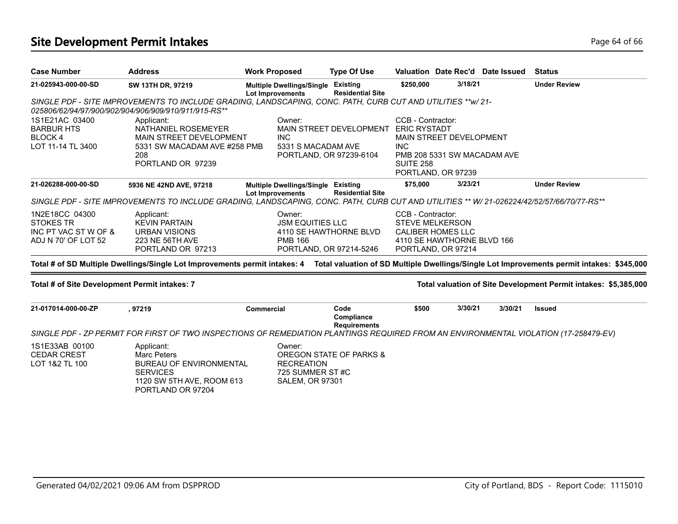# Site Development Permit Intakes **Page 14 of 66** and the United States Page 64 of 66

| <b>Case Number</b>                                                                | <b>Address</b>                                                                                                                                                       | <b>Work Proposed</b>                                                     | <b>Type Of Use</b>                                              |                                                     |                                                                              | Valuation Date Rec'd Date Issued | <b>Status</b>                                                                                                                                                         |
|-----------------------------------------------------------------------------------|----------------------------------------------------------------------------------------------------------------------------------------------------------------------|--------------------------------------------------------------------------|-----------------------------------------------------------------|-----------------------------------------------------|------------------------------------------------------------------------------|----------------------------------|-----------------------------------------------------------------------------------------------------------------------------------------------------------------------|
| 21-025943-000-00-SD                                                               | SW 13TH DR, 97219                                                                                                                                                    | <b>Multiple Dwellings/Single</b><br><b>Lot Improvements</b>              | <b>Existing</b><br><b>Residential Site</b>                      | \$250,000                                           | 3/18/21                                                                      |                                  | <b>Under Review</b>                                                                                                                                                   |
|                                                                                   | SINGLE PDF - SITE IMPROVEMENTS TO INCLUDE GRADING, LANDSCAPING, CONC. PATH, CURB CUT AND UTILITIES ** w/ 21-<br>025806/62/94/97/900/902/904/906/909/910/911/915-RS** |                                                                          |                                                                 |                                                     |                                                                              |                                  |                                                                                                                                                                       |
| 1S1E21AC 03400<br><b>BARBUR HTS</b><br>BLOCK 4<br>LOT 11-14 TL 3400               | Applicant:<br>NATHANIEL ROSEMEYER<br>MAIN STREET DEVELOPMENT<br>5331 SW MACADAM AVE #258 PMB<br>208<br>PORTLAND OR 97239                                             | Owner:<br><b>INC</b><br>5331 S MACADAM AVE                               | MAIN STREET DEVELOPMENT ERIC RYSTADT<br>PORTLAND, OR 97239-6104 | CCB - Contractor:<br><b>INC</b><br><b>SUITE 258</b> | MAIN STREET DEVELOPMENT<br>PMB 208 5331 SW MACADAM AVE<br>PORTLAND, OR 97239 |                                  |                                                                                                                                                                       |
| 21-026288-000-00-SD                                                               | 5936 NE 42ND AVE, 97218                                                                                                                                              | <b>Multiple Dwellings/Single Existing</b><br><b>Lot Improvements</b>     | <b>Residential Site</b>                                         | \$75,000                                            | 3/23/21                                                                      |                                  | <b>Under Review</b>                                                                                                                                                   |
|                                                                                   | SINGLE PDF - SITE IMPROVEMENTS TO INCLUDE GRADING, LANDSCAPING, CONC. PATH, CURB CUT AND UTILITIES ** W/ 21-026224/42/52/57/66/70/77-RS**                            |                                                                          |                                                                 |                                                     |                                                                              |                                  |                                                                                                                                                                       |
| 1N2E18CC 04300<br><b>STOKES TR</b><br>INC PT VAC ST W OF &<br>ADJ N 70' OF LOT 52 | Applicant:<br><b>KEVIN PARTAIN</b><br><b>URBAN VISIONS</b><br><b>223 NE 56TH AVE</b><br>PORTLAND OR 97213                                                            | Owner:<br><b>JSM EQUITIES LLC</b><br><b>PMB 166</b>                      | 4110 SE HAWTHORNE BLVD<br>PORTLAND, OR 97214-5246               | CCB - Contractor:<br><b>STEVE MELKERSON</b>         | <b>CALIBER HOMES LLC</b><br>4110 SE HAWTHORNE BLVD 166<br>PORTLAND, OR 97214 |                                  |                                                                                                                                                                       |
|                                                                                   |                                                                                                                                                                      |                                                                          |                                                                 |                                                     |                                                                              |                                  | Total # of SD Multiple Dwellings/Single Lot Improvements permit intakes: 4 Total valuation of SD Multiple Dwellings/Single Lot Improvements permit intakes: \$345,000 |
| Total # of Site Development Permit intakes: 7                                     |                                                                                                                                                                      |                                                                          |                                                                 |                                                     |                                                                              |                                  | Total valuation of Site Development Permit intakes: \$5,385,000                                                                                                       |
| 21-017014-000-00-ZP                                                               | , 97219<br>SINGLE PDF - ZP PERMIT FOR FIRST OF TWO INSPECTIONS OF REMEDIATION PLANTINGS REQUIRED FROM AN ENVIRONMENTAL VIOLATION (17-258479-EV)                      | <b>Commercial</b>                                                        | Code<br>Compliance<br><b>Requirements</b>                       | \$500                                               | 3/30/21                                                                      | 3/30/21                          | <b>Issued</b>                                                                                                                                                         |
|                                                                                   |                                                                                                                                                                      |                                                                          |                                                                 |                                                     |                                                                              |                                  |                                                                                                                                                                       |
| 1S1E33AB 00100<br><b>CEDAR CREST</b><br>LOT 1&2 TL 100                            | Applicant:<br>Marc Peters<br><b>BUREAU OF ENVIRONMENTAL</b><br><b>SERVICES</b><br>1120 SW 5TH AVE, ROOM 613<br>PORTLAND OR 97204                                     | Owner:<br><b>RECREATION</b><br>725 SUMMER ST#C<br><b>SALEM, OR 97301</b> | <b>OREGON STATE OF PARKS &amp;</b>                              |                                                     |                                                                              |                                  |                                                                                                                                                                       |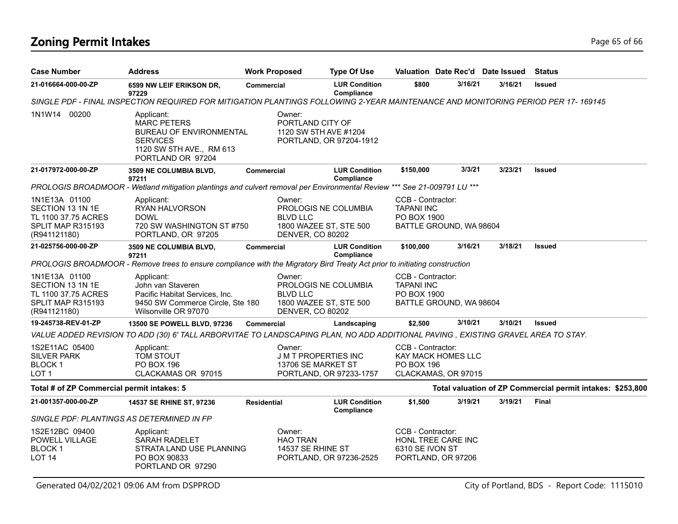# **Zoning Permit Intakes** Page 65 of 66

| <b>Case Number</b>                                                                            | <b>Address</b>                                                                                                                         | <b>Work Proposed</b>                                 | <b>Type Of Use</b>                                   |                                                       |                                                  | Valuation Date Rec'd Date Issued | <b>Status</b>                                              |
|-----------------------------------------------------------------------------------------------|----------------------------------------------------------------------------------------------------------------------------------------|------------------------------------------------------|------------------------------------------------------|-------------------------------------------------------|--------------------------------------------------|----------------------------------|------------------------------------------------------------|
| 21-016664-000-00-ZP                                                                           | 6599 NW LEIF ERIKSON DR,<br>97229                                                                                                      | <b>Commercial</b>                                    | <b>LUR Condition</b><br>Compliance                   | \$800                                                 | 3/16/21                                          | 3/16/21                          | <b>Issued</b>                                              |
|                                                                                               | SINGLE PDF - FINAL INSPECTION REQUIRED FOR MITIGATION PLANTINGS FOLLOWING 2-YEAR MAINTENANCE AND MONITORING PERIOD PER 17-169145       |                                                      |                                                      |                                                       |                                                  |                                  |                                                            |
| 1N1W14 00200                                                                                  | Applicant:<br><b>MARC PETERS</b><br><b>BUREAU OF ENVIRONMENTAL</b><br><b>SERVICES</b><br>1120 SW 5TH AVE., RM 613<br>PORTLAND OR 97204 | Owner:<br>PORTLAND CITY OF                           | 1120 SW 5TH AVE #1204<br>PORTLAND, OR 97204-1912     |                                                       |                                                  |                                  |                                                            |
| 21-017972-000-00-ZP                                                                           | 3509 NE COLUMBIA BLVD,<br>97211                                                                                                        | Commercial                                           | <b>LUR Condition</b><br>Compliance                   | \$150,000                                             | 3/3/21                                           | 3/23/21                          | <b>Issued</b>                                              |
|                                                                                               | PROLOGIS BROADMOOR - Wetland mitigation plantings and culvert removal per Environmental Review *** See 21-009791 LU ***                |                                                      |                                                      |                                                       |                                                  |                                  |                                                            |
| 1N1E13A 01100<br>SECTION 13 1N 1E<br>TL 1100 37.75 ACRES<br>SPLIT MAP R315193<br>(R941121180) | Applicant:<br>RYAN HALVORSON<br><b>DOWL</b><br>720 SW WASHINGTON ST #750<br>PORTLAND, OR 97205                                         | Owner:<br><b>BLVD LLC</b><br><b>DENVER, CO 80202</b> | PROLOGIS NE COLUMBIA<br>1800 WAZEE ST, STE 500       | CCB - Contractor:<br><b>TAPANI INC</b><br>PO BOX 1900 | BATTLE GROUND, WA 98604                          |                                  |                                                            |
| 21-025756-000-00-ZP                                                                           | 3509 NE COLUMBIA BLVD,<br>97211                                                                                                        | Commercial                                           | <b>LUR Condition</b><br>Compliance                   | \$100,000                                             | 3/16/21                                          | 3/18/21                          | <b>Issued</b>                                              |
|                                                                                               | PROLOGIS BROADMOOR - Remove trees to ensure compliance with the Migratory Bird Treaty Act prior to initiating construction             |                                                      |                                                      |                                                       |                                                  |                                  |                                                            |
| 1N1E13A 01100<br>SECTION 13 1N 1E<br>TL 1100 37.75 ACRES<br>SPLIT MAP R315193<br>(R941121180) | Applicant:<br>John van Staveren<br>Pacific Habitat Services, Inc.<br>9450 SW Commerce Circle, Ste 180<br>Wilsonville OR 97070          | Owner:<br><b>BLVD LLC</b><br>DENVER, CO 80202        | PROLOGIS NE COLUMBIA<br>1800 WAZEE ST, STE 500       | CCB - Contractor:<br><b>TAPANI INC</b><br>PO BOX 1900 | BATTLE GROUND, WA 98604                          |                                  |                                                            |
| 19-245738-REV-01-ZP                                                                           | 13500 SE POWELL BLVD, 97236                                                                                                            | Commercial                                           | Landscaping                                          | \$2,500                                               | 3/10/21                                          | 3/10/21                          | Issued                                                     |
|                                                                                               | VALUE ADDED REVISION TO ADD (30) 6' TALL ARBORVITAE TO LANDSCAPING PLAN, NO ADD ADDITIONAL PAVING , EXISTING GRAVEL AREA TO STAY.      |                                                      |                                                      |                                                       |                                                  |                                  |                                                            |
| 1S2E11AC 05400<br><b>SILVER PARK</b><br>BLOCK 1<br>LOT <sub>1</sub>                           | Applicant:<br>TOM STOUT<br>PO BOX 196<br>CLACKAMAS OR 97015                                                                            | Owner:<br>13706 SE MARKET ST                         | <b>JMT PROPERTIES INC</b><br>PORTLAND, OR 97233-1757 | CCB - Contractor:<br><b>PO BOX 196</b>                | <b>KAY MACK HOMES LLC</b><br>CLACKAMAS, OR 97015 |                                  |                                                            |
| Total # of ZP Commercial permit intakes: 5                                                    |                                                                                                                                        |                                                      |                                                      |                                                       |                                                  |                                  | Total valuation of ZP Commercial permit intakes: \$253,800 |
| 21-001357-000-00-ZP                                                                           | 14537 SE RHINE ST, 97236                                                                                                               | <b>Residential</b>                                   | <b>LUR Condition</b><br>Compliance                   | \$1,500                                               | 3/19/21                                          | 3/19/21                          | <b>Final</b>                                               |
|                                                                                               | SINGLE PDF: PLANTINGS AS DETERMINED IN FP                                                                                              |                                                      |                                                      |                                                       |                                                  |                                  |                                                            |
| 1S2E12BC 09400<br>POWELL VILLAGE<br><b>BLOCK1</b><br><b>LOT 14</b>                            | Applicant:<br><b>SARAH RADELET</b><br>STRATA LAND USE PLANNING<br>PO BOX 90833<br>PORTLAND OR 97290                                    | Owner:<br><b>HAO TRAN</b><br>14537 SE RHINE ST       | PORTLAND, OR 97236-2525                              | CCB - Contractor:<br>6310 SE IVON ST                  | HONL TREE CARE INC<br>PORTLAND, OR 97206         |                                  |                                                            |